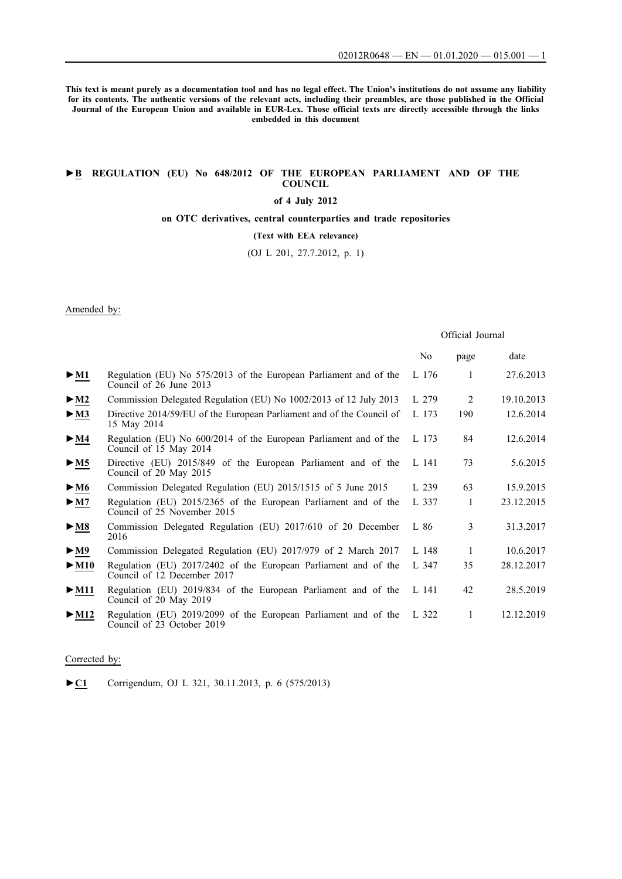**This text is meant purely as a documentation tool and has no legal effect. The Union's institutions do not assume any liability for its contents. The authentic versions of the relevant acts, including their preambles, are those published in the Official Journal of the European Union and available in EUR-Lex. Those official texts are directly accessible through the links embedded in this document**

## **►B [REGULATION \(EU\) No 648/2012 OF THE EUROPEAN PARLIAMENT AND OF THE](http://data.europa.eu/eli/reg/2012/648/oj/eng) [COUNCIL](http://data.europa.eu/eli/reg/2012/648/oj/eng)**

# **[of 4 July 2012](http://data.europa.eu/eli/reg/2012/648/oj/eng)**

## **[on OTC derivatives, central counterparties and trade repositories](http://data.europa.eu/eli/reg/2012/648/oj/eng)**

## **[\(Text with EEA relevance\)](http://data.europa.eu/eli/reg/2012/648/oj/eng)**

[\(OJ L 201, 27.7.2012, p. 1\)](http://data.europa.eu/eli/reg/2012/648/oj/eng)

Amended by:

## Official Journal

|                           |                                                                                                | N <sub>0</sub> | page | date       |
|---------------------------|------------------------------------------------------------------------------------------------|----------------|------|------------|
| $>$ M1                    | Regulation (EU) No 575/2013 of the European Parliament and of the<br>Council of 26 June 2013   | L 176          | 1    | 27.6.2013  |
| $\blacktriangleright$ M2  | Commission Delegated Regulation (EU) No 1002/2013 of 12 July 2013                              | L 279          | 2    | 19.10.2013 |
| $\blacktriangleright$ M3  | Directive 2014/59/EU of the European Parliament and of the Council of<br>15 May 2014           | L 173          | 190  | 12.6.2014  |
| $>$ M4                    | Regulation (EU) No 600/2014 of the European Parliament and of the<br>Council of 15 May 2014    | L 173          | 84   | 12.6.2014  |
| $>$ M5                    | Directive (EU) 2015/849 of the European Parliament and of the<br>Council of 20 May 2015        | L 141          | 73   | 5.6.2015   |
| $\blacktriangleright$ M6  | Commission Delegated Regulation (EU) 2015/1515 of 5 June 2015                                  | L 239          | 63   | 15.9.2015  |
| $\blacktriangleright$ M7  | Regulation (EU) 2015/2365 of the European Parliament and of the<br>Council of 25 November 2015 | L 337          | 1    | 23.12.2015 |
| $>$ M8                    | Commission Delegated Regulation (EU) 2017/610 of 20 December<br>2016                           | L 86           | 3    | 31.3.2017  |
| $>$ M9                    | Commission Delegated Regulation (EU) 2017/979 of 2 March 2017                                  | L 148          | 1    | 10.6.2017  |
| $>$ M10                   | Regulation (EU) 2017/2402 of the European Parliament and of the<br>Council of 12 December 2017 | L 347          | 35   | 28.12.2017 |
| $\blacktriangleright$ M11 | Regulation (EU) 2019/834 of the European Parliament and of the<br>Council of 20 May 2019       | L 141          | 42   | 28.5.2019  |
| $>$ M12                   | Regulation (EU) 2019/2099 of the European Parliament and of the<br>Council of 23 October 2019  | L 322          | 1    | 12.12.2019 |

## Corrected by:

[►](http://data.europa.eu/eli/reg/2013/575/corrigendum/2013-11-30/oj/eng)**[C1](http://data.europa.eu/eli/reg/2013/575/corrigendum/2013-11-30/oj/eng)** [Corrigendum, OJ L 321, 30.11.2013, p. 6 \(575/2013\)](http://data.europa.eu/eli/reg/2013/575/corrigendum/2013-11-30/oj/eng)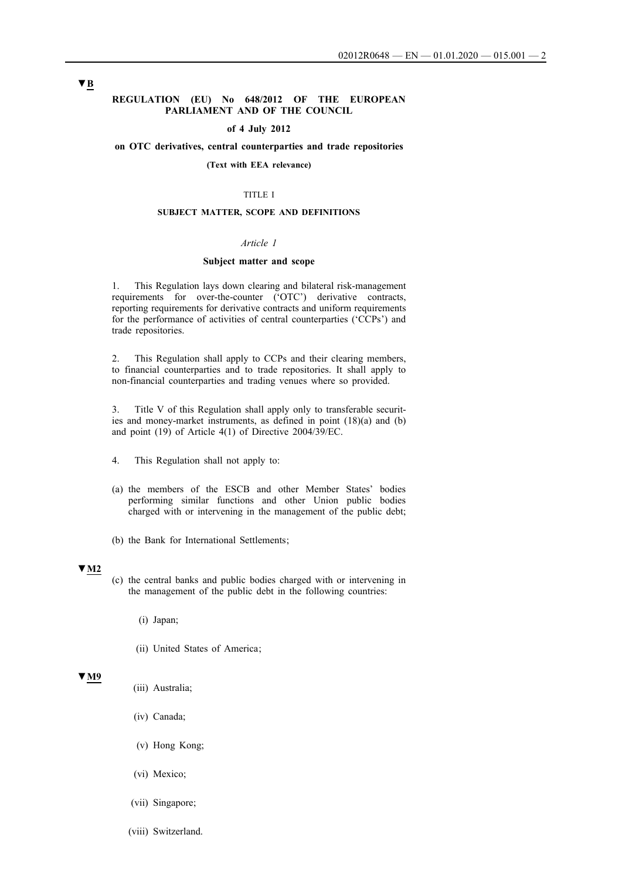### **REGULATION (EU) No 648/2012 OF THE EUROPEAN PARLIAMENT AND OF THE COUNCIL**

### **of 4 July 2012**

### **on OTC derivatives, central counterparties and trade repositories**

**(Text with EEA relevance)**

### TITLE I

## **SUBJECT MATTER, SCOPE AND DEFINITIONS**

### *Article 1*

### **Subject matter and scope**

1. This Regulation lays down clearing and bilateral risk-management requirements for over-the-counter ('OTC') derivative contracts, reporting requirements for derivative contracts and uniform requirements for the performance of activities of central counterparties ('CCPs') and trade repositories.

2. This Regulation shall apply to CCPs and their clearing members, to financial counterparties and to trade repositories. It shall apply to non-financial counterparties and trading venues where so provided.

3. Title V of this Regulation shall apply only to transferable securities and money-market instruments, as defined in point (18)(a) and (b) and point (19) of Article 4(1) of Directive 2004/39/EC.

- 4. This Regulation shall not apply to:
- (a) the members of the ESCB and other Member States' bodies performing similar functions and other Union public bodies charged with or intervening in the management of the public debt;
- (b) the Bank for International Settlements;

# **▼M2**

- (c) the central banks and public bodies charged with or intervening in the management of the public debt in the following countries:
	- (i) Japan;
	- (ii) United States of America;

#### **▼M9**

- (iii) Australia;
- (iv) Canada;
- (v) Hong Kong;
- (vi) Mexico;
- (vii) Singapore;
- (viii) Switzerland.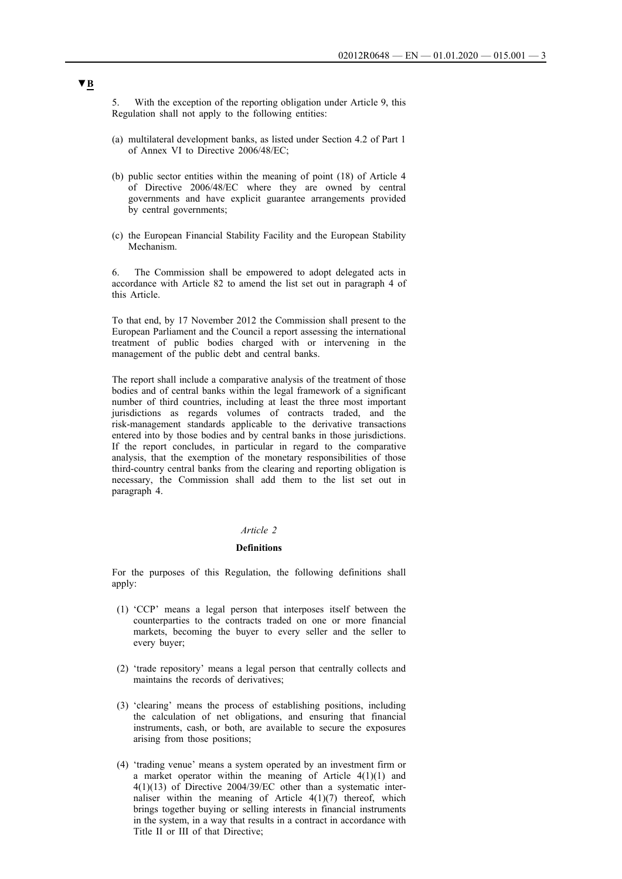With the exception of the reporting obligation under Article 9, this Regulation shall not apply to the following entities:

- (a) multilateral development banks, as listed under Section 4.2 of Part 1 of Annex VI to Directive 2006/48/EC;
- (b) public sector entities within the meaning of point (18) of Article 4 of Directive 2006/48/EC where they are owned by central governments and have explicit guarantee arrangements provided by central governments;
- (c) the European Financial Stability Facility and the European Stability Mechanism.

6. The Commission shall be empowered to adopt delegated acts in accordance with Article 82 to amend the list set out in paragraph 4 of this Article.

To that end, by 17 November 2012 the Commission shall present to the European Parliament and the Council a report assessing the international treatment of public bodies charged with or intervening in the management of the public debt and central banks.

The report shall include a comparative analysis of the treatment of those bodies and of central banks within the legal framework of a significant number of third countries, including at least the three most important jurisdictions as regards volumes of contracts traded, and the risk-management standards applicable to the derivative transactions entered into by those bodies and by central banks in those jurisdictions. If the report concludes, in particular in regard to the comparative analysis, that the exemption of the monetary responsibilities of those third-country central banks from the clearing and reporting obligation is necessary, the Commission shall add them to the list set out in paragraph 4.

#### *Article 2*

#### **Definitions**

For the purposes of this Regulation, the following definitions shall apply:

- (1) 'CCP' means a legal person that interposes itself between the counterparties to the contracts traded on one or more financial markets, becoming the buyer to every seller and the seller to every buyer;
- (2) 'trade repository' means a legal person that centrally collects and maintains the records of derivatives;
- (3) 'clearing' means the process of establishing positions, including the calculation of net obligations, and ensuring that financial instruments, cash, or both, are available to secure the exposures arising from those positions;
- (4) 'trading venue' means a system operated by an investment firm or a market operator within the meaning of Article  $4(1)(1)$  and 4(1)(13) of Directive 2004/39/EC other than a systematic internaliser within the meaning of Article  $4(1)(7)$  thereof, which brings together buying or selling interests in financial instruments in the system, in a way that results in a contract in accordance with Title II or III of that Directive;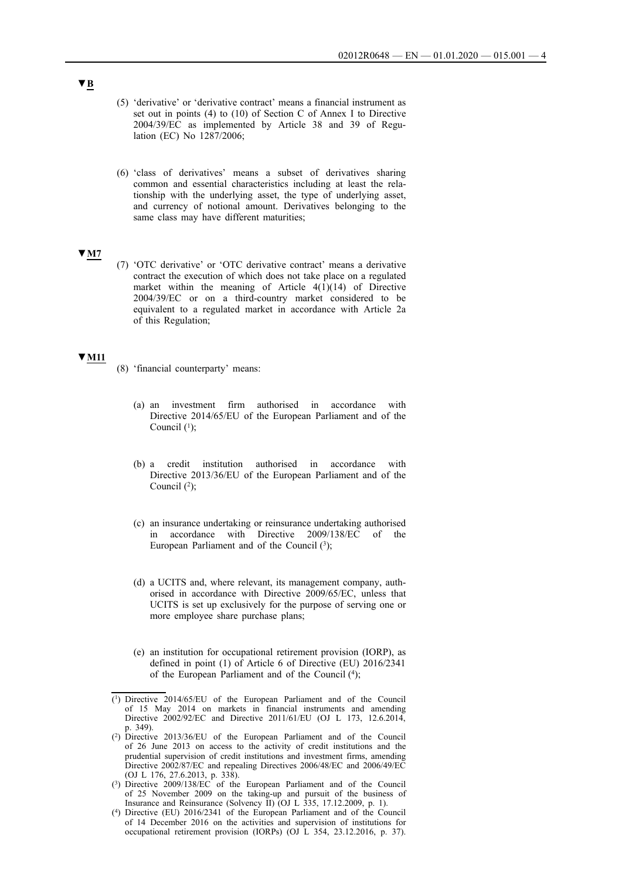- (5) 'derivative' or 'derivative contract' means a financial instrument as set out in points (4) to (10) of Section C of Annex I to Directive 2004/39/EC as implemented by Article 38 and 39 of Regulation (EC) No 1287/2006;
- (6) 'class of derivatives' means a subset of derivatives sharing common and essential characteristics including at least the relationship with the underlying asset, the type of underlying asset, and currency of notional amount. Derivatives belonging to the same class may have different maturities;

(7) 'OTC derivative' or 'OTC derivative contract' means a derivative contract the execution of which does not take place on a regulated market within the meaning of Article  $4(1)(14)$  of Directive 2004/39/EC or on a third-country market considered to be equivalent to a regulated market in accordance with Article 2a of this Regulation;

#### **▼M11**

- (8) 'financial counterparty' means:
	- (a) an investment firm authorised in accordance with Directive 2014/65/EU of the European Parliament and of the Council  $(1)$ ;
	- (b) a credit institution authorised in accordance with Directive 2013/36/EU of the European Parliament and of the Council  $(2)$ ;
	- (c) an insurance undertaking or reinsurance undertaking authorised in accordance with Directive 2009/138/EC of the European Parliament and of the Council  $(3)$ ;
	- (d) a UCITS and, where relevant, its management company, authorised in accordance with Directive 2009/65/EC, unless that UCITS is set up exclusively for the purpose of serving one or more employee share purchase plans;
	- (e) an institution for occupational retirement provision (IORP), as defined in point (1) of Article 6 of Directive (EU) 2016/2341 of the European Parliament and of the Council (4);

- (2) Directive 2013/36/EU of the European Parliament and of the Council of 26 June 2013 on access to the activity of credit institutions and the prudential supervision of credit institutions and investment firms, amending Directive 2002/87/EC and repealing Directives 2006/48/EC and 2006/49/EC (OJ L 176, 27.6.2013, p. 338).
- (3) Directive 2009/138/EC of the European Parliament and of the Council of 25 November 2009 on the taking-up and pursuit of the business of Insurance and Reinsurance (Solvency II) (OJ L  $335$ , 17.12.2009, p. 1).
- (4) Directive (EU) 2016/2341 of the European Parliament and of the Council of 14 December 2016 on the activities and supervision of institutions for occupational retirement provision (IORPs) (OJ L 354, 23.12.2016, p. 37).

<sup>(1)</sup> Directive 2014/65/EU of the European Parliament and of the Council of 15 May 2014 on markets in financial instruments and amending Directive 2002/92/EC and Directive 2011/61/EU (OJ L 173, 12.6.2014, p. 349).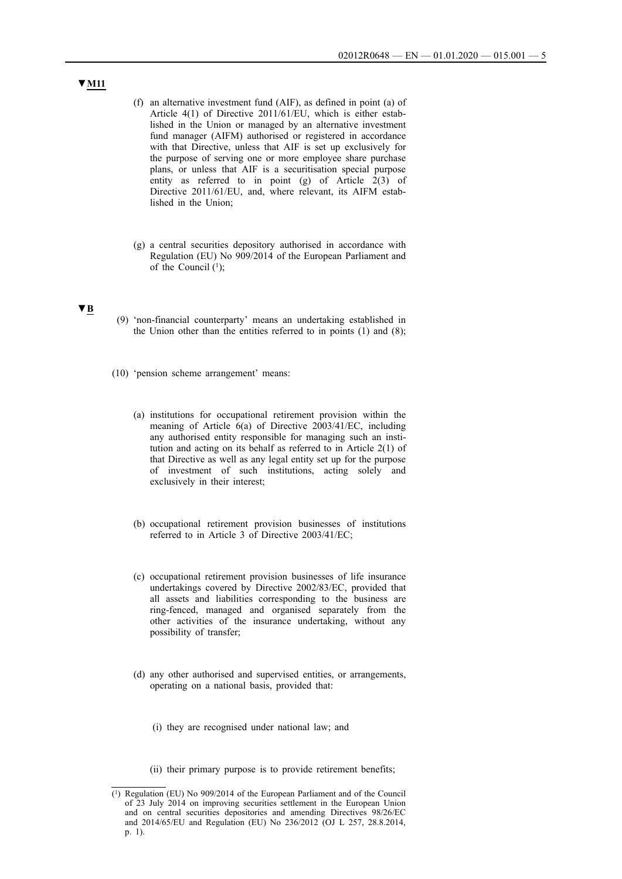- (f) an alternative investment fund (AIF), as defined in point (a) of Article 4(1) of Directive 2011/61/EU, which is either established in the Union or managed by an alternative investment fund manager (AIFM) authorised or registered in accordance with that Directive, unless that AIF is set up exclusively for the purpose of serving one or more employee share purchase plans, or unless that AIF is a securitisation special purpose entity as referred to in point (g) of Article  $2(3)$  of Directive 2011/61/EU, and, where relevant, its AIFM established in the Union;
- (g) a central securities depository authorised in accordance with Regulation (EU) No 909/2014 of the European Parliament and of the Council  $(1)$ ;

## **▼B**

- (9) 'non-financial counterparty' means an undertaking established in the Union other than the entities referred to in points (1) and (8);
- (10) 'pension scheme arrangement' means:
	- (a) institutions for occupational retirement provision within the meaning of Article 6(a) of Directive 2003/41/EC, including any authorised entity responsible for managing such an institution and acting on its behalf as referred to in Article 2(1) of that Directive as well as any legal entity set up for the purpose of investment of such institutions, acting solely and exclusively in their interest;
	- (b) occupational retirement provision businesses of institutions referred to in Article 3 of Directive 2003/41/EC;
	- (c) occupational retirement provision businesses of life insurance undertakings covered by Directive 2002/83/EC, provided that all assets and liabilities corresponding to the business are ring-fenced, managed and organised separately from the other activities of the insurance undertaking, without any possibility of transfer;
	- (d) any other authorised and supervised entities, or arrangements, operating on a national basis, provided that:
		- (i) they are recognised under national law; and
		- (ii) their primary purpose is to provide retirement benefits;

<sup>(1)</sup> Regulation (EU) No 909/2014 of the European Parliament and of the Council of 23 July 2014 on improving securities settlement in the European Union and on central securities depositories and amending Directives 98/26/EC and 2014/65/EU and Regulation (EU) No 236/2012 (OJ L 257, 28.8.2014, p. 1).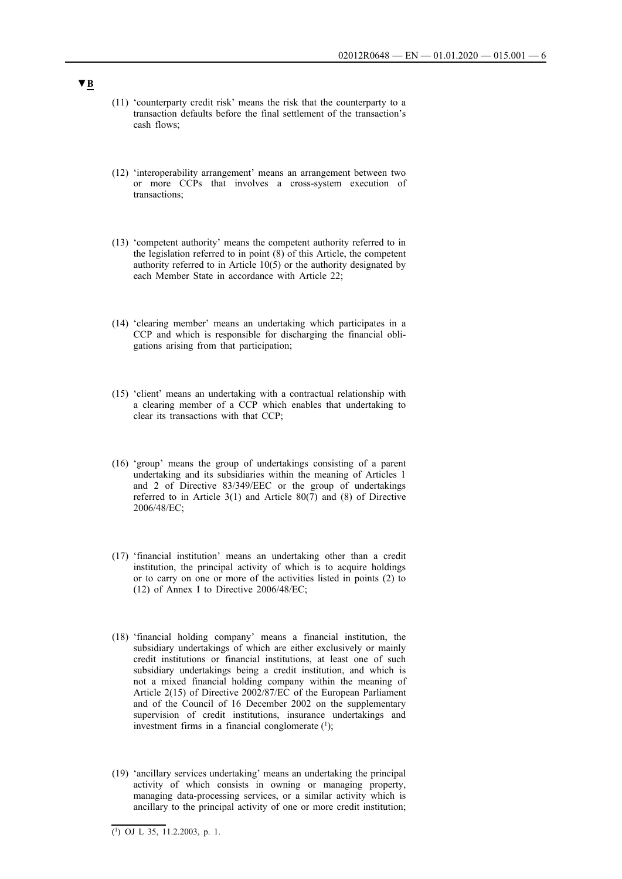- (11) 'counterparty credit risk' means the risk that the counterparty to a transaction defaults before the final settlement of the transaction's cash flows;
- (12) 'interoperability arrangement' means an arrangement between two or more CCPs that involves a cross-system execution of transactions;
- (13) 'competent authority' means the competent authority referred to in the legislation referred to in point (8) of this Article, the competent authority referred to in Article 10(5) or the authority designated by each Member State in accordance with Article 22;
- (14) 'clearing member' means an undertaking which participates in a CCP and which is responsible for discharging the financial obligations arising from that participation;
- (15) 'client' means an undertaking with a contractual relationship with a clearing member of a CCP which enables that undertaking to clear its transactions with that CCP;
- (16) 'group' means the group of undertakings consisting of a parent undertaking and its subsidiaries within the meaning of Articles 1 and 2 of Directive 83/349/EEC or the group of undertakings referred to in Article 3(1) and Article 80(7) and (8) of Directive 2006/48/EC;
- (17) 'financial institution' means an undertaking other than a credit institution, the principal activity of which is to acquire holdings or to carry on one or more of the activities listed in points (2) to (12) of Annex I to Directive 2006/48/EC;
- (18) 'financial holding company' means a financial institution, the subsidiary undertakings of which are either exclusively or mainly credit institutions or financial institutions, at least one of such subsidiary undertakings being a credit institution, and which is not a mixed financial holding company within the meaning of Article 2(15) of Directive 2002/87/EC of the European Parliament and of the Council of 16 December 2002 on the supplementary supervision of credit institutions, insurance undertakings and investment firms in a financial conglomerate  $(1)$ ;
- (19) 'ancillary services undertaking' means an undertaking the principal activity of which consists in owning or managing property, managing data-processing services, or a similar activity which is ancillary to the principal activity of one or more credit institution;

 $\overline{(^1)$  OJ L 35, 11.2.2003, p. 1.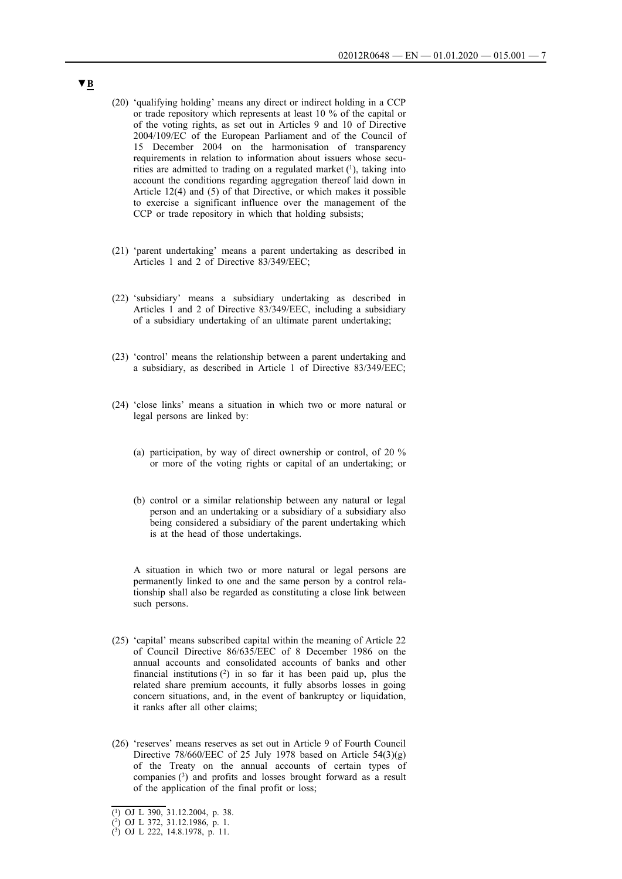- (20) 'qualifying holding' means any direct or indirect holding in a CCP or trade repository which represents at least 10 % of the capital or of the voting rights, as set out in Articles 9 and 10 of Directive 2004/109/EC of the European Parliament and of the Council of 15 December 2004 on the harmonisation of transparency requirements in relation to information about issuers whose securities are admitted to trading on a regulated market  $(1)$ , taking into account the conditions regarding aggregation thereof laid down in Article 12(4) and (5) of that Directive, or which makes it possible to exercise a significant influence over the management of the CCP or trade repository in which that holding subsists;
- (21) 'parent undertaking' means a parent undertaking as described in Articles 1 and 2 of Directive 83/349/EEC;
- (22) 'subsidiary' means a subsidiary undertaking as described in Articles 1 and 2 of Directive 83/349/EEC, including a subsidiary of a subsidiary undertaking of an ultimate parent undertaking;
- (23) 'control' means the relationship between a parent undertaking and a subsidiary, as described in Article 1 of Directive 83/349/EEC;
- (24) 'close links' means a situation in which two or more natural or legal persons are linked by:
	- (a) participation, by way of direct ownership or control, of 20 % or more of the voting rights or capital of an undertaking; or
	- (b) control or a similar relationship between any natural or legal person and an undertaking or a subsidiary of a subsidiary also being considered a subsidiary of the parent undertaking which is at the head of those undertakings.

A situation in which two or more natural or legal persons are permanently linked to one and the same person by a control relationship shall also be regarded as constituting a close link between such persons.

- (25) 'capital' means subscribed capital within the meaning of Article 22 of Council Directive 86/635/EEC of 8 December 1986 on the annual accounts and consolidated accounts of banks and other financial institutions  $(2)$  in so far it has been paid up, plus the related share premium accounts, it fully absorbs losses in going concern situations, and, in the event of bankruptcy or liquidation, it ranks after all other claims;
- (26) 'reserves' means reserves as set out in Article 9 of Fourth Council Directive 78/660/EEC of 25 July 1978 based on Article  $54(3)(g)$ of the Treaty on the annual accounts of certain types of companies  $(3)$  and profits and losses brought forward as a result of the application of the final profit or loss;

<sup>(1)</sup> OJ L 390, 31.12.2004, p. 38.

<sup>(2)</sup> OJ L 372, 31.12.1986, p. 1.

<sup>(3)</sup> OJ L 222, 14.8.1978, p. 11.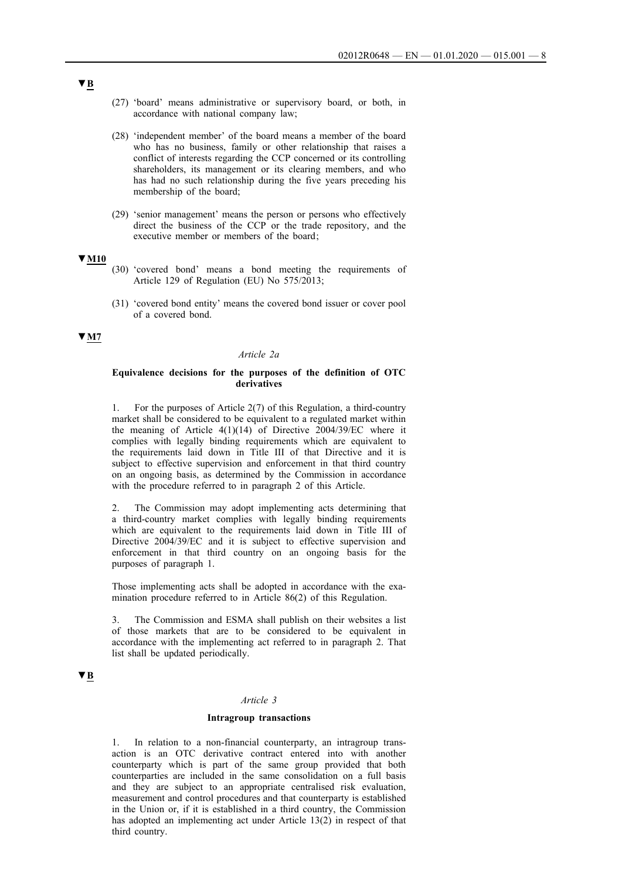- (27) 'board' means administrative or supervisory board, or both, in accordance with national company law;
- (28) 'independent member' of the board means a member of the board who has no business, family or other relationship that raises a conflict of interests regarding the CCP concerned or its controlling shareholders, its management or its clearing members, and who has had no such relationship during the five years preceding his membership of the board;
- (29) 'senior management' means the person or persons who effectively direct the business of the CCP or the trade repository, and the executive member or members of the board;

- (30) 'covered bond' means a bond meeting the requirements of Article 129 of Regulation (EU) No 575/2013;
- (31) 'covered bond entity' means the covered bond issuer or cover pool of a covered bond.

## **▼M7**

#### *Article 2a*

### **Equivalence decisions for the purposes of the definition of OTC derivatives**

1. For the purposes of Article 2(7) of this Regulation, a third-country market shall be considered to be equivalent to a regulated market within the meaning of Article  $4(1)(14)$  of Directive 2004/39/EC where it complies with legally binding requirements which are equivalent to the requirements laid down in Title III of that Directive and it is subject to effective supervision and enforcement in that third country on an ongoing basis, as determined by the Commission in accordance with the procedure referred to in paragraph 2 of this Article.

2. The Commission may adopt implementing acts determining that a third-country market complies with legally binding requirements which are equivalent to the requirements laid down in Title III of Directive 2004/39/EC and it is subject to effective supervision and enforcement in that third country on an ongoing basis for the purposes of paragraph 1.

Those implementing acts shall be adopted in accordance with the examination procedure referred to in Article 86(2) of this Regulation.

3. The Commission and ESMA shall publish on their websites a list of those markets that are to be considered to be equivalent in accordance with the implementing act referred to in paragraph 2. That list shall be updated periodically.

## **▼B**

#### *Article 3*

### **Intragroup transactions**

1. In relation to a non-financial counterparty, an intragroup transaction is an OTC derivative contract entered into with another counterparty which is part of the same group provided that both counterparties are included in the same consolidation on a full basis and they are subject to an appropriate centralised risk evaluation, measurement and control procedures and that counterparty is established in the Union or, if it is established in a third country, the Commission has adopted an implementing act under Article 13(2) in respect of that third country.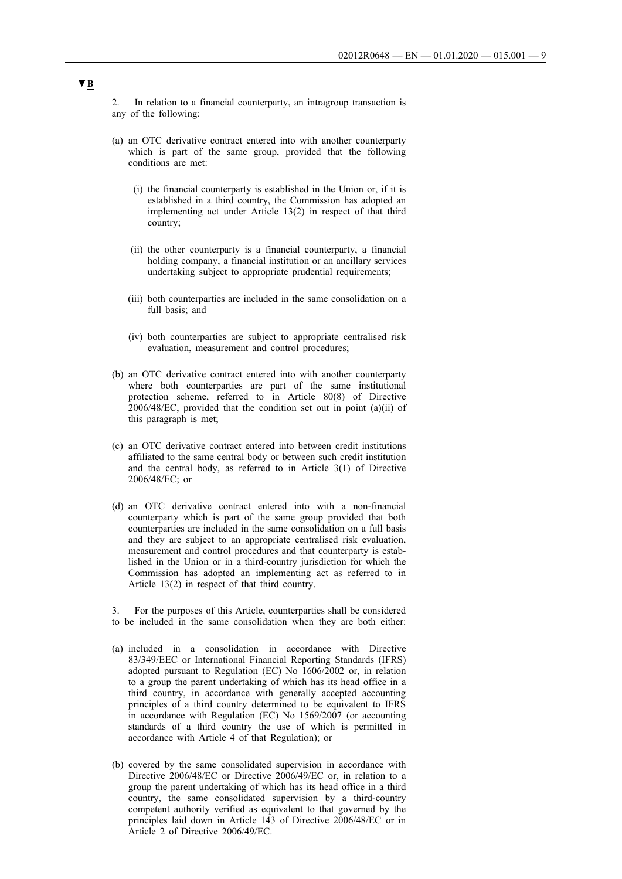2. In relation to a financial counterparty, an intragroup transaction is any of the following:

- (a) an OTC derivative contract entered into with another counterparty which is part of the same group, provided that the following conditions are met:
	- (i) the financial counterparty is established in the Union or, if it is established in a third country, the Commission has adopted an implementing act under Article 13(2) in respect of that third country;
	- (ii) the other counterparty is a financial counterparty, a financial holding company, a financial institution or an ancillary services undertaking subject to appropriate prudential requirements;
	- (iii) both counterparties are included in the same consolidation on a full basis; and
	- (iv) both counterparties are subject to appropriate centralised risk evaluation, measurement and control procedures;
- (b) an OTC derivative contract entered into with another counterparty where both counterparties are part of the same institutional protection scheme, referred to in Article 80(8) of Directive 2006/48/EC, provided that the condition set out in point (a)(ii) of this paragraph is met;
- (c) an OTC derivative contract entered into between credit institutions affiliated to the same central body or between such credit institution and the central body, as referred to in Article 3(1) of Directive 2006/48/EC; or
- (d) an OTC derivative contract entered into with a non-financial counterparty which is part of the same group provided that both counterparties are included in the same consolidation on a full basis and they are subject to an appropriate centralised risk evaluation, measurement and control procedures and that counterparty is established in the Union or in a third-country jurisdiction for which the Commission has adopted an implementing act as referred to in Article 13(2) in respect of that third country.
- 3. For the purposes of this Article, counterparties shall be considered to be included in the same consolidation when they are both either:
- (a) included in a consolidation in accordance with Directive 83/349/EEC or International Financial Reporting Standards (IFRS) adopted pursuant to Regulation (EC) No 1606/2002 or, in relation to a group the parent undertaking of which has its head office in a third country, in accordance with generally accepted accounting principles of a third country determined to be equivalent to IFRS in accordance with Regulation (EC) No 1569/2007 (or accounting standards of a third country the use of which is permitted in accordance with Article 4 of that Regulation); or
- (b) covered by the same consolidated supervision in accordance with Directive 2006/48/EC or Directive 2006/49/EC or, in relation to a group the parent undertaking of which has its head office in a third country, the same consolidated supervision by a third-country competent authority verified as equivalent to that governed by the principles laid down in Article 143 of Directive 2006/48/EC or in Article 2 of Directive 2006/49/EC.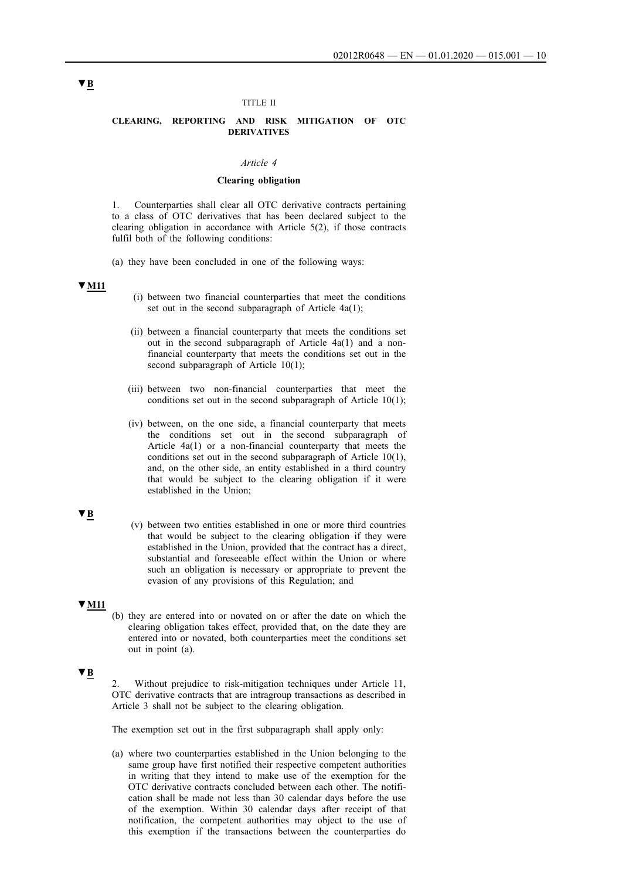#### TITLE II

### **CLEARING, REPORTING AND RISK MITIGATION OF OTC DERIVATIVES**

#### *Article 4*

## **Clearing obligation**

1. Counterparties shall clear all OTC derivative contracts pertaining to a class of OTC derivatives that has been declared subject to the clearing obligation in accordance with Article 5(2), if those contracts fulfil both of the following conditions:

(a) they have been concluded in one of the following ways:

#### **▼M11**

- (i) between two financial counterparties that meet the conditions set out in the second subparagraph of Article 4a(1);
- (ii) between a financial counterparty that meets the conditions set out in the second subparagraph of Article 4a(1) and a nonfinancial counterparty that meets the conditions set out in the second subparagraph of Article 10(1);
- (iii) between two non-financial counterparties that meet the conditions set out in the second subparagraph of Article 10(1);
- (iv) between, on the one side, a financial counterparty that meets the conditions set out in the second subparagraph of Article 4a(1) or a non-financial counterparty that meets the conditions set out in the second subparagraph of Article 10(1), and, on the other side, an entity established in a third country that would be subject to the clearing obligation if it were established in the Union;

#### **▼B**

(v) between two entities established in one or more third countries that would be subject to the clearing obligation if they were established in the Union, provided that the contract has a direct, substantial and foreseeable effect within the Union or where such an obligation is necessary or appropriate to prevent the evasion of any provisions of this Regulation; and

### **▼M11**

(b) they are entered into or novated on or after the date on which the clearing obligation takes effect, provided that, on the date they are entered into or novated, both counterparties meet the conditions set out in point (a).

### **▼B**

2. Without prejudice to risk-mitigation techniques under Article 11, OTC derivative contracts that are intragroup transactions as described in Article 3 shall not be subject to the clearing obligation.

The exemption set out in the first subparagraph shall apply only:

(a) where two counterparties established in the Union belonging to the same group have first notified their respective competent authorities in writing that they intend to make use of the exemption for the OTC derivative contracts concluded between each other. The notification shall be made not less than 30 calendar days before the use of the exemption. Within 30 calendar days after receipt of that notification, the competent authorities may object to the use of this exemption if the transactions between the counterparties do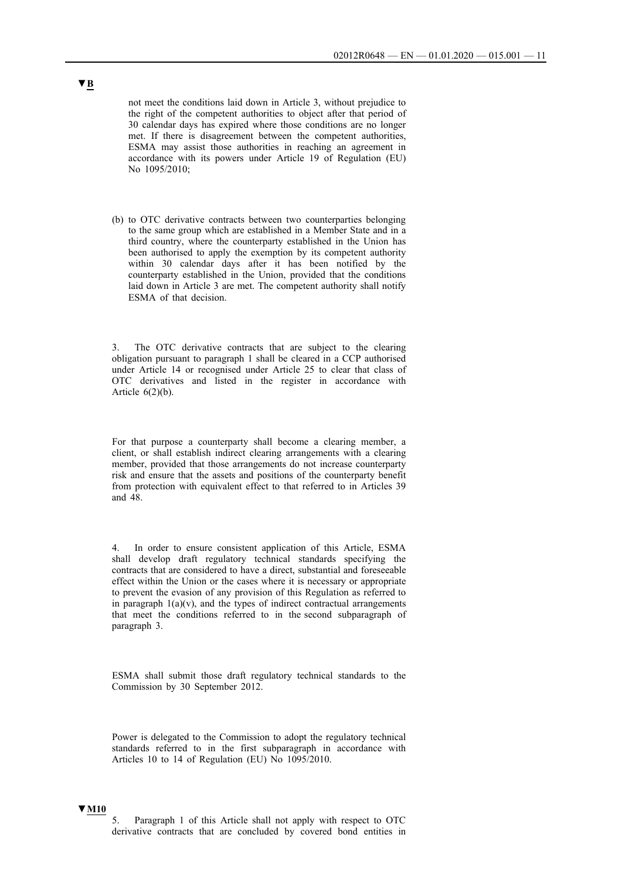not meet the conditions laid down in Article 3, without prejudice to the right of the competent authorities to object after that period of 30 calendar days has expired where those conditions are no longer met. If there is disagreement between the competent authorities, ESMA may assist those authorities in reaching an agreement in accordance with its powers under Article 19 of Regulation (EU) No 1095/2010;

(b) to OTC derivative contracts between two counterparties belonging to the same group which are established in a Member State and in a third country, where the counterparty established in the Union has been authorised to apply the exemption by its competent authority within 30 calendar days after it has been notified by the counterparty established in the Union, provided that the conditions laid down in Article 3 are met. The competent authority shall notify ESMA of that decision.

3. The OTC derivative contracts that are subject to the clearing obligation pursuant to paragraph 1 shall be cleared in a CCP authorised under Article 14 or recognised under Article 25 to clear that class of OTC derivatives and listed in the register in accordance with Article  $6(2)(b)$ .

For that purpose a counterparty shall become a clearing member, a client, or shall establish indirect clearing arrangements with a clearing member, provided that those arrangements do not increase counterparty risk and ensure that the assets and positions of the counterparty benefit from protection with equivalent effect to that referred to in Articles 39 and 48.

In order to ensure consistent application of this Article, ESMA shall develop draft regulatory technical standards specifying the contracts that are considered to have a direct, substantial and foreseeable effect within the Union or the cases where it is necessary or appropriate to prevent the evasion of any provision of this Regulation as referred to in paragraph  $1(a)(v)$ , and the types of indirect contractual arrangements that meet the conditions referred to in the second subparagraph of paragraph 3.

ESMA shall submit those draft regulatory technical standards to the Commission by 30 September 2012.

Power is delegated to the Commission to adopt the regulatory technical standards referred to in the first subparagraph in accordance with Articles 10 to 14 of Regulation (EU) No 1095/2010.

### **▼M10**

Paragraph 1 of this Article shall not apply with respect to OTC derivative contracts that are concluded by covered bond entities in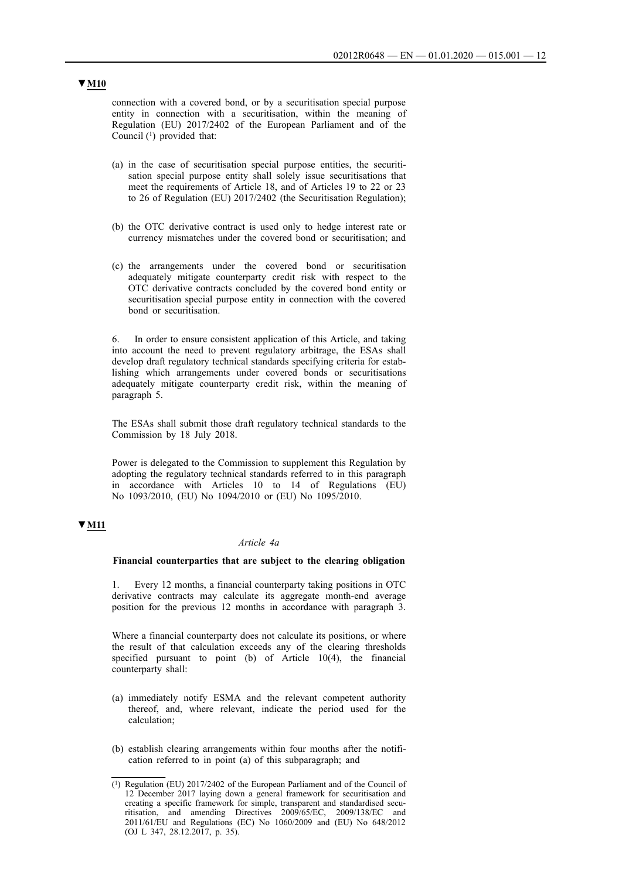connection with a covered bond, or by a securitisation special purpose entity in connection with a securitisation, within the meaning of Regulation (EU) 2017/2402 of the European Parliament and of the Council  $(1)$  provided that:

- (a) in the case of securitisation special purpose entities, the securitisation special purpose entity shall solely issue securitisations that meet the requirements of Article 18, and of Articles 19 to 22 or 23 to 26 of Regulation (EU) 2017/2402 (the Securitisation Regulation);
- (b) the OTC derivative contract is used only to hedge interest rate or currency mismatches under the covered bond or securitisation; and
- (c) the arrangements under the covered bond or securitisation adequately mitigate counterparty credit risk with respect to the OTC derivative contracts concluded by the covered bond entity or securitisation special purpose entity in connection with the covered bond or securitisation.

6. In order to ensure consistent application of this Article, and taking into account the need to prevent regulatory arbitrage, the ESAs shall develop draft regulatory technical standards specifying criteria for establishing which arrangements under covered bonds or securitisations adequately mitigate counterparty credit risk, within the meaning of paragraph 5.

The ESAs shall submit those draft regulatory technical standards to the Commission by 18 July 2018.

Power is delegated to the Commission to supplement this Regulation by adopting the regulatory technical standards referred to in this paragraph in accordance with Articles 10 to 14 of Regulations (EU) No 1093/2010, (EU) No 1094/2010 or (EU) No 1095/2010.

## **▼M11**

#### *Article 4a*

### **Financial counterparties that are subject to the clearing obligation**

Every 12 months, a financial counterparty taking positions in OTC derivative contracts may calculate its aggregate month-end average position for the previous 12 months in accordance with paragraph 3.

Where a financial counterparty does not calculate its positions, or where the result of that calculation exceeds any of the clearing thresholds specified pursuant to point (b) of Article 10(4), the financial counterparty shall:

- (a) immediately notify ESMA and the relevant competent authority thereof, and, where relevant, indicate the period used for the calculation;
- (b) establish clearing arrangements within four months after the notification referred to in point (a) of this subparagraph; and

<sup>(1)</sup> Regulation (EU) 2017/2402 of the European Parliament and of the Council of 12 December 2017 laying down a general framework for securitisation and creating a specific framework for simple, transparent and standardised securitisation, and amending Directives 2009/65/EC, 2009/138/EC and 2011/61/EU and Regulations (EC) No 1060/2009 and (EU) No 648/2012 (OJ L 347, 28.12.2017, p. 35).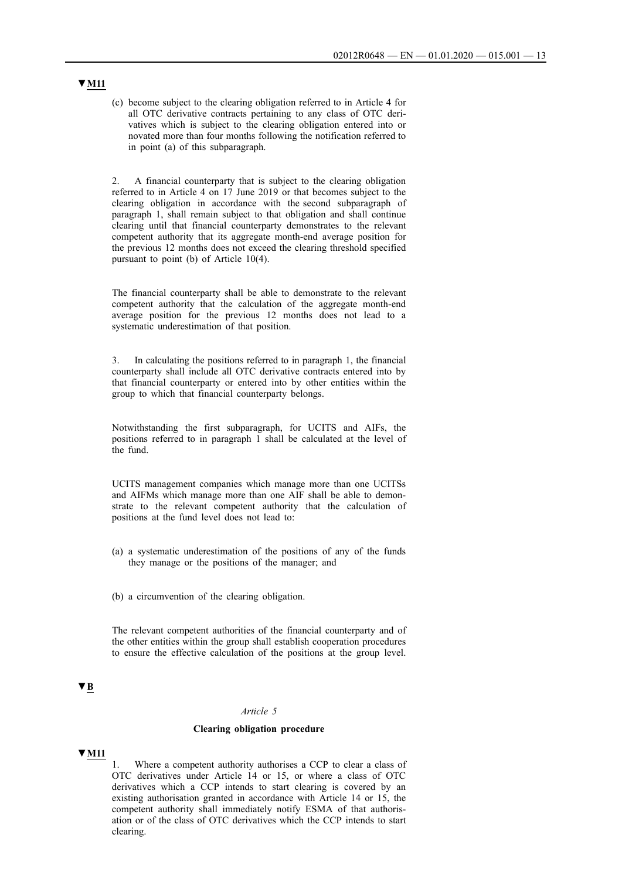(c) become subject to the clearing obligation referred to in Article 4 for all OTC derivative contracts pertaining to any class of OTC derivatives which is subject to the clearing obligation entered into or novated more than four months following the notification referred to in point (a) of this subparagraph.

2. A financial counterparty that is subject to the clearing obligation referred to in Article 4 on 17 June 2019 or that becomes subject to the clearing obligation in accordance with the second subparagraph of paragraph 1, shall remain subject to that obligation and shall continue clearing until that financial counterparty demonstrates to the relevant competent authority that its aggregate month-end average position for the previous 12 months does not exceed the clearing threshold specified pursuant to point (b) of Article 10(4).

The financial counterparty shall be able to demonstrate to the relevant competent authority that the calculation of the aggregate month-end average position for the previous 12 months does not lead to a systematic underestimation of that position.

3. In calculating the positions referred to in paragraph 1, the financial counterparty shall include all OTC derivative contracts entered into by that financial counterparty or entered into by other entities within the group to which that financial counterparty belongs.

Notwithstanding the first subparagraph, for UCITS and AIFs, the positions referred to in paragraph 1 shall be calculated at the level of the fund.

UCITS management companies which manage more than one UCITSs and AIFMs which manage more than one AIF shall be able to demonstrate to the relevant competent authority that the calculation of positions at the fund level does not lead to:

- (a) a systematic underestimation of the positions of any of the funds they manage or the positions of the manager; and
- (b) a circumvention of the clearing obligation.

The relevant competent authorities of the financial counterparty and of the other entities within the group shall establish cooperation procedures to ensure the effective calculation of the positions at the group level.

### **▼B**

#### *Article 5*

### **Clearing obligation procedure**

### **▼M11**

Where a competent authority authorises a CCP to clear a class of OTC derivatives under Article 14 or 15, or where a class of OTC derivatives which a CCP intends to start clearing is covered by an existing authorisation granted in accordance with Article 14 or 15, the competent authority shall immediately notify ESMA of that authorisation or of the class of OTC derivatives which the CCP intends to start clearing.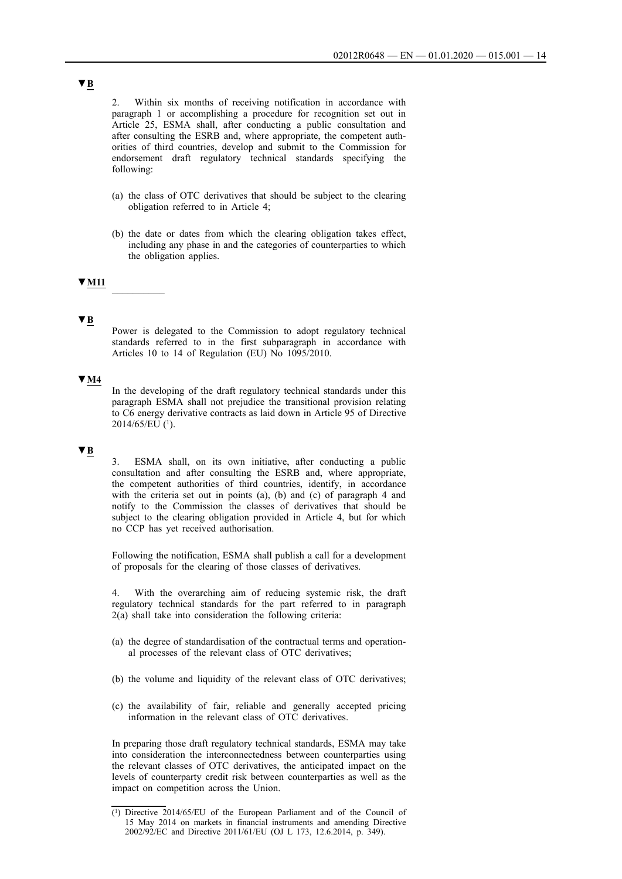2. Within six months of receiving notification in accordance with paragraph 1 or accomplishing a procedure for recognition set out in Article 25, ESMA shall, after conducting a public consultation and after consulting the ESRB and, where appropriate, the competent authorities of third countries, develop and submit to the Commission for endorsement draft regulatory technical standards specifying the following:

- (a) the class of OTC derivatives that should be subject to the clearing obligation referred to in Article 4;
- (b) the date or dates from which the clearing obligation takes effect, including any phase in and the categories of counterparties to which the obligation applies.

# **▼M11** \_\_\_\_\_\_\_\_\_\_

## **▼B**

Power is delegated to the Commission to adopt regulatory technical standards referred to in the first subparagraph in accordance with Articles 10 to 14 of Regulation (EU) No 1095/2010.

### **▼M4**

In the developing of the draft regulatory technical standards under this paragraph ESMA shall not prejudice the transitional provision relating to C6 energy derivative contracts as laid down in Article 95 of Directive 2014/65/EU (1).

## **▼B**

3. ESMA shall, on its own initiative, after conducting a public consultation and after consulting the ESRB and, where appropriate, the competent authorities of third countries, identify, in accordance with the criteria set out in points (a), (b) and (c) of paragraph 4 and notify to the Commission the classes of derivatives that should be subject to the clearing obligation provided in Article 4, but for which no CCP has yet received authorisation.

Following the notification, ESMA shall publish a call for a development of proposals for the clearing of those classes of derivatives.

4. With the overarching aim of reducing systemic risk, the draft regulatory technical standards for the part referred to in paragraph 2(a) shall take into consideration the following criteria:

- (a) the degree of standardisation of the contractual terms and operational processes of the relevant class of OTC derivatives;
- (b) the volume and liquidity of the relevant class of OTC derivatives;
- (c) the availability of fair, reliable and generally accepted pricing information in the relevant class of OTC derivatives.

In preparing those draft regulatory technical standards, ESMA may take into consideration the interconnectedness between counterparties using the relevant classes of OTC derivatives, the anticipated impact on the levels of counterparty credit risk between counterparties as well as the impact on competition across the Union.

<sup>(1)</sup> Directive 2014/65/EU of the European Parliament and of the Council of 15 May 2014 on markets in financial instruments and amending Directive 2002/92/EC and Directive 2011/61/EU (OJ L 173, 12.6.2014, p. 349).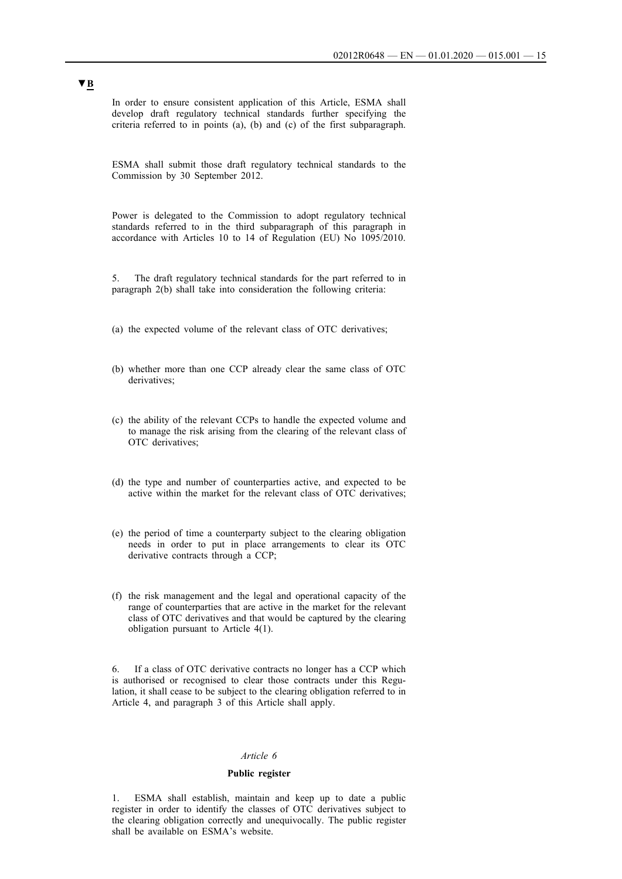In order to ensure consistent application of this Article, ESMA shall develop draft regulatory technical standards further specifying the criteria referred to in points (a), (b) and (c) of the first subparagraph.

ESMA shall submit those draft regulatory technical standards to the Commission by 30 September 2012.

Power is delegated to the Commission to adopt regulatory technical standards referred to in the third subparagraph of this paragraph in accordance with Articles 10 to 14 of Regulation (EU) No 1095/2010.

5. The draft regulatory technical standards for the part referred to in paragraph 2(b) shall take into consideration the following criteria:

- (a) the expected volume of the relevant class of OTC derivatives;
- (b) whether more than one CCP already clear the same class of OTC derivatives;
- (c) the ability of the relevant CCPs to handle the expected volume and to manage the risk arising from the clearing of the relevant class of OTC derivatives;
- (d) the type and number of counterparties active, and expected to be active within the market for the relevant class of OTC derivatives;
- (e) the period of time a counterparty subject to the clearing obligation needs in order to put in place arrangements to clear its OTC derivative contracts through a CCP;
- (f) the risk management and the legal and operational capacity of the range of counterparties that are active in the market for the relevant class of OTC derivatives and that would be captured by the clearing obligation pursuant to Article 4(1).

6. If a class of OTC derivative contracts no longer has a CCP which is authorised or recognised to clear those contracts under this Regulation, it shall cease to be subject to the clearing obligation referred to in Article 4, and paragraph 3 of this Article shall apply.

### *Article 6*

### **Public register**

1. ESMA shall establish, maintain and keep up to date a public register in order to identify the classes of OTC derivatives subject to the clearing obligation correctly and unequivocally. The public register shall be available on ESMA's website.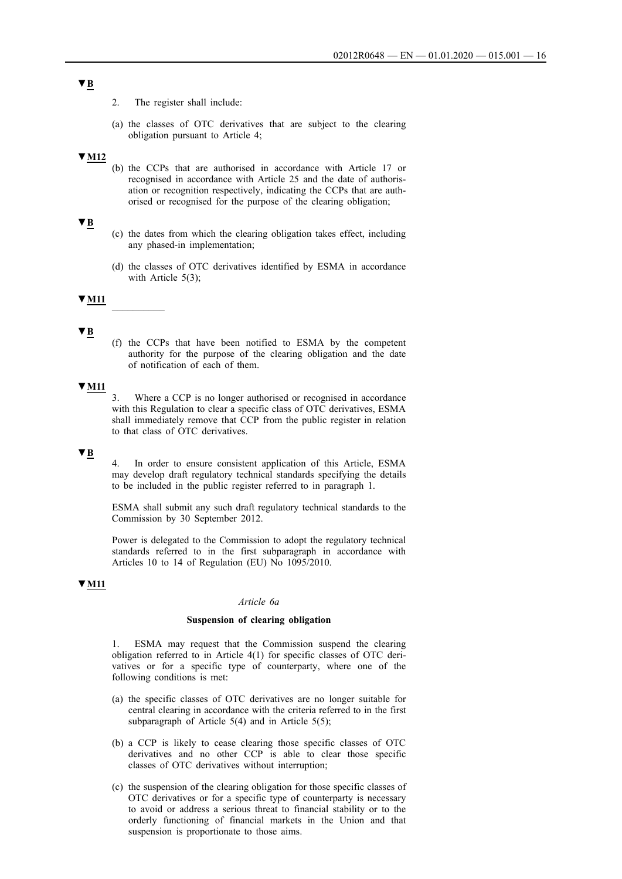- 2. The register shall include:
- (a) the classes of OTC derivatives that are subject to the clearing obligation pursuant to Article 4;

(b) the CCPs that are authorised in accordance with Article 17 or recognised in accordance with Article 25 and the date of authorisation or recognition respectively, indicating the CCPs that are authorised or recognised for the purpose of the clearing obligation;

## **▼B**

- (c) the dates from which the clearing obligation takes effect, including any phased-in implementation;
- (d) the classes of OTC derivatives identified by ESMA in accordance with Article 5(3);

## **▼M11** \_\_\_\_\_\_\_\_\_\_

## **▼B**

(f) the CCPs that have been notified to ESMA by the competent authority for the purpose of the clearing obligation and the date of notification of each of them.

## **▼M11**

3. Where a CCP is no longer authorised or recognised in accordance with this Regulation to clear a specific class of OTC derivatives, ESMA shall immediately remove that CCP from the public register in relation to that class of OTC derivatives.

### **▼B**

4. In order to ensure consistent application of this Article, ESMA may develop draft regulatory technical standards specifying the details to be included in the public register referred to in paragraph 1.

ESMA shall submit any such draft regulatory technical standards to the Commission by 30 September 2012.

Power is delegated to the Commission to adopt the regulatory technical standards referred to in the first subparagraph in accordance with Articles 10 to 14 of Regulation (EU) No 1095/2010.

### **▼M11**

### *Article 6a*

#### **Suspension of clearing obligation**

ESMA may request that the Commission suspend the clearing obligation referred to in Article 4(1) for specific classes of OTC derivatives or for a specific type of counterparty, where one of the following conditions is met:

- (a) the specific classes of OTC derivatives are no longer suitable for central clearing in accordance with the criteria referred to in the first subparagraph of Article 5(4) and in Article 5(5);
- (b) a CCP is likely to cease clearing those specific classes of OTC derivatives and no other CCP is able to clear those specific classes of OTC derivatives without interruption;
- (c) the suspension of the clearing obligation for those specific classes of OTC derivatives or for a specific type of counterparty is necessary to avoid or address a serious threat to financial stability or to the orderly functioning of financial markets in the Union and that suspension is proportionate to those aims.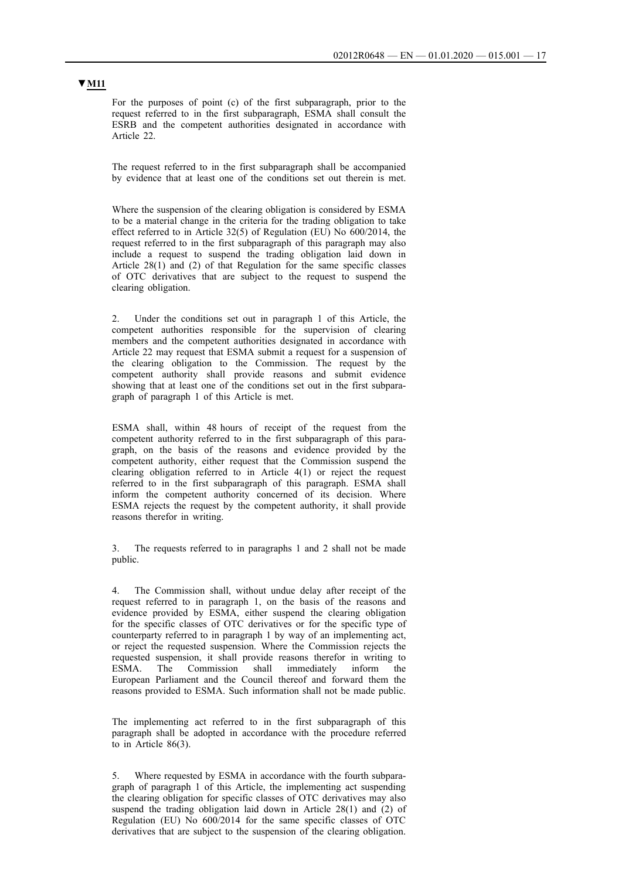For the purposes of point (c) of the first subparagraph, prior to the request referred to in the first subparagraph, ESMA shall consult the ESRB and the competent authorities designated in accordance with Article 22.

The request referred to in the first subparagraph shall be accompanied by evidence that at least one of the conditions set out therein is met.

Where the suspension of the clearing obligation is considered by ESMA to be a material change in the criteria for the trading obligation to take effect referred to in Article 32(5) of Regulation (EU) No 600/2014, the request referred to in the first subparagraph of this paragraph may also include a request to suspend the trading obligation laid down in Article 28(1) and (2) of that Regulation for the same specific classes of OTC derivatives that are subject to the request to suspend the clearing obligation.

2. Under the conditions set out in paragraph 1 of this Article, the competent authorities responsible for the supervision of clearing members and the competent authorities designated in accordance with Article 22 may request that ESMA submit a request for a suspension of the clearing obligation to the Commission. The request by the competent authority shall provide reasons and submit evidence showing that at least one of the conditions set out in the first subparagraph of paragraph 1 of this Article is met.

ESMA shall, within 48 hours of receipt of the request from the competent authority referred to in the first subparagraph of this paragraph, on the basis of the reasons and evidence provided by the competent authority, either request that the Commission suspend the clearing obligation referred to in Article 4(1) or reject the request referred to in the first subparagraph of this paragraph. ESMA shall inform the competent authority concerned of its decision. Where ESMA rejects the request by the competent authority, it shall provide reasons therefor in writing.

3. The requests referred to in paragraphs 1 and 2 shall not be made public.

4. The Commission shall, without undue delay after receipt of the request referred to in paragraph 1, on the basis of the reasons and evidence provided by ESMA, either suspend the clearing obligation for the specific classes of OTC derivatives or for the specific type of counterparty referred to in paragraph 1 by way of an implementing act, or reject the requested suspension. Where the Commission rejects the requested suspension, it shall provide reasons therefor in writing to ESMA. The Commission shall immediately inform the European Parliament and the Council thereof and forward them the reasons provided to ESMA. Such information shall not be made public.

The implementing act referred to in the first subparagraph of this paragraph shall be adopted in accordance with the procedure referred to in Article 86(3).

5. Where requested by ESMA in accordance with the fourth subparagraph of paragraph 1 of this Article, the implementing act suspending the clearing obligation for specific classes of OTC derivatives may also suspend the trading obligation laid down in Article 28(1) and (2) of Regulation (EU) No 600/2014 for the same specific classes of OTC derivatives that are subject to the suspension of the clearing obligation.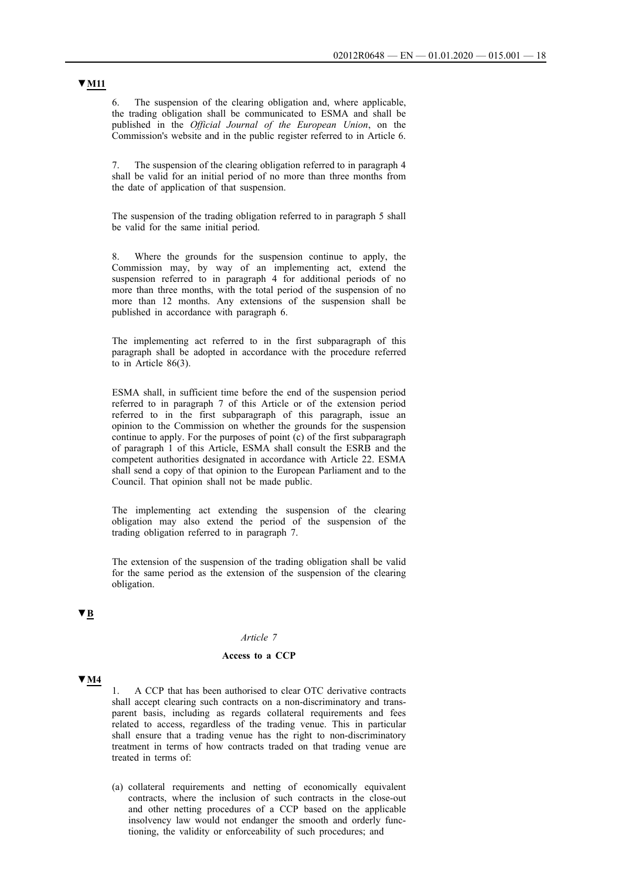6. The suspension of the clearing obligation and, where applicable, the trading obligation shall be communicated to ESMA and shall be published in the *Official Journal of the European Union*, on the Commission's website and in the public register referred to in Article 6.

7. The suspension of the clearing obligation referred to in paragraph 4 shall be valid for an initial period of no more than three months from the date of application of that suspension.

The suspension of the trading obligation referred to in paragraph 5 shall be valid for the same initial period.

8. Where the grounds for the suspension continue to apply, the Commission may, by way of an implementing act, extend the suspension referred to in paragraph 4 for additional periods of no more than three months, with the total period of the suspension of no more than 12 months. Any extensions of the suspension shall be published in accordance with paragraph 6.

The implementing act referred to in the first subparagraph of this paragraph shall be adopted in accordance with the procedure referred to in Article 86(3).

ESMA shall, in sufficient time before the end of the suspension period referred to in paragraph 7 of this Article or of the extension period referred to in the first subparagraph of this paragraph, issue an opinion to the Commission on whether the grounds for the suspension continue to apply. For the purposes of point (c) of the first subparagraph of paragraph 1 of this Article, ESMA shall consult the ESRB and the competent authorities designated in accordance with Article 22. ESMA shall send a copy of that opinion to the European Parliament and to the Council. That opinion shall not be made public.

The implementing act extending the suspension of the clearing obligation may also extend the period of the suspension of the trading obligation referred to in paragraph 7.

The extension of the suspension of the trading obligation shall be valid for the same period as the extension of the suspension of the clearing obligation.

## **▼B**

### *Article 7*

### **Access to a CCP**

## **▼M4**

1. A CCP that has been authorised to clear OTC derivative contracts shall accept clearing such contracts on a non-discriminatory and transparent basis, including as regards collateral requirements and fees related to access, regardless of the trading venue. This in particular shall ensure that a trading venue has the right to non-discriminatory treatment in terms of how contracts traded on that trading venue are treated in terms of:

(a) collateral requirements and netting of economically equivalent contracts, where the inclusion of such contracts in the close-out and other netting procedures of a CCP based on the applicable insolvency law would not endanger the smooth and orderly functioning, the validity or enforceability of such procedures; and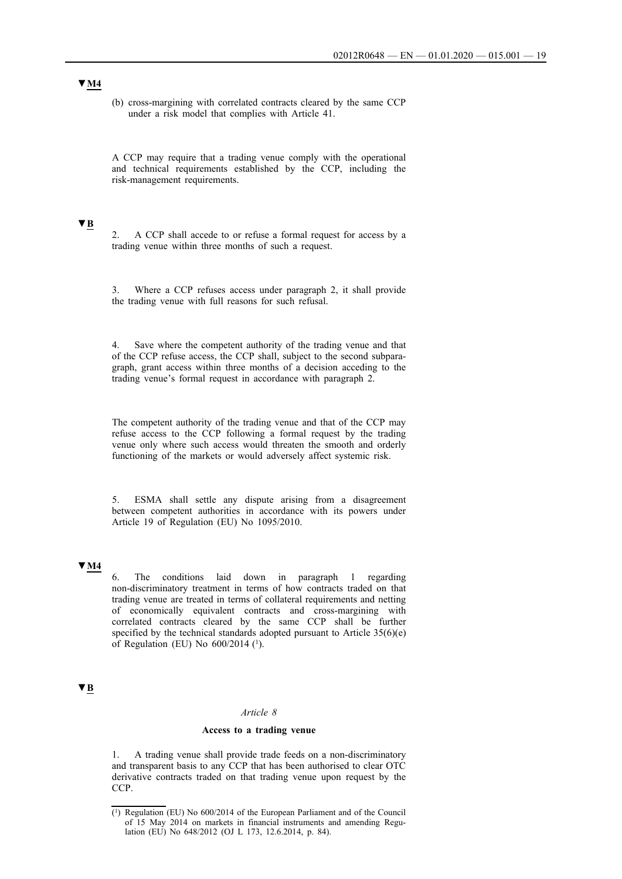(b) cross-margining with correlated contracts cleared by the same CCP under a risk model that complies with Article 41.

A CCP may require that a trading venue comply with the operational and technical requirements established by the CCP, including the risk-management requirements.

# **▼B**

2. A CCP shall accede to or refuse a formal request for access by a trading venue within three months of such a request.

3. Where a CCP refuses access under paragraph 2, it shall provide the trading venue with full reasons for such refusal.

Save where the competent authority of the trading venue and that of the CCP refuse access, the CCP shall, subject to the second subparagraph, grant access within three months of a decision acceding to the trading venue's formal request in accordance with paragraph 2.

The competent authority of the trading venue and that of the CCP may refuse access to the CCP following a formal request by the trading venue only where such access would threaten the smooth and orderly functioning of the markets or would adversely affect systemic risk.

5. ESMA shall settle any dispute arising from a disagreement between competent authorities in accordance with its powers under Article 19 of Regulation (EU) No 1095/2010.

# **▼M4**

6. The conditions laid down in paragraph 1 regarding non-discriminatory treatment in terms of how contracts traded on that trading venue are treated in terms of collateral requirements and netting of economically equivalent contracts and cross-margining with correlated contracts cleared by the same CCP shall be further specified by the technical standards adopted pursuant to Article  $35(6)(e)$ of Regulation (EU) No 600/2014 (1).

## **▼B**

#### *Article 8*

### **Access to a trading venue**

1. A trading venue shall provide trade feeds on a non-discriminatory and transparent basis to any CCP that has been authorised to clear OTC derivative contracts traded on that trading venue upon request by the CCP.

<sup>(1)</sup> Regulation (EU) No 600/2014 of the European Parliament and of the Council of 15 May 2014 on markets in financial instruments and amending Regulation (EU) No 648/2012 (OJ L 173, 12.6.2014, p. 84).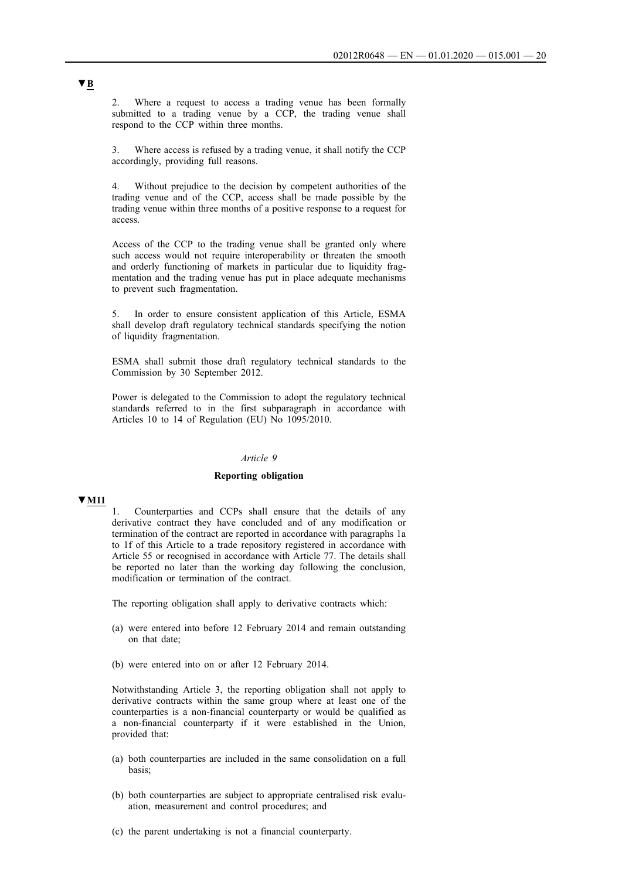2. Where a request to access a trading venue has been formally submitted to a trading venue by a CCP, the trading venue shall respond to the CCP within three months.

3. Where access is refused by a trading venue, it shall notify the CCP accordingly, providing full reasons.

Without prejudice to the decision by competent authorities of the trading venue and of the CCP, access shall be made possible by the trading venue within three months of a positive response to a request for access.

Access of the CCP to the trading venue shall be granted only where such access would not require interoperability or threaten the smooth and orderly functioning of markets in particular due to liquidity fragmentation and the trading venue has put in place adequate mechanisms to prevent such fragmentation.

5. In order to ensure consistent application of this Article, ESMA shall develop draft regulatory technical standards specifying the notion of liquidity fragmentation.

ESMA shall submit those draft regulatory technical standards to the Commission by 30 September 2012.

Power is delegated to the Commission to adopt the regulatory technical standards referred to in the first subparagraph in accordance with Articles 10 to 14 of Regulation (EU) No 1095/2010.

#### *Article 9*

### **Reporting obligation**

# **▼M11**

1. Counterparties and CCPs shall ensure that the details of any derivative contract they have concluded and of any modification or termination of the contract are reported in accordance with paragraphs 1a to 1f of this Article to a trade repository registered in accordance with Article 55 or recognised in accordance with Article 77. The details shall be reported no later than the working day following the conclusion, modification or termination of the contract.

The reporting obligation shall apply to derivative contracts which:

- (a) were entered into before 12 February 2014 and remain outstanding on that date;
- (b) were entered into on or after 12 February 2014.

Notwithstanding Article 3, the reporting obligation shall not apply to derivative contracts within the same group where at least one of the counterparties is a non-financial counterparty or would be qualified as a non-financial counterparty if it were established in the Union, provided that:

- (a) both counterparties are included in the same consolidation on a full basis;
- (b) both counterparties are subject to appropriate centralised risk evaluation, measurement and control procedures; and
- (c) the parent undertaking is not a financial counterparty.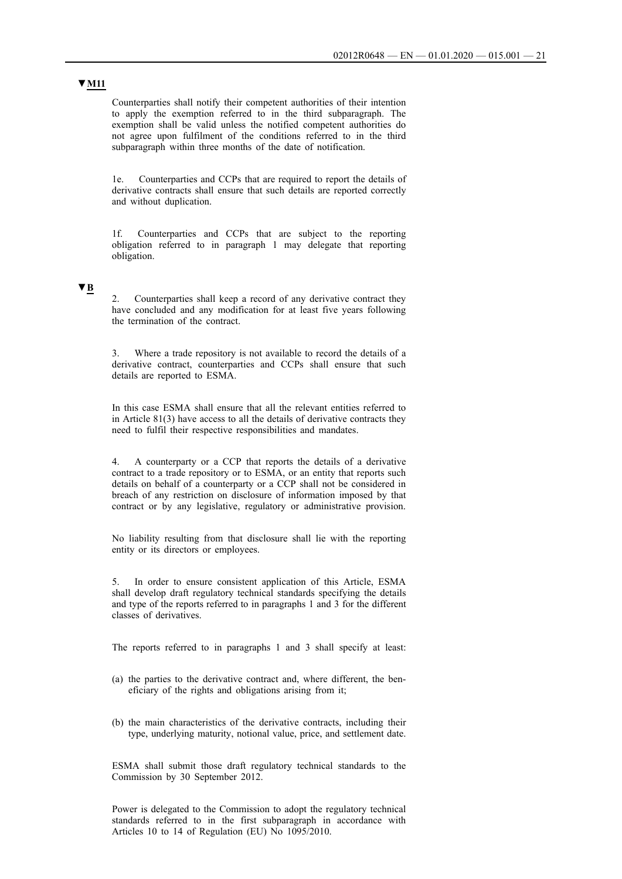Counterparties shall notify their competent authorities of their intention to apply the exemption referred to in the third subparagraph. The exemption shall be valid unless the notified competent authorities do not agree upon fulfilment of the conditions referred to in the third subparagraph within three months of the date of notification.

1e. Counterparties and CCPs that are required to report the details of derivative contracts shall ensure that such details are reported correctly and without duplication.

Counterparties and CCPs that are subject to the reporting obligation referred to in paragraph 1 may delegate that reporting obligation.

### **▼B**

2. Counterparties shall keep a record of any derivative contract they have concluded and any modification for at least five years following the termination of the contract.

3. Where a trade repository is not available to record the details of a derivative contract, counterparties and CCPs shall ensure that such details are reported to ESMA.

In this case ESMA shall ensure that all the relevant entities referred to in Article 81(3) have access to all the details of derivative contracts they need to fulfil their respective responsibilities and mandates.

4. A counterparty or a CCP that reports the details of a derivative contract to a trade repository or to ESMA, or an entity that reports such details on behalf of a counterparty or a CCP shall not be considered in breach of any restriction on disclosure of information imposed by that contract or by any legislative, regulatory or administrative provision.

No liability resulting from that disclosure shall lie with the reporting entity or its directors or employees.

5. In order to ensure consistent application of this Article, ESMA shall develop draft regulatory technical standards specifying the details and type of the reports referred to in paragraphs 1 and 3 for the different classes of derivatives.

The reports referred to in paragraphs 1 and 3 shall specify at least:

- (a) the parties to the derivative contract and, where different, the beneficiary of the rights and obligations arising from it;
- (b) the main characteristics of the derivative contracts, including their type, underlying maturity, notional value, price, and settlement date.

ESMA shall submit those draft regulatory technical standards to the Commission by 30 September 2012.

Power is delegated to the Commission to adopt the regulatory technical standards referred to in the first subparagraph in accordance with Articles 10 to 14 of Regulation (EU) No 1095/2010.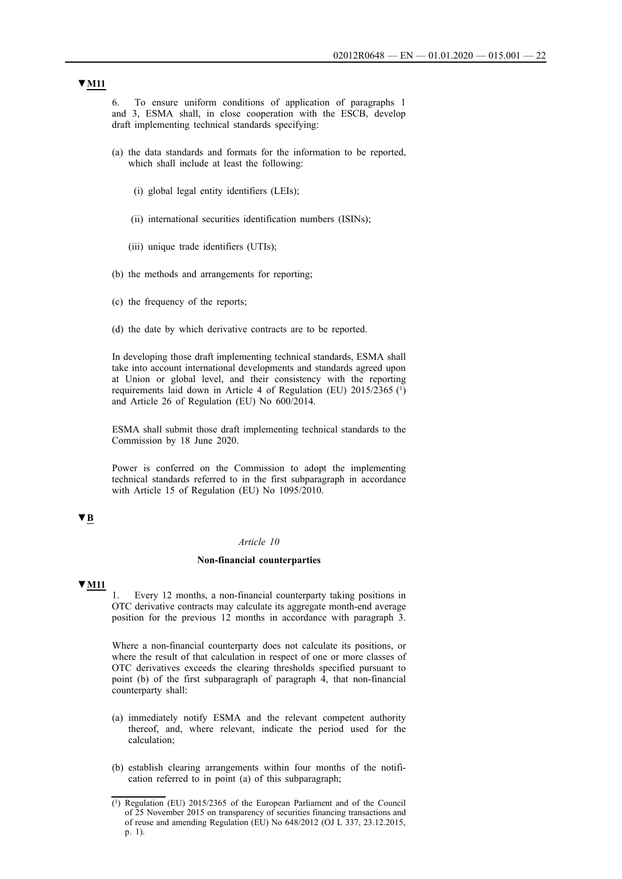6. To ensure uniform conditions of application of paragraphs 1 and 3, ESMA shall, in close cooperation with the ESCB, develop draft implementing technical standards specifying:

- (a) the data standards and formats for the information to be reported, which shall include at least the following:
	- (i) global legal entity identifiers (LEIs);
	- (ii) international securities identification numbers (ISINs);
	- (iii) unique trade identifiers (UTIs);
- (b) the methods and arrangements for reporting;
- (c) the frequency of the reports;
- (d) the date by which derivative contracts are to be reported.

In developing those draft implementing technical standards, ESMA shall take into account international developments and standards agreed upon at Union or global level, and their consistency with the reporting requirements laid down in Article 4 of Regulation (EU) 2015/2365 (1) and Article 26 of Regulation (EU) No 600/2014.

ESMA shall submit those draft implementing technical standards to the Commission by 18 June 2020.

Power is conferred on the Commission to adopt the implementing technical standards referred to in the first subparagraph in accordance with Article 15 of Regulation (EU) No 1095/2010.

## **▼B**

### *Article 10*

#### **Non-financial counterparties**

#### **▼M11**

Every 12 months, a non-financial counterparty taking positions in OTC derivative contracts may calculate its aggregate month-end average position for the previous 12 months in accordance with paragraph 3.

Where a non-financial counterparty does not calculate its positions, or where the result of that calculation in respect of one or more classes of OTC derivatives exceeds the clearing thresholds specified pursuant to point (b) of the first subparagraph of paragraph  $\overline{4}$ , that non-financial counterparty shall:

- (a) immediately notify ESMA and the relevant competent authority thereof, and, where relevant, indicate the period used for the calculation;
- (b) establish clearing arrangements within four months of the notification referred to in point (a) of this subparagraph;

<sup>(1)</sup> Regulation (EU) 2015/2365 of the European Parliament and of the Council of 25 November 2015 on transparency of securities financing transactions and of reuse and amending Regulation (EU) No 648/2012 (OJ L 337, 23.12.2015, p. 1).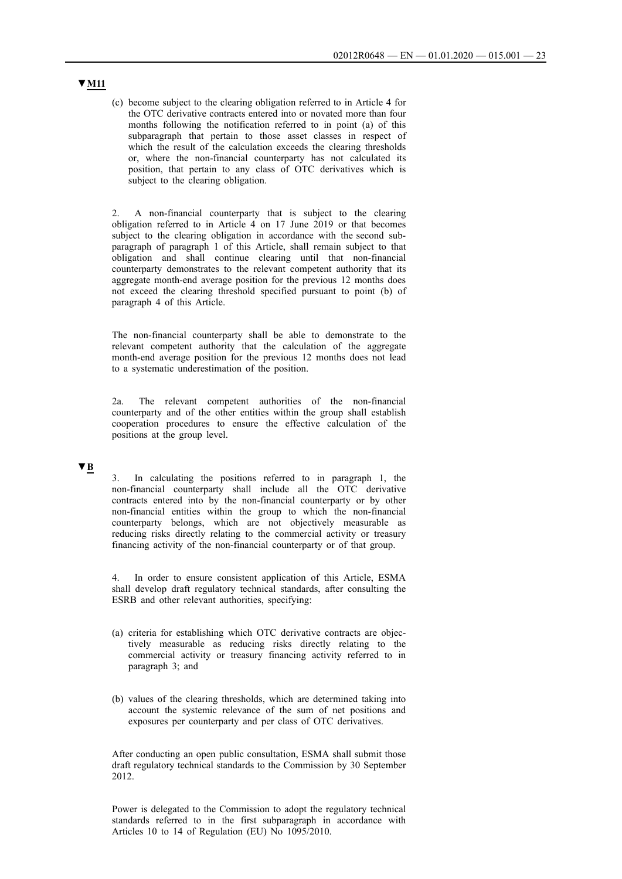(c) become subject to the clearing obligation referred to in Article 4 for the OTC derivative contracts entered into or novated more than four months following the notification referred to in point (a) of this subparagraph that pertain to those asset classes in respect of which the result of the calculation exceeds the clearing thresholds or, where the non-financial counterparty has not calculated its position, that pertain to any class of OTC derivatives which is subject to the clearing obligation.

2. A non-financial counterparty that is subject to the clearing obligation referred to in Article 4 on 17 June 2019 or that becomes subject to the clearing obligation in accordance with the second subparagraph of paragraph 1 of this Article, shall remain subject to that obligation and shall continue clearing until that non-financial counterparty demonstrates to the relevant competent authority that its aggregate month-end average position for the previous 12 months does not exceed the clearing threshold specified pursuant to point (b) of paragraph 4 of this Article.

The non-financial counterparty shall be able to demonstrate to the relevant competent authority that the calculation of the aggregate month-end average position for the previous 12 months does not lead to a systematic underestimation of the position.

2a. The relevant competent authorities of the non-financial counterparty and of the other entities within the group shall establish cooperation procedures to ensure the effective calculation of the positions at the group level.

## **▼B**

3. In calculating the positions referred to in paragraph 1, the non-financial counterparty shall include all the OTC derivative contracts entered into by the non-financial counterparty or by other non-financial entities within the group to which the non-financial counterparty belongs, which are not objectively measurable as reducing risks directly relating to the commercial activity or treasury financing activity of the non-financial counterparty or of that group.

In order to ensure consistent application of this Article, ESMA shall develop draft regulatory technical standards, after consulting the ESRB and other relevant authorities, specifying:

- (a) criteria for establishing which OTC derivative contracts are objectively measurable as reducing risks directly relating to the commercial activity or treasury financing activity referred to in paragraph 3; and
- (b) values of the clearing thresholds, which are determined taking into account the systemic relevance of the sum of net positions and exposures per counterparty and per class of OTC derivatives.

After conducting an open public consultation, ESMA shall submit those draft regulatory technical standards to the Commission by 30 September 2012.

Power is delegated to the Commission to adopt the regulatory technical standards referred to in the first subparagraph in accordance with Articles 10 to 14 of Regulation (EU) No 1095/2010.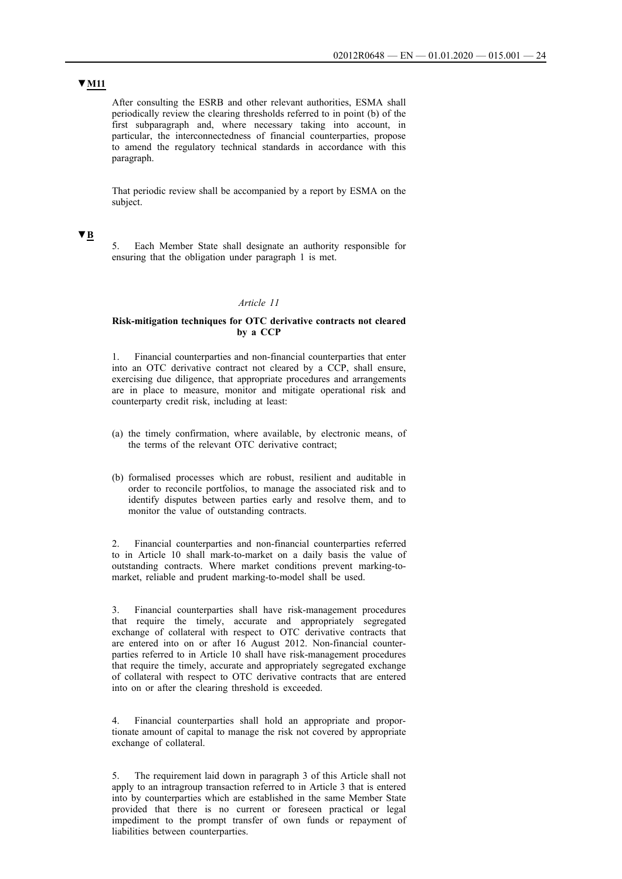After consulting the ESRB and other relevant authorities, ESMA shall periodically review the clearing thresholds referred to in point (b) of the first subparagraph and, where necessary taking into account, in particular, the interconnectedness of financial counterparties, propose to amend the regulatory technical standards in accordance with this paragraph.

That periodic review shall be accompanied by a report by ESMA on the subject.

### **▼B**

5. Each Member State shall designate an authority responsible for ensuring that the obligation under paragraph 1 is met.

## *Article 11*

### **Risk-mitigation techniques for OTC derivative contracts not cleared by a CCP**

1. Financial counterparties and non-financial counterparties that enter into an OTC derivative contract not cleared by a CCP, shall ensure, exercising due diligence, that appropriate procedures and arrangements are in place to measure, monitor and mitigate operational risk and counterparty credit risk, including at least:

- (a) the timely confirmation, where available, by electronic means, of the terms of the relevant OTC derivative contract;
- (b) formalised processes which are robust, resilient and auditable in order to reconcile portfolios, to manage the associated risk and to identify disputes between parties early and resolve them, and to monitor the value of outstanding contracts.

2. Financial counterparties and non-financial counterparties referred to in Article 10 shall mark-to-market on a daily basis the value of outstanding contracts. Where market conditions prevent marking-tomarket, reliable and prudent marking-to-model shall be used.

3. Financial counterparties shall have risk-management procedures that require the timely, accurate and appropriately segregated exchange of collateral with respect to OTC derivative contracts that are entered into on or after 16 August 2012. Non-financial counterparties referred to in Article 10 shall have risk-management procedures that require the timely, accurate and appropriately segregated exchange of collateral with respect to OTC derivative contracts that are entered into on or after the clearing threshold is exceeded.

4. Financial counterparties shall hold an appropriate and proportionate amount of capital to manage the risk not covered by appropriate exchange of collateral.

5. The requirement laid down in paragraph 3 of this Article shall not apply to an intragroup transaction referred to in Article 3 that is entered into by counterparties which are established in the same Member State provided that there is no current or foreseen practical or legal impediment to the prompt transfer of own funds or repayment of liabilities between counterparties.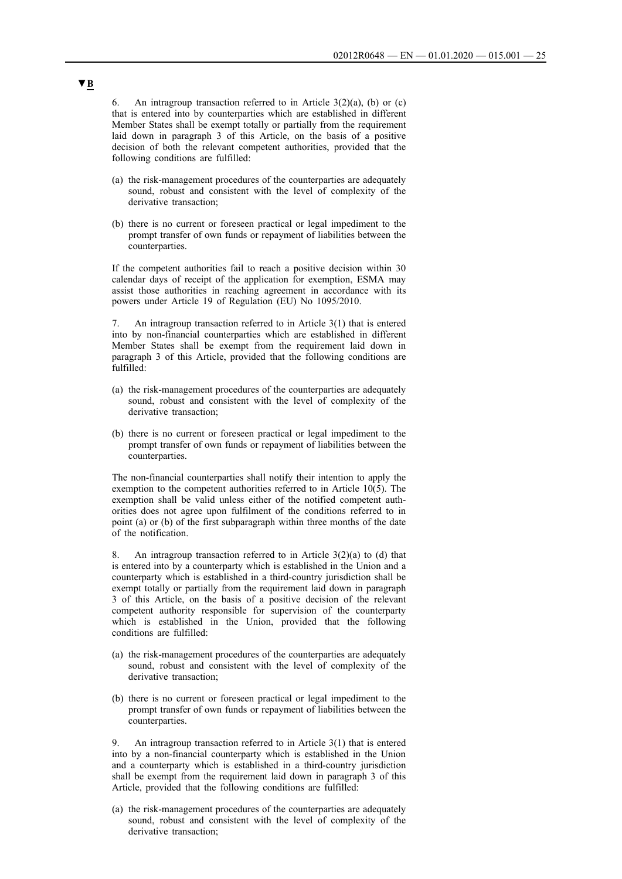6. An intragroup transaction referred to in Article  $3(2)(a)$ , (b) or (c) that is entered into by counterparties which are established in different Member States shall be exempt totally or partially from the requirement laid down in paragraph 3 of this Article, on the basis of a positive decision of both the relevant competent authorities, provided that the following conditions are fulfilled:

- (a) the risk-management procedures of the counterparties are adequately sound, robust and consistent with the level of complexity of the derivative transaction;
- (b) there is no current or foreseen practical or legal impediment to the prompt transfer of own funds or repayment of liabilities between the counterparties.

If the competent authorities fail to reach a positive decision within 30 calendar days of receipt of the application for exemption, ESMA may assist those authorities in reaching agreement in accordance with its powers under Article 19 of Regulation (EU) No 1095/2010.

7. An intragroup transaction referred to in Article 3(1) that is entered into by non-financial counterparties which are established in different Member States shall be exempt from the requirement laid down in paragraph 3 of this Article, provided that the following conditions are fulfilled:

- (a) the risk-management procedures of the counterparties are adequately sound, robust and consistent with the level of complexity of the derivative transaction;
- (b) there is no current or foreseen practical or legal impediment to the prompt transfer of own funds or repayment of liabilities between the counterparties.

The non-financial counterparties shall notify their intention to apply the exemption to the competent authorities referred to in Article 10(5). The exemption shall be valid unless either of the notified competent authorities does not agree upon fulfilment of the conditions referred to in point (a) or (b) of the first subparagraph within three months of the date of the notification.

8. An intragroup transaction referred to in Article  $3(2)(a)$  to (d) that is entered into by a counterparty which is established in the Union and a counterparty which is established in a third-country jurisdiction shall be exempt totally or partially from the requirement laid down in paragraph 3 of this Article, on the basis of a positive decision of the relevant competent authority responsible for supervision of the counterparty which is established in the Union, provided that the following conditions are fulfilled:

- (a) the risk-management procedures of the counterparties are adequately sound, robust and consistent with the level of complexity of the derivative transaction;
- (b) there is no current or foreseen practical or legal impediment to the prompt transfer of own funds or repayment of liabilities between the counterparties.

9. An intragroup transaction referred to in Article 3(1) that is entered into by a non-financial counterparty which is established in the Union and a counterparty which is established in a third-country jurisdiction shall be exempt from the requirement laid down in paragraph 3 of this Article, provided that the following conditions are fulfilled:

(a) the risk-management procedures of the counterparties are adequately sound, robust and consistent with the level of complexity of the derivative transaction;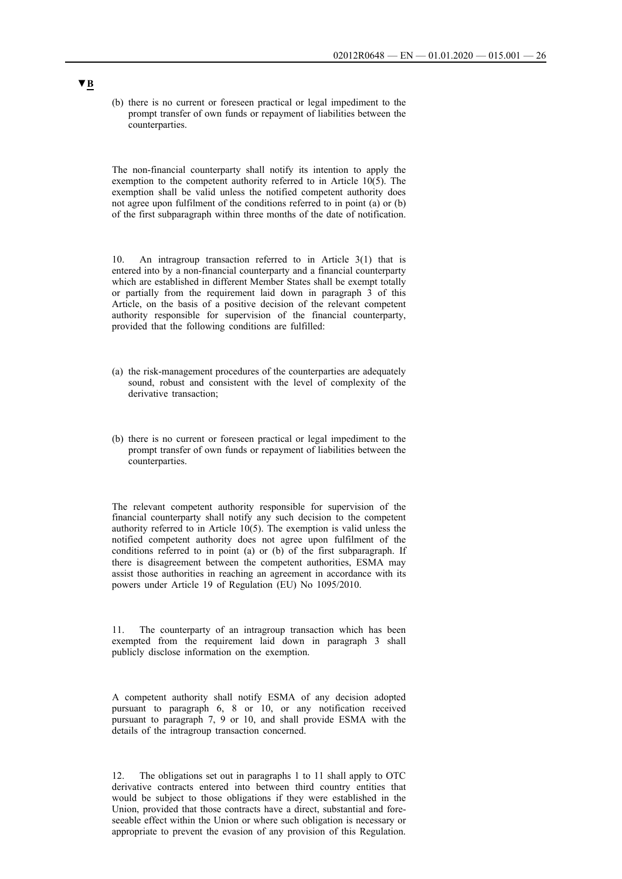(b) there is no current or foreseen practical or legal impediment to the prompt transfer of own funds or repayment of liabilities between the counterparties.

The non-financial counterparty shall notify its intention to apply the exemption to the competent authority referred to in Article 10(5). The exemption shall be valid unless the notified competent authority does not agree upon fulfilment of the conditions referred to in point (a) or (b) of the first subparagraph within three months of the date of notification.

10. An intragroup transaction referred to in Article 3(1) that is entered into by a non-financial counterparty and a financial counterparty which are established in different Member States shall be exempt totally or partially from the requirement laid down in paragraph 3 of this Article, on the basis of a positive decision of the relevant competent authority responsible for supervision of the financial counterparty, provided that the following conditions are fulfilled:

- (a) the risk-management procedures of the counterparties are adequately sound, robust and consistent with the level of complexity of the derivative transaction;
- (b) there is no current or foreseen practical or legal impediment to the prompt transfer of own funds or repayment of liabilities between the counterparties.

The relevant competent authority responsible for supervision of the financial counterparty shall notify any such decision to the competent authority referred to in Article 10(5). The exemption is valid unless the notified competent authority does not agree upon fulfilment of the conditions referred to in point (a) or (b) of the first subparagraph. If there is disagreement between the competent authorities, ESMA may assist those authorities in reaching an agreement in accordance with its powers under Article 19 of Regulation (EU) No 1095/2010.

11. The counterparty of an intragroup transaction which has been exempted from the requirement laid down in paragraph 3 shall publicly disclose information on the exemption.

A competent authority shall notify ESMA of any decision adopted pursuant to paragraph 6, 8 or 10, or any notification received pursuant to paragraph 7, 9 or 10, and shall provide ESMA with the details of the intragroup transaction concerned.

12. The obligations set out in paragraphs 1 to 11 shall apply to OTC derivative contracts entered into between third country entities that would be subject to those obligations if they were established in the Union, provided that those contracts have a direct, substantial and foreseeable effect within the Union or where such obligation is necessary or appropriate to prevent the evasion of any provision of this Regulation.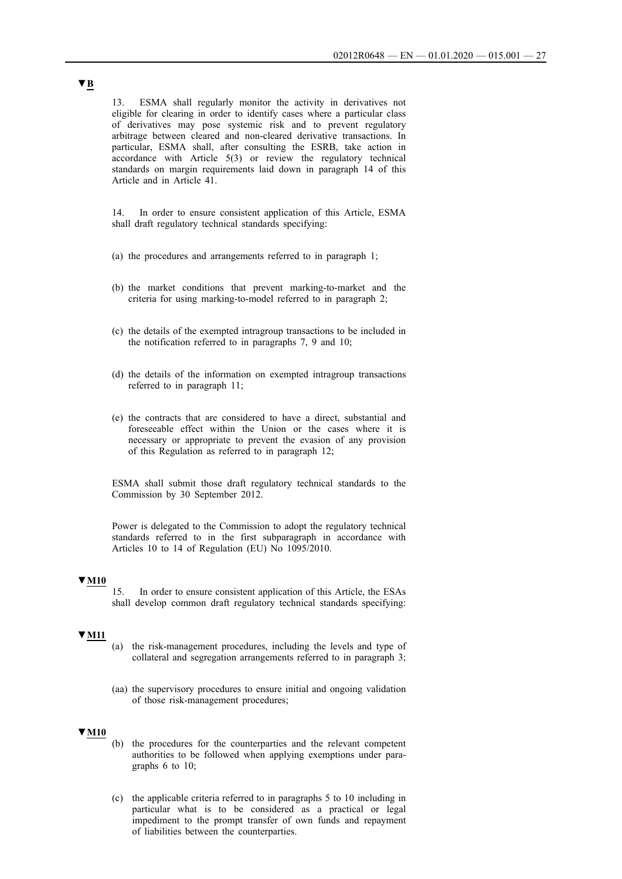13. ESMA shall regularly monitor the activity in derivatives not eligible for clearing in order to identify cases where a particular class of derivatives may pose systemic risk and to prevent regulatory arbitrage between cleared and non-cleared derivative transactions. In particular, ESMA shall, after consulting the ESRB, take action in accordance with Article 5(3) or review the regulatory technical standards on margin requirements laid down in paragraph 14 of this Article and in Article 41.

14. In order to ensure consistent application of this Article, ESMA shall draft regulatory technical standards specifying:

- (a) the procedures and arrangements referred to in paragraph 1;
- (b) the market conditions that prevent marking-to-market and the criteria for using marking-to-model referred to in paragraph 2;
- (c) the details of the exempted intragroup transactions to be included in the notification referred to in paragraphs 7, 9 and 10;
- (d) the details of the information on exempted intragroup transactions referred to in paragraph 11;
- (e) the contracts that are considered to have a direct, substantial and foreseeable effect within the Union or the cases where it is necessary or appropriate to prevent the evasion of any provision of this Regulation as referred to in paragraph 12;

ESMA shall submit those draft regulatory technical standards to the Commission by 30 September 2012.

Power is delegated to the Commission to adopt the regulatory technical standards referred to in the first subparagraph in accordance with Articles 10 to 14 of Regulation (EU) No 1095/2010.

#### **▼M10**

15. In order to ensure consistent application of this Article, the ESAs shall develop common draft regulatory technical standards specifying:

#### **▼M11**

- (a) the risk-management procedures, including the levels and type of collateral and segregation arrangements referred to in paragraph 3;
- (aa) the supervisory procedures to ensure initial and ongoing validation of those risk-management procedures;

## **▼M10**

- (b) the procedures for the counterparties and the relevant competent authorities to be followed when applying exemptions under paragraphs 6 to 10;
- (c) the applicable criteria referred to in paragraphs 5 to 10 including in particular what is to be considered as a practical or legal impediment to the prompt transfer of own funds and repayment of liabilities between the counterparties.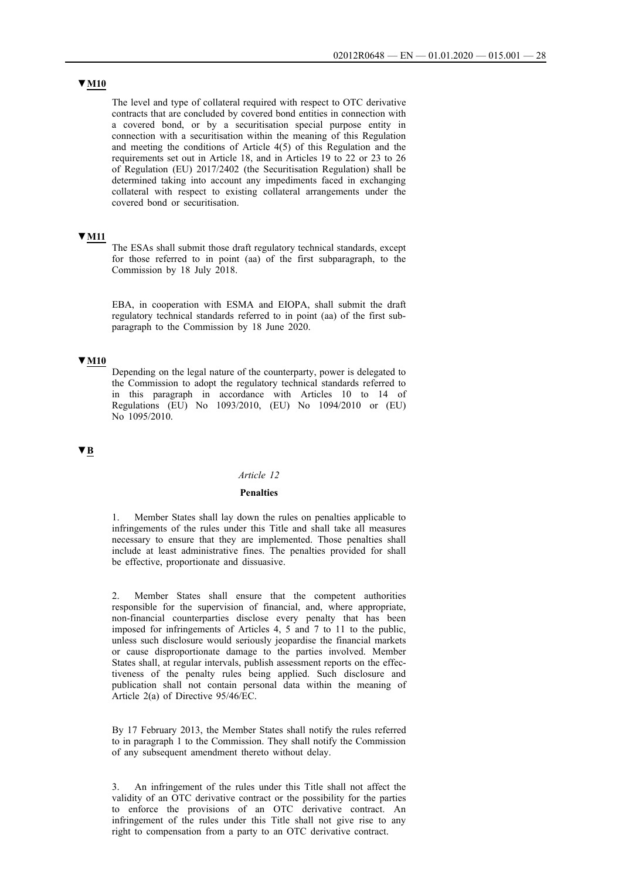The level and type of collateral required with respect to OTC derivative contracts that are concluded by covered bond entities in connection with a covered bond, or by a securitisation special purpose entity in connection with a securitisation within the meaning of this Regulation and meeting the conditions of Article 4(5) of this Regulation and the requirements set out in Article 18, and in Articles 19 to 22 or 23 to 26 of Regulation (EU) 2017/2402 (the Securitisation Regulation) shall be determined taking into account any impediments faced in exchanging collateral with respect to existing collateral arrangements under the covered bond or securitisation.

## **▼M11**

The ESAs shall submit those draft regulatory technical standards, except for those referred to in point (aa) of the first subparagraph, to the Commission by 18 July 2018.

EBA, in cooperation with ESMA and EIOPA, shall submit the draft regulatory technical standards referred to in point (aa) of the first subparagraph to the Commission by 18 June 2020.

## **▼M10**

Depending on the legal nature of the counterparty, power is delegated to the Commission to adopt the regulatory technical standards referred to in this paragraph in accordance with Articles 10 to 14 of Regulations (EU) No 1093/2010, (EU) No 1094/2010 or (EU) No 1095/2010.

## **▼B**

### *Article 12*

### **Penalties**

1. Member States shall lay down the rules on penalties applicable to infringements of the rules under this Title and shall take all measures necessary to ensure that they are implemented. Those penalties shall include at least administrative fines. The penalties provided for shall be effective, proportionate and dissuasive.

2. Member States shall ensure that the competent authorities responsible for the supervision of financial, and, where appropriate, non-financial counterparties disclose every penalty that has been imposed for infringements of Articles 4, 5 and 7 to 11 to the public, unless such disclosure would seriously jeopardise the financial markets or cause disproportionate damage to the parties involved. Member States shall, at regular intervals, publish assessment reports on the effectiveness of the penalty rules being applied. Such disclosure and publication shall not contain personal data within the meaning of Article 2(a) of Directive 95/46/EC.

By 17 February 2013, the Member States shall notify the rules referred to in paragraph 1 to the Commission. They shall notify the Commission of any subsequent amendment thereto without delay.

3. An infringement of the rules under this Title shall not affect the validity of an OTC derivative contract or the possibility for the parties to enforce the provisions of an OTC derivative contract. An infringement of the rules under this Title shall not give rise to any right to compensation from a party to an OTC derivative contract.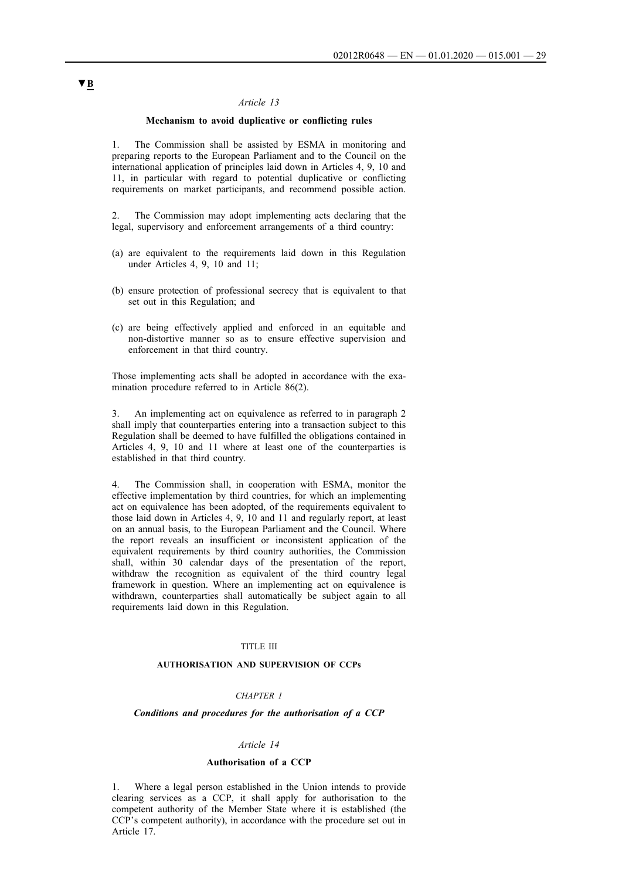#### *Article 13*

### **Mechanism to avoid duplicative or conflicting rules**

1. The Commission shall be assisted by ESMA in monitoring and preparing reports to the European Parliament and to the Council on the international application of principles laid down in Articles 4, 9, 10 and 11, in particular with regard to potential duplicative or conflicting requirements on market participants, and recommend possible action.

The Commission may adopt implementing acts declaring that the legal, supervisory and enforcement arrangements of a third country:

- (a) are equivalent to the requirements laid down in this Regulation under Articles 4, 9, 10 and 11;
- (b) ensure protection of professional secrecy that is equivalent to that set out in this Regulation; and
- (c) are being effectively applied and enforced in an equitable and non-distortive manner so as to ensure effective supervision and enforcement in that third country.

Those implementing acts shall be adopted in accordance with the examination procedure referred to in Article 86(2).

3. An implementing act on equivalence as referred to in paragraph 2 shall imply that counterparties entering into a transaction subject to this Regulation shall be deemed to have fulfilled the obligations contained in Articles 4, 9, 10 and 11 where at least one of the counterparties is established in that third country.

4. The Commission shall, in cooperation with ESMA, monitor the effective implementation by third countries, for which an implementing act on equivalence has been adopted, of the requirements equivalent to those laid down in Articles 4, 9, 10 and 11 and regularly report, at least on an annual basis, to the European Parliament and the Council. Where the report reveals an insufficient or inconsistent application of the equivalent requirements by third country authorities, the Commission shall, within 30 calendar days of the presentation of the report, withdraw the recognition as equivalent of the third country legal framework in question. Where an implementing act on equivalence is withdrawn, counterparties shall automatically be subject again to all requirements laid down in this Regulation.

### TITLE III

#### **AUTHORISATION AND SUPERVISION OF CCPs**

#### *CHAPTER 1*

#### *Conditions and procedures for the authorisation of a CCP*

#### *Article 14*

#### **Authorisation of a CCP**

1. Where a legal person established in the Union intends to provide clearing services as a CCP, it shall apply for authorisation to the competent authority of the Member State where it is established (the CCP's competent authority), in accordance with the procedure set out in Article 17.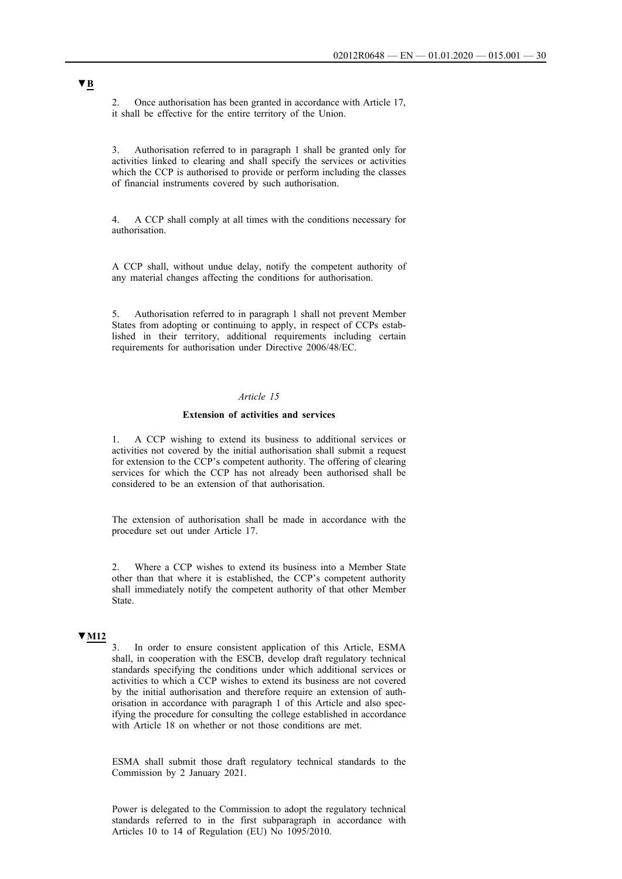2. Once authorisation has been granted in accordance with Article 17, it shall be effective for the entire territory of the Union.

3. Authorisation referred to in paragraph 1 shall be granted only for activities linked to clearing and shall specify the services or activities which the CCP is authorised to provide or perform including the classes of financial instruments covered by such authorisation.

4. A CCP shall comply at all times with the conditions necessary for authorisation.

A CCP shall, without undue delay, notify the competent authority of any material changes affecting the conditions for authorisation.

5. Authorisation referred to in paragraph 1 shall not prevent Member States from adopting or continuing to apply, in respect of CCPs established in their territory, additional requirements including certain requirements for authorisation under Directive 2006/48/EC.

## *Article 15*

#### **Extension of activities and services**

1. A CCP wishing to extend its business to additional services or activities not covered by the initial authorisation shall submit a request for extension to the CCP's competent authority. The offering of clearing services for which the CCP has not already been authorised shall be considered to be an extension of that authorisation.

The extension of authorisation shall be made in accordance with the procedure set out under Article 17.

2. Where a CCP wishes to extend its business into a Member State other than that where it is established, the CCP's competent authority shall immediately notify the competent authority of that other Member State.

## **▼M12**

In order to ensure consistent application of this Article, ESMA shall, in cooperation with the ESCB, develop draft regulatory technical standards specifying the conditions under which additional services or activities to which a CCP wishes to extend its business are not covered by the initial authorisation and therefore require an extension of authorisation in accordance with paragraph 1 of this Article and also specifying the procedure for consulting the college established in accordance with Article 18 on whether or not those conditions are met.

ESMA shall submit those draft regulatory technical standards to the Commission by 2 January 2021.

Power is delegated to the Commission to adopt the regulatory technical standards referred to in the first subparagraph in accordance with Articles 10 to 14 of Regulation (EU) No 1095/2010.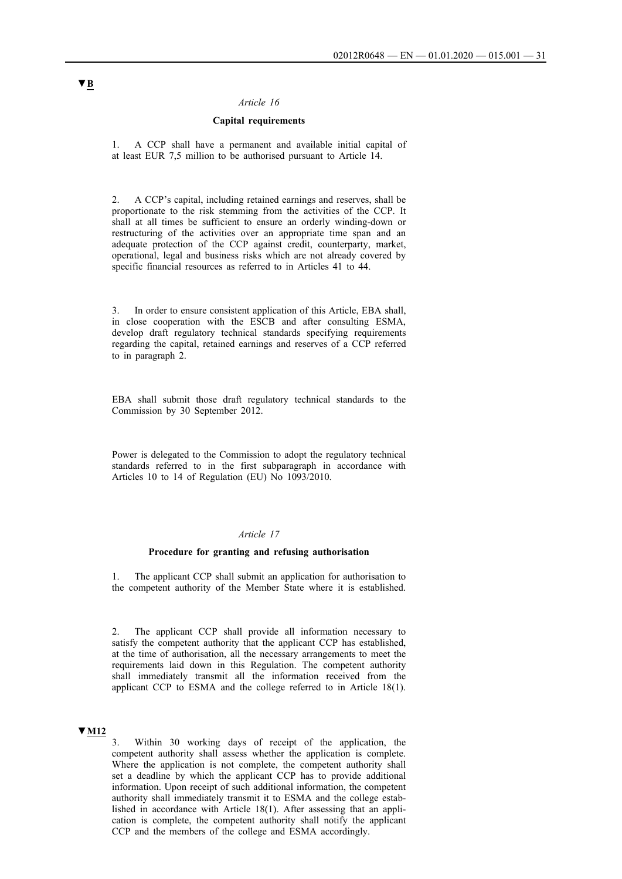### *Article 16*

### **Capital requirements**

1. A CCP shall have a permanent and available initial capital of at least EUR 7,5 million to be authorised pursuant to Article 14.

2. A CCP's capital, including retained earnings and reserves, shall be proportionate to the risk stemming from the activities of the CCP. It shall at all times be sufficient to ensure an orderly winding-down or restructuring of the activities over an appropriate time span and an adequate protection of the CCP against credit, counterparty, market, operational, legal and business risks which are not already covered by specific financial resources as referred to in Articles 41 to 44.

3. In order to ensure consistent application of this Article, EBA shall, in close cooperation with the ESCB and after consulting ESMA, develop draft regulatory technical standards specifying requirements regarding the capital, retained earnings and reserves of a CCP referred to in paragraph 2.

EBA shall submit those draft regulatory technical standards to the Commission by 30 September 2012.

Power is delegated to the Commission to adopt the regulatory technical standards referred to in the first subparagraph in accordance with Articles 10 to 14 of Regulation (EU) No 1093/2010.

## *Article 17*

### **Procedure for granting and refusing authorisation**

1. The applicant CCP shall submit an application for authorisation to the competent authority of the Member State where it is established.

2. The applicant CCP shall provide all information necessary to satisfy the competent authority that the applicant CCP has established, at the time of authorisation, all the necessary arrangements to meet the requirements laid down in this Regulation. The competent authority shall immediately transmit all the information received from the applicant CCP to ESMA and the college referred to in Article 18(1).

### **▼M12**

3. Within 30 working days of receipt of the application, the competent authority shall assess whether the application is complete. Where the application is not complete, the competent authority shall set a deadline by which the applicant CCP has to provide additional information. Upon receipt of such additional information, the competent authority shall immediately transmit it to ESMA and the college established in accordance with Article 18(1). After assessing that an application is complete, the competent authority shall notify the applicant CCP and the members of the college and ESMA accordingly.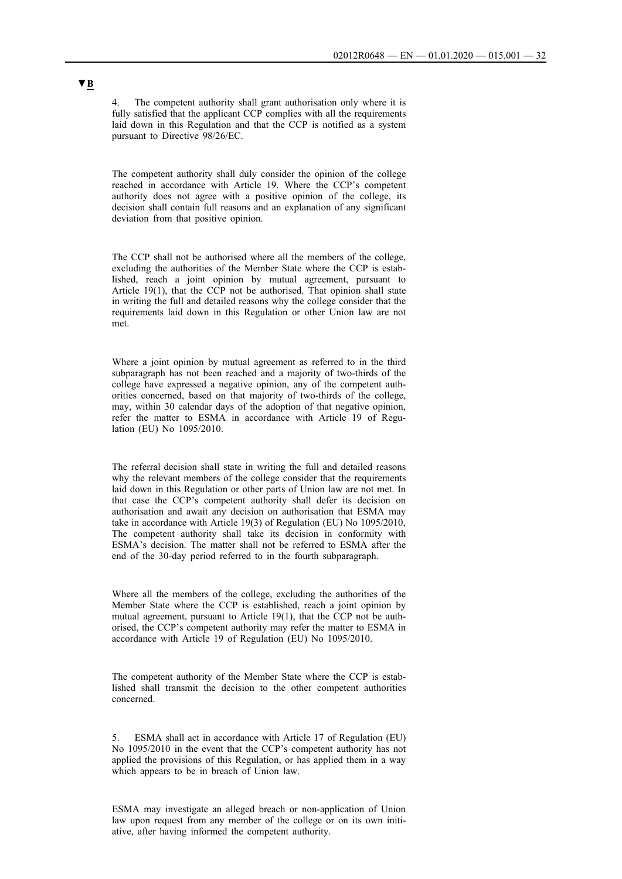4. The competent authority shall grant authorisation only where it is fully satisfied that the applicant CCP complies with all the requirements laid down in this Regulation and that the CCP is notified as a system pursuant to Directive 98/26/EC.

The competent authority shall duly consider the opinion of the college reached in accordance with Article 19. Where the CCP's competent authority does not agree with a positive opinion of the college, its decision shall contain full reasons and an explanation of any significant deviation from that positive opinion.

The CCP shall not be authorised where all the members of the college, excluding the authorities of the Member State where the CCP is established, reach a joint opinion by mutual agreement, pursuant to Article 19(1), that the CCP not be authorised. That opinion shall state in writing the full and detailed reasons why the college consider that the requirements laid down in this Regulation or other Union law are not met.

Where a joint opinion by mutual agreement as referred to in the third subparagraph has not been reached and a majority of two-thirds of the college have expressed a negative opinion, any of the competent authorities concerned, based on that majority of two-thirds of the college, may, within 30 calendar days of the adoption of that negative opinion, refer the matter to ESMA in accordance with Article 19 of Regulation (EU) No 1095/2010.

The referral decision shall state in writing the full and detailed reasons why the relevant members of the college consider that the requirements laid down in this Regulation or other parts of Union law are not met. In that case the CCP's competent authority shall defer its decision on authorisation and await any decision on authorisation that ESMA may take in accordance with Article 19(3) of Regulation (EU) No 1095/2010, The competent authority shall take its decision in conformity with ESMA's decision. The matter shall not be referred to ESMA after the end of the 30-day period referred to in the fourth subparagraph.

Where all the members of the college, excluding the authorities of the Member State where the CCP is established, reach a joint opinion by mutual agreement, pursuant to Article 19(1), that the CCP not be authorised, the CCP's competent authority may refer the matter to ESMA in accordance with Article 19 of Regulation (EU) No 1095/2010.

The competent authority of the Member State where the CCP is established shall transmit the decision to the other competent authorities concerned.

5. ESMA shall act in accordance with Article 17 of Regulation (EU) No 1095/2010 in the event that the CCP's competent authority has not applied the provisions of this Regulation, or has applied them in a way which appears to be in breach of Union law.

ESMA may investigate an alleged breach or non-application of Union law upon request from any member of the college or on its own initiative, after having informed the competent authority.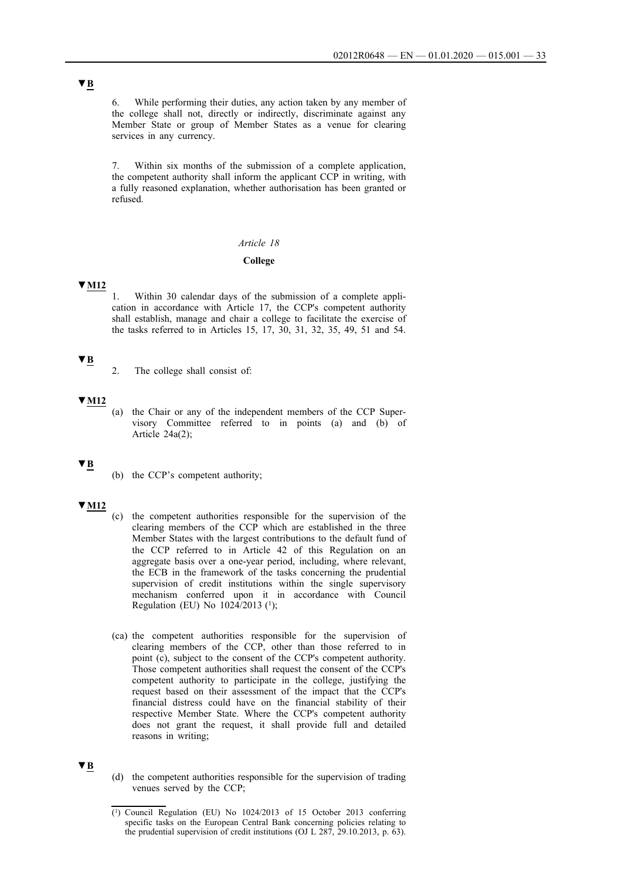6. While performing their duties, any action taken by any member of the college shall not, directly or indirectly, discriminate against any Member State or group of Member States as a venue for clearing services in any currency.

7. Within six months of the submission of a complete application, the competent authority shall inform the applicant CCP in writing, with a fully reasoned explanation, whether authorisation has been granted or refused.

#### *Article 18*

#### **College**

## **▼M12**

1. Within 30 calendar days of the submission of a complete application in accordance with Article 17, the CCP's competent authority shall establish, manage and chair a college to facilitate the exercise of the tasks referred to in Articles 15, 17, 30, 31, 32, 35, 49, 51 and 54.

### **▼B**

2. The college shall consist of:

### **▼M12**

(a) the Chair or any of the independent members of the CCP Supervisory Committee referred to in points (a) and (b) of Article 24a(2);

## **▼B**

(b) the CCP's competent authority;

# **▼M12**

- (c) the competent authorities responsible for the supervision of the clearing members of the CCP which are established in the three Member States with the largest contributions to the default fund of the CCP referred to in Article 42 of this Regulation on an aggregate basis over a one-year period, including, where relevant, the ECB in the framework of the tasks concerning the prudential supervision of credit institutions within the single supervisory mechanism conferred upon it in accordance with Council Regulation (EU) No 1024/2013 (1);
- (ca) the competent authorities responsible for the supervision of clearing members of the CCP, other than those referred to in point (c), subject to the consent of the CCP's competent authority. Those competent authorities shall request the consent of the CCP's competent authority to participate in the college, justifying the request based on their assessment of the impact that the CCP's financial distress could have on the financial stability of their respective Member State. Where the CCP's competent authority does not grant the request, it shall provide full and detailed reasons in writing;

## **▼B**

(d) the competent authorities responsible for the supervision of trading venues served by the CCP;

<sup>(1)</sup> Council Regulation (EU) No 1024/2013 of 15 October 2013 conferring specific tasks on the European Central Bank concerning policies relating to the prudential supervision of credit institutions (OJ L 287, 29.10.2013, p. 63).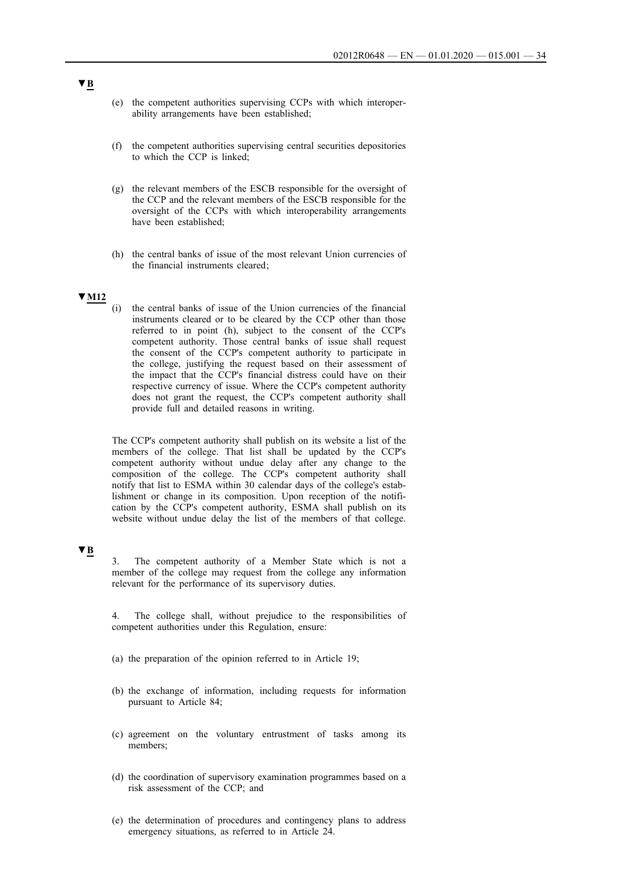- (e) the competent authorities supervising CCPs with which interoperability arrangements have been established;
- (f) the competent authorities supervising central securities depositories to which the CCP is linked;
- (g) the relevant members of the ESCB responsible for the oversight of the CCP and the relevant members of the ESCB responsible for the oversight of the CCPs with which interoperability arrangements have been established;
- (h) the central banks of issue of the most relevant Union currencies of the financial instruments cleared;

(i) the central banks of issue of the Union currencies of the financial instruments cleared or to be cleared by the CCP other than those referred to in point (h), subject to the consent of the CCP's competent authority. Those central banks of issue shall request the consent of the CCP's competent authority to participate in the college, justifying the request based on their assessment of the impact that the CCP's financial distress could have on their respective currency of issue. Where the CCP's competent authority does not grant the request, the CCP's competent authority shall provide full and detailed reasons in writing.

The CCP's competent authority shall publish on its website a list of the members of the college. That list shall be updated by the CCP's competent authority without undue delay after any change to the composition of the college. The CCP's competent authority shall notify that list to ESMA within 30 calendar days of the college's establishment or change in its composition. Upon reception of the notification by the CCP's competent authority, ESMA shall publish on its website without undue delay the list of the members of that college.

## **▼B**

3. The competent authority of a Member State which is not a member of the college may request from the college any information relevant for the performance of its supervisory duties.

4. The college shall, without prejudice to the responsibilities of competent authorities under this Regulation, ensure:

- (a) the preparation of the opinion referred to in Article 19;
- (b) the exchange of information, including requests for information pursuant to Article 84;
- (c) agreement on the voluntary entrustment of tasks among its members;
- (d) the coordination of supervisory examination programmes based on a risk assessment of the CCP; and
- (e) the determination of procedures and contingency plans to address emergency situations, as referred to in Article 24.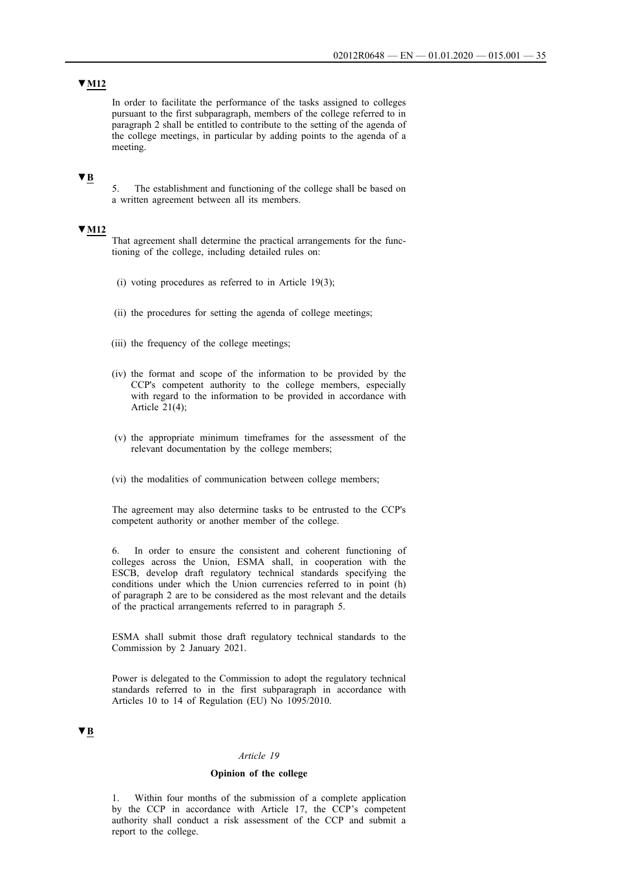In order to facilitate the performance of the tasks assigned to colleges pursuant to the first subparagraph, members of the college referred to in paragraph 2 shall be entitled to contribute to the setting of the agenda of the college meetings, in particular by adding points to the agenda of a meeting.

# **▼B**

5. The establishment and functioning of the college shall be based on a written agreement between all its members.

## **▼M12**

That agreement shall determine the practical arrangements for the functioning of the college, including detailed rules on:

- (i) voting procedures as referred to in Article 19(3);
- (ii) the procedures for setting the agenda of college meetings;
- (iii) the frequency of the college meetings;
- (iv) the format and scope of the information to be provided by the CCP's competent authority to the college members, especially with regard to the information to be provided in accordance with Article 21(4);
- (v) the appropriate minimum timeframes for the assessment of the relevant documentation by the college members;
- (vi) the modalities of communication between college members;

The agreement may also determine tasks to be entrusted to the CCP's competent authority or another member of the college.

6. In order to ensure the consistent and coherent functioning of colleges across the Union, ESMA shall, in cooperation with the ESCB, develop draft regulatory technical standards specifying the conditions under which the Union currencies referred to in point (h) of paragraph 2 are to be considered as the most relevant and the details of the practical arrangements referred to in paragraph 5.

ESMA shall submit those draft regulatory technical standards to the Commission by 2 January 2021.

Power is delegated to the Commission to adopt the regulatory technical standards referred to in the first subparagraph in accordance with Articles 10 to 14 of Regulation (EU) No 1095/2010.

### **▼B**

### *Article 19*

### **Opinion of the college**

1. Within four months of the submission of a complete application by the CCP in accordance with Article 17, the CCP's competent authority shall conduct a risk assessment of the CCP and submit a report to the college.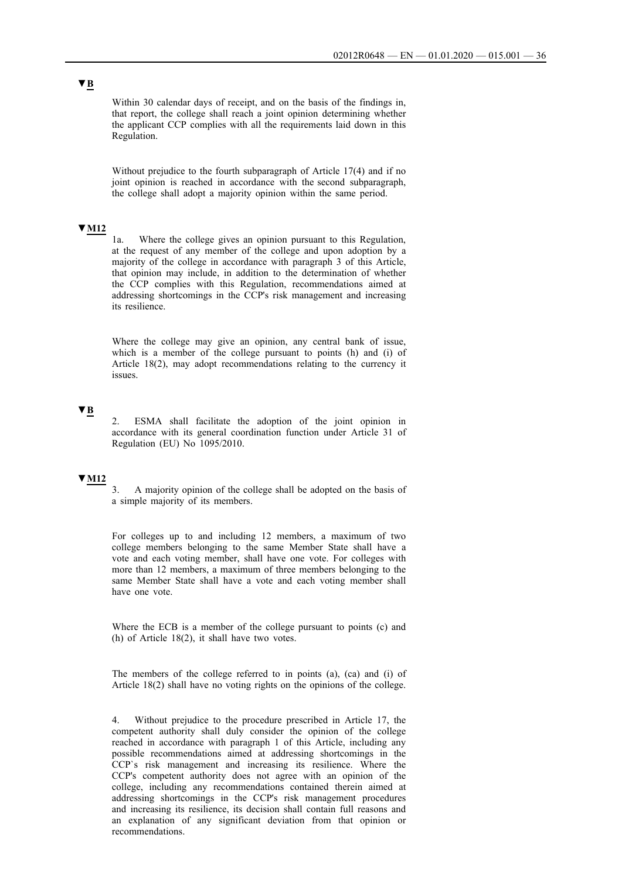Within 30 calendar days of receipt, and on the basis of the findings in, that report, the college shall reach a joint opinion determining whether the applicant CCP complies with all the requirements laid down in this Regulation.

Without prejudice to the fourth subparagraph of Article 17(4) and if no joint opinion is reached in accordance with the second subparagraph, the college shall adopt a majority opinion within the same period.

# **▼M12**

1a. Where the college gives an opinion pursuant to this Regulation, at the request of any member of the college and upon adoption by a majority of the college in accordance with paragraph 3 of this Article, that opinion may include, in addition to the determination of whether the CCP complies with this Regulation, recommendations aimed at addressing shortcomings in the CCP's risk management and increasing its resilience.

Where the college may give an opinion, any central bank of issue, which is a member of the college pursuant to points (h) and (i) of Article 18(2), may adopt recommendations relating to the currency it issues.

## **▼B**

2. ESMA shall facilitate the adoption of the joint opinion in accordance with its general coordination function under Article 31 of Regulation (EU) No 1095/2010.

# **▼M12**

3. A majority opinion of the college shall be adopted on the basis of a simple majority of its members.

For colleges up to and including 12 members, a maximum of two college members belonging to the same Member State shall have a vote and each voting member, shall have one vote. For colleges with more than 12 members, a maximum of three members belonging to the same Member State shall have a vote and each voting member shall have one vote.

Where the ECB is a member of the college pursuant to points (c) and (h) of Article 18(2), it shall have two votes.

The members of the college referred to in points (a), (ca) and (i) of Article 18(2) shall have no voting rights on the opinions of the college.

4. Without prejudice to the procedure prescribed in Article 17, the competent authority shall duly consider the opinion of the college reached in accordance with paragraph 1 of this Article, including any possible recommendations aimed at addressing shortcomings in the CCP`s risk management and increasing its resilience. Where the CCP's competent authority does not agree with an opinion of the college, including any recommendations contained therein aimed at addressing shortcomings in the CCP's risk management procedures and increasing its resilience, its decision shall contain full reasons and an explanation of any significant deviation from that opinion or recommendations.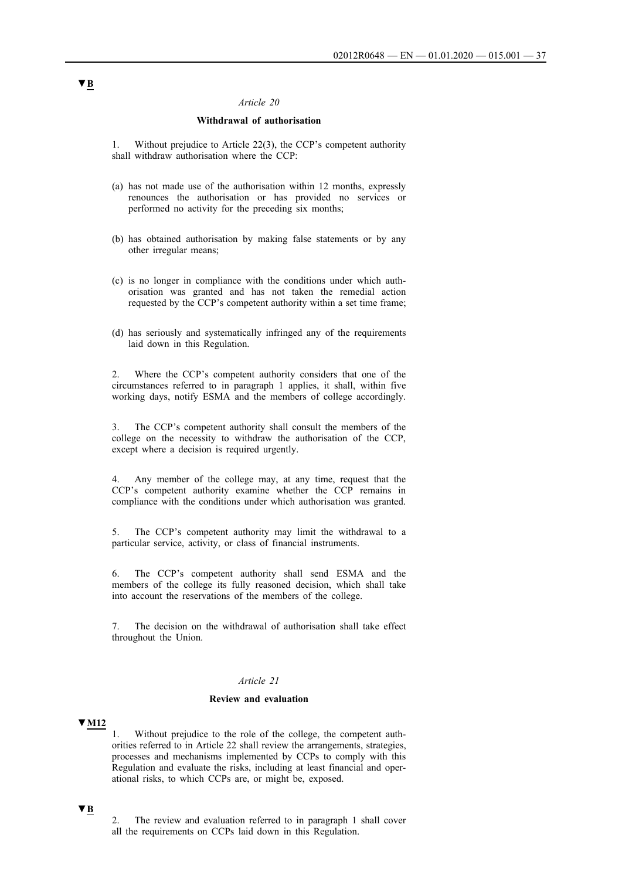## *Article 20*

## **Withdrawal of authorisation**

1. Without prejudice to Article 22(3), the CCP's competent authority shall withdraw authorisation where the CCP:

- (a) has not made use of the authorisation within 12 months, expressly renounces the authorisation or has provided no services or performed no activity for the preceding six months;
- (b) has obtained authorisation by making false statements or by any other irregular means;
- (c) is no longer in compliance with the conditions under which authorisation was granted and has not taken the remedial action requested by the CCP's competent authority within a set time frame;
- (d) has seriously and systematically infringed any of the requirements laid down in this Regulation.

2. Where the CCP's competent authority considers that one of the circumstances referred to in paragraph 1 applies, it shall, within five working days, notify ESMA and the members of college accordingly.

3. The CCP's competent authority shall consult the members of the college on the necessity to withdraw the authorisation of the CCP, except where a decision is required urgently.

4. Any member of the college may, at any time, request that the CCP's competent authority examine whether the CCP remains in compliance with the conditions under which authorisation was granted.

5. The CCP's competent authority may limit the withdrawal to a particular service, activity, or class of financial instruments.

6. The CCP's competent authority shall send ESMA and the members of the college its fully reasoned decision, which shall take into account the reservations of the members of the college.

The decision on the withdrawal of authorisation shall take effect throughout the Union.

## *Article 21*

#### **Review and evaluation**

### **▼M12**

1. Without prejudice to the role of the college, the competent authorities referred to in Article 22 shall review the arrangements, strategies, processes and mechanisms implemented by CCPs to comply with this Regulation and evaluate the risks, including at least financial and operational risks, to which CCPs are, or might be, exposed.

## **▼B**

2. The review and evaluation referred to in paragraph 1 shall cover all the requirements on CCPs laid down in this Regulation.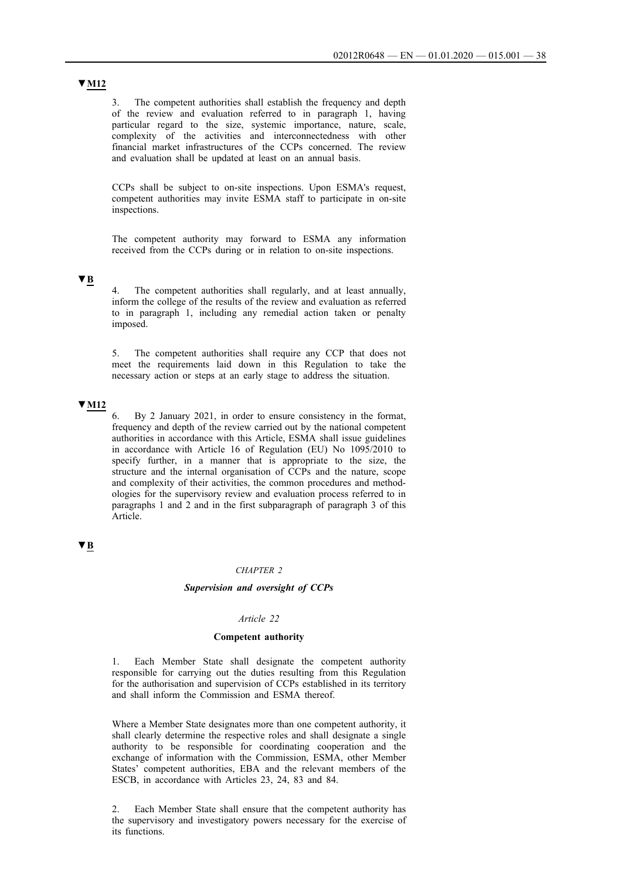# **▼M12**

3. The competent authorities shall establish the frequency and depth of the review and evaluation referred to in paragraph 1, having particular regard to the size, systemic importance, nature, scale, complexity of the activities and interconnectedness with other financial market infrastructures of the CCPs concerned. The review and evaluation shall be updated at least on an annual basis.

CCPs shall be subject to on-site inspections. Upon ESMA's request, competent authorities may invite ESMA staff to participate in on-site inspections.

The competent authority may forward to ESMA any information received from the CCPs during or in relation to on-site inspections.

# **▼B**

4. The competent authorities shall regularly, and at least annually, inform the college of the results of the review and evaluation as referred to in paragraph 1, including any remedial action taken or penalty imposed.

5. The competent authorities shall require any CCP that does not meet the requirements laid down in this Regulation to take the necessary action or steps at an early stage to address the situation.

# **▼M12**

6. By 2 January 2021, in order to ensure consistency in the format, frequency and depth of the review carried out by the national competent authorities in accordance with this Article, ESMA shall issue guidelines in accordance with Article 16 of Regulation (EU) No 1095/2010 to specify further, in a manner that is appropriate to the size, the structure and the internal organisation of CCPs and the nature, scope and complexity of their activities, the common procedures and methodologies for the supervisory review and evaluation process referred to in paragraphs 1 and 2 and in the first subparagraph of paragraph 3 of this Article.

# **▼B**

### *CHAPTER 2*

### *Supervision and oversight of CCPs*

#### *Article 22*

### **Competent authority**

Each Member State shall designate the competent authority responsible for carrying out the duties resulting from this Regulation for the authorisation and supervision of CCPs established in its territory and shall inform the Commission and ESMA thereof.

Where a Member State designates more than one competent authority, it shall clearly determine the respective roles and shall designate a single authority to be responsible for coordinating cooperation and the exchange of information with the Commission, ESMA, other Member States' competent authorities, EBA and the relevant members of the ESCB, in accordance with Articles 23, 24, 83 and 84.

2. Each Member State shall ensure that the competent authority has the supervisory and investigatory powers necessary for the exercise of its functions.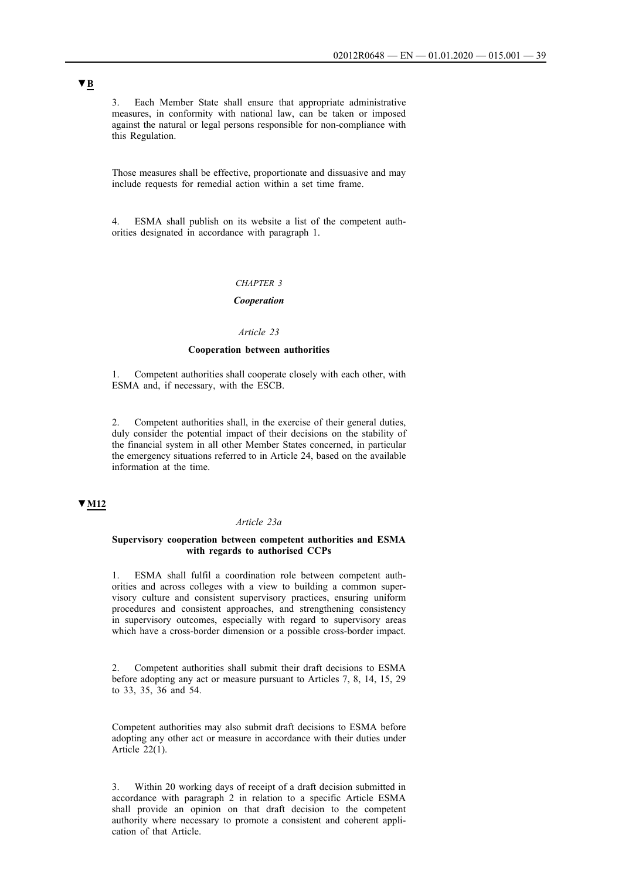3. Each Member State shall ensure that appropriate administrative measures, in conformity with national law, can be taken or imposed against the natural or legal persons responsible for non-compliance with this Regulation.

Those measures shall be effective, proportionate and dissuasive and may include requests for remedial action within a set time frame.

4. ESMA shall publish on its website a list of the competent authorities designated in accordance with paragraph 1.

### *CHAPTER 3*

#### *Cooperation*

### *Article 23*

### **Cooperation between authorities**

1. Competent authorities shall cooperate closely with each other, with ESMA and, if necessary, with the ESCB.

2. Competent authorities shall, in the exercise of their general duties, duly consider the potential impact of their decisions on the stability of the financial system in all other Member States concerned, in particular the emergency situations referred to in Article 24, based on the available information at the time.

### **▼M12**

# *Article 23a*

#### **Supervisory cooperation between competent authorities and ESMA with regards to authorised CCPs**

1. ESMA shall fulfil a coordination role between competent authorities and across colleges with a view to building a common supervisory culture and consistent supervisory practices, ensuring uniform procedures and consistent approaches, and strengthening consistency in supervisory outcomes, especially with regard to supervisory areas which have a cross-border dimension or a possible cross-border impact.

2. Competent authorities shall submit their draft decisions to ESMA before adopting any act or measure pursuant to Articles 7, 8, 14, 15, 29 to 33, 35, 36 and 54.

Competent authorities may also submit draft decisions to ESMA before adopting any other act or measure in accordance with their duties under Article 22(1).

3. Within 20 working days of receipt of a draft decision submitted in accordance with paragraph 2 in relation to a specific Article ESMA shall provide an opinion on that draft decision to the competent authority where necessary to promote a consistent and coherent application of that Article.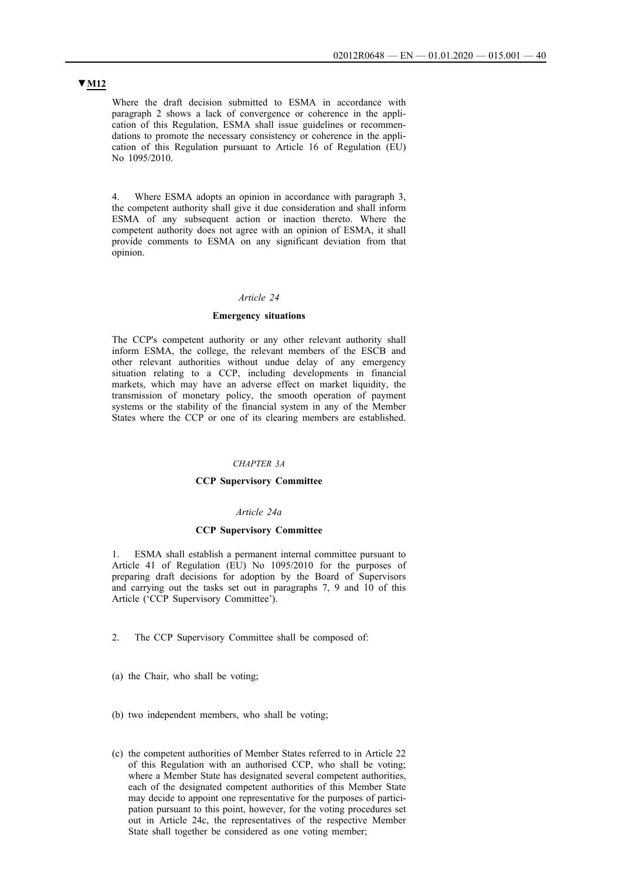Where the draft decision submitted to ESMA in accordance with paragraph 2 shows a lack of convergence or coherence in the application of this Regulation, ESMA shall issue guidelines or recommendations to promote the necessary consistency or coherence in the application of this Regulation pursuant to Article 16 of Regulation (EU) No 1095/2010.

4. Where ESMA adopts an opinion in accordance with paragraph 3, the competent authority shall give it due consideration and shall inform ESMA of any subsequent action or inaction thereto. Where the competent authority does not agree with an opinion of ESMA, it shall provide comments to ESMA on any significant deviation from that opinion.

#### *Article 24*

### **Emergency situations**

The CCP's competent authority or any other relevant authority shall inform ESMA, the college, the relevant members of the ESCB and other relevant authorities without undue delay of any emergency situation relating to a CCP, including developments in financial markets, which may have an adverse effect on market liquidity, the transmission of monetary policy, the smooth operation of payment systems or the stability of the financial system in any of the Member States where the CCP or one of its clearing members are established.

### *CHAPTER 3A*

#### **CCP Supervisory Committee**

#### *Article 24a*

### **CCP Supervisory Committee**

1. ESMA shall establish a permanent internal committee pursuant to Article 41 of Regulation (EU) No 1095/2010 for the purposes of preparing draft decisions for adoption by the Board of Supervisors and carrying out the tasks set out in paragraphs 7, 9 and 10 of this Article ('CCP Supervisory Committee').

- 2. The CCP Supervisory Committee shall be composed of:
- (a) the Chair, who shall be voting;
- (b) two independent members, who shall be voting;
- (c) the competent authorities of Member States referred to in Article 22 of this Regulation with an authorised CCP, who shall be voting; where a Member State has designated several competent authorities, each of the designated competent authorities of this Member State may decide to appoint one representative for the purposes of participation pursuant to this point, however, for the voting procedures set out in Article 24c, the representatives of the respective Member State shall together be considered as one voting member;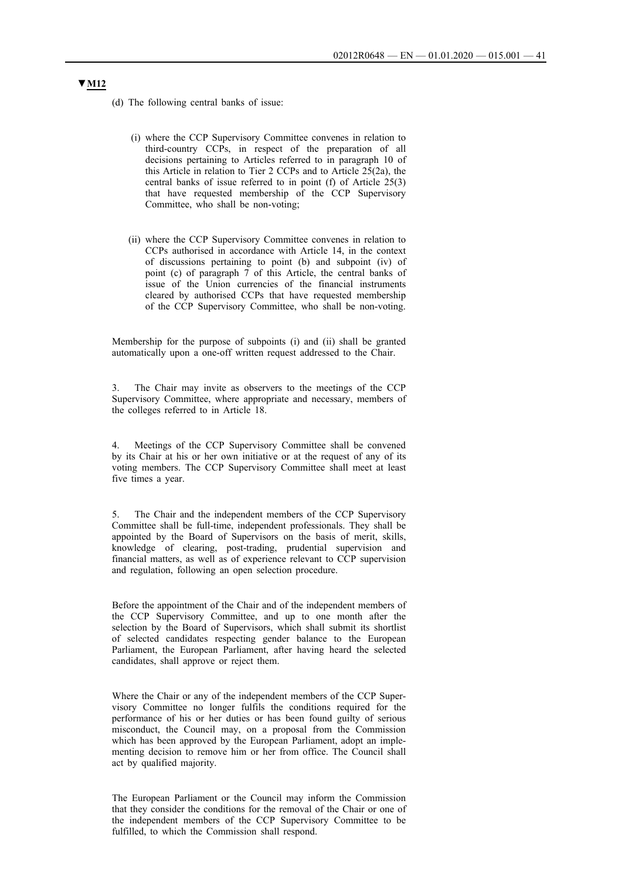# **▼M12**

- (d) The following central banks of issue:
	- (i) where the CCP Supervisory Committee convenes in relation to third-country CCPs, in respect of the preparation of all decisions pertaining to Articles referred to in paragraph 10 of this Article in relation to Tier 2 CCPs and to Article 25(2a), the central banks of issue referred to in point (f) of Article 25(3) that have requested membership of the CCP Supervisory Committee, who shall be non-voting;
	- (ii) where the CCP Supervisory Committee convenes in relation to CCPs authorised in accordance with Article 14, in the context of discussions pertaining to point (b) and subpoint (iv) of point (c) of paragraph 7 of this Article, the central banks of issue of the Union currencies of the financial instruments cleared by authorised CCPs that have requested membership of the CCP Supervisory Committee, who shall be non-voting.

Membership for the purpose of subpoints (i) and (ii) shall be granted automatically upon a one-off written request addressed to the Chair.

3. The Chair may invite as observers to the meetings of the CCP Supervisory Committee, where appropriate and necessary, members of the colleges referred to in Article 18.

Meetings of the CCP Supervisory Committee shall be convened by its Chair at his or her own initiative or at the request of any of its voting members. The CCP Supervisory Committee shall meet at least five times a year.

The Chair and the independent members of the CCP Supervisory Committee shall be full-time, independent professionals. They shall be appointed by the Board of Supervisors on the basis of merit, skills, knowledge of clearing, post-trading, prudential supervision and financial matters, as well as of experience relevant to CCP supervision and regulation, following an open selection procedure.

Before the appointment of the Chair and of the independent members of the CCP Supervisory Committee, and up to one month after the selection by the Board of Supervisors, which shall submit its shortlist of selected candidates respecting gender balance to the European Parliament, the European Parliament, after having heard the selected candidates, shall approve or reject them.

Where the Chair or any of the independent members of the CCP Supervisory Committee no longer fulfils the conditions required for the performance of his or her duties or has been found guilty of serious misconduct, the Council may, on a proposal from the Commission which has been approved by the European Parliament, adopt an implementing decision to remove him or her from office. The Council shall act by qualified majority.

The European Parliament or the Council may inform the Commission that they consider the conditions for the removal of the Chair or one of the independent members of the CCP Supervisory Committee to be fulfilled, to which the Commission shall respond.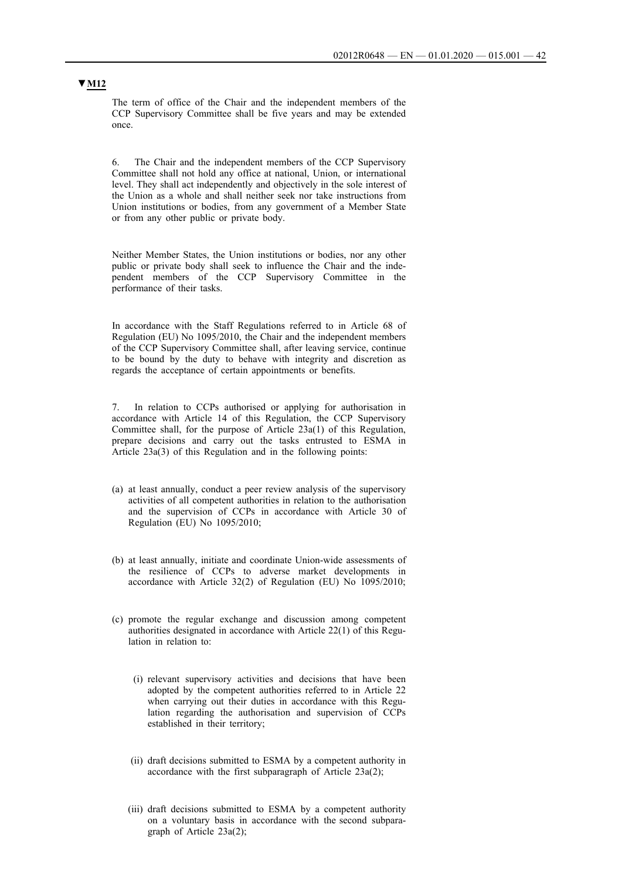The term of office of the Chair and the independent members of the CCP Supervisory Committee shall be five years and may be extended once.

6. The Chair and the independent members of the CCP Supervisory Committee shall not hold any office at national, Union, or international level. They shall act independently and objectively in the sole interest of the Union as a whole and shall neither seek nor take instructions from Union institutions or bodies, from any government of a Member State or from any other public or private body.

Neither Member States, the Union institutions or bodies, nor any other public or private body shall seek to influence the Chair and the independent members of the CCP Supervisory Committee in the performance of their tasks.

In accordance with the Staff Regulations referred to in Article 68 of Regulation (EU) No 1095/2010, the Chair and the independent members of the CCP Supervisory Committee shall, after leaving service, continue to be bound by the duty to behave with integrity and discretion as regards the acceptance of certain appointments or benefits.

7. In relation to CCPs authorised or applying for authorisation in accordance with Article 14 of this Regulation, the CCP Supervisory Committee shall, for the purpose of Article 23a(1) of this Regulation, prepare decisions and carry out the tasks entrusted to ESMA in Article 23a(3) of this Regulation and in the following points:

- (a) at least annually, conduct a peer review analysis of the supervisory activities of all competent authorities in relation to the authorisation and the supervision of CCPs in accordance with Article 30 of Regulation (EU) No 1095/2010;
- (b) at least annually, initiate and coordinate Union-wide assessments of the resilience of CCPs to adverse market developments in accordance with Article 32(2) of Regulation (EU) No 1095/2010;
- (c) promote the regular exchange and discussion among competent authorities designated in accordance with Article 22(1) of this Regulation in relation to:
	- (i) relevant supervisory activities and decisions that have been adopted by the competent authorities referred to in Article 22 when carrying out their duties in accordance with this Regulation regarding the authorisation and supervision of CCPs established in their territory;
	- (ii) draft decisions submitted to ESMA by a competent authority in accordance with the first subparagraph of Article 23a(2);
	- (iii) draft decisions submitted to ESMA by a competent authority on a voluntary basis in accordance with the second subparagraph of Article 23a(2);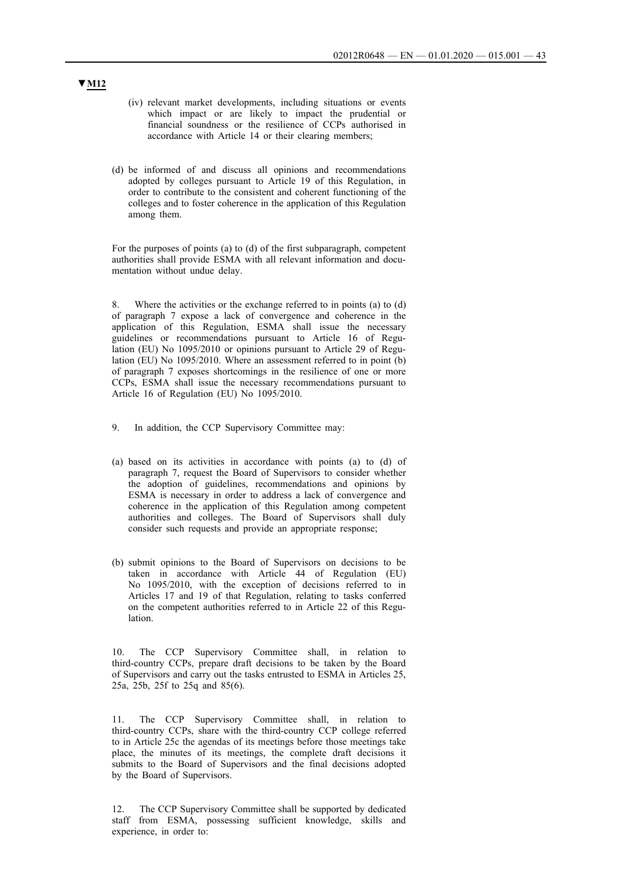- (iv) relevant market developments, including situations or events which impact or are likely to impact the prudential or financial soundness or the resilience of CCPs authorised in accordance with Article 14 or their clearing members;
- (d) be informed of and discuss all opinions and recommendations adopted by colleges pursuant to Article 19 of this Regulation, in order to contribute to the consistent and coherent functioning of the colleges and to foster coherence in the application of this Regulation among them.

For the purposes of points (a) to (d) of the first subparagraph, competent authorities shall provide ESMA with all relevant information and documentation without undue delay.

Where the activities or the exchange referred to in points (a) to  $(d)$ of paragraph 7 expose a lack of convergence and coherence in the application of this Regulation, ESMA shall issue the necessary guidelines or recommendations pursuant to Article 16 of Regulation (EU) No 1095/2010 or opinions pursuant to Article 29 of Regulation (EU) No 1095/2010. Where an assessment referred to in point (b) of paragraph 7 exposes shortcomings in the resilience of one or more CCPs, ESMA shall issue the necessary recommendations pursuant to Article 16 of Regulation (EU) No 1095/2010.

- 9. In addition, the CCP Supervisory Committee may:
- (a) based on its activities in accordance with points (a) to (d) of paragraph 7, request the Board of Supervisors to consider whether the adoption of guidelines, recommendations and opinions by ESMA is necessary in order to address a lack of convergence and coherence in the application of this Regulation among competent authorities and colleges. The Board of Supervisors shall duly consider such requests and provide an appropriate response;
- (b) submit opinions to the Board of Supervisors on decisions to be taken in accordance with Article 44 of Regulation (EU) No 1095/2010, with the exception of decisions referred to in Articles 17 and 19 of that Regulation, relating to tasks conferred on the competent authorities referred to in Article 22 of this Regulation.

10. The CCP Supervisory Committee shall, in relation to third-country CCPs, prepare draft decisions to be taken by the Board of Supervisors and carry out the tasks entrusted to ESMA in Articles 25, 25a, 25b, 25f to 25q and 85(6).

11. The CCP Supervisory Committee shall, in relation to third-country CCPs, share with the third-country CCP college referred to in Article 25c the agendas of its meetings before those meetings take place, the minutes of its meetings, the complete draft decisions it submits to the Board of Supervisors and the final decisions adopted by the Board of Supervisors.

12. The CCP Supervisory Committee shall be supported by dedicated staff from ESMA, possessing sufficient knowledge, skills and experience, in order to: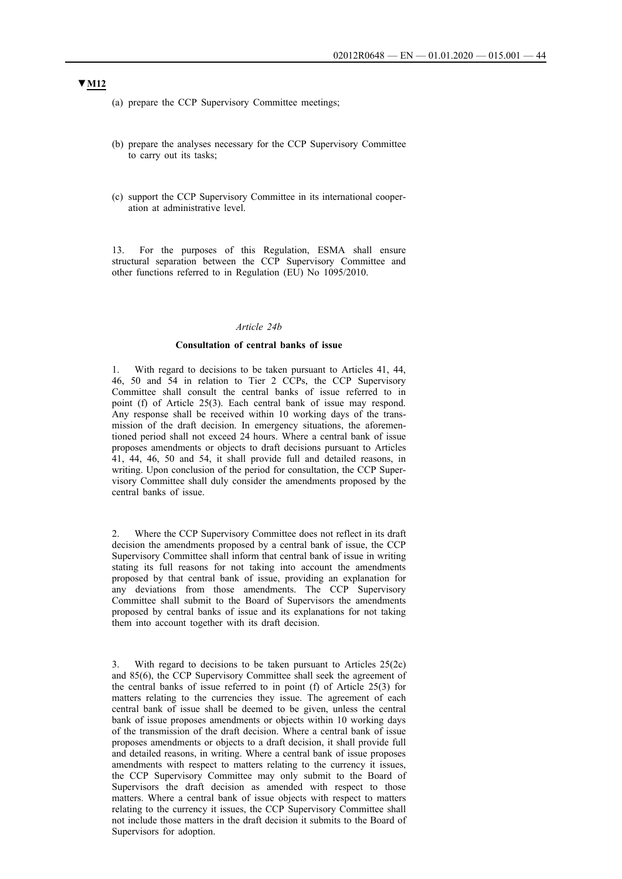# **▼M12**

- (a) prepare the CCP Supervisory Committee meetings;
- (b) prepare the analyses necessary for the CCP Supervisory Committee to carry out its tasks;
- (c) support the CCP Supervisory Committee in its international cooperation at administrative level.

13. For the purposes of this Regulation, ESMA shall ensure structural separation between the CCP Supervisory Committee and other functions referred to in Regulation (EU) No 1095/2010.

### *Article 24b*

#### **Consultation of central banks of issue**

1. With regard to decisions to be taken pursuant to Articles 41, 44, 46, 50 and 54 in relation to Tier 2 CCPs, the CCP Supervisory Committee shall consult the central banks of issue referred to in point (f) of Article 25(3). Each central bank of issue may respond. Any response shall be received within 10 working days of the transmission of the draft decision. In emergency situations, the aforementioned period shall not exceed 24 hours. Where a central bank of issue proposes amendments or objects to draft decisions pursuant to Articles 41, 44, 46, 50 and 54, it shall provide full and detailed reasons, in writing. Upon conclusion of the period for consultation, the CCP Supervisory Committee shall duly consider the amendments proposed by the central banks of issue.

2. Where the CCP Supervisory Committee does not reflect in its draft decision the amendments proposed by a central bank of issue, the CCP Supervisory Committee shall inform that central bank of issue in writing stating its full reasons for not taking into account the amendments proposed by that central bank of issue, providing an explanation for any deviations from those amendments. The CCP Supervisory Committee shall submit to the Board of Supervisors the amendments proposed by central banks of issue and its explanations for not taking them into account together with its draft decision.

3. With regard to decisions to be taken pursuant to Articles 25(2c) and 85(6), the CCP Supervisory Committee shall seek the agreement of the central banks of issue referred to in point (f) of Article 25(3) for matters relating to the currencies they issue. The agreement of each central bank of issue shall be deemed to be given, unless the central bank of issue proposes amendments or objects within 10 working days of the transmission of the draft decision. Where a central bank of issue proposes amendments or objects to a draft decision, it shall provide full and detailed reasons, in writing. Where a central bank of issue proposes amendments with respect to matters relating to the currency it issues, the CCP Supervisory Committee may only submit to the Board of Supervisors the draft decision as amended with respect to those matters. Where a central bank of issue objects with respect to matters relating to the currency it issues, the CCP Supervisory Committee shall not include those matters in the draft decision it submits to the Board of Supervisors for adoption.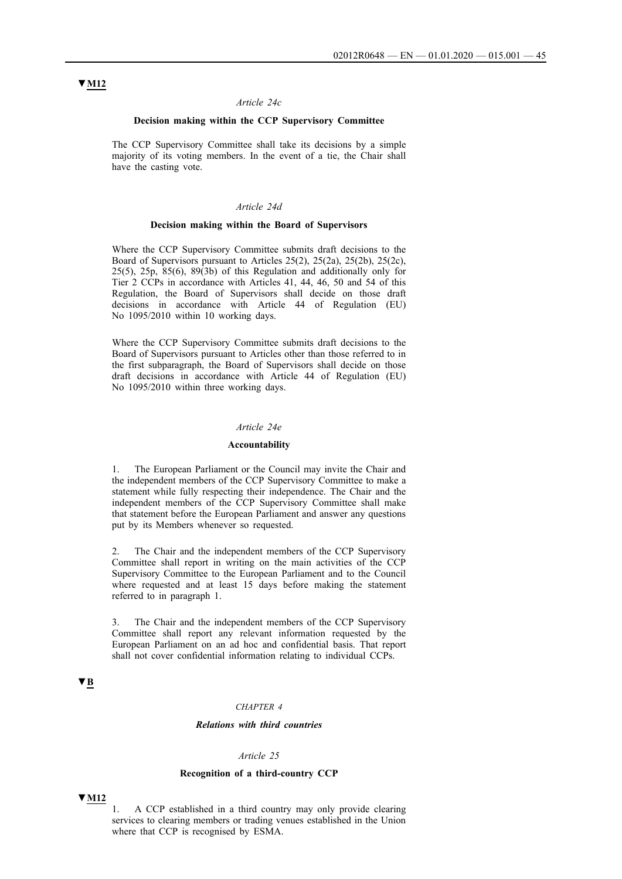#### *Article 24c*

### **Decision making within the CCP Supervisory Committee**

The CCP Supervisory Committee shall take its decisions by a simple majority of its voting members. In the event of a tie, the Chair shall have the casting vote.

#### *Article 24d*

### **Decision making within the Board of Supervisors**

Where the CCP Supervisory Committee submits draft decisions to the Board of Supervisors pursuant to Articles 25(2), 25(2a), 25(2b), 25(2c),  $25(5)$ ,  $25p$ ,  $85(6)$ ,  $89(3b)$  of this Regulation and additionally only for Tier 2 CCPs in accordance with Articles 41, 44, 46, 50 and 54 of this Regulation, the Board of Supervisors shall decide on those draft decisions in accordance with Article 44 of Regulation (EU) No 1095/2010 within 10 working days.

Where the CCP Supervisory Committee submits draft decisions to the Board of Supervisors pursuant to Articles other than those referred to in the first subparagraph, the Board of Supervisors shall decide on those draft decisions in accordance with Article 44 of Regulation (EU) No 1095/2010 within three working days.

#### *Article 24e*

#### **Accountability**

1. The European Parliament or the Council may invite the Chair and the independent members of the CCP Supervisory Committee to make a statement while fully respecting their independence. The Chair and the independent members of the CCP Supervisory Committee shall make that statement before the European Parliament and answer any questions put by its Members whenever so requested.

2. The Chair and the independent members of the CCP Supervisory Committee shall report in writing on the main activities of the CCP Supervisory Committee to the European Parliament and to the Council where requested and at least 15 days before making the statement referred to in paragraph 1.

3. The Chair and the independent members of the CCP Supervisory Committee shall report any relevant information requested by the European Parliament on an ad hoc and confidential basis. That report shall not cover confidential information relating to individual CCPs.

# **▼B**

#### *CHAPTER 4*

### *Relations with third countries*

#### *Article 25*

#### **Recognition of a third-country CCP**

# **▼M12**

1. A CCP established in a third country may only provide clearing services to clearing members or trading venues established in the Union where that CCP is recognised by ESMA.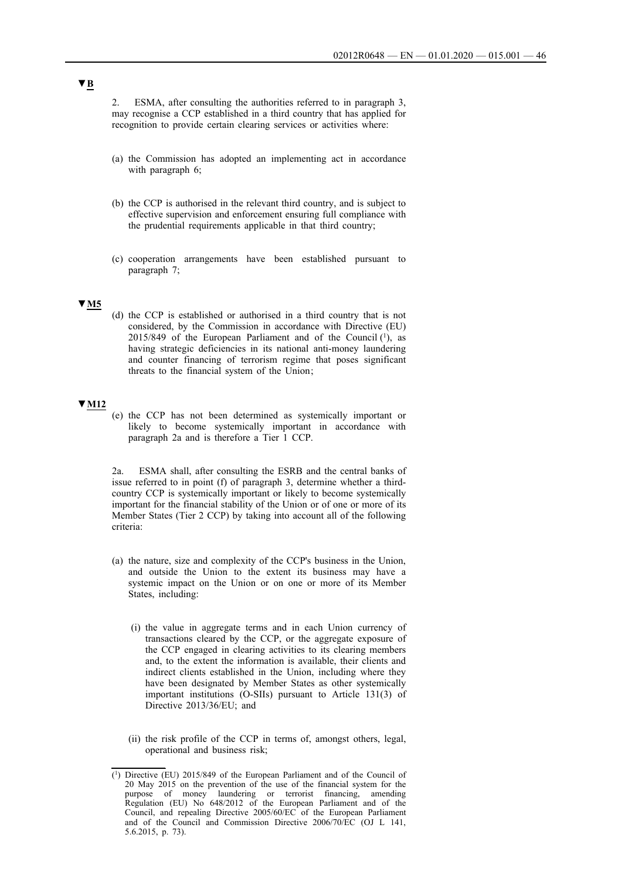2. ESMA, after consulting the authorities referred to in paragraph 3, may recognise a CCP established in a third country that has applied for recognition to provide certain clearing services or activities where:

- (a) the Commission has adopted an implementing act in accordance with paragraph 6;
- (b) the CCP is authorised in the relevant third country, and is subject to effective supervision and enforcement ensuring full compliance with the prudential requirements applicable in that third country;
- (c) cooperation arrangements have been established pursuant to paragraph 7;

### **▼M5**

(d) the CCP is established or authorised in a third country that is not considered, by the Commission in accordance with Directive (EU)  $2015/849$  of the European Parliament and of the Council  $(1)$ , as having strategic deficiencies in its national anti-money laundering and counter financing of terrorism regime that poses significant threats to the financial system of the Union;

# **▼M12**

(e) the CCP has not been determined as systemically important or likely to become systemically important in accordance with paragraph 2a and is therefore a Tier 1 CCP.

2a. ESMA shall, after consulting the ESRB and the central banks of issue referred to in point (f) of paragraph 3, determine whether a thirdcountry CCP is systemically important or likely to become systemically important for the financial stability of the Union or of one or more of its Member States (Tier 2 CCP) by taking into account all of the following criteria:

- (a) the nature, size and complexity of the CCP's business in the Union, and outside the Union to the extent its business may have a systemic impact on the Union or on one or more of its Member States, including:
	- (i) the value in aggregate terms and in each Union currency of transactions cleared by the CCP, or the aggregate exposure of the CCP engaged in clearing activities to its clearing members and, to the extent the information is available, their clients and indirect clients established in the Union, including where they have been designated by Member States as other systemically important institutions (O-SIIs) pursuant to Article 131(3) of Directive 2013/36/EU; and
	- (ii) the risk profile of the CCP in terms of, amongst others, legal, operational and business risk;

 $(1)$  Directive (EU) 2015/849 of the European Parliament and of the Council of 20 May 2015 on the prevention of the use of the financial system for the purpose of money laundering or terrorist financing, amending Regulation (EU) No 648/2012 of the European Parliament and of the Council, and repealing Directive 2005/60/EC of the European Parliament and of the Council and Commission Directive 2006/70/EC (OJ L 141, 5.6.2015, p. 73).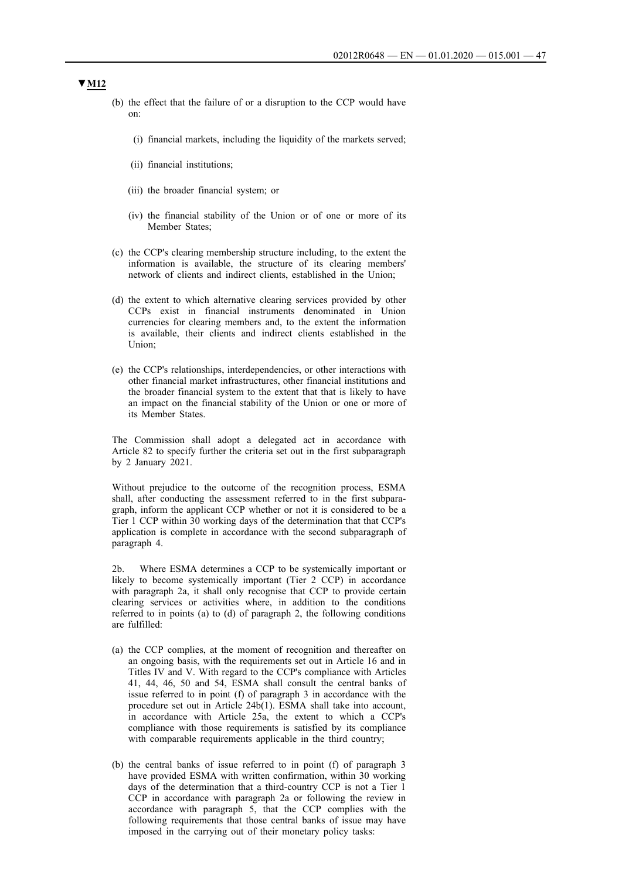- (b) the effect that the failure of or a disruption to the CCP would have on:
	- (i) financial markets, including the liquidity of the markets served;
	- (ii) financial institutions;
	- (iii) the broader financial system; or
	- (iv) the financial stability of the Union or of one or more of its Member States;
- (c) the CCP's clearing membership structure including, to the extent the information is available, the structure of its clearing members' network of clients and indirect clients, established in the Union;
- (d) the extent to which alternative clearing services provided by other CCPs exist in financial instruments denominated in Union currencies for clearing members and, to the extent the information is available, their clients and indirect clients established in the Union;
- (e) the CCP's relationships, interdependencies, or other interactions with other financial market infrastructures, other financial institutions and the broader financial system to the extent that that is likely to have an impact on the financial stability of the Union or one or more of its Member States.

The Commission shall adopt a delegated act in accordance with Article 82 to specify further the criteria set out in the first subparagraph by 2 January 2021.

Without prejudice to the outcome of the recognition process, ESMA shall, after conducting the assessment referred to in the first subparagraph, inform the applicant CCP whether or not it is considered to be a Tier 1 CCP within 30 working days of the determination that that CCP's application is complete in accordance with the second subparagraph of paragraph 4.

2b. Where ESMA determines a CCP to be systemically important or likely to become systemically important (Tier 2 CCP) in accordance with paragraph 2a, it shall only recognise that CCP to provide certain clearing services or activities where, in addition to the conditions referred to in points (a) to (d) of paragraph 2, the following conditions are fulfilled:

- (a) the CCP complies, at the moment of recognition and thereafter on an ongoing basis, with the requirements set out in Article 16 and in Titles IV and V. With regard to the CCP's compliance with Articles 41, 44, 46, 50 and 54, ESMA shall consult the central banks of issue referred to in point (f) of paragraph 3 in accordance with the procedure set out in Article 24b(1). ESMA shall take into account, in accordance with Article 25a, the extent to which a CCP's compliance with those requirements is satisfied by its compliance with comparable requirements applicable in the third country;
- (b) the central banks of issue referred to in point (f) of paragraph 3 have provided ESMA with written confirmation, within 30 working days of the determination that a third-country CCP is not a Tier 1 CCP in accordance with paragraph 2a or following the review in accordance with paragraph 5, that the CCP complies with the following requirements that those central banks of issue may have imposed in the carrying out of their monetary policy tasks: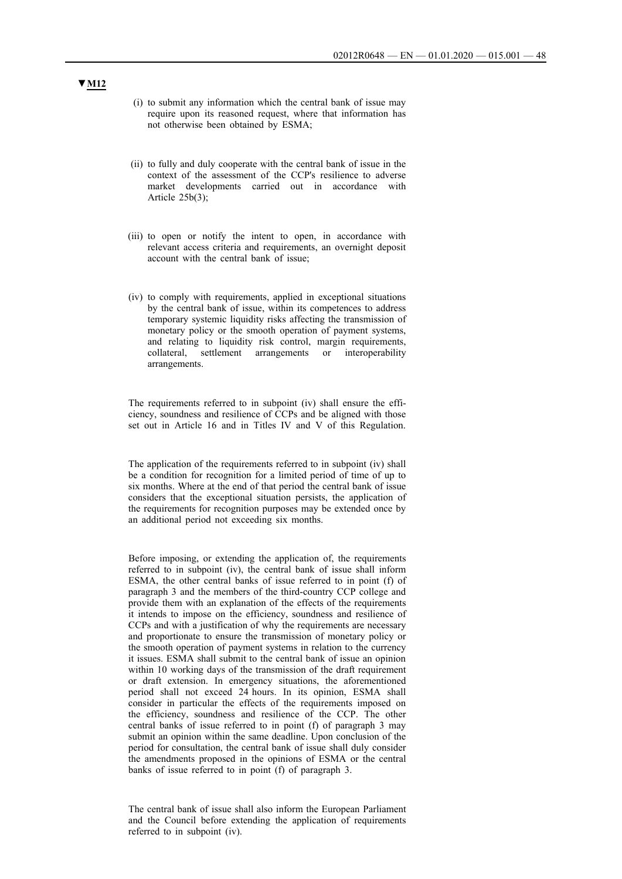- (i) to submit any information which the central bank of issue may require upon its reasoned request, where that information has not otherwise been obtained by ESMA;
- (ii) to fully and duly cooperate with the central bank of issue in the context of the assessment of the CCP's resilience to adverse market developments carried out in accordance with Article 25b(3);
- (iii) to open or notify the intent to open, in accordance with relevant access criteria and requirements, an overnight deposit account with the central bank of issue;
- (iv) to comply with requirements, applied in exceptional situations by the central bank of issue, within its competences to address temporary systemic liquidity risks affecting the transmission of monetary policy or the smooth operation of payment systems, and relating to liquidity risk control, margin requirements, collateral, settlement arrangements or interoperability arrangements.

The requirements referred to in subpoint (iv) shall ensure the efficiency, soundness and resilience of CCPs and be aligned with those set out in Article 16 and in Titles IV and V of this Regulation.

The application of the requirements referred to in subpoint (iv) shall be a condition for recognition for a limited period of time of up to six months. Where at the end of that period the central bank of issue considers that the exceptional situation persists, the application of the requirements for recognition purposes may be extended once by an additional period not exceeding six months.

Before imposing, or extending the application of, the requirements referred to in subpoint (iv), the central bank of issue shall inform ESMA, the other central banks of issue referred to in point (f) of paragraph 3 and the members of the third-country CCP college and provide them with an explanation of the effects of the requirements it intends to impose on the efficiency, soundness and resilience of CCPs and with a justification of why the requirements are necessary and proportionate to ensure the transmission of monetary policy or the smooth operation of payment systems in relation to the currency it issues. ESMA shall submit to the central bank of issue an opinion within 10 working days of the transmission of the draft requirement or draft extension. In emergency situations, the aforementioned period shall not exceed 24 hours. In its opinion, ESMA shall consider in particular the effects of the requirements imposed on the efficiency, soundness and resilience of the CCP. The other central banks of issue referred to in point (f) of paragraph 3 may submit an opinion within the same deadline. Upon conclusion of the period for consultation, the central bank of issue shall duly consider the amendments proposed in the opinions of ESMA or the central banks of issue referred to in point (f) of paragraph 3.

The central bank of issue shall also inform the European Parliament and the Council before extending the application of requirements referred to in subpoint (iv).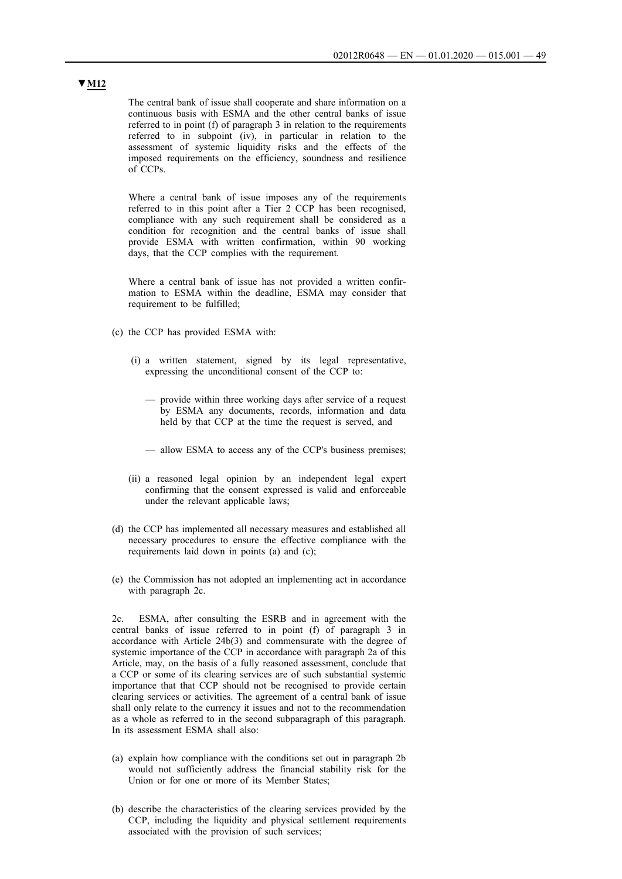The central bank of issue shall cooperate and share information on a continuous basis with ESMA and the other central banks of issue referred to in point (f) of paragraph 3 in relation to the requirements referred to in subpoint (iv), in particular in relation to the assessment of systemic liquidity risks and the effects of the imposed requirements on the efficiency, soundness and resilience of CCPs.

Where a central bank of issue imposes any of the requirements referred to in this point after a Tier 2 CCP has been recognised, compliance with any such requirement shall be considered as a condition for recognition and the central banks of issue shall provide ESMA with written confirmation, within 90 working days, that the CCP complies with the requirement.

Where a central bank of issue has not provided a written confirmation to ESMA within the deadline, ESMA may consider that requirement to be fulfilled;

- (c) the CCP has provided ESMA with:
	- (i) a written statement, signed by its legal representative, expressing the unconditional consent of the CCP to:
		- provide within three working days after service of a request by ESMA any documents, records, information and data held by that CCP at the time the request is served, and
		- allow ESMA to access any of the CCP's business premises;
	- (ii) a reasoned legal opinion by an independent legal expert confirming that the consent expressed is valid and enforceable under the relevant applicable laws;
- (d) the CCP has implemented all necessary measures and established all necessary procedures to ensure the effective compliance with the requirements laid down in points (a) and (c);
- (e) the Commission has not adopted an implementing act in accordance with paragraph 2c.

2c. ESMA, after consulting the ESRB and in agreement with the central banks of issue referred to in point (f) of paragraph 3 in accordance with Article 24b(3) and commensurate with the degree of systemic importance of the CCP in accordance with paragraph 2a of this Article, may, on the basis of a fully reasoned assessment, conclude that a CCP or some of its clearing services are of such substantial systemic importance that that CCP should not be recognised to provide certain clearing services or activities. The agreement of a central bank of issue shall only relate to the currency it issues and not to the recommendation as a whole as referred to in the second subparagraph of this paragraph. In its assessment ESMA shall also:

- (a) explain how compliance with the conditions set out in paragraph 2b would not sufficiently address the financial stability risk for the Union or for one or more of its Member States;
- (b) describe the characteristics of the clearing services provided by the CCP, including the liquidity and physical settlement requirements associated with the provision of such services;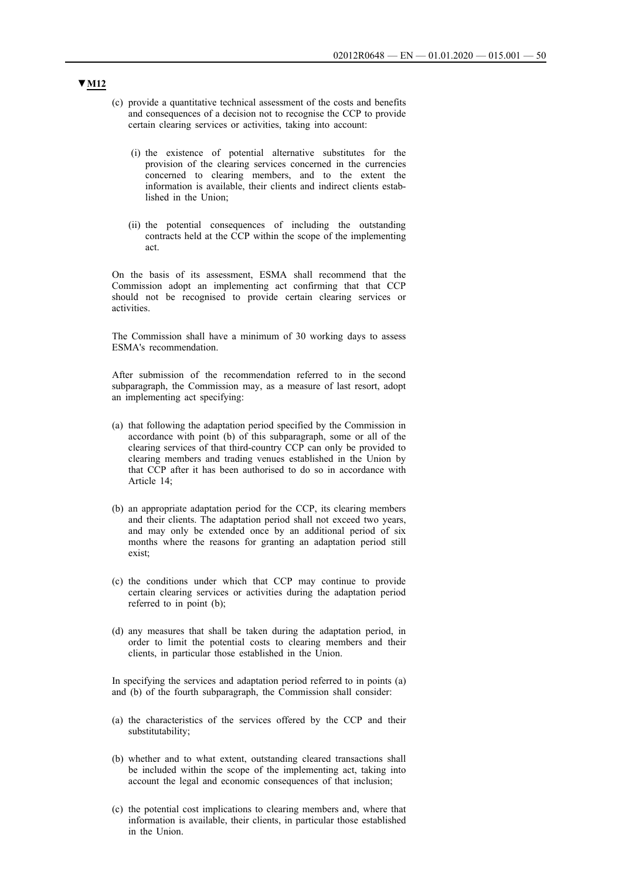- (c) provide a quantitative technical assessment of the costs and benefits and consequences of a decision not to recognise the CCP to provide certain clearing services or activities, taking into account:
	- (i) the existence of potential alternative substitutes for the provision of the clearing services concerned in the currencies concerned to clearing members, and to the extent the information is available, their clients and indirect clients established in the Union;
	- (ii) the potential consequences of including the outstanding contracts held at the CCP within the scope of the implementing act.

On the basis of its assessment, ESMA shall recommend that the Commission adopt an implementing act confirming that that CCP should not be recognised to provide certain clearing services or activities.

The Commission shall have a minimum of 30 working days to assess ESMA's recommendation.

After submission of the recommendation referred to in the second subparagraph, the Commission may, as a measure of last resort, adopt an implementing act specifying:

- (a) that following the adaptation period specified by the Commission in accordance with point (b) of this subparagraph, some or all of the clearing services of that third-country CCP can only be provided to clearing members and trading venues established in the Union by that CCP after it has been authorised to do so in accordance with Article 14;
- (b) an appropriate adaptation period for the CCP, its clearing members and their clients. The adaptation period shall not exceed two years, and may only be extended once by an additional period of six months where the reasons for granting an adaptation period still exist;
- (c) the conditions under which that CCP may continue to provide certain clearing services or activities during the adaptation period referred to in point (b);
- (d) any measures that shall be taken during the adaptation period, in order to limit the potential costs to clearing members and their clients, in particular those established in the Union.

In specifying the services and adaptation period referred to in points (a) and (b) of the fourth subparagraph, the Commission shall consider:

- (a) the characteristics of the services offered by the CCP and their substitutability;
- (b) whether and to what extent, outstanding cleared transactions shall be included within the scope of the implementing act, taking into account the legal and economic consequences of that inclusion;
- (c) the potential cost implications to clearing members and, where that information is available, their clients, in particular those established in the Union.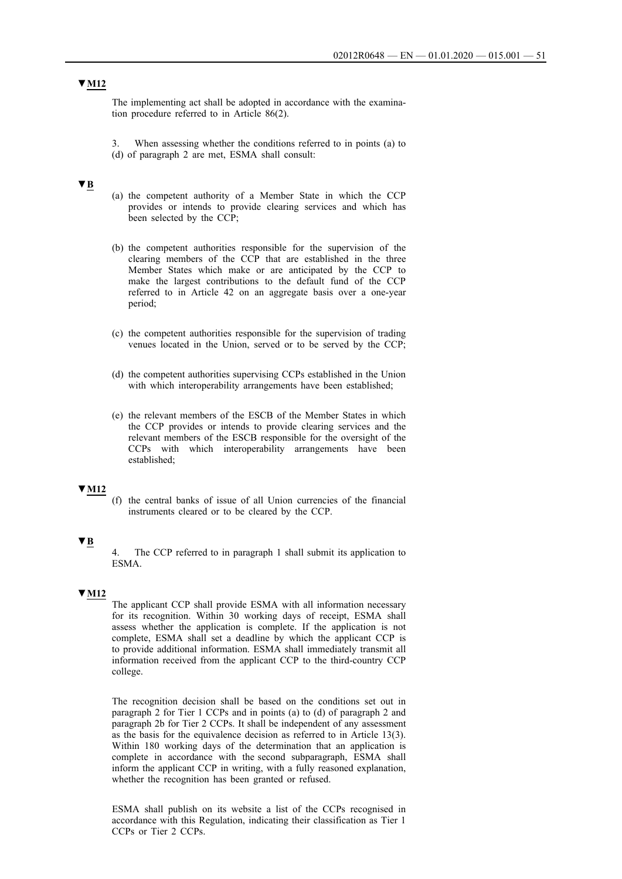# **▼M12**

The implementing act shall be adopted in accordance with the examination procedure referred to in Article 86(2).

When assessing whether the conditions referred to in points (a) to (d) of paragraph 2 are met, ESMA shall consult:

### **▼B**

- (a) the competent authority of a Member State in which the CCP provides or intends to provide clearing services and which has been selected by the CCP;
- (b) the competent authorities responsible for the supervision of the clearing members of the CCP that are established in the three Member States which make or are anticipated by the CCP to make the largest contributions to the default fund of the CCP referred to in Article 42 on an aggregate basis over a one-year period;
- (c) the competent authorities responsible for the supervision of trading venues located in the Union, served or to be served by the CCP;
- (d) the competent authorities supervising CCPs established in the Union with which interoperability arrangements have been established;
- (e) the relevant members of the ESCB of the Member States in which the CCP provides or intends to provide clearing services and the relevant members of the ESCB responsible for the oversight of the CCPs with which interoperability arrangements have been established;

#### **▼M12**

the central banks of issue of all Union currencies of the financial instruments cleared or to be cleared by the CCP.

# **▼B**

4. The CCP referred to in paragraph 1 shall submit its application to **ESMA** 

## **▼M12**

The applicant CCP shall provide ESMA with all information necessary for its recognition. Within 30 working days of receipt, ESMA shall assess whether the application is complete. If the application is not complete, ESMA shall set a deadline by which the applicant CCP is to provide additional information. ESMA shall immediately transmit all information received from the applicant CCP to the third-country CCP college.

The recognition decision shall be based on the conditions set out in paragraph 2 for Tier 1 CCPs and in points (a) to (d) of paragraph 2 and paragraph 2b for Tier 2 CCPs. It shall be independent of any assessment as the basis for the equivalence decision as referred to in Article 13(3). Within 180 working days of the determination that an application is complete in accordance with the second subparagraph, ESMA shall inform the applicant CCP in writing, with a fully reasoned explanation, whether the recognition has been granted or refused.

ESMA shall publish on its website a list of the CCPs recognised in accordance with this Regulation, indicating their classification as Tier 1 CCPs or Tier 2 CCPs.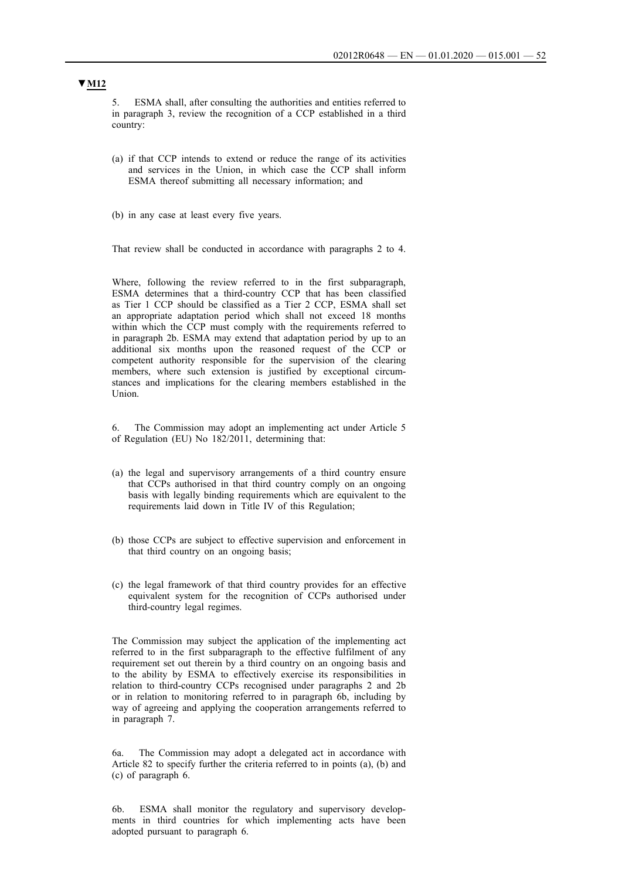5. ESMA shall, after consulting the authorities and entities referred to in paragraph 3, review the recognition of a CCP established in a third country:

- (a) if that CCP intends to extend or reduce the range of its activities and services in the Union, in which case the CCP shall inform ESMA thereof submitting all necessary information; and
- (b) in any case at least every five years.

That review shall be conducted in accordance with paragraphs 2 to 4.

Where, following the review referred to in the first subparagraph, ESMA determines that a third-country CCP that has been classified as Tier 1 CCP should be classified as a Tier 2 CCP, ESMA shall set an appropriate adaptation period which shall not exceed 18 months within which the CCP must comply with the requirements referred to in paragraph 2b. ESMA may extend that adaptation period by up to an additional six months upon the reasoned request of the CCP or competent authority responsible for the supervision of the clearing members, where such extension is justified by exceptional circumstances and implications for the clearing members established in the Union.

6. The Commission may adopt an implementing act under Article 5 of Regulation (EU) No 182/2011, determining that:

- (a) the legal and supervisory arrangements of a third country ensure that CCPs authorised in that third country comply on an ongoing basis with legally binding requirements which are equivalent to the requirements laid down in Title IV of this Regulation;
- (b) those CCPs are subject to effective supervision and enforcement in that third country on an ongoing basis;
- (c) the legal framework of that third country provides for an effective equivalent system for the recognition of CCPs authorised under third-country legal regimes.

The Commission may subject the application of the implementing act referred to in the first subparagraph to the effective fulfilment of any requirement set out therein by a third country on an ongoing basis and to the ability by ESMA to effectively exercise its responsibilities in relation to third-country CCPs recognised under paragraphs 2 and 2b or in relation to monitoring referred to in paragraph 6b, including by way of agreeing and applying the cooperation arrangements referred to in paragraph 7.

6a. The Commission may adopt a delegated act in accordance with Article 82 to specify further the criteria referred to in points (a), (b) and (c) of paragraph 6.

6b. ESMA shall monitor the regulatory and supervisory developments in third countries for which implementing acts have been adopted pursuant to paragraph 6.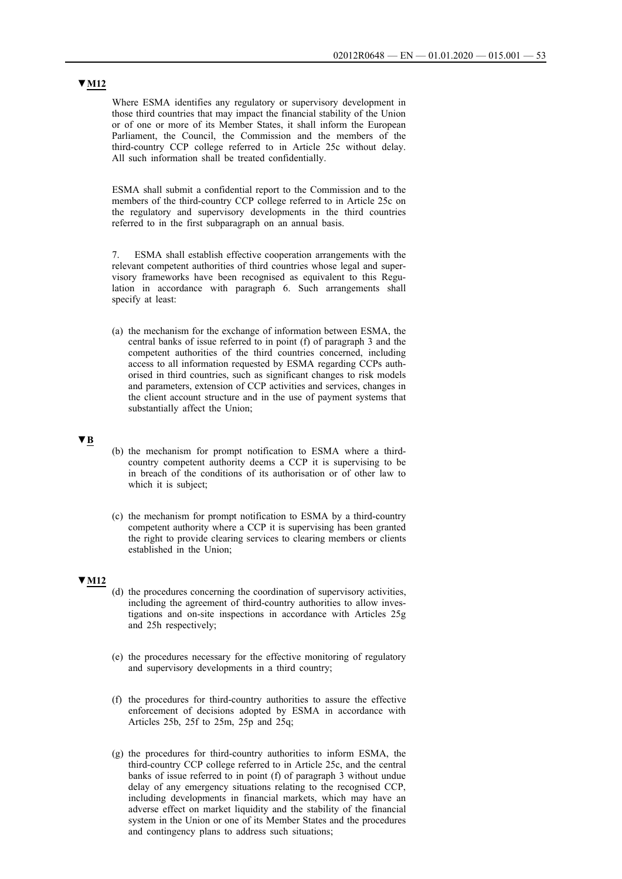# **▼M12**

Where ESMA identifies any regulatory or supervisory development in those third countries that may impact the financial stability of the Union or of one or more of its Member States, it shall inform the European Parliament, the Council, the Commission and the members of the third-country CCP college referred to in Article 25c without delay. All such information shall be treated confidentially.

ESMA shall submit a confidential report to the Commission and to the members of the third-country CCP college referred to in Article 25c on the regulatory and supervisory developments in the third countries referred to in the first subparagraph on an annual basis.

7. ESMA shall establish effective cooperation arrangements with the relevant competent authorities of third countries whose legal and supervisory frameworks have been recognised as equivalent to this Regulation in accordance with paragraph 6. Such arrangements shall specify at least:

(a) the mechanism for the exchange of information between ESMA, the central banks of issue referred to in point (f) of paragraph 3 and the competent authorities of the third countries concerned, including access to all information requested by ESMA regarding CCPs authorised in third countries, such as significant changes to risk models and parameters, extension of CCP activities and services, changes in the client account structure and in the use of payment systems that substantially affect the Union;

## **▼B**

- (b) the mechanism for prompt notification to ESMA where a thirdcountry competent authority deems a CCP it is supervising to be in breach of the conditions of its authorisation or of other law to which it is subject;
- (c) the mechanism for prompt notification to ESMA by a third-country competent authority where a CCP it is supervising has been granted the right to provide clearing services to clearing members or clients established in the Union;

- (d) the procedures concerning the coordination of supervisory activities, including the agreement of third-country authorities to allow investigations and on-site inspections in accordance with Articles 25g and 25h respectively;
- (e) the procedures necessary for the effective monitoring of regulatory and supervisory developments in a third country;
- (f) the procedures for third-country authorities to assure the effective enforcement of decisions adopted by ESMA in accordance with Articles 25b, 25f to 25m, 25p and 25q;
- (g) the procedures for third-country authorities to inform ESMA, the third-country CCP college referred to in Article 25c, and the central banks of issue referred to in point (f) of paragraph 3 without undue delay of any emergency situations relating to the recognised CCP, including developments in financial markets, which may have an adverse effect on market liquidity and the stability of the financial system in the Union or one of its Member States and the procedures and contingency plans to address such situations;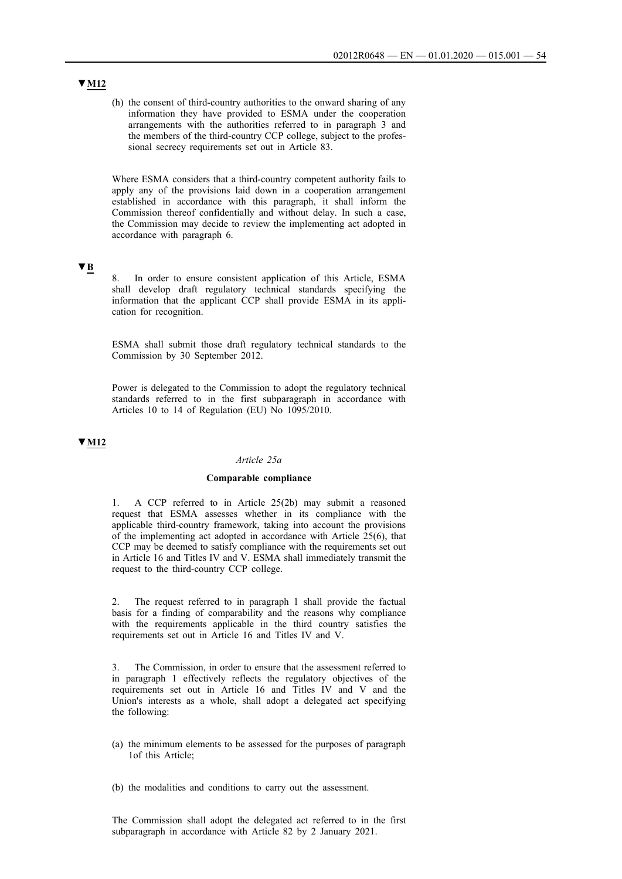# **▼M12**

(h) the consent of third-country authorities to the onward sharing of any information they have provided to ESMA under the cooperation arrangements with the authorities referred to in paragraph 3 and the members of the third-country CCP college, subject to the professional secrecy requirements set out in Article 83.

Where ESMA considers that a third-country competent authority fails to apply any of the provisions laid down in a cooperation arrangement established in accordance with this paragraph, it shall inform the Commission thereof confidentially and without delay. In such a case, the Commission may decide to review the implementing act adopted in accordance with paragraph 6.

# **▼B**

8. In order to ensure consistent application of this Article, ESMA shall develop draft regulatory technical standards specifying the information that the applicant CCP shall provide ESMA in its application for recognition.

ESMA shall submit those draft regulatory technical standards to the Commission by 30 September 2012.

Power is delegated to the Commission to adopt the regulatory technical standards referred to in the first subparagraph in accordance with Articles 10 to 14 of Regulation (EU) No 1095/2010.

## **▼M12**

#### *Article 25a*

### **Comparable compliance**

1. A CCP referred to in Article 25(2b) may submit a reasoned request that ESMA assesses whether in its compliance with the applicable third-country framework, taking into account the provisions of the implementing act adopted in accordance with Article 25(6), that CCP may be deemed to satisfy compliance with the requirements set out in Article 16 and Titles IV and V. ESMA shall immediately transmit the request to the third-country CCP college.

2. The request referred to in paragraph 1 shall provide the factual basis for a finding of comparability and the reasons why compliance with the requirements applicable in the third country satisfies the requirements set out in Article 16 and Titles IV and V.

3. The Commission, in order to ensure that the assessment referred to in paragraph 1 effectively reflects the regulatory objectives of the requirements set out in Article 16 and Titles IV and V and the Union's interests as a whole, shall adopt a delegated act specifying the following:

(a) the minimum elements to be assessed for the purposes of paragraph 1of this Article;

(b) the modalities and conditions to carry out the assessment.

The Commission shall adopt the delegated act referred to in the first subparagraph in accordance with Article 82 by 2 January 2021.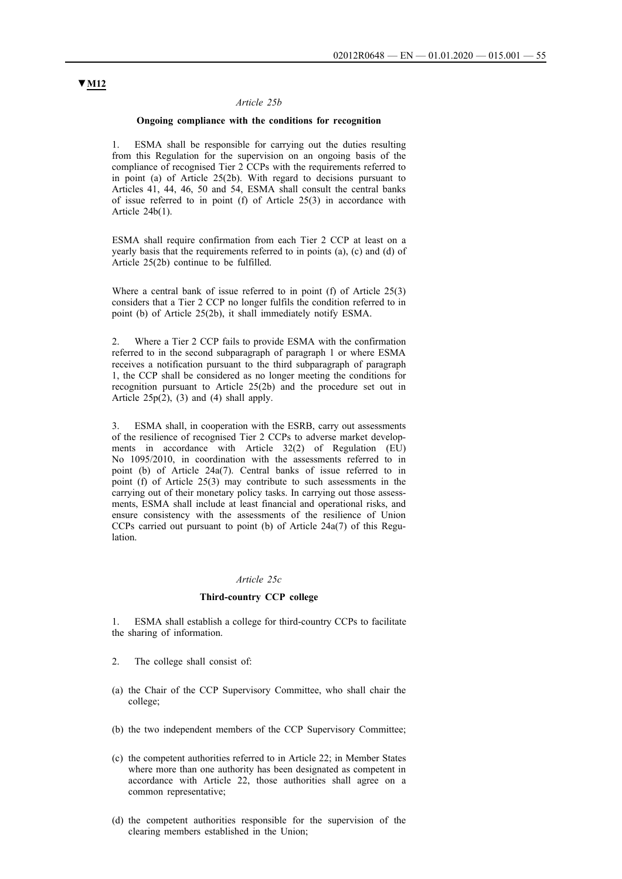#### *Article 25b*

### **Ongoing compliance with the conditions for recognition**

1. ESMA shall be responsible for carrying out the duties resulting from this Regulation for the supervision on an ongoing basis of the compliance of recognised Tier 2 CCPs with the requirements referred to in point (a) of Article 25(2b). With regard to decisions pursuant to Articles 41, 44, 46, 50 and 54, ESMA shall consult the central banks of issue referred to in point (f) of Article 25(3) in accordance with Article 24b(1).

ESMA shall require confirmation from each Tier 2 CCP at least on a yearly basis that the requirements referred to in points (a), (c) and (d) of Article 25(2b) continue to be fulfilled.

Where a central bank of issue referred to in point (f) of Article 25(3) considers that a Tier 2 CCP no longer fulfils the condition referred to in point (b) of Article 25(2b), it shall immediately notify ESMA.

2. Where a Tier 2 CCP fails to provide ESMA with the confirmation referred to in the second subparagraph of paragraph 1 or where ESMA receives a notification pursuant to the third subparagraph of paragraph 1, the CCP shall be considered as no longer meeting the conditions for recognition pursuant to Article 25(2b) and the procedure set out in Article  $25p(2)$ , (3) and (4) shall apply.

3. ESMA shall, in cooperation with the ESRB, carry out assessments of the resilience of recognised Tier 2 CCPs to adverse market developments in accordance with Article 32(2) of Regulation (EU) No 1095/2010, in coordination with the assessments referred to in point (b) of Article 24a(7). Central banks of issue referred to in point (f) of Article 25(3) may contribute to such assessments in the carrying out of their monetary policy tasks. In carrying out those assessments, ESMA shall include at least financial and operational risks, and ensure consistency with the assessments of the resilience of Union CCPs carried out pursuant to point (b) of Article 24a(7) of this Regulation.

### *Article 25c*

#### **Third-country CCP college**

1. ESMA shall establish a college for third-country CCPs to facilitate the sharing of information.

- 2. The college shall consist of:
- (a) the Chair of the CCP Supervisory Committee, who shall chair the college;
- (b) the two independent members of the CCP Supervisory Committee;
- (c) the competent authorities referred to in Article 22; in Member States where more than one authority has been designated as competent in accordance with Article 22, those authorities shall agree on a common representative;
- (d) the competent authorities responsible for the supervision of the clearing members established in the Union;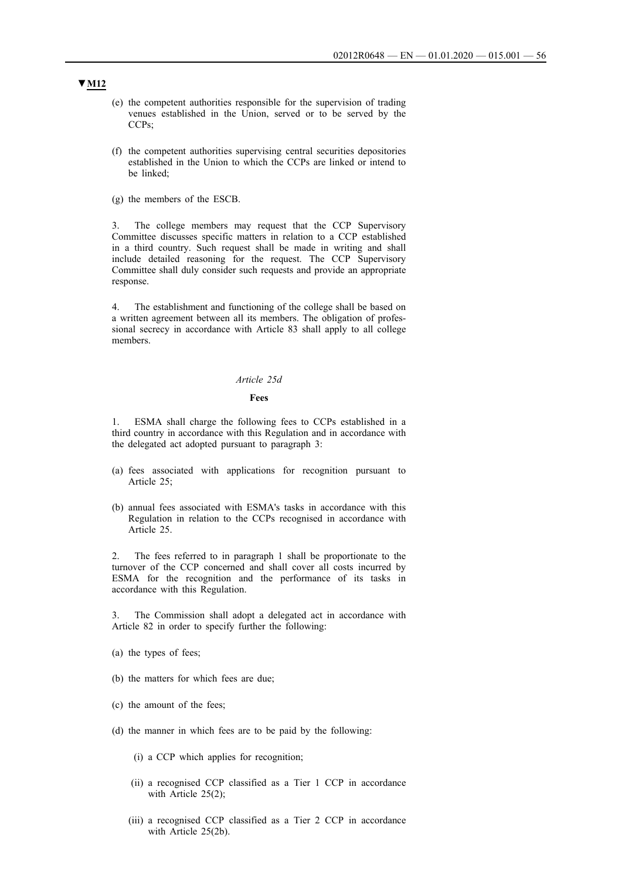# **▼M12**

- (e) the competent authorities responsible for the supervision of trading venues established in the Union, served or to be served by the CCPs;
- (f) the competent authorities supervising central securities depositories established in the Union to which the CCPs are linked or intend to be linked;
- (g) the members of the ESCB.

The college members may request that the CCP Supervisory Committee discusses specific matters in relation to a CCP established in a third country. Such request shall be made in writing and shall include detailed reasoning for the request. The CCP Supervisory Committee shall duly consider such requests and provide an appropriate response.

4. The establishment and functioning of the college shall be based on a written agreement between all its members. The obligation of professional secrecy in accordance with Article 83 shall apply to all college members.

#### *Article 25d*

#### **Fees**

1. ESMA shall charge the following fees to CCPs established in a third country in accordance with this Regulation and in accordance with the delegated act adopted pursuant to paragraph 3:

- (a) fees associated with applications for recognition pursuant to Article 25;
- (b) annual fees associated with ESMA's tasks in accordance with this Regulation in relation to the CCPs recognised in accordance with Article 25.

2. The fees referred to in paragraph 1 shall be proportionate to the turnover of the CCP concerned and shall cover all costs incurred by ESMA for the recognition and the performance of its tasks in accordance with this Regulation.

3. The Commission shall adopt a delegated act in accordance with Article 82 in order to specify further the following:

- (a) the types of fees;
- (b) the matters for which fees are due;
- (c) the amount of the fees;
- (d) the manner in which fees are to be paid by the following:
	- (i) a CCP which applies for recognition;
	- (ii) a recognised CCP classified as a Tier 1 CCP in accordance with Article  $25(2)$ ;
	- (iii) a recognised CCP classified as a Tier 2 CCP in accordance with Article 25(2b).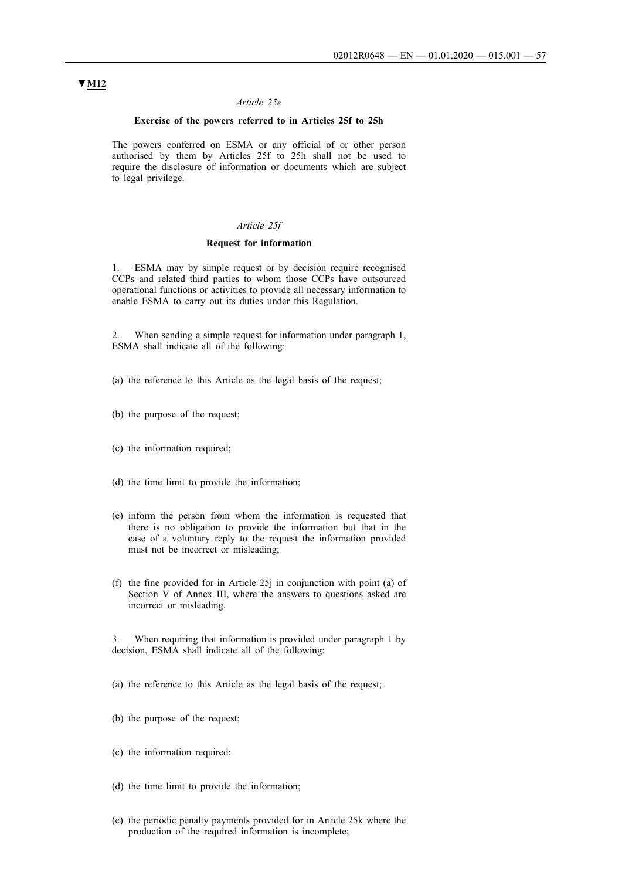#### *Article 25e*

### **Exercise of the powers referred to in Articles 25f to 25h**

The powers conferred on ESMA or any official of or other person authorised by them by Articles 25f to 25h shall not be used to require the disclosure of information or documents which are subject to legal privilege.

## *Article 25f*

### **Request for information**

1. ESMA may by simple request or by decision require recognised CCPs and related third parties to whom those CCPs have outsourced operational functions or activities to provide all necessary information to enable ESMA to carry out its duties under this Regulation.

2. When sending a simple request for information under paragraph 1, ESMA shall indicate all of the following:

- (a) the reference to this Article as the legal basis of the request;
- (b) the purpose of the request;
- (c) the information required;
- (d) the time limit to provide the information;
- (e) inform the person from whom the information is requested that there is no obligation to provide the information but that in the case of a voluntary reply to the request the information provided must not be incorrect or misleading;
- (f) the fine provided for in Article 25j in conjunction with point (a) of Section V of Annex III, where the answers to questions asked are incorrect or misleading.

3. When requiring that information is provided under paragraph 1 by decision, ESMA shall indicate all of the following:

- (a) the reference to this Article as the legal basis of the request;
- (b) the purpose of the request;
- (c) the information required;
- (d) the time limit to provide the information;
- (e) the periodic penalty payments provided for in Article 25k where the production of the required information is incomplete;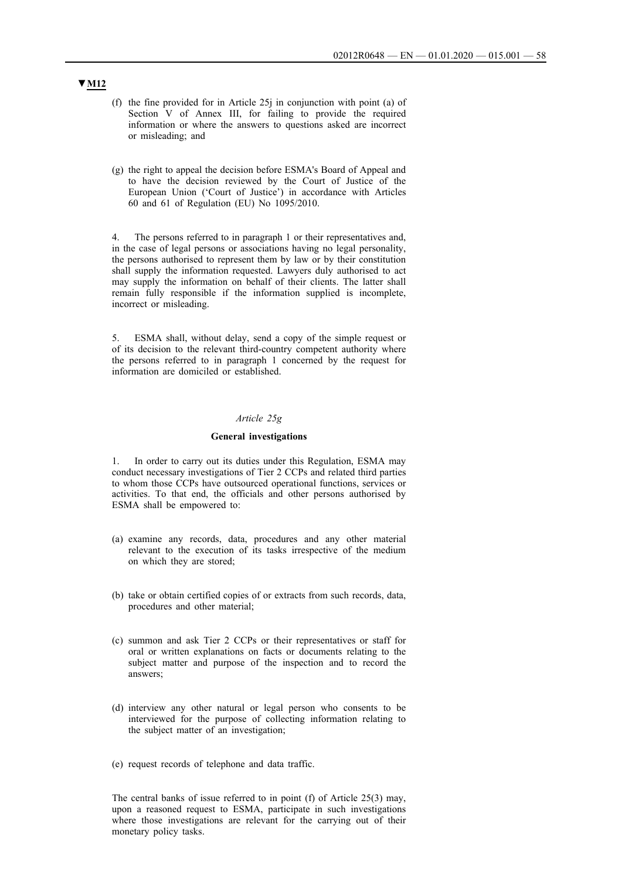- (f) the fine provided for in Article 25j in conjunction with point (a) of Section V of Annex III, for failing to provide the required information or where the answers to questions asked are incorrect or misleading; and
- (g) the right to appeal the decision before ESMA's Board of Appeal and to have the decision reviewed by the Court of Justice of the European Union ('Court of Justice') in accordance with Articles 60 and 61 of Regulation (EU) No 1095/2010.

4. The persons referred to in paragraph 1 or their representatives and, in the case of legal persons or associations having no legal personality, the persons authorised to represent them by law or by their constitution shall supply the information requested. Lawyers duly authorised to act may supply the information on behalf of their clients. The latter shall remain fully responsible if the information supplied is incomplete, incorrect or misleading.

5. ESMA shall, without delay, send a copy of the simple request or of its decision to the relevant third-country competent authority where the persons referred to in paragraph 1 concerned by the request for information are domiciled or established.

### *Article 25g*

#### **General investigations**

1. In order to carry out its duties under this Regulation, ESMA may conduct necessary investigations of Tier 2 CCPs and related third parties to whom those CCPs have outsourced operational functions, services or activities. To that end, the officials and other persons authorised by ESMA shall be empowered to:

- (a) examine any records, data, procedures and any other material relevant to the execution of its tasks irrespective of the medium on which they are stored;
- (b) take or obtain certified copies of or extracts from such records, data, procedures and other material;
- (c) summon and ask Tier 2 CCPs or their representatives or staff for oral or written explanations on facts or documents relating to the subject matter and purpose of the inspection and to record the answers;
- (d) interview any other natural or legal person who consents to be interviewed for the purpose of collecting information relating to the subject matter of an investigation;
- (e) request records of telephone and data traffic.

The central banks of issue referred to in point (f) of Article 25(3) may, upon a reasoned request to ESMA, participate in such investigations where those investigations are relevant for the carrying out of their monetary policy tasks.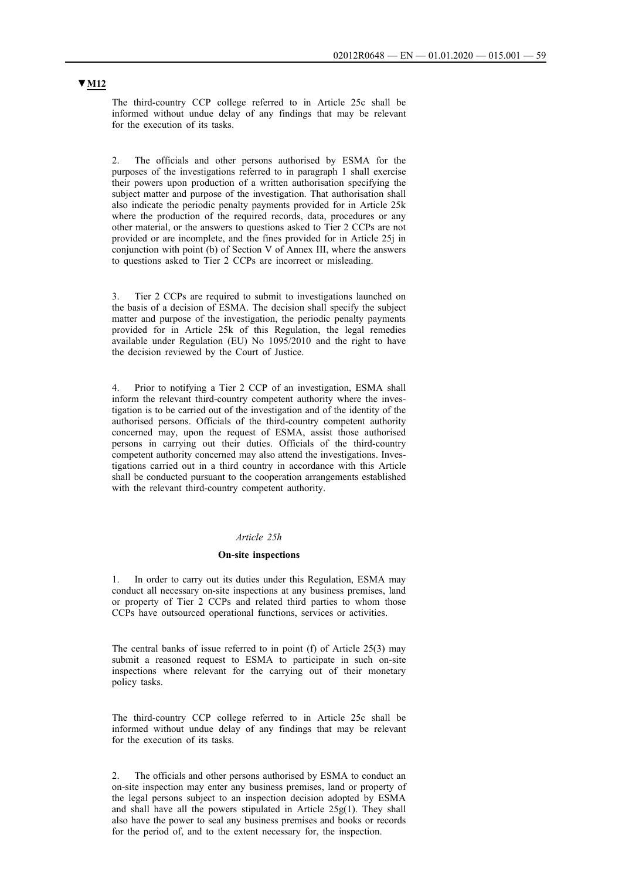The third-country CCP college referred to in Article 25c shall be informed without undue delay of any findings that may be relevant for the execution of its tasks.

2. The officials and other persons authorised by ESMA for the purposes of the investigations referred to in paragraph 1 shall exercise their powers upon production of a written authorisation specifying the subject matter and purpose of the investigation. That authorisation shall also indicate the periodic penalty payments provided for in Article 25k where the production of the required records, data, procedures or any other material, or the answers to questions asked to Tier 2 CCPs are not provided or are incomplete, and the fines provided for in Article 25j in conjunction with point (b) of Section V of Annex III, where the answers to questions asked to Tier 2 CCPs are incorrect or misleading.

3. Tier 2 CCPs are required to submit to investigations launched on the basis of a decision of ESMA. The decision shall specify the subject matter and purpose of the investigation, the periodic penalty payments provided for in Article 25k of this Regulation, the legal remedies available under Regulation (EU) No 1095/2010 and the right to have the decision reviewed by the Court of Justice.

4. Prior to notifying a Tier 2 CCP of an investigation, ESMA shall inform the relevant third-country competent authority where the investigation is to be carried out of the investigation and of the identity of the authorised persons. Officials of the third-country competent authority concerned may, upon the request of ESMA, assist those authorised persons in carrying out their duties. Officials of the third-country competent authority concerned may also attend the investigations. Investigations carried out in a third country in accordance with this Article shall be conducted pursuant to the cooperation arrangements established with the relevant third-country competent authority.

### *Article 25h*

### **On-site inspections**

In order to carry out its duties under this Regulation, ESMA may conduct all necessary on-site inspections at any business premises, land or property of Tier 2 CCPs and related third parties to whom those CCPs have outsourced operational functions, services or activities.

The central banks of issue referred to in point (f) of Article 25(3) may submit a reasoned request to ESMA to participate in such on-site inspections where relevant for the carrying out of their monetary policy tasks.

The third-country CCP college referred to in Article 25c shall be informed without undue delay of any findings that may be relevant for the execution of its tasks.

2. The officials and other persons authorised by ESMA to conduct an on-site inspection may enter any business premises, land or property of the legal persons subject to an inspection decision adopted by ESMA and shall have all the powers stipulated in Article 25g(1). They shall also have the power to seal any business premises and books or records for the period of, and to the extent necessary for, the inspection.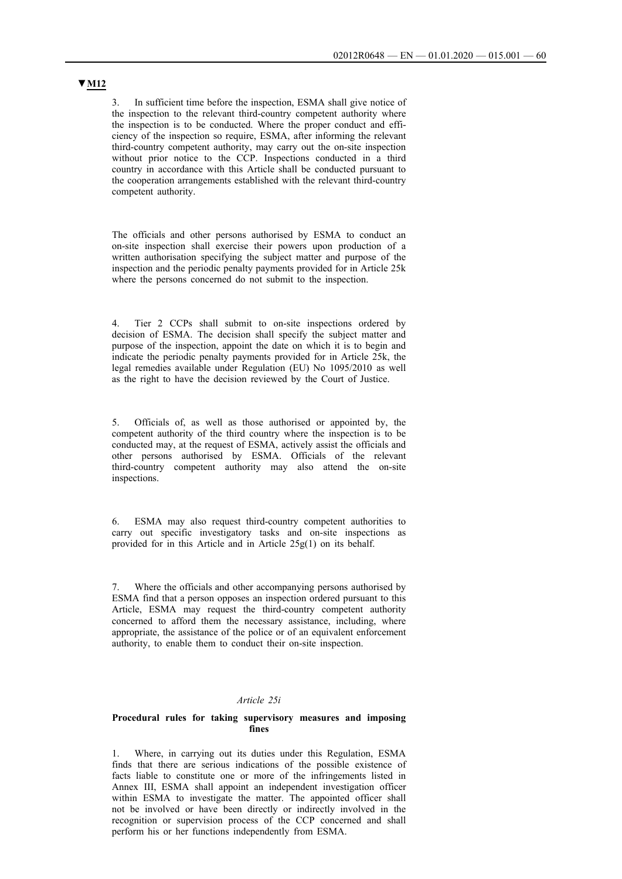3. In sufficient time before the inspection, ESMA shall give notice of the inspection to the relevant third-country competent authority where the inspection is to be conducted. Where the proper conduct and efficiency of the inspection so require, ESMA, after informing the relevant third-country competent authority, may carry out the on-site inspection without prior notice to the CCP. Inspections conducted in a third country in accordance with this Article shall be conducted pursuant to the cooperation arrangements established with the relevant third-country competent authority.

The officials and other persons authorised by ESMA to conduct an on-site inspection shall exercise their powers upon production of a written authorisation specifying the subject matter and purpose of the inspection and the periodic penalty payments provided for in Article 25k where the persons concerned do not submit to the inspection.

4. Tier 2 CCPs shall submit to on-site inspections ordered by decision of ESMA. The decision shall specify the subject matter and purpose of the inspection, appoint the date on which it is to begin and indicate the periodic penalty payments provided for in Article 25k, the legal remedies available under Regulation (EU) No 1095/2010 as well as the right to have the decision reviewed by the Court of Justice.

5. Officials of, as well as those authorised or appointed by, the competent authority of the third country where the inspection is to be conducted may, at the request of ESMA, actively assist the officials and other persons authorised by ESMA. Officials of the relevant third-country competent authority may also attend the on-site inspections.

6. ESMA may also request third-country competent authorities to carry out specific investigatory tasks and on-site inspections as provided for in this Article and in Article 25g(1) on its behalf.

7. Where the officials and other accompanying persons authorised by ESMA find that a person opposes an inspection ordered pursuant to this Article, ESMA may request the third-country competent authority concerned to afford them the necessary assistance, including, where appropriate, the assistance of the police or of an equivalent enforcement authority, to enable them to conduct their on-site inspection.

#### *Article 25i*

#### **Procedural rules for taking supervisory measures and imposing fines**

1. Where, in carrying out its duties under this Regulation, ESMA finds that there are serious indications of the possible existence of facts liable to constitute one or more of the infringements listed in Annex III, ESMA shall appoint an independent investigation officer within ESMA to investigate the matter. The appointed officer shall not be involved or have been directly or indirectly involved in the recognition or supervision process of the CCP concerned and shall perform his or her functions independently from ESMA.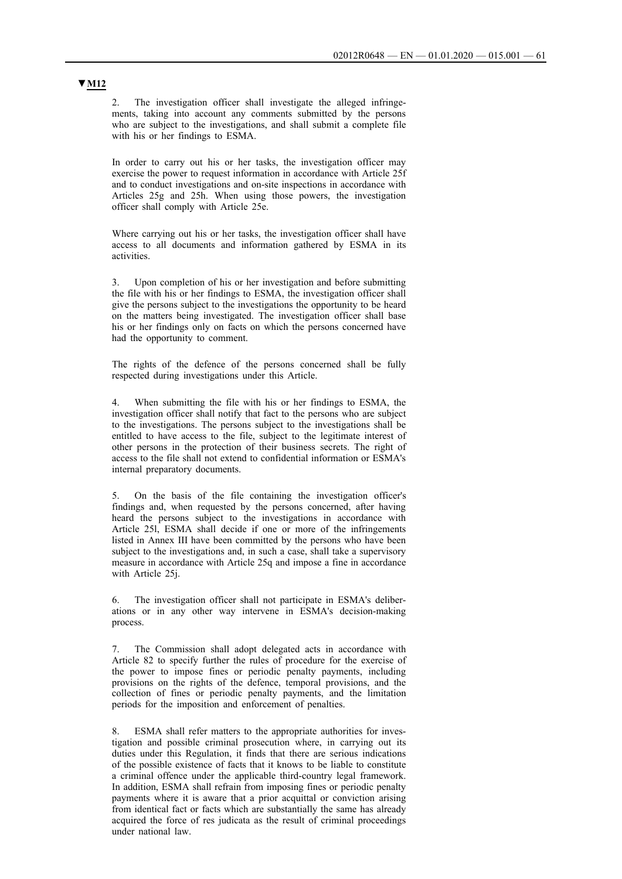2. The investigation officer shall investigate the alleged infringements, taking into account any comments submitted by the persons who are subject to the investigations, and shall submit a complete file with his or her findings to ESMA.

In order to carry out his or her tasks, the investigation officer may exercise the power to request information in accordance with Article 25f and to conduct investigations and on-site inspections in accordance with Articles 25g and 25h. When using those powers, the investigation officer shall comply with Article 25e.

Where carrying out his or her tasks, the investigation officer shall have access to all documents and information gathered by ESMA in its activities.

3. Upon completion of his or her investigation and before submitting the file with his or her findings to ESMA, the investigation officer shall give the persons subject to the investigations the opportunity to be heard on the matters being investigated. The investigation officer shall base his or her findings only on facts on which the persons concerned have had the opportunity to comment.

The rights of the defence of the persons concerned shall be fully respected during investigations under this Article.

4. When submitting the file with his or her findings to ESMA, the investigation officer shall notify that fact to the persons who are subject to the investigations. The persons subject to the investigations shall be entitled to have access to the file, subject to the legitimate interest of other persons in the protection of their business secrets. The right of access to the file shall not extend to confidential information or ESMA's internal preparatory documents.

5. On the basis of the file containing the investigation officer's findings and, when requested by the persons concerned, after having heard the persons subject to the investigations in accordance with Article 25l, ESMA shall decide if one or more of the infringements listed in Annex III have been committed by the persons who have been subject to the investigations and, in such a case, shall take a supervisory measure in accordance with Article 25q and impose a fine in accordance with Article 25j.

The investigation officer shall not participate in ESMA's deliberations or in any other way intervene in ESMA's decision-making process.

7. The Commission shall adopt delegated acts in accordance with Article 82 to specify further the rules of procedure for the exercise of the power to impose fines or periodic penalty payments, including provisions on the rights of the defence, temporal provisions, and the collection of fines or periodic penalty payments, and the limitation periods for the imposition and enforcement of penalties.

ESMA shall refer matters to the appropriate authorities for investigation and possible criminal prosecution where, in carrying out its duties under this Regulation, it finds that there are serious indications of the possible existence of facts that it knows to be liable to constitute a criminal offence under the applicable third-country legal framework. In addition, ESMA shall refrain from imposing fines or periodic penalty payments where it is aware that a prior acquittal or conviction arising from identical fact or facts which are substantially the same has already acquired the force of res judicata as the result of criminal proceedings under national law.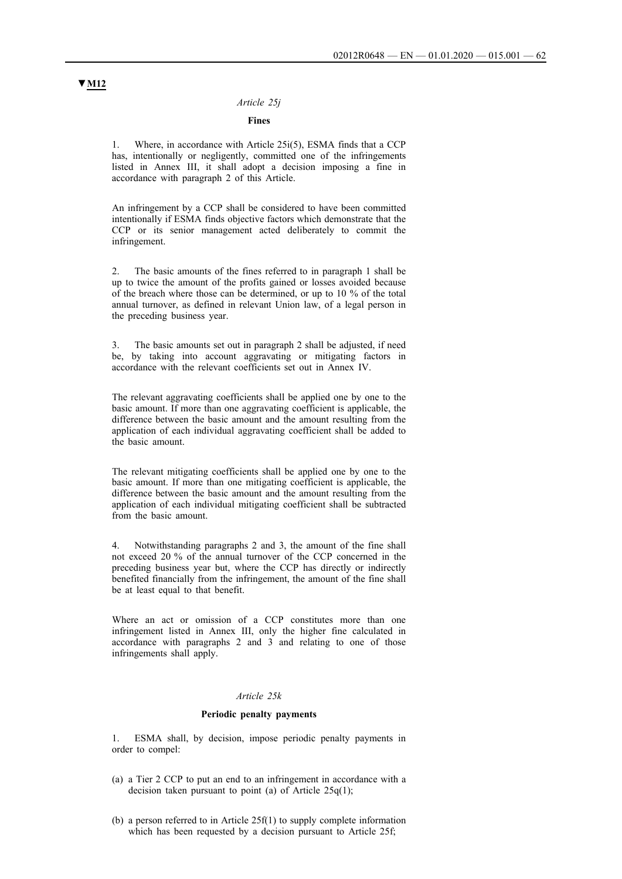### *Article 25j*

# **Fines**

1. Where, in accordance with Article 25i(5), ESMA finds that a CCP has, intentionally or negligently, committed one of the infringements listed in Annex III, it shall adopt a decision imposing a fine in accordance with paragraph 2 of this Article.

An infringement by a CCP shall be considered to have been committed intentionally if ESMA finds objective factors which demonstrate that the CCP or its senior management acted deliberately to commit the infringement.

2. The basic amounts of the fines referred to in paragraph 1 shall be up to twice the amount of the profits gained or losses avoided because of the breach where those can be determined, or up to 10 % of the total annual turnover, as defined in relevant Union law, of a legal person in the preceding business year.

3. The basic amounts set out in paragraph 2 shall be adjusted, if need be, by taking into account aggravating or mitigating factors in accordance with the relevant coefficients set out in Annex IV.

The relevant aggravating coefficients shall be applied one by one to the basic amount. If more than one aggravating coefficient is applicable, the difference between the basic amount and the amount resulting from the application of each individual aggravating coefficient shall be added to the basic amount.

The relevant mitigating coefficients shall be applied one by one to the basic amount. If more than one mitigating coefficient is applicable, the difference between the basic amount and the amount resulting from the application of each individual mitigating coefficient shall be subtracted from the basic amount.

4. Notwithstanding paragraphs 2 and 3, the amount of the fine shall not exceed 20 % of the annual turnover of the CCP concerned in the preceding business year but, where the CCP has directly or indirectly benefited financially from the infringement, the amount of the fine shall be at least equal to that benefit.

Where an act or omission of a CCP constitutes more than one infringement listed in Annex III, only the higher fine calculated in accordance with paragraphs 2 and 3 and relating to one of those infringements shall apply.

#### *Article 25k*

### **Periodic penalty payments**

1. ESMA shall, by decision, impose periodic penalty payments in order to compel:

- (a) a Tier 2 CCP to put an end to an infringement in accordance with a decision taken pursuant to point (a) of Article 25q(1);
- (b) a person referred to in Article 25f(1) to supply complete information which has been requested by a decision pursuant to Article 25f;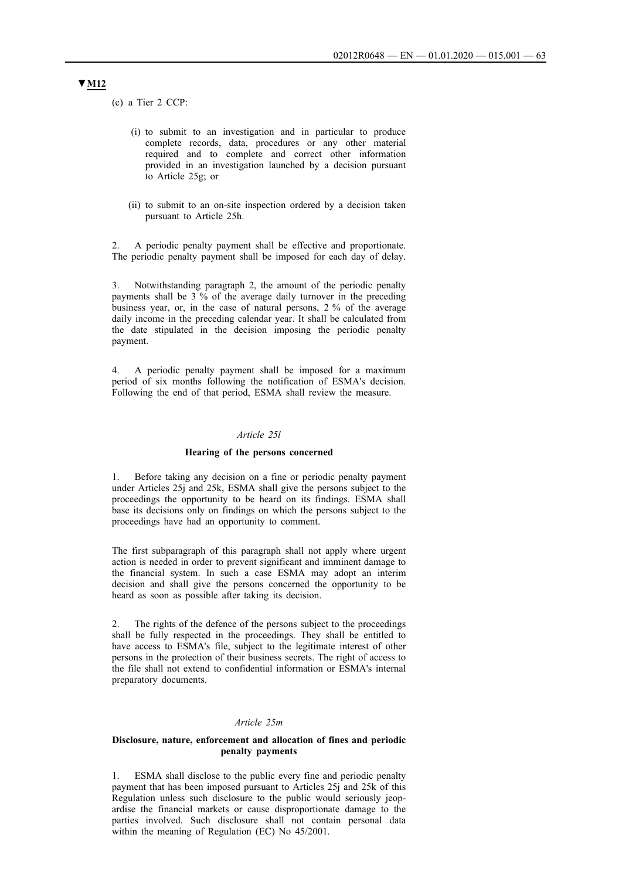(c) a Tier 2 CCP:

- (i) to submit to an investigation and in particular to produce complete records, data, procedures or any other material required and to complete and correct other information provided in an investigation launched by a decision pursuant to Article 25g; or
- (ii) to submit to an on-site inspection ordered by a decision taken pursuant to Article 25h.

2. A periodic penalty payment shall be effective and proportionate. The periodic penalty payment shall be imposed for each day of delay.

3. Notwithstanding paragraph 2, the amount of the periodic penalty payments shall be 3 % of the average daily turnover in the preceding business year, or, in the case of natural persons, 2 % of the average daily income in the preceding calendar year. It shall be calculated from the date stipulated in the decision imposing the periodic penalty payment.

4. A periodic penalty payment shall be imposed for a maximum period of six months following the notification of ESMA's decision. Following the end of that period, ESMA shall review the measure.

#### *Article 25l*

#### **Hearing of the persons concerned**

1. Before taking any decision on a fine or periodic penalty payment under Articles 25j and 25k, ESMA shall give the persons subject to the proceedings the opportunity to be heard on its findings. ESMA shall base its decisions only on findings on which the persons subject to the proceedings have had an opportunity to comment.

The first subparagraph of this paragraph shall not apply where urgent action is needed in order to prevent significant and imminent damage to the financial system. In such a case ESMA may adopt an interim decision and shall give the persons concerned the opportunity to be heard as soon as possible after taking its decision.

2. The rights of the defence of the persons subject to the proceedings shall be fully respected in the proceedings. They shall be entitled to have access to ESMA's file, subject to the legitimate interest of other persons in the protection of their business secrets. The right of access to the file shall not extend to confidential information or ESMA's internal preparatory documents.

### *Article 25m*

#### **Disclosure, nature, enforcement and allocation of fines and periodic penalty payments**

1. ESMA shall disclose to the public every fine and periodic penalty payment that has been imposed pursuant to Articles 25j and 25k of this Regulation unless such disclosure to the public would seriously jeopardise the financial markets or cause disproportionate damage to the parties involved. Such disclosure shall not contain personal data within the meaning of Regulation (EC) No 45/2001.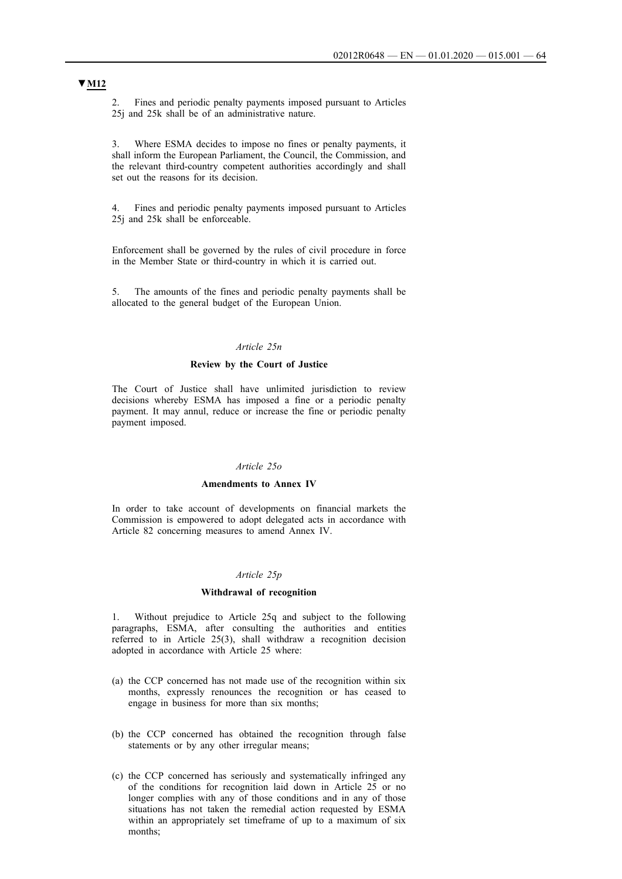2. Fines and periodic penalty payments imposed pursuant to Articles 25j and 25k shall be of an administrative nature.

3. Where ESMA decides to impose no fines or penalty payments, it shall inform the European Parliament, the Council, the Commission, and the relevant third-country competent authorities accordingly and shall set out the reasons for its decision.

Fines and periodic penalty payments imposed pursuant to Articles 25j and 25k shall be enforceable.

Enforcement shall be governed by the rules of civil procedure in force in the Member State or third-country in which it is carried out.

5. The amounts of the fines and periodic penalty payments shall be allocated to the general budget of the European Union.

#### *Article 25n*

# **Review by the Court of Justice**

The Court of Justice shall have unlimited jurisdiction to review decisions whereby ESMA has imposed a fine or a periodic penalty payment. It may annul, reduce or increase the fine or periodic penalty payment imposed.

## *Article 25o*

## **Amendments to Annex IV**

In order to take account of developments on financial markets the Commission is empowered to adopt delegated acts in accordance with Article 82 concerning measures to amend Annex IV.

### *Article 25p*

### **Withdrawal of recognition**

1. Without prejudice to Article 25q and subject to the following paragraphs, ESMA, after consulting the authorities and entities referred to in Article 25(3), shall withdraw a recognition decision adopted in accordance with Article 25 where:

- (a) the CCP concerned has not made use of the recognition within six months, expressly renounces the recognition or has ceased to engage in business for more than six months;
- (b) the CCP concerned has obtained the recognition through false statements or by any other irregular means;
- (c) the CCP concerned has seriously and systematically infringed any of the conditions for recognition laid down in Article 25 or no longer complies with any of those conditions and in any of those situations has not taken the remedial action requested by ESMA within an appropriately set timeframe of up to a maximum of six months;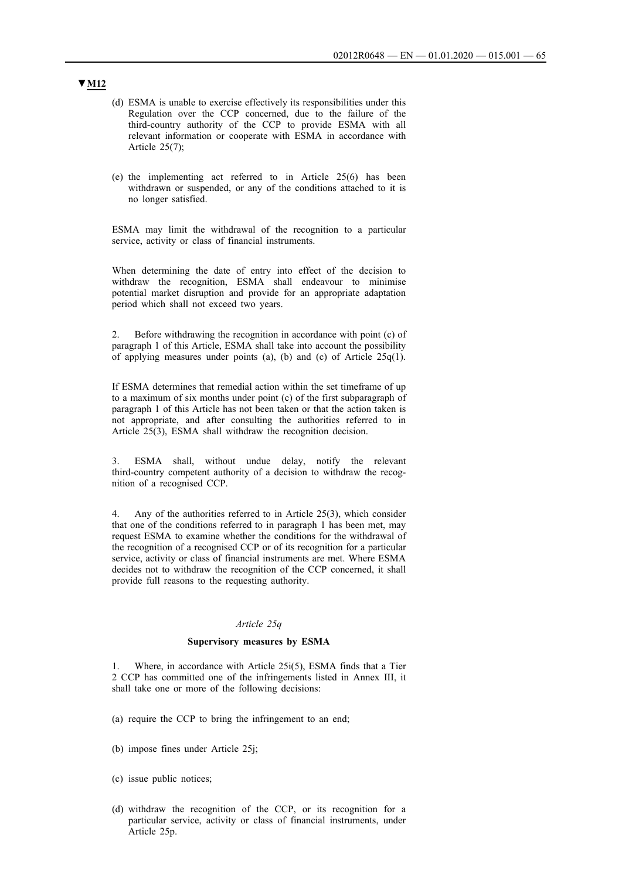- (d) ESMA is unable to exercise effectively its responsibilities under this Regulation over the CCP concerned, due to the failure of the third-country authority of the CCP to provide ESMA with all relevant information or cooperate with ESMA in accordance with Article 25(7);
- (e) the implementing act referred to in Article 25(6) has been withdrawn or suspended, or any of the conditions attached to it is no longer satisfied.

ESMA may limit the withdrawal of the recognition to a particular service, activity or class of financial instruments.

When determining the date of entry into effect of the decision to withdraw the recognition, ESMA shall endeavour to minimise potential market disruption and provide for an appropriate adaptation period which shall not exceed two years.

2. Before withdrawing the recognition in accordance with point (c) of paragraph 1 of this Article, ESMA shall take into account the possibility of applying measures under points (a), (b) and (c) of Article 25q(1).

If ESMA determines that remedial action within the set timeframe of up to a maximum of six months under point (c) of the first subparagraph of paragraph 1 of this Article has not been taken or that the action taken is not appropriate, and after consulting the authorities referred to in Article 25(3), ESMA shall withdraw the recognition decision.

ESMA shall, without undue delay, notify the relevant third-country competent authority of a decision to withdraw the recognition of a recognised CCP.

Any of the authorities referred to in Article  $25(3)$ , which consider that one of the conditions referred to in paragraph 1 has been met, may request ESMA to examine whether the conditions for the withdrawal of the recognition of a recognised CCP or of its recognition for a particular service, activity or class of financial instruments are met. Where ESMA decides not to withdraw the recognition of the CCP concerned, it shall provide full reasons to the requesting authority.

### *Article 25q*

### **Supervisory measures by ESMA**

1. Where, in accordance with Article 25i(5), ESMA finds that a Tier 2 CCP has committed one of the infringements listed in Annex III, it shall take one or more of the following decisions:

- (a) require the CCP to bring the infringement to an end;
- (b) impose fines under Article 25j;
- (c) issue public notices;
- (d) withdraw the recognition of the CCP, or its recognition for a particular service, activity or class of financial instruments, under Article 25p.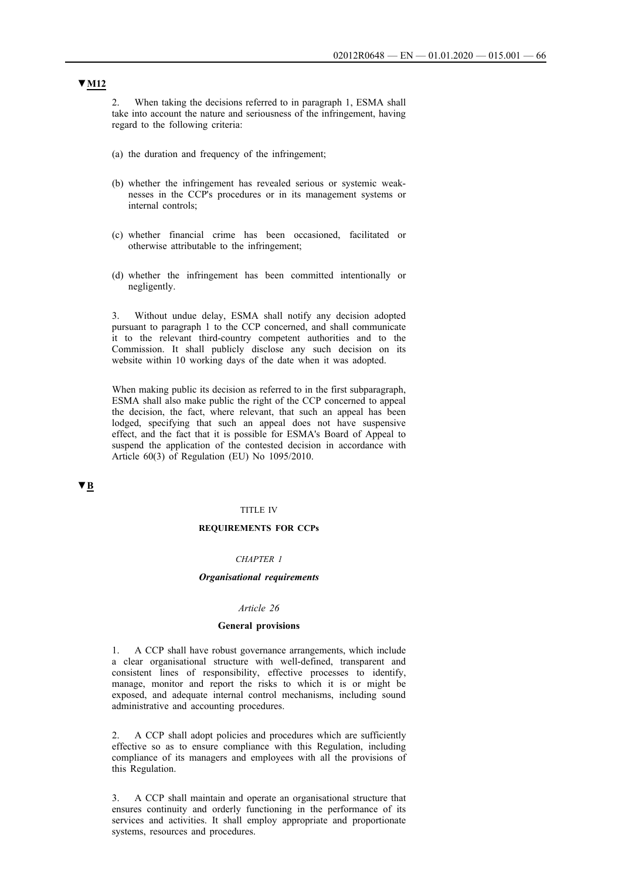When taking the decisions referred to in paragraph 1, ESMA shall take into account the nature and seriousness of the infringement, having regard to the following criteria:

- (a) the duration and frequency of the infringement;
- (b) whether the infringement has revealed serious or systemic weaknesses in the CCP's procedures or in its management systems or internal controls;
- (c) whether financial crime has been occasioned, facilitated or otherwise attributable to the infringement;
- (d) whether the infringement has been committed intentionally or negligently.

3. Without undue delay, ESMA shall notify any decision adopted pursuant to paragraph 1 to the CCP concerned, and shall communicate it to the relevant third-country competent authorities and to the Commission. It shall publicly disclose any such decision on its website within 10 working days of the date when it was adopted.

When making public its decision as referred to in the first subparagraph, ESMA shall also make public the right of the CCP concerned to appeal the decision, the fact, where relevant, that such an appeal has been lodged, specifying that such an appeal does not have suspensive effect, and the fact that it is possible for ESMA's Board of Appeal to suspend the application of the contested decision in accordance with Article 60(3) of Regulation (EU) No 1095/2010.

# **▼B**

### TITLE IV

# **REQUIREMENTS FOR CCPs**

### *CHAPTER 1*

### *Organisational requirements*

### *Article 26*

#### **General provisions**

1. A CCP shall have robust governance arrangements, which include a clear organisational structure with well-defined, transparent and consistent lines of responsibility, effective processes to identify, manage, monitor and report the risks to which it is or might be exposed, and adequate internal control mechanisms, including sound administrative and accounting procedures.

2. A CCP shall adopt policies and procedures which are sufficiently effective so as to ensure compliance with this Regulation, including compliance of its managers and employees with all the provisions of this Regulation.

3. A CCP shall maintain and operate an organisational structure that ensures continuity and orderly functioning in the performance of its services and activities. It shall employ appropriate and proportionate systems, resources and procedures.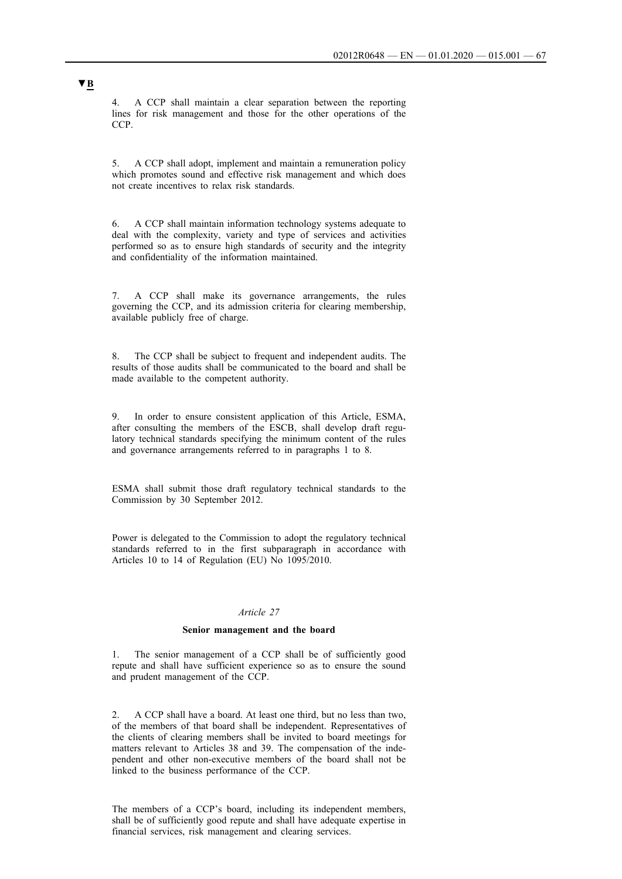4. A CCP shall maintain a clear separation between the reporting lines for risk management and those for the other operations of the CCP.

5. A CCP shall adopt, implement and maintain a remuneration policy which promotes sound and effective risk management and which does not create incentives to relax risk standards.

6. A CCP shall maintain information technology systems adequate to deal with the complexity, variety and type of services and activities performed so as to ensure high standards of security and the integrity and confidentiality of the information maintained.

7. A CCP shall make its governance arrangements, the rules governing the CCP, and its admission criteria for clearing membership, available publicly free of charge.

8. The CCP shall be subject to frequent and independent audits. The results of those audits shall be communicated to the board and shall be made available to the competent authority.

9. In order to ensure consistent application of this Article, ESMA, after consulting the members of the ESCB, shall develop draft regulatory technical standards specifying the minimum content of the rules and governance arrangements referred to in paragraphs 1 to 8.

ESMA shall submit those draft regulatory technical standards to the Commission by 30 September 2012.

Power is delegated to the Commission to adopt the regulatory technical standards referred to in the first subparagraph in accordance with Articles 10 to 14 of Regulation (EU) No 1095/2010.

### *Article 27*

### **Senior management and the board**

1. The senior management of a CCP shall be of sufficiently good repute and shall have sufficient experience so as to ensure the sound and prudent management of the CCP.

2. A CCP shall have a board. At least one third, but no less than two, of the members of that board shall be independent. Representatives of the clients of clearing members shall be invited to board meetings for matters relevant to Articles 38 and 39. The compensation of the independent and other non-executive members of the board shall not be linked to the business performance of the CCP.

The members of a CCP's board, including its independent members, shall be of sufficiently good repute and shall have adequate expertise in financial services, risk management and clearing services.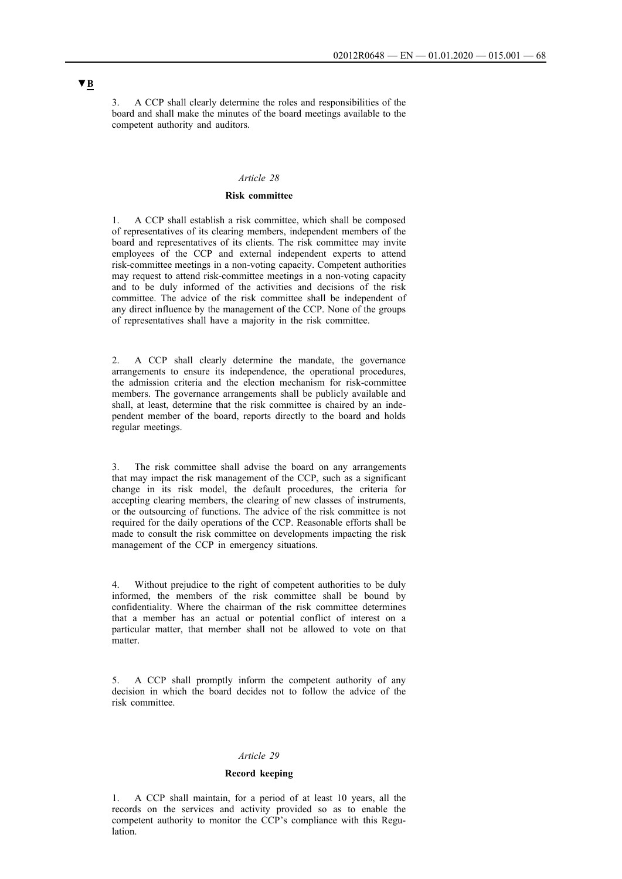3. A CCP shall clearly determine the roles and responsibilities of the board and shall make the minutes of the board meetings available to the competent authority and auditors.

### *Article 28*

#### **Risk committee**

1. A CCP shall establish a risk committee, which shall be composed of representatives of its clearing members, independent members of the board and representatives of its clients. The risk committee may invite employees of the CCP and external independent experts to attend risk-committee meetings in a non-voting capacity. Competent authorities may request to attend risk-committee meetings in a non-voting capacity and to be duly informed of the activities and decisions of the risk committee. The advice of the risk committee shall be independent of any direct influence by the management of the CCP. None of the groups of representatives shall have a majority in the risk committee.

2. A CCP shall clearly determine the mandate, the governance arrangements to ensure its independence, the operational procedures, the admission criteria and the election mechanism for risk-committee members. The governance arrangements shall be publicly available and shall, at least, determine that the risk committee is chaired by an independent member of the board, reports directly to the board and holds regular meetings.

3. The risk committee shall advise the board on any arrangements that may impact the risk management of the CCP, such as a significant change in its risk model, the default procedures, the criteria for accepting clearing members, the clearing of new classes of instruments, or the outsourcing of functions. The advice of the risk committee is not required for the daily operations of the CCP. Reasonable efforts shall be made to consult the risk committee on developments impacting the risk management of the CCP in emergency situations.

4. Without prejudice to the right of competent authorities to be duly informed, the members of the risk committee shall be bound by confidentiality. Where the chairman of the risk committee determines that a member has an actual or potential conflict of interest on a particular matter, that member shall not be allowed to vote on that matter.

5. A CCP shall promptly inform the competent authority of any decision in which the board decides not to follow the advice of the risk committee.

### *Article 29*

### **Record keeping**

1. A CCP shall maintain, for a period of at least 10 years, all the records on the services and activity provided so as to enable the competent authority to monitor the CCP's compliance with this Regulation.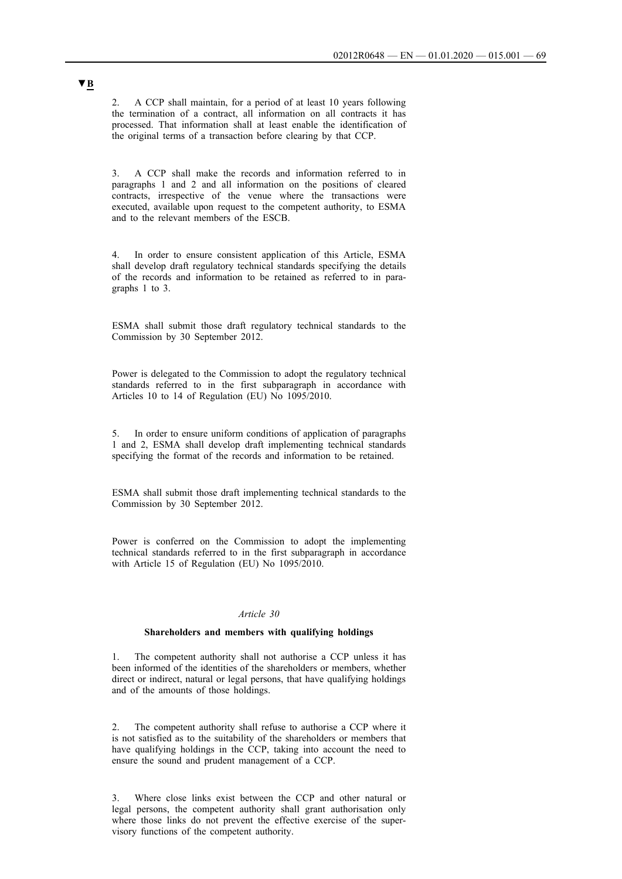2. A CCP shall maintain, for a period of at least 10 years following the termination of a contract, all information on all contracts it has processed. That information shall at least enable the identification of the original terms of a transaction before clearing by that CCP.

3. A CCP shall make the records and information referred to in paragraphs 1 and 2 and all information on the positions of cleared contracts, irrespective of the venue where the transactions were executed, available upon request to the competent authority, to ESMA and to the relevant members of the ESCB.

4. In order to ensure consistent application of this Article, ESMA shall develop draft regulatory technical standards specifying the details of the records and information to be retained as referred to in paragraphs 1 to 3.

ESMA shall submit those draft regulatory technical standards to the Commission by 30 September 2012.

Power is delegated to the Commission to adopt the regulatory technical standards referred to in the first subparagraph in accordance with Articles 10 to 14 of Regulation (EU) No 1095/2010.

5. In order to ensure uniform conditions of application of paragraphs 1 and 2, ESMA shall develop draft implementing technical standards specifying the format of the records and information to be retained.

ESMA shall submit those draft implementing technical standards to the Commission by 30 September 2012.

Power is conferred on the Commission to adopt the implementing technical standards referred to in the first subparagraph in accordance with Article 15 of Regulation (EU) No 1095/2010.

#### *Article 30*

#### **Shareholders and members with qualifying holdings**

1. The competent authority shall not authorise a CCP unless it has been informed of the identities of the shareholders or members, whether direct or indirect, natural or legal persons, that have qualifying holdings and of the amounts of those holdings.

2. The competent authority shall refuse to authorise a CCP where it is not satisfied as to the suitability of the shareholders or members that have qualifying holdings in the CCP, taking into account the need to ensure the sound and prudent management of a CCP.

3. Where close links exist between the CCP and other natural or legal persons, the competent authority shall grant authorisation only where those links do not prevent the effective exercise of the supervisory functions of the competent authority.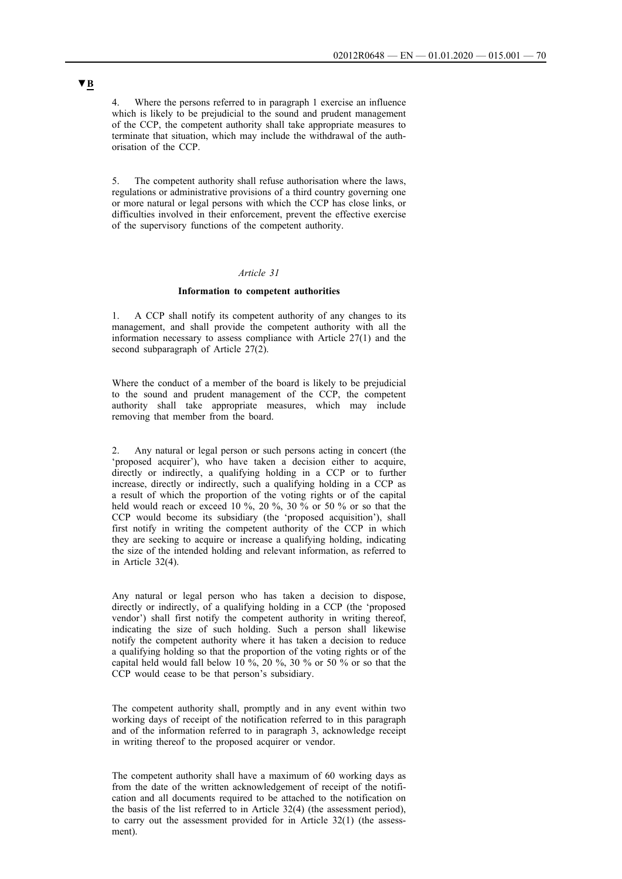4. Where the persons referred to in paragraph 1 exercise an influence which is likely to be prejudicial to the sound and prudent management of the CCP, the competent authority shall take appropriate measures to terminate that situation, which may include the withdrawal of the authorisation of the CCP.

5. The competent authority shall refuse authorisation where the laws, regulations or administrative provisions of a third country governing one or more natural or legal persons with which the CCP has close links, or difficulties involved in their enforcement, prevent the effective exercise of the supervisory functions of the competent authority.

#### *Article 31*

### **Information to competent authorities**

1. A CCP shall notify its competent authority of any changes to its management, and shall provide the competent authority with all the information necessary to assess compliance with Article 27(1) and the second subparagraph of Article 27(2).

Where the conduct of a member of the board is likely to be prejudicial to the sound and prudent management of the CCP, the competent authority shall take appropriate measures, which may include removing that member from the board.

2. Any natural or legal person or such persons acting in concert (the 'proposed acquirer'), who have taken a decision either to acquire, directly or indirectly, a qualifying holding in a CCP or to further increase, directly or indirectly, such a qualifying holding in a CCP as a result of which the proportion of the voting rights or of the capital held would reach or exceed 10 %, 20 %, 30 % or 50 % or so that the CCP would become its subsidiary (the 'proposed acquisition'), shall first notify in writing the competent authority of the CCP in which they are seeking to acquire or increase a qualifying holding, indicating the size of the intended holding and relevant information, as referred to in Article 32(4).

Any natural or legal person who has taken a decision to dispose, directly or indirectly, of a qualifying holding in a CCP (the 'proposed vendor') shall first notify the competent authority in writing thereof, indicating the size of such holding. Such a person shall likewise notify the competent authority where it has taken a decision to reduce a qualifying holding so that the proportion of the voting rights or of the capital held would fall below 10 %, 20 %, 30 % or 50 % or so that the CCP would cease to be that person's subsidiary.

The competent authority shall, promptly and in any event within two working days of receipt of the notification referred to in this paragraph and of the information referred to in paragraph 3, acknowledge receipt in writing thereof to the proposed acquirer or vendor.

The competent authority shall have a maximum of 60 working days as from the date of the written acknowledgement of receipt of the notification and all documents required to be attached to the notification on the basis of the list referred to in Article 32(4) (the assessment period), to carry out the assessment provided for in Article 32(1) (the assessment).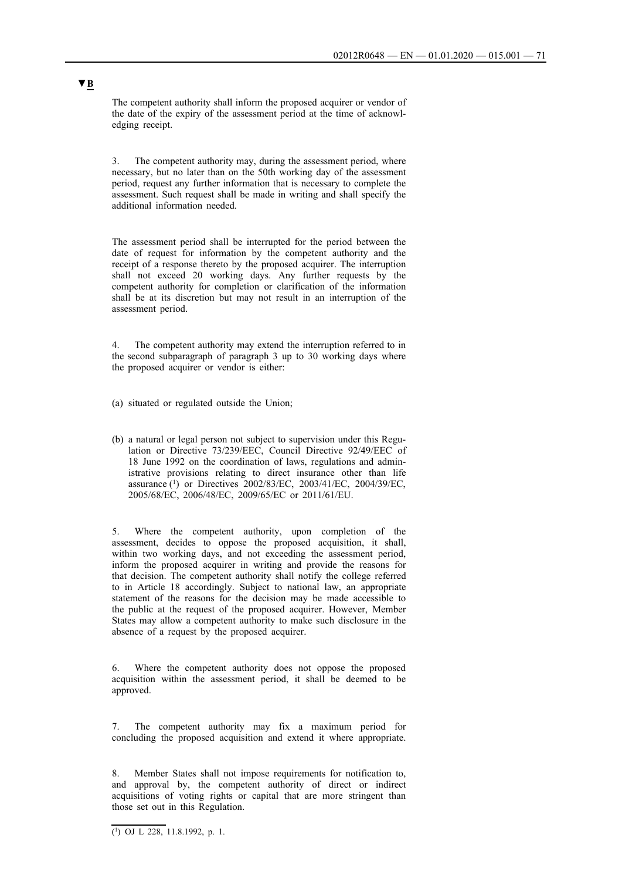The competent authority shall inform the proposed acquirer or vendor of the date of the expiry of the assessment period at the time of acknowledging receipt.

3. The competent authority may, during the assessment period, where necessary, but no later than on the 50th working day of the assessment period, request any further information that is necessary to complete the assessment. Such request shall be made in writing and shall specify the additional information needed.

The assessment period shall be interrupted for the period between the date of request for information by the competent authority and the receipt of a response thereto by the proposed acquirer. The interruption shall not exceed 20 working days. Any further requests by the competent authority for completion or clarification of the information shall be at its discretion but may not result in an interruption of the assessment period.

4. The competent authority may extend the interruption referred to in the second subparagraph of paragraph 3 up to 30 working days where the proposed acquirer or vendor is either:

- (a) situated or regulated outside the Union;
- (b) a natural or legal person not subject to supervision under this Regulation or Directive 73/239/EEC, Council Directive 92/49/EEC of 18 June 1992 on the coordination of laws, regulations and administrative provisions relating to direct insurance other than life assurance (1) or Directives 2002/83/EC, 2003/41/EC, 2004/39/EC, 2005/68/EC, 2006/48/EC, 2009/65/EC or 2011/61/EU.

5. Where the competent authority, upon completion of the assessment, decides to oppose the proposed acquisition, it shall, within two working days, and not exceeding the assessment period, inform the proposed acquirer in writing and provide the reasons for that decision. The competent authority shall notify the college referred to in Article 18 accordingly. Subject to national law, an appropriate statement of the reasons for the decision may be made accessible to the public at the request of the proposed acquirer. However, Member States may allow a competent authority to make such disclosure in the absence of a request by the proposed acquirer.

6. Where the competent authority does not oppose the proposed acquisition within the assessment period, it shall be deemed to be approved.

The competent authority may fix a maximum period for concluding the proposed acquisition and extend it where appropriate.

8. Member States shall not impose requirements for notification to, and approval by, the competent authority of direct or indirect acquisitions of voting rights or capital that are more stringent than those set out in this Regulation.

 $\overline{(^1)}$  OJ L 228, 11.8.1992, p. 1.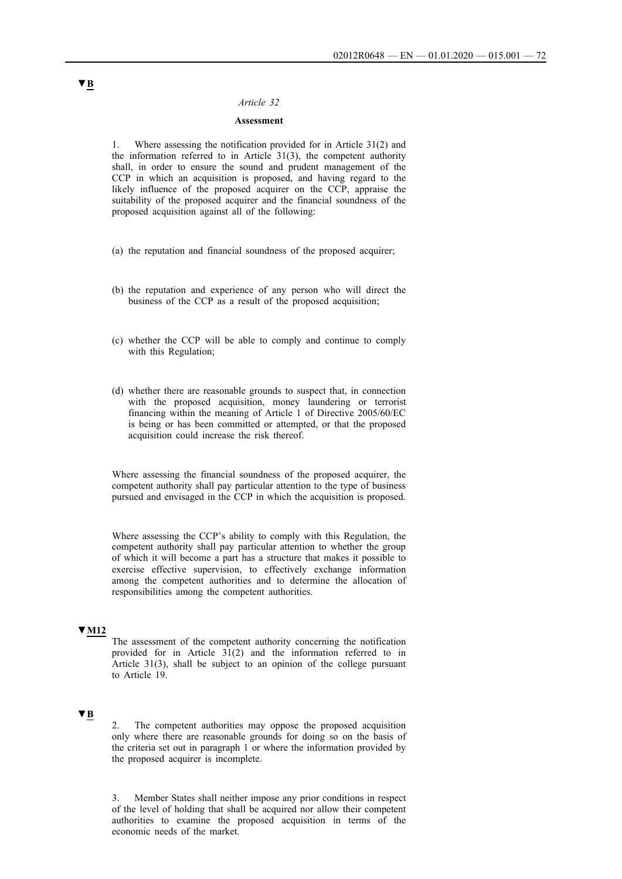### *Article 32*

### **Assessment**

1. Where assessing the notification provided for in Article 31(2) and the information referred to in Article 31(3), the competent authority shall, in order to ensure the sound and prudent management of the CCP in which an acquisition is proposed, and having regard to the likely influence of the proposed acquirer on the CCP, appraise the suitability of the proposed acquirer and the financial soundness of the proposed acquisition against all of the following:

- (a) the reputation and financial soundness of the proposed acquirer;
- (b) the reputation and experience of any person who will direct the business of the CCP as a result of the proposed acquisition;
- (c) whether the CCP will be able to comply and continue to comply with this Regulation;
- (d) whether there are reasonable grounds to suspect that, in connection with the proposed acquisition, money laundering or terrorist financing within the meaning of Article 1 of Directive 2005/60/EC is being or has been committed or attempted, or that the proposed acquisition could increase the risk thereof.

Where assessing the financial soundness of the proposed acquirer, the competent authority shall pay particular attention to the type of business pursued and envisaged in the CCP in which the acquisition is proposed.

Where assessing the CCP's ability to comply with this Regulation, the competent authority shall pay particular attention to whether the group of which it will become a part has a structure that makes it possible to exercise effective supervision, to effectively exchange information among the competent authorities and to determine the allocation of responsibilities among the competent authorities.

# **▼M12**

The assessment of the competent authority concerning the notification provided for in Article 31(2) and the information referred to in Article 31(3), shall be subject to an opinion of the college pursuant to Article 19.

# **▼B**

2. The competent authorities may oppose the proposed acquisition only where there are reasonable grounds for doing so on the basis of the criteria set out in paragraph 1 or where the information provided by the proposed acquirer is incomplete.

3. Member States shall neither impose any prior conditions in respect of the level of holding that shall be acquired nor allow their competent authorities to examine the proposed acquisition in terms of the economic needs of the market.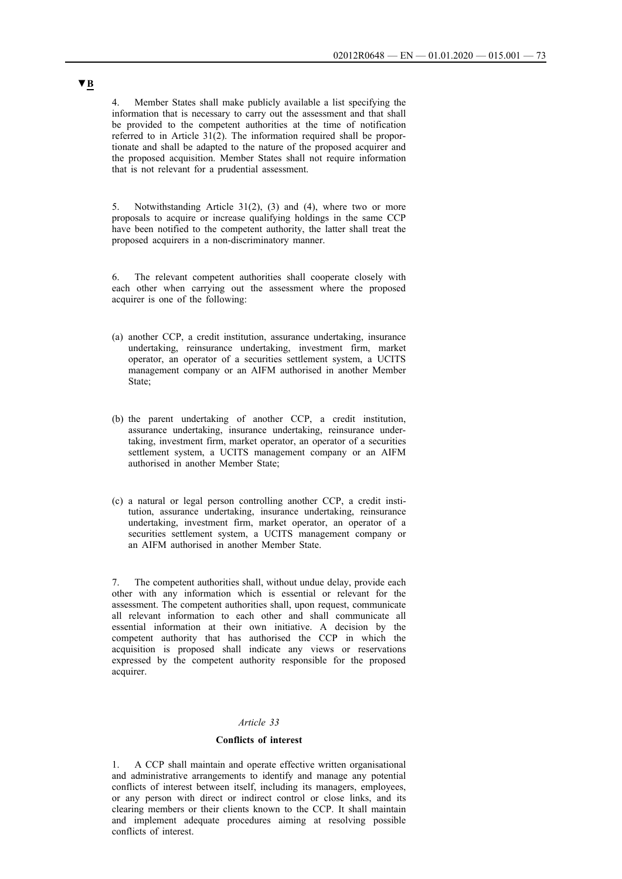4. Member States shall make publicly available a list specifying the information that is necessary to carry out the assessment and that shall be provided to the competent authorities at the time of notification referred to in Article  $31(2)$ . The information required shall be proportionate and shall be adapted to the nature of the proposed acquirer and the proposed acquisition. Member States shall not require information that is not relevant for a prudential assessment.

5. Notwithstanding Article 31(2), (3) and (4), where two or more proposals to acquire or increase qualifying holdings in the same CCP have been notified to the competent authority, the latter shall treat the proposed acquirers in a non-discriminatory manner.

6. The relevant competent authorities shall cooperate closely with each other when carrying out the assessment where the proposed acquirer is one of the following:

- (a) another CCP, a credit institution, assurance undertaking, insurance undertaking, reinsurance undertaking, investment firm, market operator, an operator of a securities settlement system, a UCITS management company or an AIFM authorised in another Member State;
- (b) the parent undertaking of another CCP, a credit institution, assurance undertaking, insurance undertaking, reinsurance undertaking, investment firm, market operator, an operator of a securities settlement system, a UCITS management company or an AIFM authorised in another Member State;
- (c) a natural or legal person controlling another CCP, a credit institution, assurance undertaking, insurance undertaking, reinsurance undertaking, investment firm, market operator, an operator of a securities settlement system, a UCITS management company or an AIFM authorised in another Member State.

7. The competent authorities shall, without undue delay, provide each other with any information which is essential or relevant for the assessment. The competent authorities shall, upon request, communicate all relevant information to each other and shall communicate all essential information at their own initiative. A decision by the competent authority that has authorised the CCP in which the acquisition is proposed shall indicate any views or reservations expressed by the competent authority responsible for the proposed acquirer.

## *Article 33*

#### **Conflicts of interest**

1. A CCP shall maintain and operate effective written organisational and administrative arrangements to identify and manage any potential conflicts of interest between itself, including its managers, employees, or any person with direct or indirect control or close links, and its clearing members or their clients known to the CCP. It shall maintain and implement adequate procedures aiming at resolving possible conflicts of interest.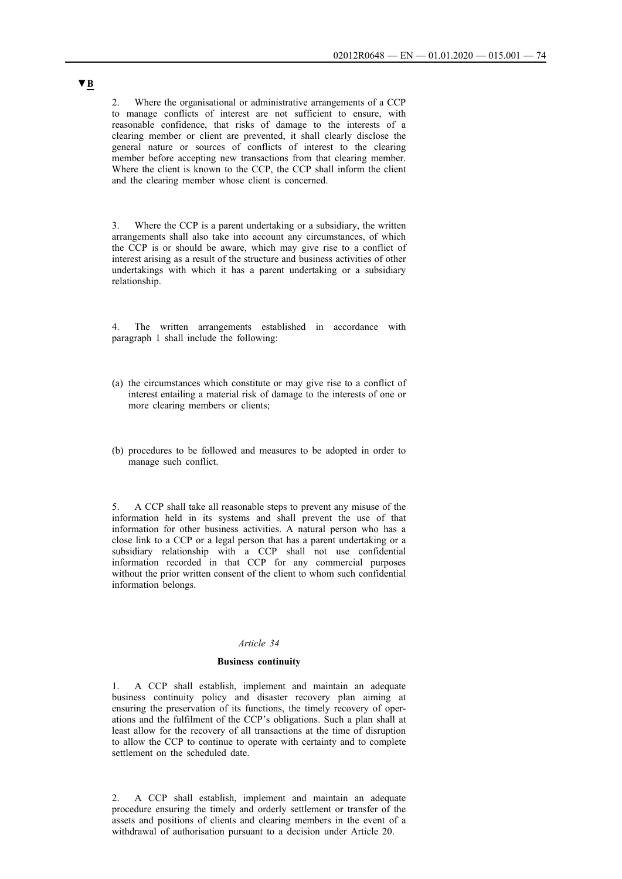2. Where the organisational or administrative arrangements of a CCP to manage conflicts of interest are not sufficient to ensure, with reasonable confidence, that risks of damage to the interests of a clearing member or client are prevented, it shall clearly disclose the general nature or sources of conflicts of interest to the clearing member before accepting new transactions from that clearing member. Where the client is known to the CCP, the CCP shall inform the client and the clearing member whose client is concerned.

3. Where the CCP is a parent undertaking or a subsidiary, the written arrangements shall also take into account any circumstances, of which the CCP is or should be aware, which may give rise to a conflict of interest arising as a result of the structure and business activities of other undertakings with which it has a parent undertaking or a subsidiary relationship.

4. The written arrangements established in accordance with paragraph 1 shall include the following:

- (a) the circumstances which constitute or may give rise to a conflict of interest entailing a material risk of damage to the interests of one or more clearing members or clients;
- (b) procedures to be followed and measures to be adopted in order to manage such conflict.

5. A CCP shall take all reasonable steps to prevent any misuse of the information held in its systems and shall prevent the use of that information for other business activities. A natural person who has a close link to a CCP or a legal person that has a parent undertaking or a subsidiary relationship with a CCP shall not use confidential information recorded in that CCP for any commercial purposes without the prior written consent of the client to whom such confidential information belongs.

### *Article 34*

#### **Business continuity**

1. A CCP shall establish, implement and maintain an adequate business continuity policy and disaster recovery plan aiming at ensuring the preservation of its functions, the timely recovery of operations and the fulfilment of the CCP's obligations. Such a plan shall at least allow for the recovery of all transactions at the time of disruption to allow the CCP to continue to operate with certainty and to complete settlement on the scheduled date.

2. A CCP shall establish, implement and maintain an adequate procedure ensuring the timely and orderly settlement or transfer of the assets and positions of clients and clearing members in the event of a withdrawal of authorisation pursuant to a decision under Article 20.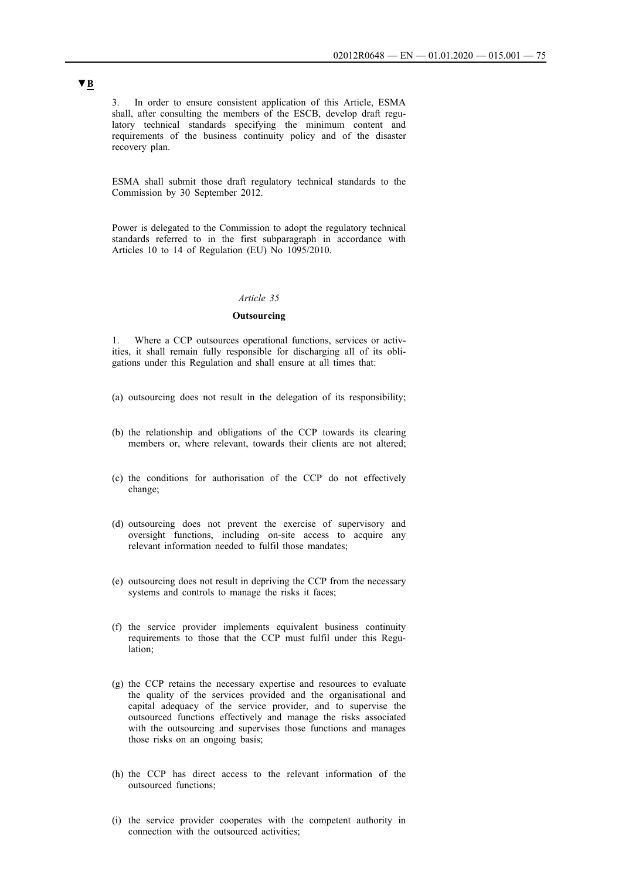3. In order to ensure consistent application of this Article, ESMA shall, after consulting the members of the ESCB, develop draft regulatory technical standards specifying the minimum content and requirements of the business continuity policy and of the disaster recovery plan.

ESMA shall submit those draft regulatory technical standards to the Commission by 30 September 2012.

Power is delegated to the Commission to adopt the regulatory technical standards referred to in the first subparagraph in accordance with Articles 10 to 14 of Regulation (EU) No 1095/2010.

#### *Article 35*

## **Outsourcing**

1. Where a CCP outsources operational functions, services or activities, it shall remain fully responsible for discharging all of its obligations under this Regulation and shall ensure at all times that:

- (a) outsourcing does not result in the delegation of its responsibility;
- (b) the relationship and obligations of the CCP towards its clearing members or, where relevant, towards their clients are not altered;
- (c) the conditions for authorisation of the CCP do not effectively change;
- (d) outsourcing does not prevent the exercise of supervisory and oversight functions, including on-site access to acquire any relevant information needed to fulfil those mandates;
- (e) outsourcing does not result in depriving the CCP from the necessary systems and controls to manage the risks it faces;
- (f) the service provider implements equivalent business continuity requirements to those that the CCP must fulfil under this Regulation;
- (g) the CCP retains the necessary expertise and resources to evaluate the quality of the services provided and the organisational and capital adequacy of the service provider, and to supervise the outsourced functions effectively and manage the risks associated with the outsourcing and supervises those functions and manages those risks on an ongoing basis;
- (h) the CCP has direct access to the relevant information of the outsourced functions;
- (i) the service provider cooperates with the competent authority in connection with the outsourced activities;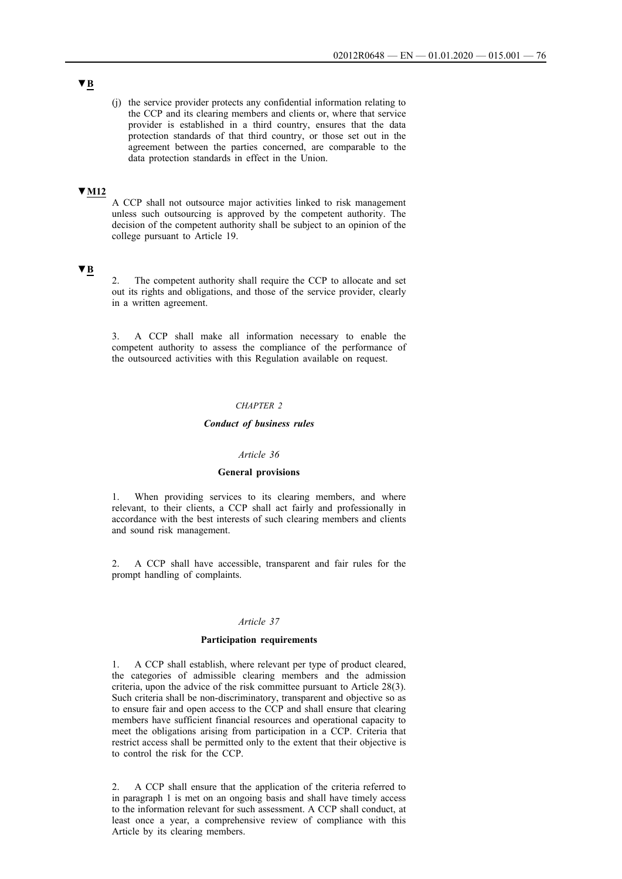(j) the service provider protects any confidential information relating to the CCP and its clearing members and clients or, where that service provider is established in a third country, ensures that the data protection standards of that third country, or those set out in the agreement between the parties concerned, are comparable to the data protection standards in effect in the Union.

# **▼M12**

A CCP shall not outsource major activities linked to risk management unless such outsourcing is approved by the competent authority. The decision of the competent authority shall be subject to an opinion of the college pursuant to Article 19.

# **▼B**

2. The competent authority shall require the CCP to allocate and set out its rights and obligations, and those of the service provider, clearly in a written agreement.

3. A CCP shall make all information necessary to enable the competent authority to assess the compliance of the performance of the outsourced activities with this Regulation available on request.

### *CHAPTER 2*

### *Conduct of business rules*

### *Article 36*

## **General provisions**

1. When providing services to its clearing members, and where relevant, to their clients, a CCP shall act fairly and professionally in accordance with the best interests of such clearing members and clients and sound risk management.

2. A CCP shall have accessible, transparent and fair rules for the prompt handling of complaints.

## *Article 37*

## **Participation requirements**

1. A CCP shall establish, where relevant per type of product cleared, the categories of admissible clearing members and the admission criteria, upon the advice of the risk committee pursuant to Article 28(3). Such criteria shall be non-discriminatory, transparent and objective so as to ensure fair and open access to the CCP and shall ensure that clearing members have sufficient financial resources and operational capacity to meet the obligations arising from participation in a CCP. Criteria that restrict access shall be permitted only to the extent that their objective is to control the risk for the CCP.

2. A CCP shall ensure that the application of the criteria referred to in paragraph 1 is met on an ongoing basis and shall have timely access to the information relevant for such assessment. A CCP shall conduct, at least once a year, a comprehensive review of compliance with this Article by its clearing members.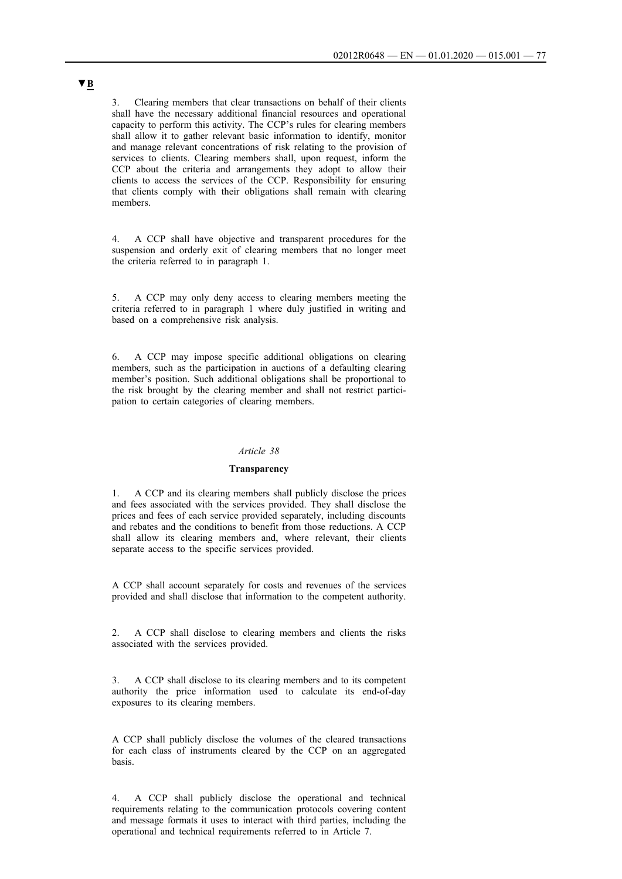3. Clearing members that clear transactions on behalf of their clients shall have the necessary additional financial resources and operational capacity to perform this activity. The CCP's rules for clearing members shall allow it to gather relevant basic information to identify, monitor and manage relevant concentrations of risk relating to the provision of services to clients. Clearing members shall, upon request, inform the CCP about the criteria and arrangements they adopt to allow their clients to access the services of the CCP. Responsibility for ensuring that clients comply with their obligations shall remain with clearing members.

4. A CCP shall have objective and transparent procedures for the suspension and orderly exit of clearing members that no longer meet the criteria referred to in paragraph 1.

5. A CCP may only deny access to clearing members meeting the criteria referred to in paragraph 1 where duly justified in writing and based on a comprehensive risk analysis.

6. A CCP may impose specific additional obligations on clearing members, such as the participation in auctions of a defaulting clearing member's position. Such additional obligations shall be proportional to the risk brought by the clearing member and shall not restrict participation to certain categories of clearing members.

#### *Article 38*

### **Transparency**

1. A CCP and its clearing members shall publicly disclose the prices and fees associated with the services provided. They shall disclose the prices and fees of each service provided separately, including discounts and rebates and the conditions to benefit from those reductions. A CCP shall allow its clearing members and, where relevant, their clients separate access to the specific services provided.

A CCP shall account separately for costs and revenues of the services provided and shall disclose that information to the competent authority.

2. A CCP shall disclose to clearing members and clients the risks associated with the services provided.

3. A CCP shall disclose to its clearing members and to its competent authority the price information used to calculate its end-of-day exposures to its clearing members.

A CCP shall publicly disclose the volumes of the cleared transactions for each class of instruments cleared by the CCP on an aggregated basis.

4. A CCP shall publicly disclose the operational and technical requirements relating to the communication protocols covering content and message formats it uses to interact with third parties, including the operational and technical requirements referred to in Article 7.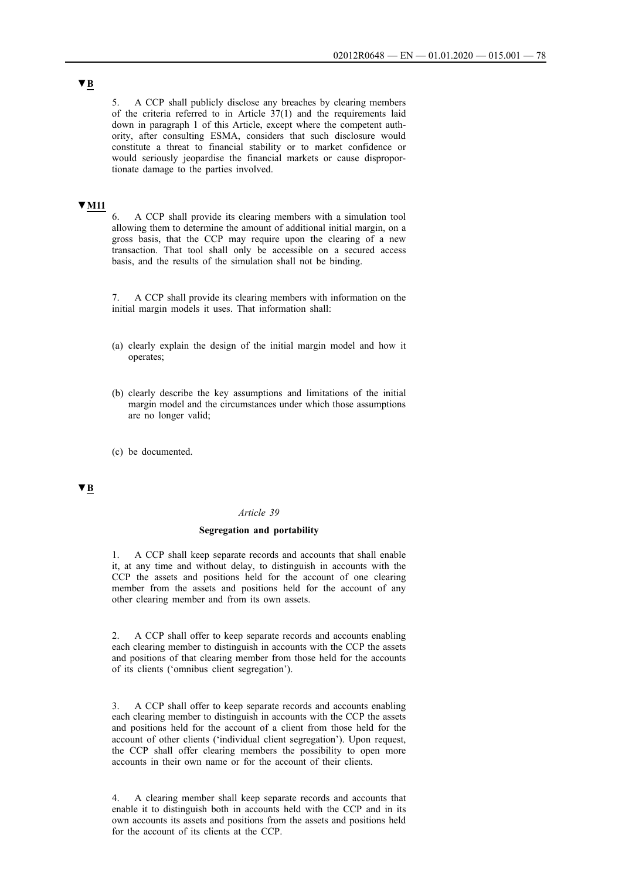5. A CCP shall publicly disclose any breaches by clearing members of the criteria referred to in Article 37(1) and the requirements laid down in paragraph 1 of this Article, except where the competent authority, after consulting ESMA, considers that such disclosure would constitute a threat to financial stability or to market confidence or would seriously jeopardise the financial markets or cause disproportionate damage to the parties involved.

# **▼M11**

6. A CCP shall provide its clearing members with a simulation tool allowing them to determine the amount of additional initial margin, on a gross basis, that the CCP may require upon the clearing of a new transaction. That tool shall only be accessible on a secured access basis, and the results of the simulation shall not be binding.

7. A CCP shall provide its clearing members with information on the initial margin models it uses. That information shall:

- (a) clearly explain the design of the initial margin model and how it operates;
- (b) clearly describe the key assumptions and limitations of the initial margin model and the circumstances under which those assumptions are no longer valid;
- (c) be documented.

### **▼B**

#### *Article 39*

## **Segregation and portability**

1. A CCP shall keep separate records and accounts that shall enable it, at any time and without delay, to distinguish in accounts with the CCP the assets and positions held for the account of one clearing member from the assets and positions held for the account of any other clearing member and from its own assets.

2. A CCP shall offer to keep separate records and accounts enabling each clearing member to distinguish in accounts with the CCP the assets and positions of that clearing member from those held for the accounts of its clients ('omnibus client segregation').

3. A CCP shall offer to keep separate records and accounts enabling each clearing member to distinguish in accounts with the CCP the assets and positions held for the account of a client from those held for the account of other clients ('individual client segregation'). Upon request, the CCP shall offer clearing members the possibility to open more accounts in their own name or for the account of their clients.

4. A clearing member shall keep separate records and accounts that enable it to distinguish both in accounts held with the CCP and in its own accounts its assets and positions from the assets and positions held for the account of its clients at the CCP.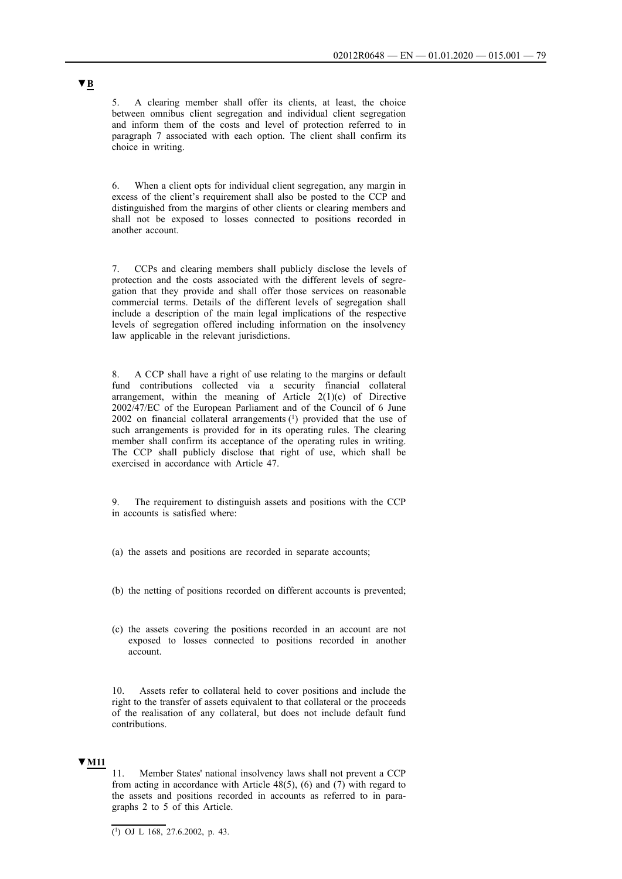5. A clearing member shall offer its clients, at least, the choice between omnibus client segregation and individual client segregation and inform them of the costs and level of protection referred to in paragraph 7 associated with each option. The client shall confirm its choice in writing.

6. When a client opts for individual client segregation, any margin in excess of the client's requirement shall also be posted to the CCP and distinguished from the margins of other clients or clearing members and shall not be exposed to losses connected to positions recorded in another account.

7. CCPs and clearing members shall publicly disclose the levels of protection and the costs associated with the different levels of segregation that they provide and shall offer those services on reasonable commercial terms. Details of the different levels of segregation shall include a description of the main legal implications of the respective levels of segregation offered including information on the insolvency law applicable in the relevant jurisdictions.

8. A CCP shall have a right of use relating to the margins or default fund contributions collected via a security financial collateral arrangement, within the meaning of Article  $2(1)(c)$  of Directive 2002/47/EC of the European Parliament and of the Council of 6 June  $2002$  on financial collateral arrangements  $(1)$  provided that the use of such arrangements is provided for in its operating rules. The clearing member shall confirm its acceptance of the operating rules in writing. The CCP shall publicly disclose that right of use, which shall be exercised in accordance with Article 47.

9. The requirement to distinguish assets and positions with the CCP in accounts is satisfied where:

- (a) the assets and positions are recorded in separate accounts;
- (b) the netting of positions recorded on different accounts is prevented;
- (c) the assets covering the positions recorded in an account are not exposed to losses connected to positions recorded in another account.

10. Assets refer to collateral held to cover positions and include the right to the transfer of assets equivalent to that collateral or the proceeds of the realisation of any collateral, but does not include default fund contributions.

## **▼M11**

11. Member States' national insolvency laws shall not prevent a CCP from acting in accordance with Article 48(5), (6) and (7) with regard to the assets and positions recorded in accounts as referred to in paragraphs 2 to 5 of this Article.

 $\overline{(^1)}$  OJ L 168, 27.6.2002, p. 43.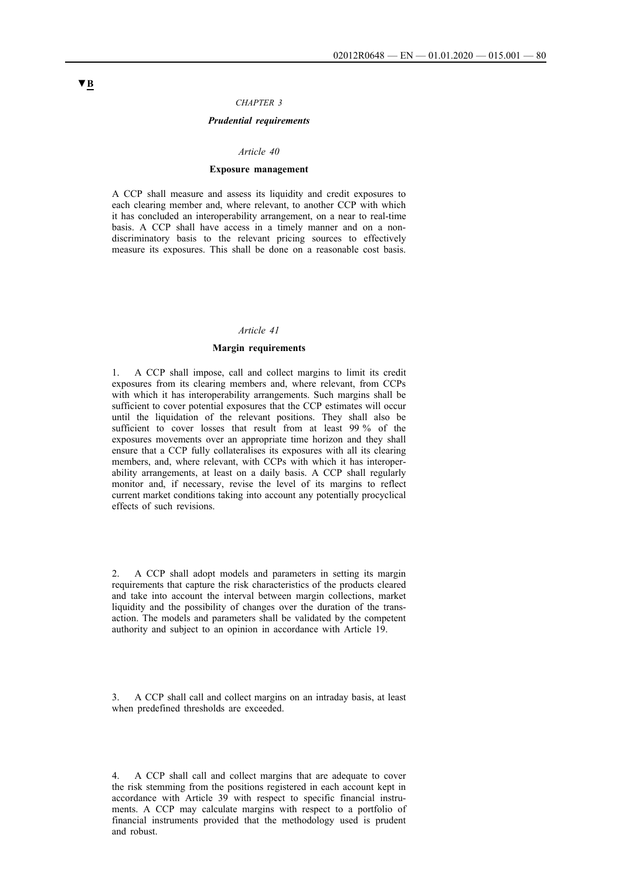#### *CHAPTER 3*

### *Prudential requirements*

#### *Article 40*

#### **Exposure management**

A CCP shall measure and assess its liquidity and credit exposures to each clearing member and, where relevant, to another CCP with which it has concluded an interoperability arrangement, on a near to real-time basis. A CCP shall have access in a timely manner and on a nondiscriminatory basis to the relevant pricing sources to effectively measure its exposures. This shall be done on a reasonable cost basis.

#### *Article 41*

### **Margin requirements**

1. A CCP shall impose, call and collect margins to limit its credit exposures from its clearing members and, where relevant, from CCPs with which it has interoperability arrangements. Such margins shall be sufficient to cover potential exposures that the CCP estimates will occur until the liquidation of the relevant positions. They shall also be sufficient to cover losses that result from at least 99 % of the exposures movements over an appropriate time horizon and they shall ensure that a CCP fully collateralises its exposures with all its clearing members, and, where relevant, with CCPs with which it has interoperability arrangements, at least on a daily basis. A CCP shall regularly monitor and, if necessary, revise the level of its margins to reflect current market conditions taking into account any potentially procyclical effects of such revisions.

2. A CCP shall adopt models and parameters in setting its margin requirements that capture the risk characteristics of the products cleared and take into account the interval between margin collections, market liquidity and the possibility of changes over the duration of the transaction. The models and parameters shall be validated by the competent authority and subject to an opinion in accordance with Article 19.

3. A CCP shall call and collect margins on an intraday basis, at least when predefined thresholds are exceeded.

4. A CCP shall call and collect margins that are adequate to cover the risk stemming from the positions registered in each account kept in accordance with Article 39 with respect to specific financial instruments. A CCP may calculate margins with respect to a portfolio of financial instruments provided that the methodology used is prudent and robust.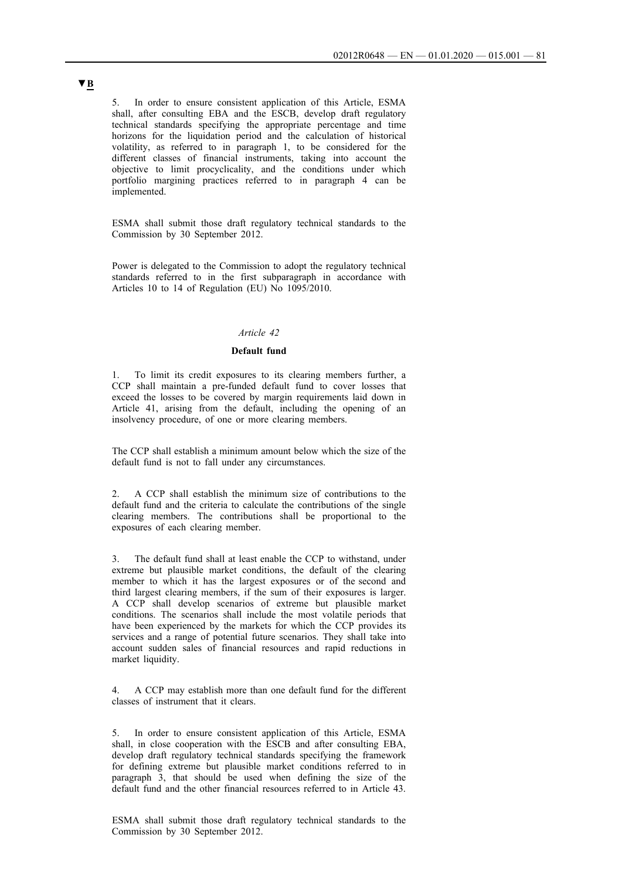5. In order to ensure consistent application of this Article, ESMA shall, after consulting EBA and the ESCB, develop draft regulatory technical standards specifying the appropriate percentage and time horizons for the liquidation period and the calculation of historical volatility, as referred to in paragraph 1, to be considered for the different classes of financial instruments, taking into account the objective to limit procyclicality, and the conditions under which portfolio margining practices referred to in paragraph 4 can be implemented.

ESMA shall submit those draft regulatory technical standards to the Commission by 30 September 2012.

Power is delegated to the Commission to adopt the regulatory technical standards referred to in the first subparagraph in accordance with Articles 10 to 14 of Regulation (EU) No 1095/2010.

## *Article 42*

## **Default fund**

1. To limit its credit exposures to its clearing members further, a CCP shall maintain a pre-funded default fund to cover losses that exceed the losses to be covered by margin requirements laid down in Article 41, arising from the default, including the opening of an insolvency procedure, of one or more clearing members.

The CCP shall establish a minimum amount below which the size of the default fund is not to fall under any circumstances.

2. A CCP shall establish the minimum size of contributions to the default fund and the criteria to calculate the contributions of the single clearing members. The contributions shall be proportional to the exposures of each clearing member.

3. The default fund shall at least enable the CCP to withstand, under extreme but plausible market conditions, the default of the clearing member to which it has the largest exposures or of the second and third largest clearing members, if the sum of their exposures is larger. A CCP shall develop scenarios of extreme but plausible market conditions. The scenarios shall include the most volatile periods that have been experienced by the markets for which the CCP provides its services and a range of potential future scenarios. They shall take into account sudden sales of financial resources and rapid reductions in market liquidity.

4. A CCP may establish more than one default fund for the different classes of instrument that it clears.

5. In order to ensure consistent application of this Article, ESMA shall, in close cooperation with the ESCB and after consulting EBA, develop draft regulatory technical standards specifying the framework for defining extreme but plausible market conditions referred to in paragraph 3, that should be used when defining the size of the default fund and the other financial resources referred to in Article 43.

ESMA shall submit those draft regulatory technical standards to the Commission by 30 September 2012.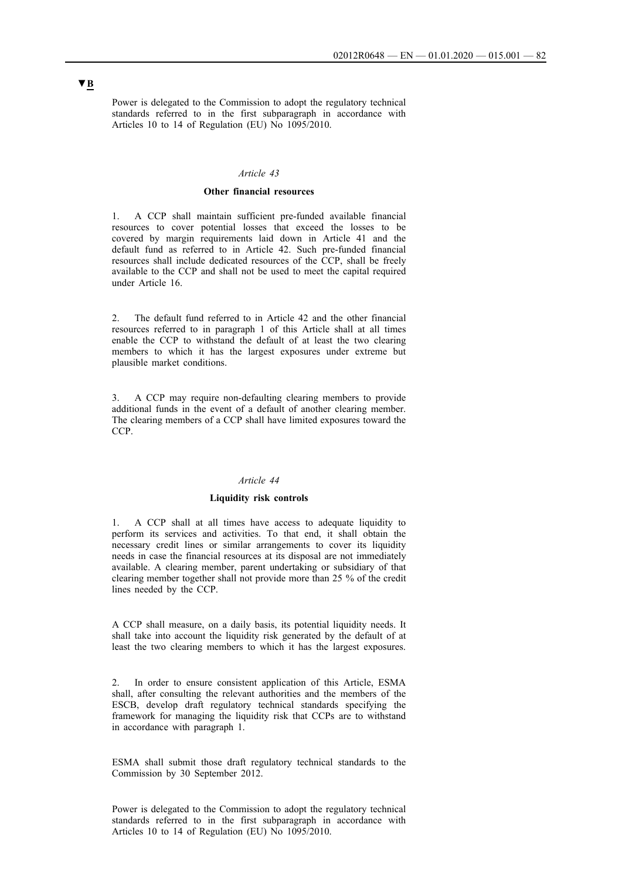Power is delegated to the Commission to adopt the regulatory technical standards referred to in the first subparagraph in accordance with Articles 10 to 14 of Regulation (EU) No 1095/2010.

### *Article 43*

### **Other financial resources**

1. A CCP shall maintain sufficient pre-funded available financial resources to cover potential losses that exceed the losses to be covered by margin requirements laid down in Article 41 and the default fund as referred to in Article 42. Such pre-funded financial resources shall include dedicated resources of the CCP, shall be freely available to the CCP and shall not be used to meet the capital required under Article 16.

2. The default fund referred to in Article 42 and the other financial resources referred to in paragraph 1 of this Article shall at all times enable the CCP to withstand the default of at least the two clearing members to which it has the largest exposures under extreme but plausible market conditions.

3. A CCP may require non-defaulting clearing members to provide additional funds in the event of a default of another clearing member. The clearing members of a CCP shall have limited exposures toward the CCP.

#### *Article 44*

## **Liquidity risk controls**

1. A CCP shall at all times have access to adequate liquidity to perform its services and activities. To that end, it shall obtain the necessary credit lines or similar arrangements to cover its liquidity needs in case the financial resources at its disposal are not immediately available. A clearing member, parent undertaking or subsidiary of that clearing member together shall not provide more than 25 % of the credit lines needed by the CCP.

A CCP shall measure, on a daily basis, its potential liquidity needs. It shall take into account the liquidity risk generated by the default of at least the two clearing members to which it has the largest exposures.

2. In order to ensure consistent application of this Article, ESMA shall, after consulting the relevant authorities and the members of the ESCB, develop draft regulatory technical standards specifying the framework for managing the liquidity risk that CCPs are to withstand in accordance with paragraph 1.

ESMA shall submit those draft regulatory technical standards to the Commission by 30 September 2012.

Power is delegated to the Commission to adopt the regulatory technical standards referred to in the first subparagraph in accordance with Articles 10 to 14 of Regulation (EU) No 1095/2010.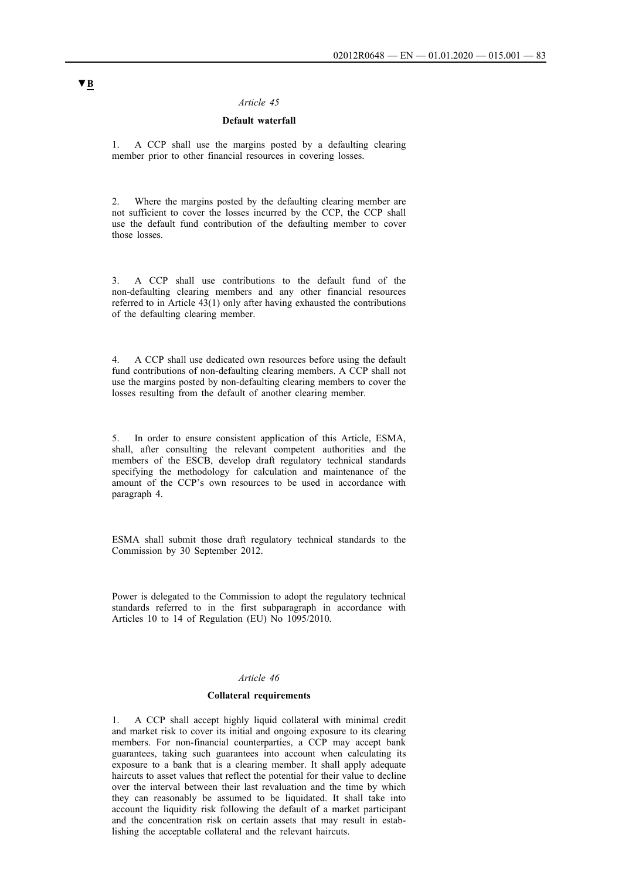### *Article 45*

## **Default waterfall**

1. A CCP shall use the margins posted by a defaulting clearing member prior to other financial resources in covering losses.

2. Where the margins posted by the defaulting clearing member are not sufficient to cover the losses incurred by the CCP, the CCP shall use the default fund contribution of the defaulting member to cover those losses.

3. A CCP shall use contributions to the default fund of the non-defaulting clearing members and any other financial resources referred to in Article  $43(1)$  only after having exhausted the contributions of the defaulting clearing member.

4. A CCP shall use dedicated own resources before using the default fund contributions of non-defaulting clearing members. A CCP shall not use the margins posted by non-defaulting clearing members to cover the losses resulting from the default of another clearing member.

5. In order to ensure consistent application of this Article, ESMA, shall, after consulting the relevant competent authorities and the members of the ESCB, develop draft regulatory technical standards specifying the methodology for calculation and maintenance of the amount of the CCP's own resources to be used in accordance with paragraph 4.

ESMA shall submit those draft regulatory technical standards to the Commission by 30 September 2012.

Power is delegated to the Commission to adopt the regulatory technical standards referred to in the first subparagraph in accordance with Articles 10 to 14 of Regulation (EU) No 1095/2010.

#### *Article 46*

#### **Collateral requirements**

1. A CCP shall accept highly liquid collateral with minimal credit and market risk to cover its initial and ongoing exposure to its clearing members. For non-financial counterparties, a CCP may accept bank guarantees, taking such guarantees into account when calculating its exposure to a bank that is a clearing member. It shall apply adequate haircuts to asset values that reflect the potential for their value to decline over the interval between their last revaluation and the time by which they can reasonably be assumed to be liquidated. It shall take into account the liquidity risk following the default of a market participant and the concentration risk on certain assets that may result in establishing the acceptable collateral and the relevant haircuts.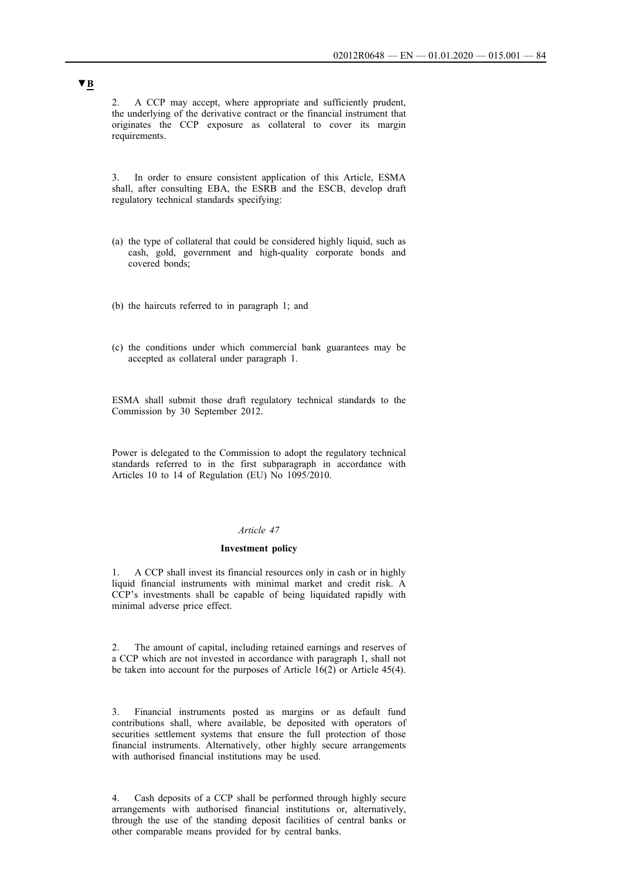2. A CCP may accept, where appropriate and sufficiently prudent, the underlying of the derivative contract or the financial instrument that originates the CCP exposure as collateral to cover its margin requirements.

3. In order to ensure consistent application of this Article, ESMA shall, after consulting EBA, the ESRB and the ESCB, develop draft regulatory technical standards specifying:

- (a) the type of collateral that could be considered highly liquid, such as cash, gold, government and high-quality corporate bonds and covered bonds;
- (b) the haircuts referred to in paragraph 1; and
- (c) the conditions under which commercial bank guarantees may be accepted as collateral under paragraph 1.

ESMA shall submit those draft regulatory technical standards to the Commission by 30 September 2012.

Power is delegated to the Commission to adopt the regulatory technical standards referred to in the first subparagraph in accordance with Articles 10 to 14 of Regulation (EU) No 1095/2010.

#### *Article 47*

#### **Investment policy**

1. A CCP shall invest its financial resources only in cash or in highly liquid financial instruments with minimal market and credit risk. A CCP's investments shall be capable of being liquidated rapidly with minimal adverse price effect.

2. The amount of capital, including retained earnings and reserves of a CCP which are not invested in accordance with paragraph 1, shall not be taken into account for the purposes of Article 16(2) or Article 45(4).

3. Financial instruments posted as margins or as default fund contributions shall, where available, be deposited with operators of securities settlement systems that ensure the full protection of those financial instruments. Alternatively, other highly secure arrangements with authorised financial institutions may be used.

4. Cash deposits of a CCP shall be performed through highly secure arrangements with authorised financial institutions or, alternatively, through the use of the standing deposit facilities of central banks or other comparable means provided for by central banks.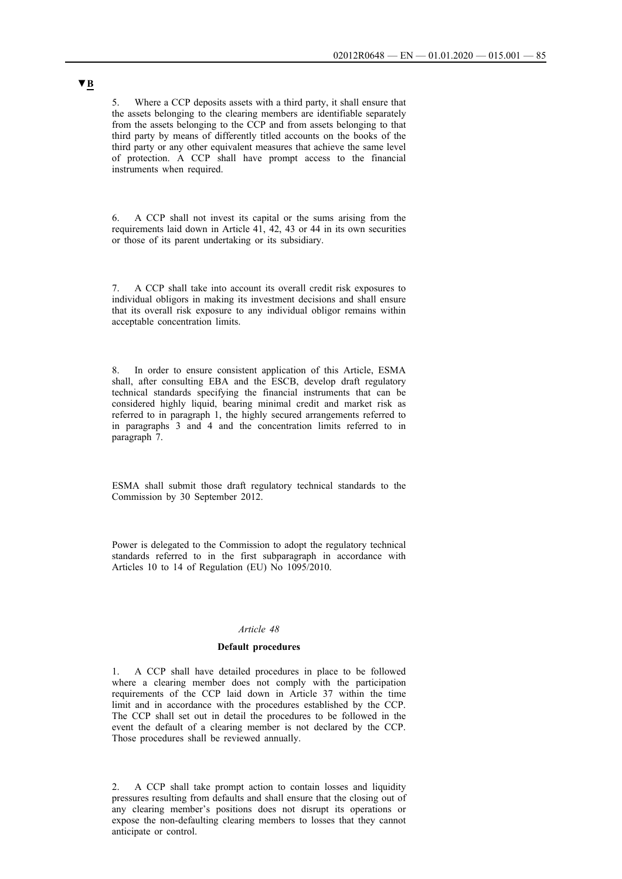5. Where a CCP deposits assets with a third party, it shall ensure that the assets belonging to the clearing members are identifiable separately from the assets belonging to the CCP and from assets belonging to that third party by means of differently titled accounts on the books of the third party or any other equivalent measures that achieve the same level of protection. A CCP shall have prompt access to the financial instruments when required.

6. A CCP shall not invest its capital or the sums arising from the requirements laid down in Article 41, 42, 43 or 44 in its own securities or those of its parent undertaking or its subsidiary.

7. A CCP shall take into account its overall credit risk exposures to individual obligors in making its investment decisions and shall ensure that its overall risk exposure to any individual obligor remains within acceptable concentration limits.

8. In order to ensure consistent application of this Article, ESMA shall, after consulting EBA and the ESCB, develop draft regulatory technical standards specifying the financial instruments that can be considered highly liquid, bearing minimal credit and market risk as referred to in paragraph 1, the highly secured arrangements referred to in paragraphs 3 and 4 and the concentration limits referred to in paragraph 7.

ESMA shall submit those draft regulatory technical standards to the Commission by 30 September 2012.

Power is delegated to the Commission to adopt the regulatory technical standards referred to in the first subparagraph in accordance with Articles 10 to 14 of Regulation (EU) No 1095/2010.

#### *Article 48*

### **Default procedures**

1. A CCP shall have detailed procedures in place to be followed where a clearing member does not comply with the participation requirements of the CCP laid down in Article 37 within the time limit and in accordance with the procedures established by the CCP. The CCP shall set out in detail the procedures to be followed in the event the default of a clearing member is not declared by the CCP. Those procedures shall be reviewed annually.

2. A CCP shall take prompt action to contain losses and liquidity pressures resulting from defaults and shall ensure that the closing out of any clearing member's positions does not disrupt its operations or expose the non-defaulting clearing members to losses that they cannot anticipate or control.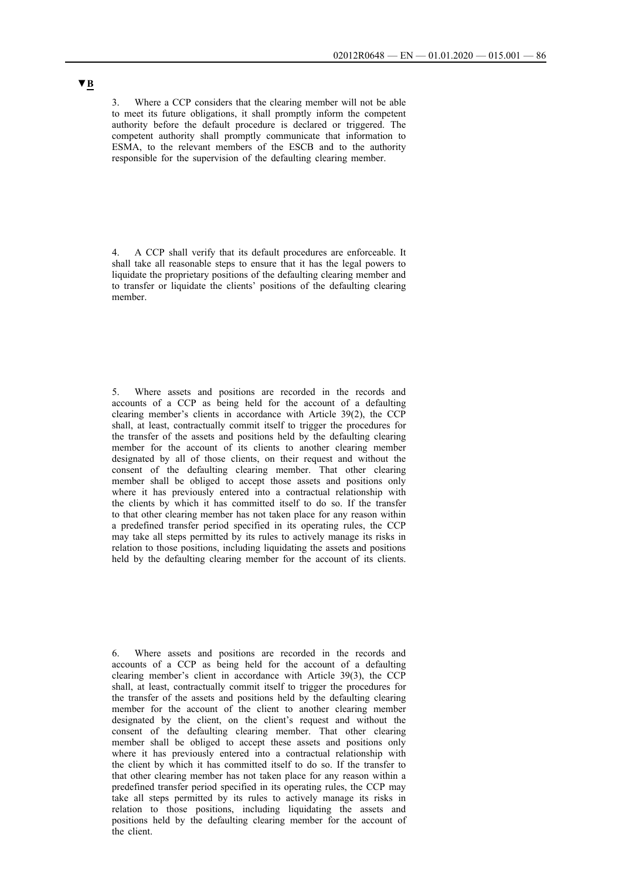3. Where a CCP considers that the clearing member will not be able to meet its future obligations, it shall promptly inform the competent authority before the default procedure is declared or triggered. The competent authority shall promptly communicate that information to ESMA, to the relevant members of the ESCB and to the authority responsible for the supervision of the defaulting clearing member.

4. A CCP shall verify that its default procedures are enforceable. It shall take all reasonable steps to ensure that it has the legal powers to liquidate the proprietary positions of the defaulting clearing member and to transfer or liquidate the clients' positions of the defaulting clearing member.

5. Where assets and positions are recorded in the records and accounts of a CCP as being held for the account of a defaulting clearing member's clients in accordance with Article 39(2), the CCP shall, at least, contractually commit itself to trigger the procedures for the transfer of the assets and positions held by the defaulting clearing member for the account of its clients to another clearing member designated by all of those clients, on their request and without the consent of the defaulting clearing member. That other clearing member shall be obliged to accept those assets and positions only where it has previously entered into a contractual relationship with the clients by which it has committed itself to do so. If the transfer to that other clearing member has not taken place for any reason within a predefined transfer period specified in its operating rules, the CCP may take all steps permitted by its rules to actively manage its risks in relation to those positions, including liquidating the assets and positions held by the defaulting clearing member for the account of its clients.

6. Where assets and positions are recorded in the records and accounts of a CCP as being held for the account of a defaulting clearing member's client in accordance with Article 39(3), the CCP shall, at least, contractually commit itself to trigger the procedures for the transfer of the assets and positions held by the defaulting clearing member for the account of the client to another clearing member designated by the client, on the client's request and without the consent of the defaulting clearing member. That other clearing member shall be obliged to accept these assets and positions only where it has previously entered into a contractual relationship with the client by which it has committed itself to do so. If the transfer to that other clearing member has not taken place for any reason within a predefined transfer period specified in its operating rules, the CCP may take all steps permitted by its rules to actively manage its risks in relation to those positions, including liquidating the assets and positions held by the defaulting clearing member for the account of the client.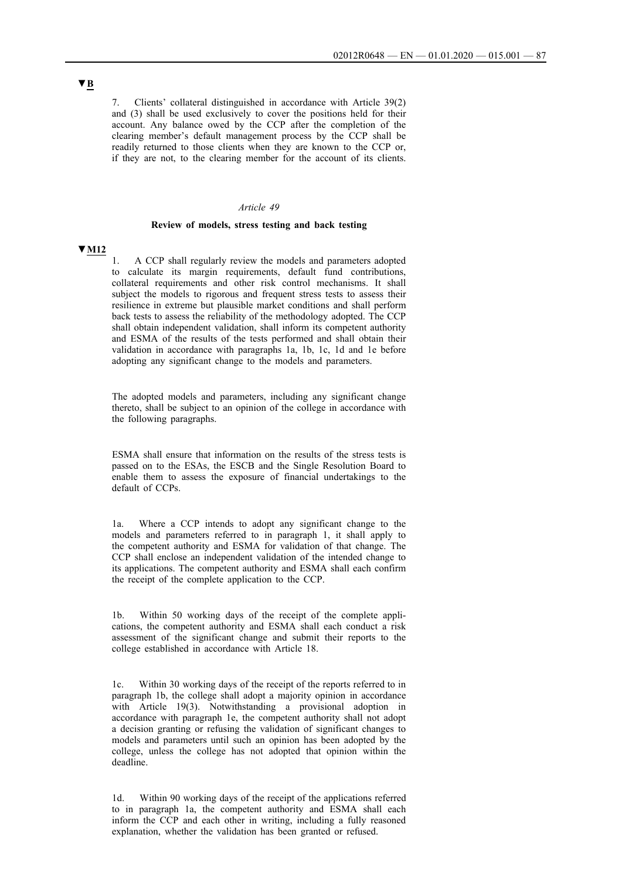7. Clients' collateral distinguished in accordance with Article 39(2) and (3) shall be used exclusively to cover the positions held for their account. Any balance owed by the CCP after the completion of the clearing member's default management process by the CCP shall be readily returned to those clients when they are known to the CCP or, if they are not, to the clearing member for the account of its clients.

#### *Article 49*

### **Review of models, stress testing and back testing**

**▼M12**

1. A CCP shall regularly review the models and parameters adopted to calculate its margin requirements, default fund contributions, collateral requirements and other risk control mechanisms. It shall subject the models to rigorous and frequent stress tests to assess their resilience in extreme but plausible market conditions and shall perform back tests to assess the reliability of the methodology adopted. The CCP shall obtain independent validation, shall inform its competent authority and ESMA of the results of the tests performed and shall obtain their validation in accordance with paragraphs 1a, 1b, 1c, 1d and 1e before adopting any significant change to the models and parameters.

The adopted models and parameters, including any significant change thereto, shall be subject to an opinion of the college in accordance with the following paragraphs.

ESMA shall ensure that information on the results of the stress tests is passed on to the ESAs, the ESCB and the Single Resolution Board to enable them to assess the exposure of financial undertakings to the default of CCPs.

1a. Where a CCP intends to adopt any significant change to the models and parameters referred to in paragraph 1, it shall apply to the competent authority and ESMA for validation of that change. The CCP shall enclose an independent validation of the intended change to its applications. The competent authority and ESMA shall each confirm the receipt of the complete application to the CCP.

1b. Within 50 working days of the receipt of the complete applications, the competent authority and ESMA shall each conduct a risk assessment of the significant change and submit their reports to the college established in accordance with Article 18.

1c. Within 30 working days of the receipt of the reports referred to in paragraph 1b, the college shall adopt a majority opinion in accordance with Article 19(3). Notwithstanding a provisional adoption in accordance with paragraph 1e, the competent authority shall not adopt a decision granting or refusing the validation of significant changes to models and parameters until such an opinion has been adopted by the college, unless the college has not adopted that opinion within the deadline.

1d. Within 90 working days of the receipt of the applications referred to in paragraph 1a, the competent authority and ESMA shall each inform the CCP and each other in writing, including a fully reasoned explanation, whether the validation has been granted or refused.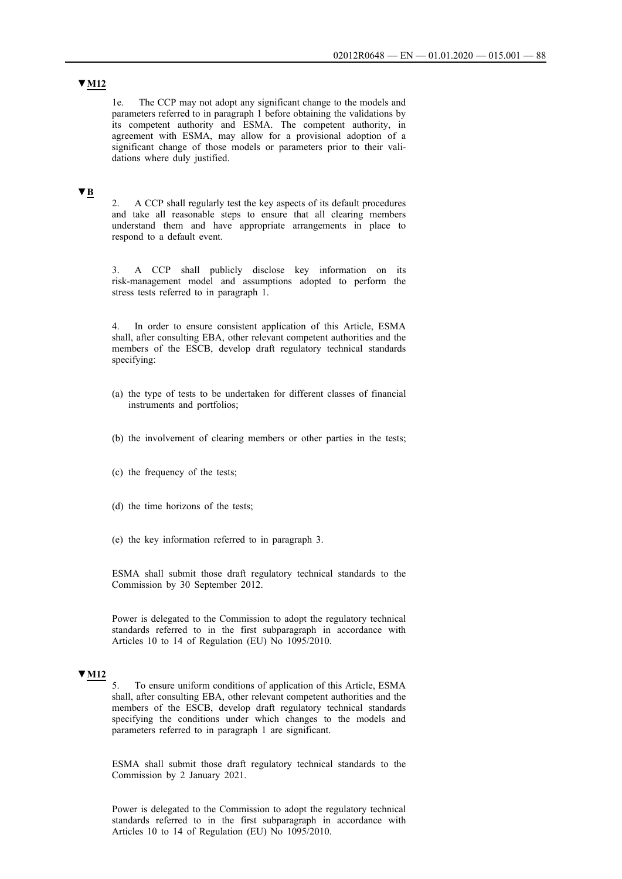## **▼M12**

1e. The CCP may not adopt any significant change to the models and parameters referred to in paragraph 1 before obtaining the validations by its competent authority and ESMA. The competent authority, in agreement with ESMA, may allow for a provisional adoption of a significant change of those models or parameters prior to their validations where duly justified.

# **▼B**

2. A CCP shall regularly test the key aspects of its default procedures and take all reasonable steps to ensure that all clearing members understand them and have appropriate arrangements in place to respond to a default event.

3. A CCP shall publicly disclose key information on its risk-management model and assumptions adopted to perform the stress tests referred to in paragraph 1.

4. In order to ensure consistent application of this Article, ESMA shall, after consulting EBA, other relevant competent authorities and the members of the ESCB, develop draft regulatory technical standards specifying:

- (a) the type of tests to be undertaken for different classes of financial instruments and portfolios;
- (b) the involvement of clearing members or other parties in the tests;
- (c) the frequency of the tests;
- (d) the time horizons of the tests;
- (e) the key information referred to in paragraph 3.

ESMA shall submit those draft regulatory technical standards to the Commission by 30 September 2012.

Power is delegated to the Commission to adopt the regulatory technical standards referred to in the first subparagraph in accordance with Articles 10 to 14 of Regulation (EU) No 1095/2010.

## **▼M12**

5. To ensure uniform conditions of application of this Article, ESMA shall, after consulting EBA, other relevant competent authorities and the members of the ESCB, develop draft regulatory technical standards specifying the conditions under which changes to the models and parameters referred to in paragraph 1 are significant.

ESMA shall submit those draft regulatory technical standards to the Commission by 2 January 2021.

Power is delegated to the Commission to adopt the regulatory technical standards referred to in the first subparagraph in accordance with Articles 10 to 14 of Regulation (EU) No 1095/2010.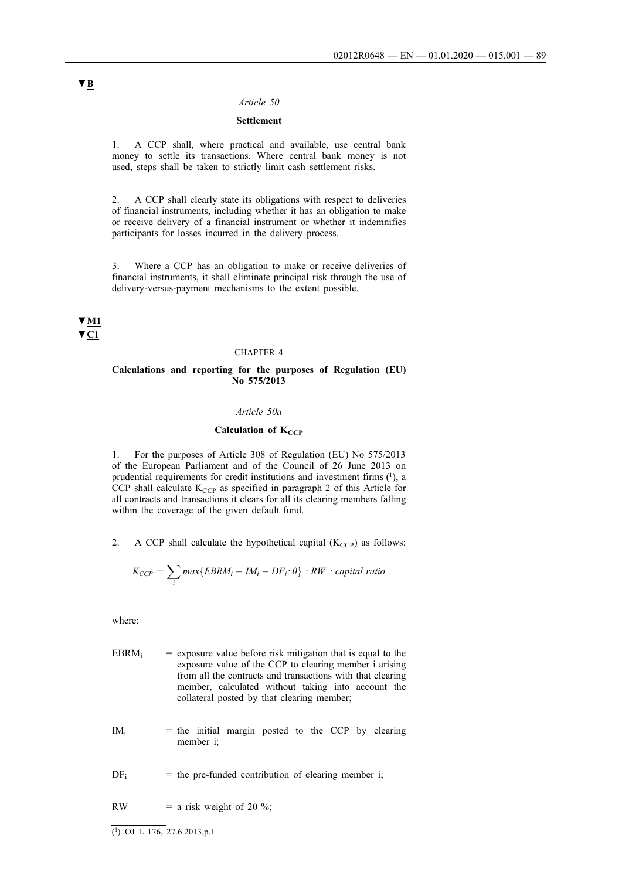#### *Article 50*

## **Settlement**

1. A CCP shall, where practical and available, use central bank money to settle its transactions. Where central bank money is not used, steps shall be taken to strictly limit cash settlement risks.

2. A CCP shall clearly state its obligations with respect to deliveries of financial instruments, including whether it has an obligation to make or receive delivery of a financial instrument or whether it indemnifies participants for losses incurred in the delivery process.

3. Where a CCP has an obligation to make or receive deliveries of financial instruments, it shall eliminate principal risk through the use of delivery-versus-payment mechanisms to the extent possible.

# **▼M1 ▼C1**

### CHAPTER 4

### **Calculations and reporting for the purposes of Regulation (EU) No 575/2013**

#### *Article 50a*

### **Calculation of KCCP**

1. For the purposes of Article 308 of Regulation (EU) No 575/2013 of the European Parliament and of the Council of 26 June 2013 on prudential requirements for credit institutions and investment firms  $(1)$ , a CCP shall calculate  $K_{CCP}$  as specified in paragraph 2 of this Article for all contracts and transactions it clears for all its clearing members falling within the coverage of the given default fund.

2. A CCP shall calculate the hypothetical capital  $(K_{CCP})$  as follows:

$$
K_{CCP} = \sum_{i} max\{EBRM_i - IM_i - DF_i; 0\} \cdot RW \cdot capital \; ratio
$$

where:

- $EBRM_i$  = exposure value before risk mitigation that is equal to the exposure value of the CCP to clearing member i arising from all the contracts and transactions with that clearing member, calculated without taking into account the collateral posted by that clearing member;
- $IM_i$  = the initial margin posted to the CCP by clearing member i;
- $DF_i$  = the pre-funded contribution of clearing member i;
- RW  $=$  a risk weight of 20 %;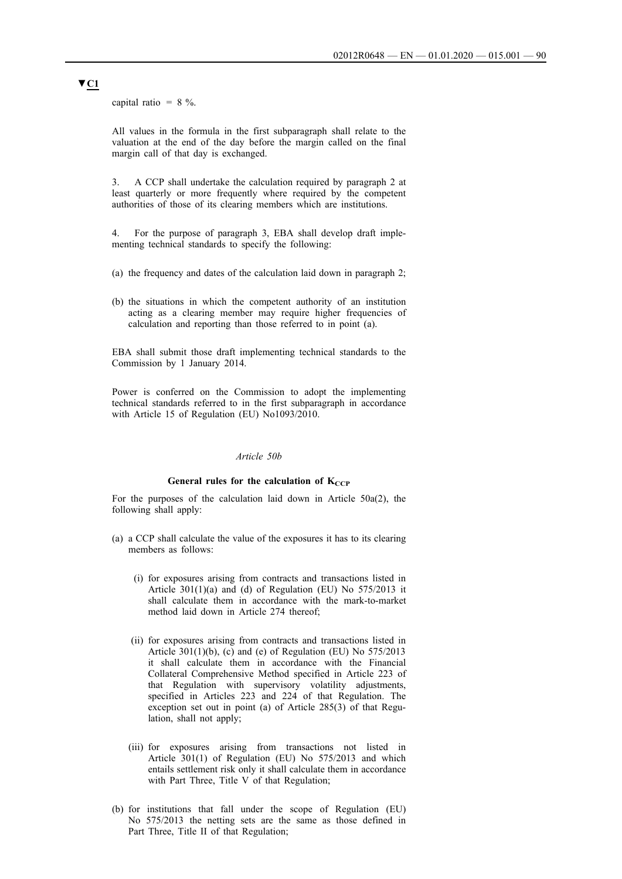capital ratio =  $8\%$ .

All values in the formula in the first subparagraph shall relate to the valuation at the end of the day before the margin called on the final margin call of that day is exchanged.

3. A CCP shall undertake the calculation required by paragraph 2 at least quarterly or more frequently where required by the competent authorities of those of its clearing members which are institutions.

4. For the purpose of paragraph 3, EBA shall develop draft implementing technical standards to specify the following:

- (a) the frequency and dates of the calculation laid down in paragraph 2;
- (b) the situations in which the competent authority of an institution acting as a clearing member may require higher frequencies of calculation and reporting than those referred to in point (a).

EBA shall submit those draft implementing technical standards to the Commission by 1 January 2014.

Power is conferred on the Commission to adopt the implementing technical standards referred to in the first subparagraph in accordance with Article 15 of Regulation (EU) No1093/2010.

### *Article 50b*

### General rules for the calculation of K<sub>CCP</sub>

For the purposes of the calculation laid down in Article 50a(2), the following shall apply:

- (a) a CCP shall calculate the value of the exposures it has to its clearing members as follows:
	- (i) for exposures arising from contracts and transactions listed in Article 301(1)(a) and (d) of Regulation (EU) No 575/2013 it shall calculate them in accordance with the mark-to-market method laid down in Article 274 thereof;
	- (ii) for exposures arising from contracts and transactions listed in Article  $301(1)(b)$ , (c) and (e) of Regulation (EU) No  $575/2013$ it shall calculate them in accordance with the Financial Collateral Comprehensive Method specified in Article 223 of that Regulation with supervisory volatility adjustments, specified in Articles 223 and 224 of that Regulation. The exception set out in point (a) of Article 285(3) of that Regulation, shall not apply;
	- (iii) for exposures arising from transactions not listed in Article 301(1) of Regulation (EU) No 575/2013 and which entails settlement risk only it shall calculate them in accordance with Part Three, Title V of that Regulation;
- (b) for institutions that fall under the scope of Regulation (EU) No 575/2013 the netting sets are the same as those defined in Part Three, Title II of that Regulation;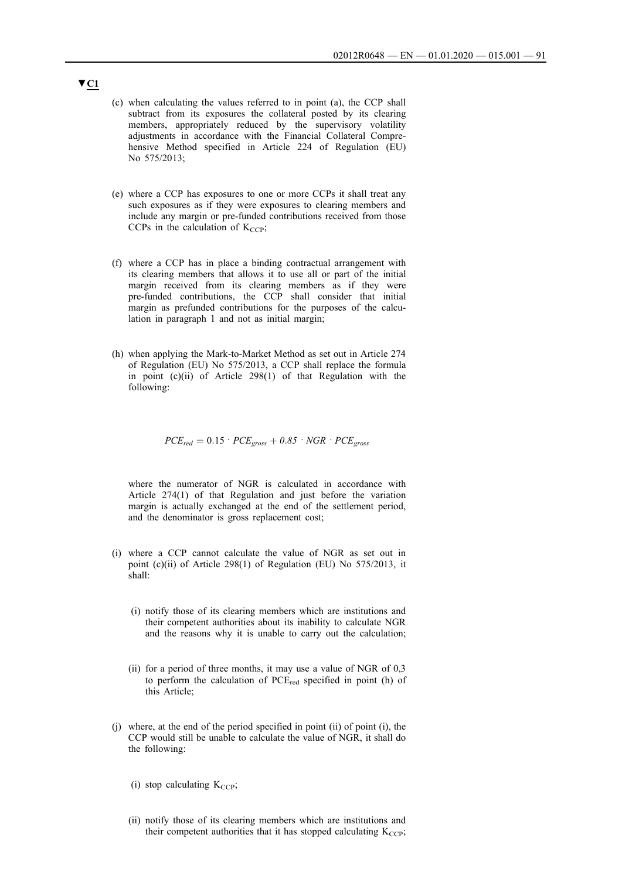- (c) when calculating the values referred to in point (a), the CCP shall subtract from its exposures the collateral posted by its clearing members, appropriately reduced by the supervisory volatility adjustments in accordance with the Financial Collateral Comprehensive Method specified in Article 224 of Regulation (EU) No 575/2013;
- (e) where a CCP has exposures to one or more CCPs it shall treat any such exposures as if they were exposures to clearing members and include any margin or pre-funded contributions received from those CCPs in the calculation of  $K_{CCP}$ ;
- (f) where a CCP has in place a binding contractual arrangement with its clearing members that allows it to use all or part of the initial margin received from its clearing members as if they were pre-funded contributions, the CCP shall consider that initial margin as prefunded contributions for the purposes of the calculation in paragraph 1 and not as initial margin;
- (h) when applying the Mark-to-Market Method as set out in Article 274 of Regulation (EU) No 575/2013, a CCP shall replace the formula in point (c)(ii) of Article 298(1) of that Regulation with the following:

$$
PCE_{red} = 0.15 \cdot PCE_{gross} + 0.85 \cdot NGR \cdot PCE_{gross}
$$

where the numerator of NGR is calculated in accordance with Article 274(1) of that Regulation and just before the variation margin is actually exchanged at the end of the settlement period, and the denominator is gross replacement cost;

- (i) where a CCP cannot calculate the value of NGR as set out in point (c)(ii) of Article 298(1) of Regulation (EU) No 575/2013, it shall:
	- (i) notify those of its clearing members which are institutions and their competent authorities about its inability to calculate NGR and the reasons why it is unable to carry out the calculation;
	- (ii) for a period of three months, it may use a value of NGR of 0,3 to perform the calculation of PCEred specified in point (h) of this Article;
- (j) where, at the end of the period specified in point (ii) of point (i), the CCP would still be unable to calculate the value of NGR, it shall do the following:
	- (i) stop calculating  $K_{CCP}$ ;
	- (ii) notify those of its clearing members which are institutions and their competent authorities that it has stopped calculating  $K_{CCP}$ ;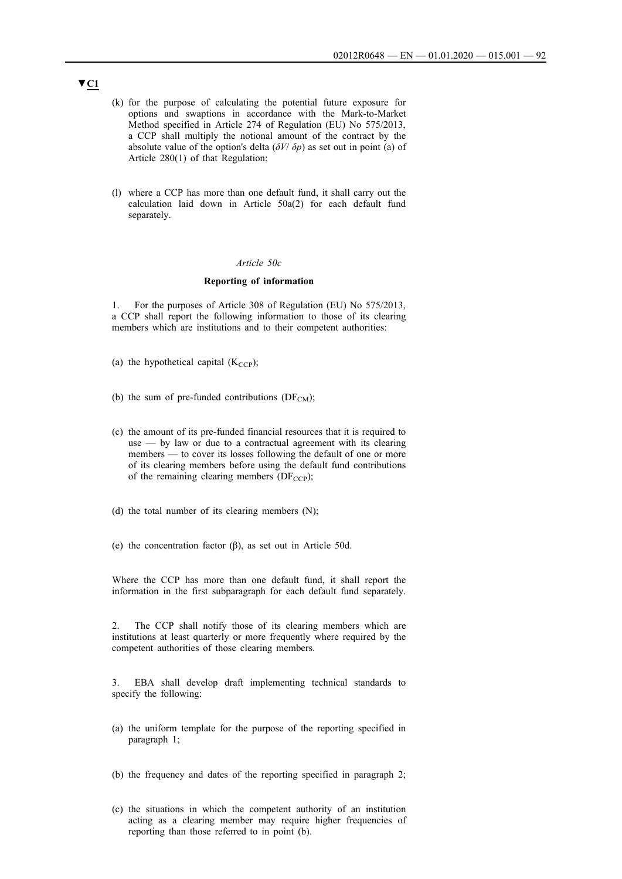- (k) for the purpose of calculating the potential future exposure for options and swaptions in accordance with the Mark-to-Market Method specified in Article 274 of Regulation (EU) No 575/2013, a CCP shall multiply the notional amount of the contract by the absolute value of the option's delta  $(\delta V/\delta p)$  as set out in point (a) of Article 280(1) of that Regulation;
- (l) where a CCP has more than one default fund, it shall carry out the calculation laid down in Article 50a(2) for each default fund separately.

### *Article 50c*

#### **Reporting of information**

1. For the purposes of Article 308 of Regulation (EU) No 575/2013, a CCP shall report the following information to those of its clearing members which are institutions and to their competent authorities:

- (a) the hypothetical capital  $(K_{CCP})$ ;
- (b) the sum of pre-funded contributions ( $DF_{CM}$ );
- (c) the amount of its pre-funded financial resources that it is required to use — by law or due to a contractual agreement with its clearing members — to cover its losses following the default of one or more of its clearing members before using the default fund contributions of the remaining clearing members ( $DF_{CCP}$ );
- (d) the total number of its clearing members (N);
- (e) the concentration factor (β), as set out in Article 50d.

Where the CCP has more than one default fund, it shall report the information in the first subparagraph for each default fund separately.

2. The CCP shall notify those of its clearing members which are institutions at least quarterly or more frequently where required by the competent authorities of those clearing members.

3. EBA shall develop draft implementing technical standards to specify the following:

- (a) the uniform template for the purpose of the reporting specified in paragraph 1;
- (b) the frequency and dates of the reporting specified in paragraph 2;
- (c) the situations in which the competent authority of an institution acting as a clearing member may require higher frequencies of reporting than those referred to in point (b).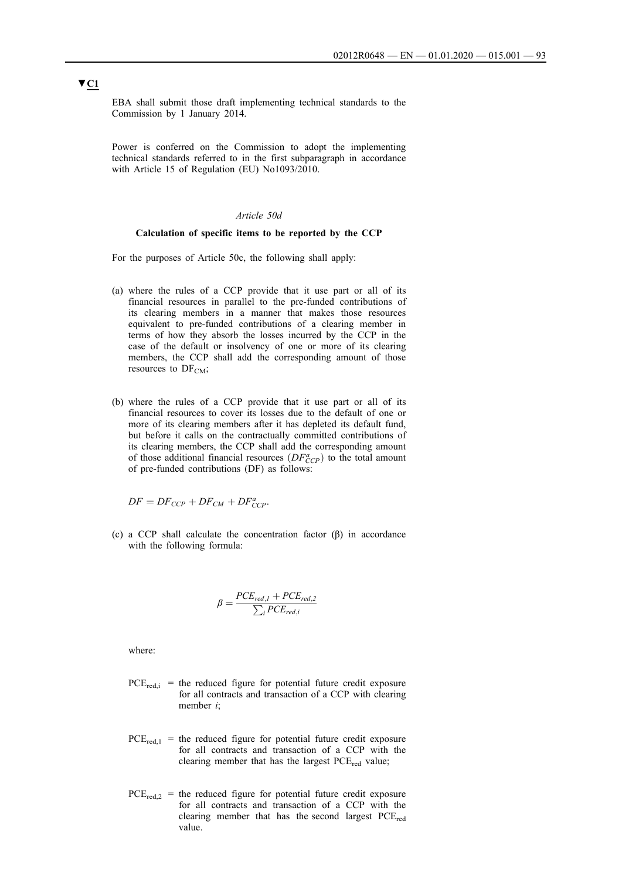EBA shall submit those draft implementing technical standards to the Commission by 1 January 2014.

Power is conferred on the Commission to adopt the implementing technical standards referred to in the first subparagraph in accordance with Article 15 of Regulation (EU) No1093/2010.

## *Article 50d*

### **Calculation of specific items to be reported by the CCP**

For the purposes of Article 50c, the following shall apply:

- (a) where the rules of a CCP provide that it use part or all of its financial resources in parallel to the pre-funded contributions of its clearing members in a manner that makes those resources equivalent to pre-funded contributions of a clearing member in terms of how they absorb the losses incurred by the CCP in the case of the default or insolvency of one or more of its clearing members, the CCP shall add the corresponding amount of those resources to  $DF_{CM}$ ;
- (b) where the rules of a CCP provide that it use part or all of its financial resources to cover its losses due to the default of one or more of its clearing members after it has depleted its default fund, but before it calls on the contractually committed contributions of its clearing members, the CCP shall add the corresponding amount of those additional financial resources  $(DF_{CCP}^a)$  to the total amount of pre-funded contributions (DF) as follows:

$$
DF = DF_{CCP} + DF_{CM} + DF_{CCP}^a.
$$

(c) a CCP shall calculate the concentration factor (β) in accordance with the following formula:

$$
\beta = \frac{PCE_{red,1} + PCE_{red,2}}{\sum_{i} PCE_{red,i}}
$$

where:

- $PCE_{\text{red,i}}$  = the reduced figure for potential future credit exposure for all contracts and transaction of a CCP with clearing member *i*;
- $PCE_{red,1}$  = the reduced figure for potential future credit exposure for all contracts and transaction of a CCP with the clearing member that has the largest PCEred value;
- $PCE_{\text{red},2}$  = the reduced figure for potential future credit exposure for all contracts and transaction of a CCP with the clearing member that has the second largest PCEred value.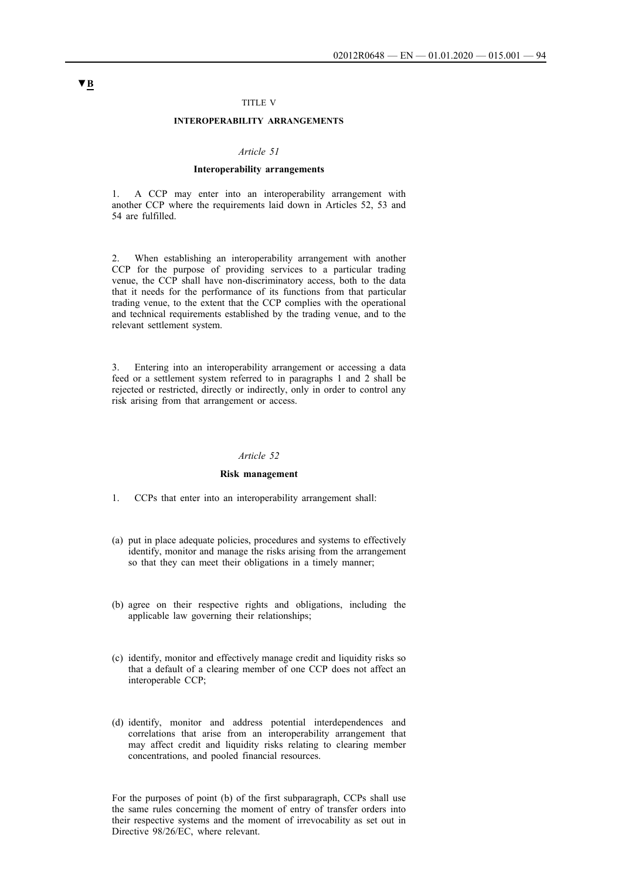#### TITLE V

### **INTEROPERABILITY ARRANGEMENTS**

#### *Article 51*

#### **Interoperability arrangements**

1. A CCP may enter into an interoperability arrangement with another CCP where the requirements laid down in Articles 52, 53 and 54 are fulfilled.

2. When establishing an interoperability arrangement with another CCP for the purpose of providing services to a particular trading venue, the CCP shall have non-discriminatory access, both to the data that it needs for the performance of its functions from that particular trading venue, to the extent that the CCP complies with the operational and technical requirements established by the trading venue, and to the relevant settlement system.

3. Entering into an interoperability arrangement or accessing a data feed or a settlement system referred to in paragraphs 1 and 2 shall be rejected or restricted, directly or indirectly, only in order to control any risk arising from that arrangement or access.

## *Article 52*

#### **Risk management**

1. CCPs that enter into an interoperability arrangement shall:

- (a) put in place adequate policies, procedures and systems to effectively identify, monitor and manage the risks arising from the arrangement so that they can meet their obligations in a timely manner;
- (b) agree on their respective rights and obligations, including the applicable law governing their relationships;
- (c) identify, monitor and effectively manage credit and liquidity risks so that a default of a clearing member of one CCP does not affect an interoperable CCP;
- (d) identify, monitor and address potential interdependences and correlations that arise from an interoperability arrangement that may affect credit and liquidity risks relating to clearing member concentrations, and pooled financial resources.

For the purposes of point (b) of the first subparagraph, CCPs shall use the same rules concerning the moment of entry of transfer orders into their respective systems and the moment of irrevocability as set out in Directive 98/26/EC, where relevant.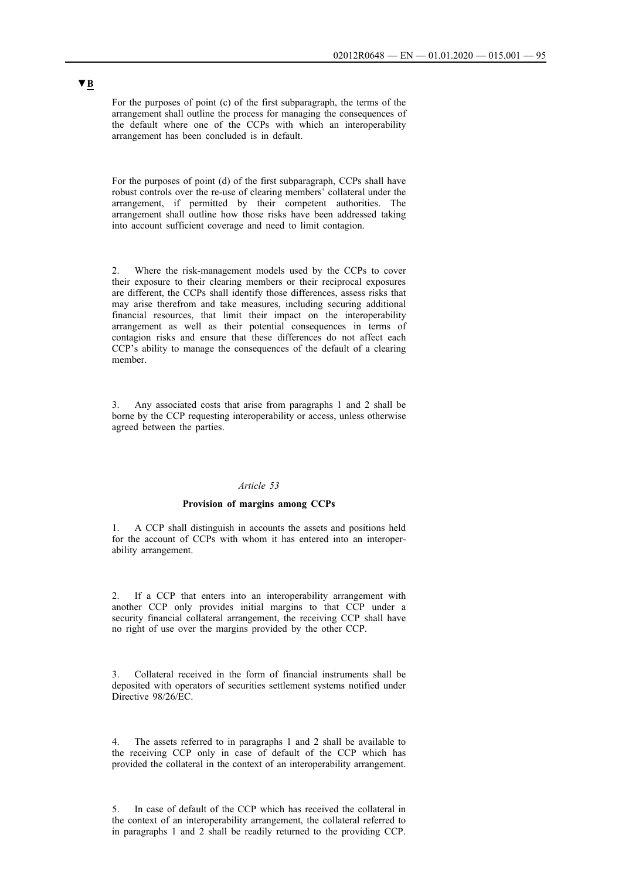For the purposes of point (c) of the first subparagraph, the terms of the arrangement shall outline the process for managing the consequences of the default where one of the CCPs with which an interoperability arrangement has been concluded is in default.

For the purposes of point (d) of the first subparagraph, CCPs shall have robust controls over the re-use of clearing members' collateral under the arrangement, if permitted by their competent authorities. The arrangement shall outline how those risks have been addressed taking into account sufficient coverage and need to limit contagion.

2. Where the risk-management models used by the CCPs to cover their exposure to their clearing members or their reciprocal exposures are different, the CCPs shall identify those differences, assess risks that may arise therefrom and take measures, including securing additional financial resources, that limit their impact on the interoperability arrangement as well as their potential consequences in terms of contagion risks and ensure that these differences do not affect each CCP's ability to manage the consequences of the default of a clearing member.

3. Any associated costs that arise from paragraphs 1 and 2 shall be borne by the CCP requesting interoperability or access, unless otherwise agreed between the parties.

#### *Article 53*

#### **Provision of margins among CCPs**

1. A CCP shall distinguish in accounts the assets and positions held for the account of CCPs with whom it has entered into an interoperability arrangement.

2. If a CCP that enters into an interoperability arrangement with another CCP only provides initial margins to that CCP under a security financial collateral arrangement, the receiving CCP shall have no right of use over the margins provided by the other CCP.

3. Collateral received in the form of financial instruments shall be deposited with operators of securities settlement systems notified under Directive 98/26/EC.

4. The assets referred to in paragraphs 1 and 2 shall be available to the receiving CCP only in case of default of the CCP which has provided the collateral in the context of an interoperability arrangement.

5. In case of default of the CCP which has received the collateral in the context of an interoperability arrangement, the collateral referred to in paragraphs 1 and 2 shall be readily returned to the providing CCP.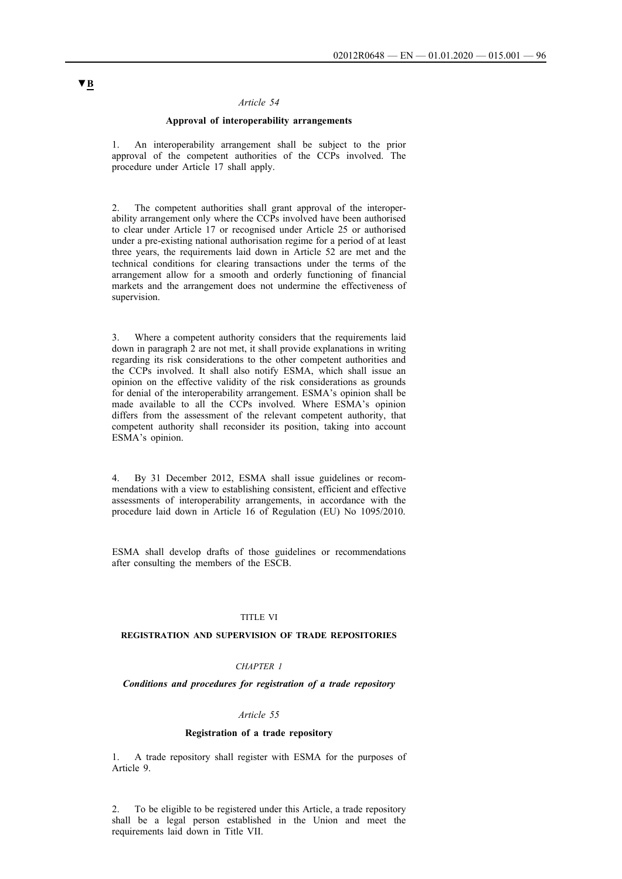## *Article 54*

### **Approval of interoperability arrangements**

1. An interoperability arrangement shall be subject to the prior approval of the competent authorities of the CCPs involved. The procedure under Article 17 shall apply.

2. The competent authorities shall grant approval of the interoperability arrangement only where the CCPs involved have been authorised to clear under Article 17 or recognised under Article 25 or authorised under a pre-existing national authorisation regime for a period of at least three years, the requirements laid down in Article 52 are met and the technical conditions for clearing transactions under the terms of the arrangement allow for a smooth and orderly functioning of financial markets and the arrangement does not undermine the effectiveness of supervision.

3. Where a competent authority considers that the requirements laid down in paragraph 2 are not met, it shall provide explanations in writing regarding its risk considerations to the other competent authorities and the CCPs involved. It shall also notify ESMA, which shall issue an opinion on the effective validity of the risk considerations as grounds for denial of the interoperability arrangement. ESMA's opinion shall be made available to all the CCPs involved. Where ESMA's opinion differs from the assessment of the relevant competent authority, that competent authority shall reconsider its position, taking into account ESMA's opinion.

4. By 31 December 2012, ESMA shall issue guidelines or recommendations with a view to establishing consistent, efficient and effective assessments of interoperability arrangements, in accordance with the procedure laid down in Article 16 of Regulation (EU) No 1095/2010.

ESMA shall develop drafts of those guidelines or recommendations after consulting the members of the ESCB.

#### TITLE VI

### **REGISTRATION AND SUPERVISION OF TRADE REPOSITORIES**

### *CHAPTER 1*

*Conditions and procedures for registration of a trade repository*

#### *Article 55*

#### **Registration of a trade repository**

1. A trade repository shall register with ESMA for the purposes of Article 9.

2. To be eligible to be registered under this Article, a trade repository shall be a legal person established in the Union and meet the requirements laid down in Title VII.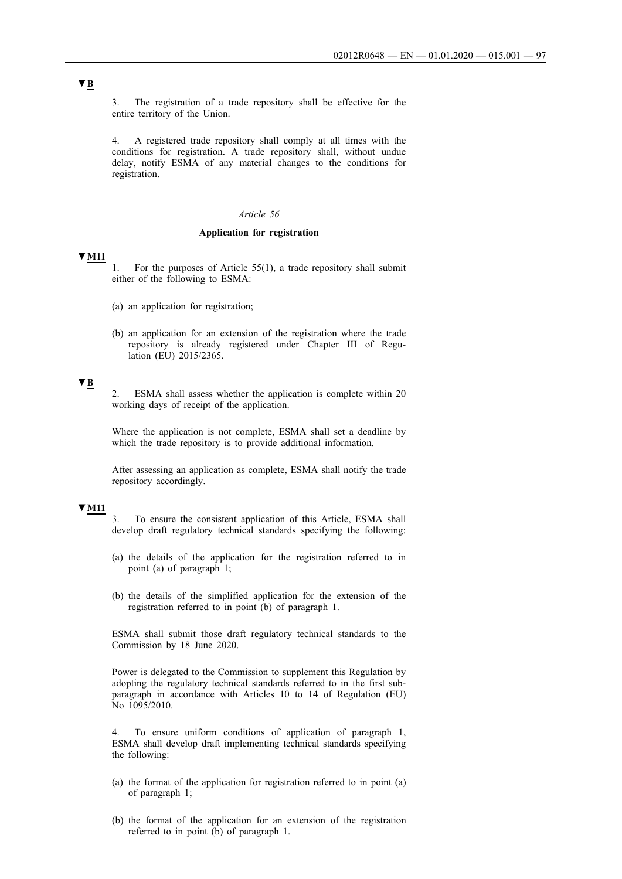3. The registration of a trade repository shall be effective for the entire territory of the Union.

4. A registered trade repository shall comply at all times with the conditions for registration. A trade repository shall, without undue delay, notify ESMA of any material changes to the conditions for registration.

### *Article 56*

### **Application for registration**

#### **▼M11**

1. For the purposes of Article 55(1), a trade repository shall submit either of the following to ESMA:

- (a) an application for registration;
- (b) an application for an extension of the registration where the trade repository is already registered under Chapter III of Regulation (EU) 2015/2365.

## **▼B**

2. ESMA shall assess whether the application is complete within 20 working days of receipt of the application.

Where the application is not complete, ESMA shall set a deadline by which the trade repository is to provide additional information.

After assessing an application as complete, ESMA shall notify the trade repository accordingly.

## **▼M11**

- 3. To ensure the consistent application of this Article, ESMA shall develop draft regulatory technical standards specifying the following:
- (a) the details of the application for the registration referred to in point (a) of paragraph 1;
- (b) the details of the simplified application for the extension of the registration referred to in point (b) of paragraph 1.

ESMA shall submit those draft regulatory technical standards to the Commission by 18 June 2020.

Power is delegated to the Commission to supplement this Regulation by adopting the regulatory technical standards referred to in the first subparagraph in accordance with Articles 10 to 14 of Regulation (EU) No 1095/2010.

4. To ensure uniform conditions of application of paragraph 1, ESMA shall develop draft implementing technical standards specifying the following:

- (a) the format of the application for registration referred to in point (a) of paragraph 1;
- (b) the format of the application for an extension of the registration referred to in point (b) of paragraph 1.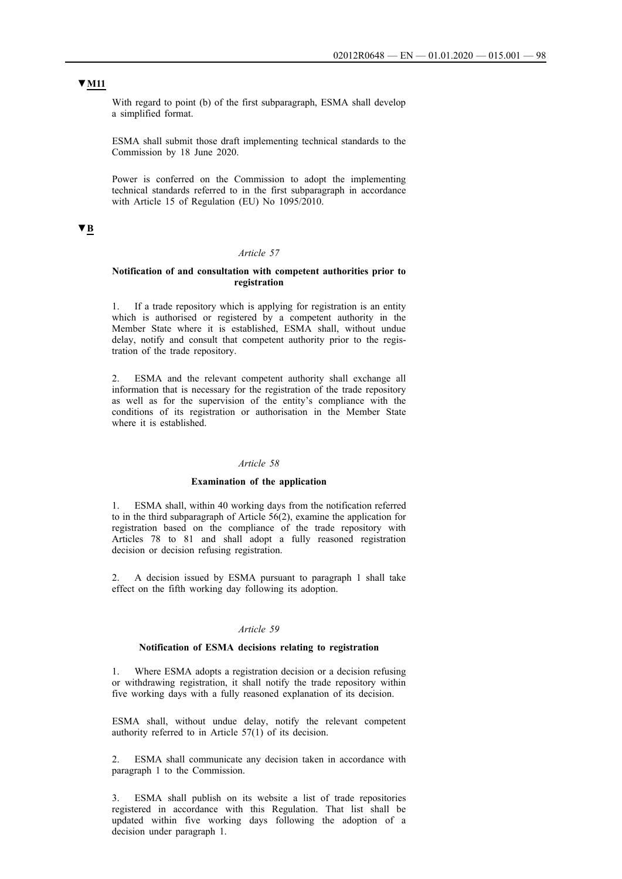## **▼M11**

With regard to point (b) of the first subparagraph, ESMA shall develop a simplified format.

ESMA shall submit those draft implementing technical standards to the Commission by 18 June 2020.

Power is conferred on the Commission to adopt the implementing technical standards referred to in the first subparagraph in accordance with Article 15 of Regulation (EU) No 1095/2010.

## **▼B**

### *Article 57*

## **Notification of and consultation with competent authorities prior to registration**

1. If a trade repository which is applying for registration is an entity which is authorised or registered by a competent authority in the Member State where it is established, ESMA shall, without undue delay, notify and consult that competent authority prior to the registration of the trade repository.

2. ESMA and the relevant competent authority shall exchange all information that is necessary for the registration of the trade repository as well as for the supervision of the entity's compliance with the conditions of its registration or authorisation in the Member State where it is established.

### *Article 58*

#### **Examination of the application**

1. ESMA shall, within 40 working days from the notification referred to in the third subparagraph of Article 56(2), examine the application for registration based on the compliance of the trade repository with Articles 78 to 81 and shall adopt a fully reasoned registration decision or decision refusing registration.

2. A decision issued by ESMA pursuant to paragraph 1 shall take effect on the fifth working day following its adoption.

#### *Article 59*

### **Notification of ESMA decisions relating to registration**

1. Where ESMA adopts a registration decision or a decision refusing or withdrawing registration, it shall notify the trade repository within five working days with a fully reasoned explanation of its decision.

ESMA shall, without undue delay, notify the relevant competent authority referred to in Article 57(1) of its decision.

2. ESMA shall communicate any decision taken in accordance with paragraph 1 to the Commission.

3. ESMA shall publish on its website a list of trade repositories registered in accordance with this Regulation. That list shall be updated within five working days following the adoption of a decision under paragraph 1.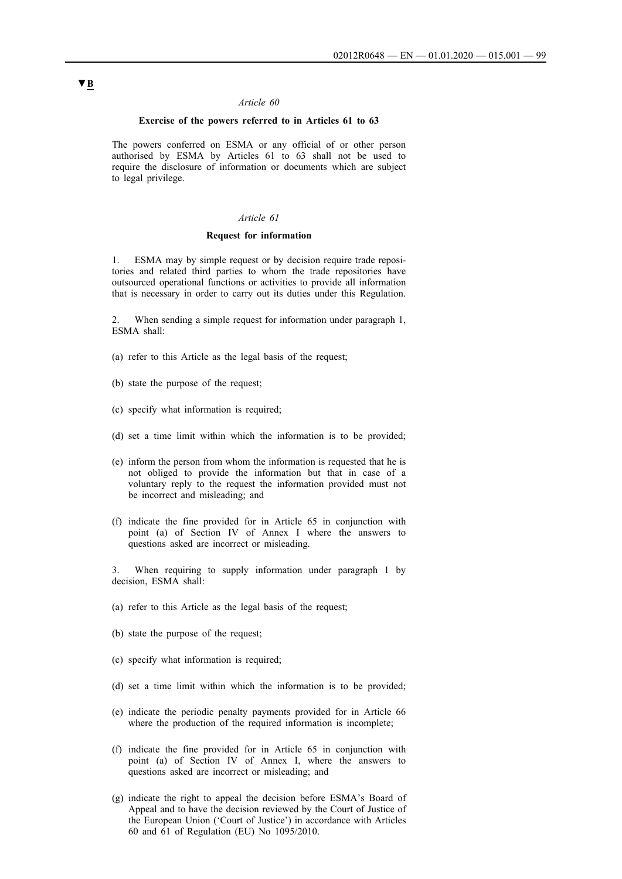#### *Article 60*

## **Exercise of the powers referred to in Articles 61 to 63**

The powers conferred on ESMA or any official of or other person authorised by ESMA by Articles 61 to 63 shall not be used to require the disclosure of information or documents which are subject to legal privilege.

### *Article 61*

## **Request for information**

1. ESMA may by simple request or by decision require trade repositories and related third parties to whom the trade repositories have outsourced operational functions or activities to provide all information that is necessary in order to carry out its duties under this Regulation.

2. When sending a simple request for information under paragraph 1, ESMA shall:

- (a) refer to this Article as the legal basis of the request;
- (b) state the purpose of the request;
- (c) specify what information is required;
- (d) set a time limit within which the information is to be provided;
- (e) inform the person from whom the information is requested that he is not obliged to provide the information but that in case of a voluntary reply to the request the information provided must not be incorrect and misleading; and
- (f) indicate the fine provided for in Article 65 in conjunction with point (a) of Section IV of Annex I where the answers to questions asked are incorrect or misleading.

3. When requiring to supply information under paragraph 1 by decision, ESMA shall:

- (a) refer to this Article as the legal basis of the request;
- (b) state the purpose of the request;
- (c) specify what information is required;
- (d) set a time limit within which the information is to be provided;
- (e) indicate the periodic penalty payments provided for in Article 66 where the production of the required information is incomplete;
- (f) indicate the fine provided for in Article 65 in conjunction with point (a) of Section IV of Annex I, where the answers to questions asked are incorrect or misleading; and
- (g) indicate the right to appeal the decision before ESMA's Board of Appeal and to have the decision reviewed by the Court of Justice of the European Union ('Court of Justice') in accordance with Articles 60 and 61 of Regulation (EU) No 1095/2010.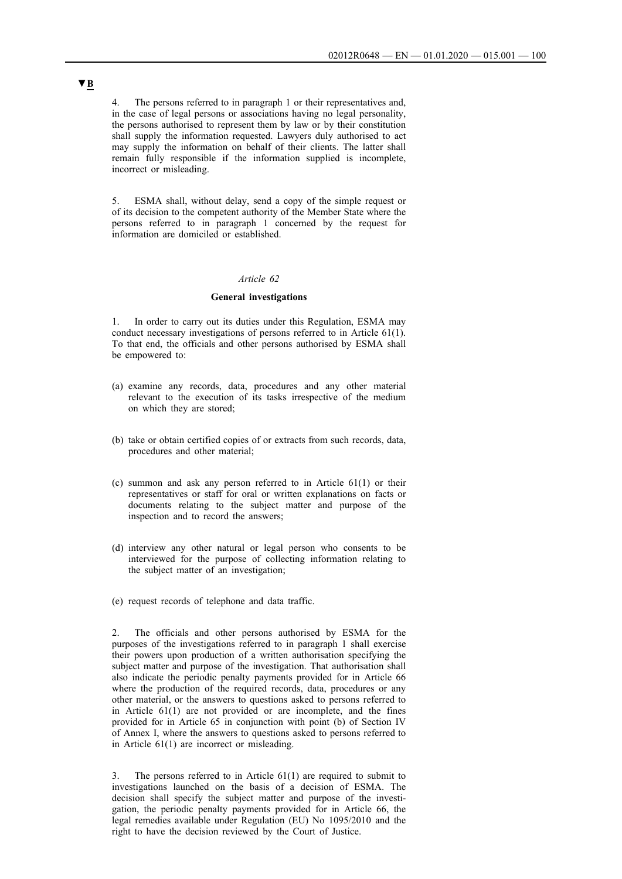4. The persons referred to in paragraph 1 or their representatives and, in the case of legal persons or associations having no legal personality, the persons authorised to represent them by law or by their constitution shall supply the information requested. Lawyers duly authorised to act may supply the information on behalf of their clients. The latter shall remain fully responsible if the information supplied is incomplete, incorrect or misleading.

5. ESMA shall, without delay, send a copy of the simple request or of its decision to the competent authority of the Member State where the persons referred to in paragraph 1 concerned by the request for information are domiciled or established.

## *Article 62*

## **General investigations**

1. In order to carry out its duties under this Regulation, ESMA may conduct necessary investigations of persons referred to in Article 61(1). To that end, the officials and other persons authorised by ESMA shall be empowered to:

- (a) examine any records, data, procedures and any other material relevant to the execution of its tasks irrespective of the medium on which they are stored;
- (b) take or obtain certified copies of or extracts from such records, data, procedures and other material;
- (c) summon and ask any person referred to in Article 61(1) or their representatives or staff for oral or written explanations on facts or documents relating to the subject matter and purpose of the inspection and to record the answers;
- (d) interview any other natural or legal person who consents to be interviewed for the purpose of collecting information relating to the subject matter of an investigation;
- (e) request records of telephone and data traffic.

2. The officials and other persons authorised by ESMA for the purposes of the investigations referred to in paragraph 1 shall exercise their powers upon production of a written authorisation specifying the subject matter and purpose of the investigation. That authorisation shall also indicate the periodic penalty payments provided for in Article 66 where the production of the required records, data, procedures or any other material, or the answers to questions asked to persons referred to in Article 61(1) are not provided or are incomplete, and the fines provided for in Article 65 in conjunction with point (b) of Section IV of Annex I, where the answers to questions asked to persons referred to in Article 61(1) are incorrect or misleading.

3. The persons referred to in Article 61(1) are required to submit to investigations launched on the basis of a decision of ESMA. The decision shall specify the subject matter and purpose of the investigation, the periodic penalty payments provided for in Article 66, the legal remedies available under Regulation (EU) No 1095/2010 and the right to have the decision reviewed by the Court of Justice.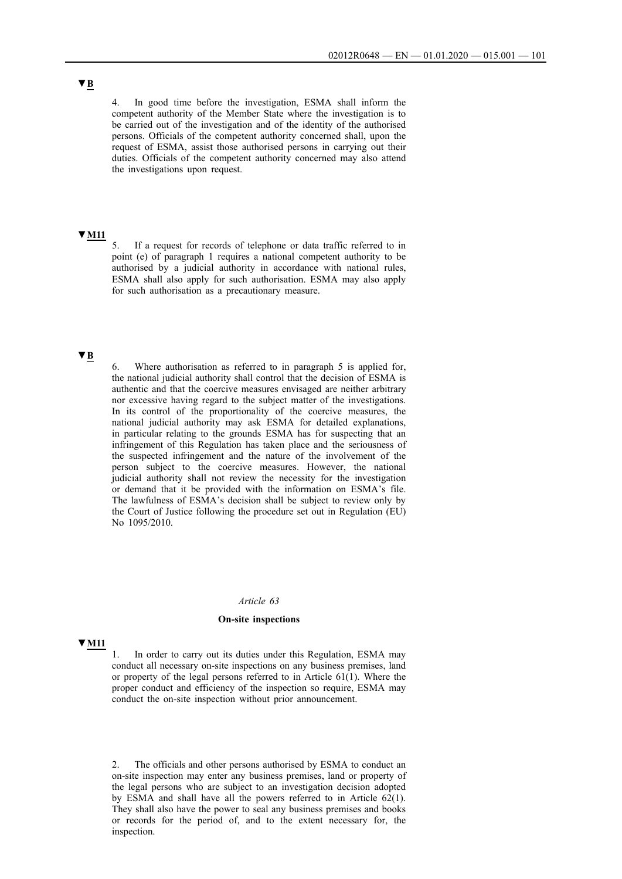4. In good time before the investigation, ESMA shall inform the competent authority of the Member State where the investigation is to be carried out of the investigation and of the identity of the authorised persons. Officials of the competent authority concerned shall, upon the request of ESMA, assist those authorised persons in carrying out their duties. Officials of the competent authority concerned may also attend the investigations upon request.

# **▼M11**

5. If a request for records of telephone or data traffic referred to in point (e) of paragraph 1 requires a national competent authority to be authorised by a judicial authority in accordance with national rules, ESMA shall also apply for such authorisation. ESMA may also apply for such authorisation as a precautionary measure.

# **▼B**

6. Where authorisation as referred to in paragraph 5 is applied for, the national judicial authority shall control that the decision of ESMA is authentic and that the coercive measures envisaged are neither arbitrary nor excessive having regard to the subject matter of the investigations. In its control of the proportionality of the coercive measures, the national judicial authority may ask ESMA for detailed explanations, in particular relating to the grounds ESMA has for suspecting that an infringement of this Regulation has taken place and the seriousness of the suspected infringement and the nature of the involvement of the person subject to the coercive measures. However, the national judicial authority shall not review the necessity for the investigation or demand that it be provided with the information on ESMA's file. The lawfulness of ESMA's decision shall be subject to review only by the Court of Justice following the procedure set out in Regulation (EU) No 1095/2010.

#### *Article 63*

### **On-site inspections**

## **▼M11**

1. In order to carry out its duties under this Regulation, ESMA may conduct all necessary on-site inspections on any business premises, land or property of the legal persons referred to in Article 61(1). Where the proper conduct and efficiency of the inspection so require, ESMA may conduct the on-site inspection without prior announcement.

The officials and other persons authorised by ESMA to conduct an on-site inspection may enter any business premises, land or property of the legal persons who are subject to an investigation decision adopted by ESMA and shall have all the powers referred to in Article 62(1). They shall also have the power to seal any business premises and books or records for the period of, and to the extent necessary for, the inspection.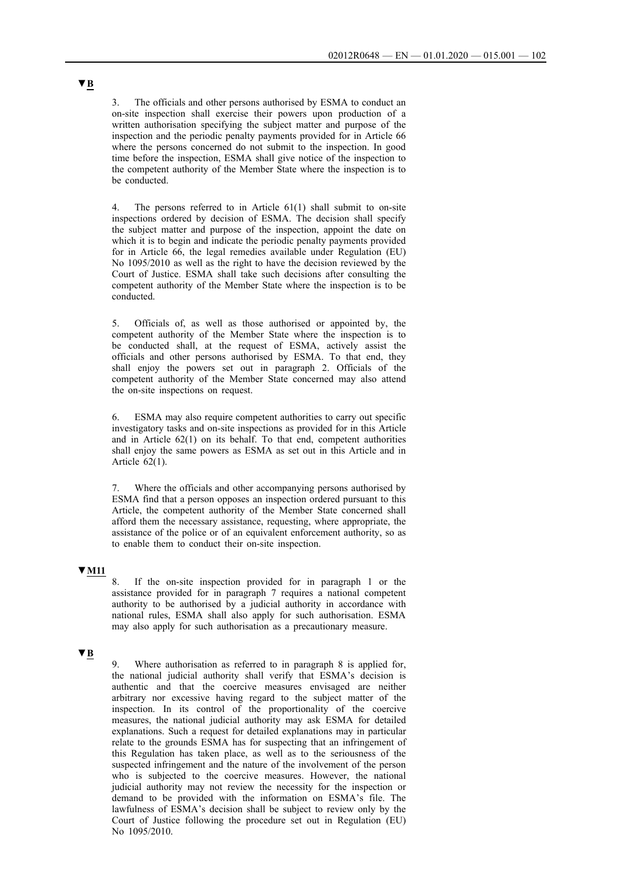3. The officials and other persons authorised by ESMA to conduct an on-site inspection shall exercise their powers upon production of a written authorisation specifying the subject matter and purpose of the inspection and the periodic penalty payments provided for in Article 66 where the persons concerned do not submit to the inspection. In good time before the inspection, ESMA shall give notice of the inspection to the competent authority of the Member State where the inspection is to be conducted.

4. The persons referred to in Article 61(1) shall submit to on-site inspections ordered by decision of ESMA. The decision shall specify the subject matter and purpose of the inspection, appoint the date on which it is to begin and indicate the periodic penalty payments provided for in Article 66, the legal remedies available under Regulation (EU) No 1095/2010 as well as the right to have the decision reviewed by the Court of Justice. ESMA shall take such decisions after consulting the competent authority of the Member State where the inspection is to be conducted.

5. Officials of, as well as those authorised or appointed by, the competent authority of the Member State where the inspection is to be conducted shall, at the request of ESMA, actively assist the officials and other persons authorised by ESMA. To that end, they shall enjoy the powers set out in paragraph 2. Officials of the competent authority of the Member State concerned may also attend the on-site inspections on request.

6. ESMA may also require competent authorities to carry out specific investigatory tasks and on-site inspections as provided for in this Article and in Article 62(1) on its behalf. To that end, competent authorities shall enjoy the same powers as ESMA as set out in this Article and in Article 62(1).

7. Where the officials and other accompanying persons authorised by ESMA find that a person opposes an inspection ordered pursuant to this Article, the competent authority of the Member State concerned shall afford them the necessary assistance, requesting, where appropriate, the assistance of the police or of an equivalent enforcement authority, so as to enable them to conduct their on-site inspection.

# **▼M11**

8. If the on-site inspection provided for in paragraph 1 or the assistance provided for in paragraph 7 requires a national competent authority to be authorised by a judicial authority in accordance with national rules, ESMA shall also apply for such authorisation. ESMA may also apply for such authorisation as a precautionary measure.

## **▼B**

9. Where authorisation as referred to in paragraph 8 is applied for, the national judicial authority shall verify that ESMA's decision is authentic and that the coercive measures envisaged are neither arbitrary nor excessive having regard to the subject matter of the inspection. In its control of the proportionality of the coercive measures, the national judicial authority may ask ESMA for detailed explanations. Such a request for detailed explanations may in particular relate to the grounds ESMA has for suspecting that an infringement of this Regulation has taken place, as well as to the seriousness of the suspected infringement and the nature of the involvement of the person who is subjected to the coercive measures. However, the national judicial authority may not review the necessity for the inspection or demand to be provided with the information on ESMA's file. The lawfulness of ESMA's decision shall be subject to review only by the Court of Justice following the procedure set out in Regulation (EU) No 1095/2010.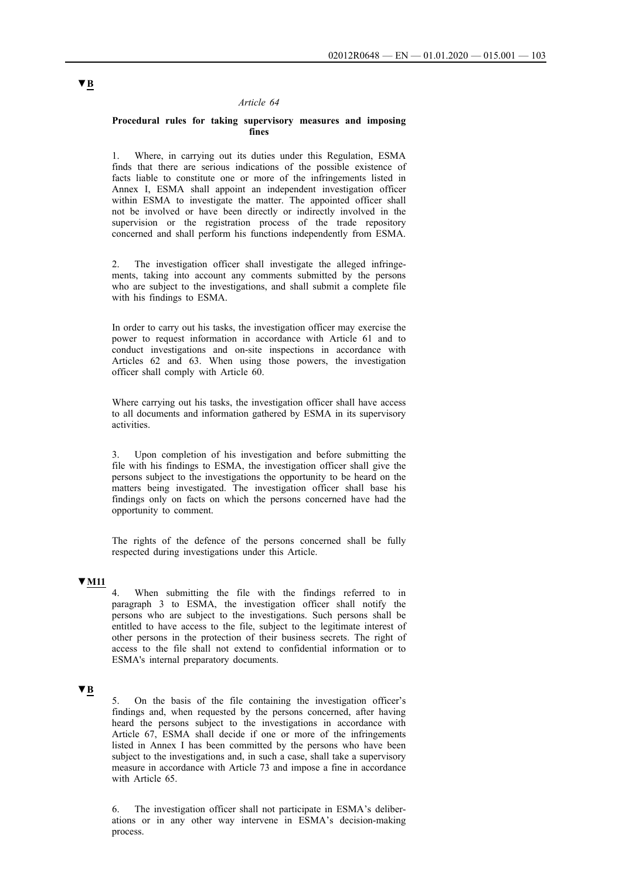### *Article 64*

### **Procedural rules for taking supervisory measures and imposing fines**

1. Where, in carrying out its duties under this Regulation, ESMA finds that there are serious indications of the possible existence of facts liable to constitute one or more of the infringements listed in Annex I, ESMA shall appoint an independent investigation officer within ESMA to investigate the matter. The appointed officer shall not be involved or have been directly or indirectly involved in the supervision or the registration process of the trade repository concerned and shall perform his functions independently from ESMA.

2. The investigation officer shall investigate the alleged infringements, taking into account any comments submitted by the persons who are subject to the investigations, and shall submit a complete file with his findings to ESMA.

In order to carry out his tasks, the investigation officer may exercise the power to request information in accordance with Article 61 and to conduct investigations and on-site inspections in accordance with Articles 62 and 63. When using those powers, the investigation officer shall comply with Article 60.

Where carrying out his tasks, the investigation officer shall have access to all documents and information gathered by ESMA in its supervisory activities.

3. Upon completion of his investigation and before submitting the file with his findings to ESMA, the investigation officer shall give the persons subject to the investigations the opportunity to be heard on the matters being investigated. The investigation officer shall base his findings only on facts on which the persons concerned have had the opportunity to comment.

The rights of the defence of the persons concerned shall be fully respected during investigations under this Article.

### **▼M11**

4. When submitting the file with the findings referred to in paragraph 3 to ESMA, the investigation officer shall notify the persons who are subject to the investigations. Such persons shall be entitled to have access to the file, subject to the legitimate interest of other persons in the protection of their business secrets. The right of access to the file shall not extend to confidential information or to ESMA's internal preparatory documents.

# **▼B**

5. On the basis of the file containing the investigation officer's findings and, when requested by the persons concerned, after having heard the persons subject to the investigations in accordance with Article 67, ESMA shall decide if one or more of the infringements listed in Annex I has been committed by the persons who have been subject to the investigations and, in such a case, shall take a supervisory measure in accordance with Article 73 and impose a fine in accordance with Article 65.

6. The investigation officer shall not participate in ESMA's deliberations or in any other way intervene in ESMA's decision-making process.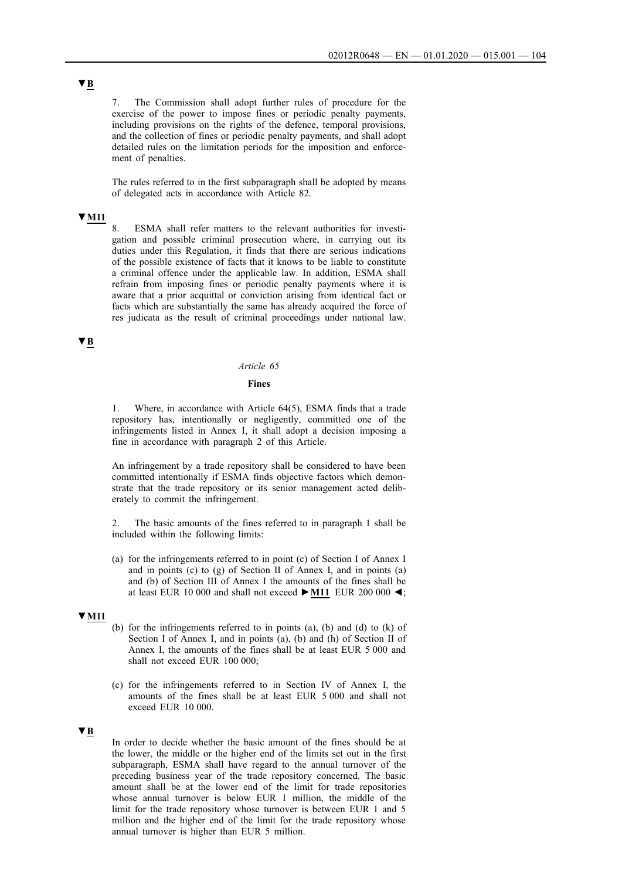7. The Commission shall adopt further rules of procedure for the exercise of the power to impose fines or periodic penalty payments, including provisions on the rights of the defence, temporal provisions, and the collection of fines or periodic penalty payments, and shall adopt detailed rules on the limitation periods for the imposition and enforcement of penalties.

The rules referred to in the first subparagraph shall be adopted by means of delegated acts in accordance with Article 82.

# **▼M11**

8. ESMA shall refer matters to the relevant authorities for investigation and possible criminal prosecution where, in carrying out its duties under this Regulation, it finds that there are serious indications of the possible existence of facts that it knows to be liable to constitute a criminal offence under the applicable law. In addition, ESMA shall refrain from imposing fines or periodic penalty payments where it is aware that a prior acquittal or conviction arising from identical fact or facts which are substantially the same has already acquired the force of res judicata as the result of criminal proceedings under national law.

## **▼B**

#### *Article 65*

### **Fines**

1. Where, in accordance with Article 64(5), ESMA finds that a trade repository has, intentionally or negligently, committed one of the infringements listed in Annex I, it shall adopt a decision imposing a fine in accordance with paragraph 2 of this Article.

An infringement by a trade repository shall be considered to have been committed intentionally if ESMA finds objective factors which demonstrate that the trade repository or its senior management acted deliberately to commit the infringement.

2. The basic amounts of the fines referred to in paragraph 1 shall be included within the following limits:

(a) for the infringements referred to in point (c) of Section I of Annex I and in points (c) to (g) of Section II of Annex I, and in points (a) and (b) of Section III of Annex I the amounts of the fines shall be at least EUR 10 000 and shall not exceed **►M11** EUR 200 000 ◄;

## **▼M11**

- (b) for the infringements referred to in points (a), (b) and (d) to (k) of Section I of Annex I, and in points (a), (b) and (h) of Section II of Annex I, the amounts of the fines shall be at least EUR 5 000 and shall not exceed EUR 100 000;
- (c) for the infringements referred to in Section IV of Annex I, the amounts of the fines shall be at least EUR 5 000 and shall not exceed EUR 10 000.

## **▼B**

In order to decide whether the basic amount of the fines should be at the lower, the middle or the higher end of the limits set out in the first subparagraph, ESMA shall have regard to the annual turnover of the preceding business year of the trade repository concerned. The basic amount shall be at the lower end of the limit for trade repositories whose annual turnover is below EUR 1 million, the middle of the limit for the trade repository whose turnover is between EUR 1 and 5 million and the higher end of the limit for the trade repository whose annual turnover is higher than EUR 5 million.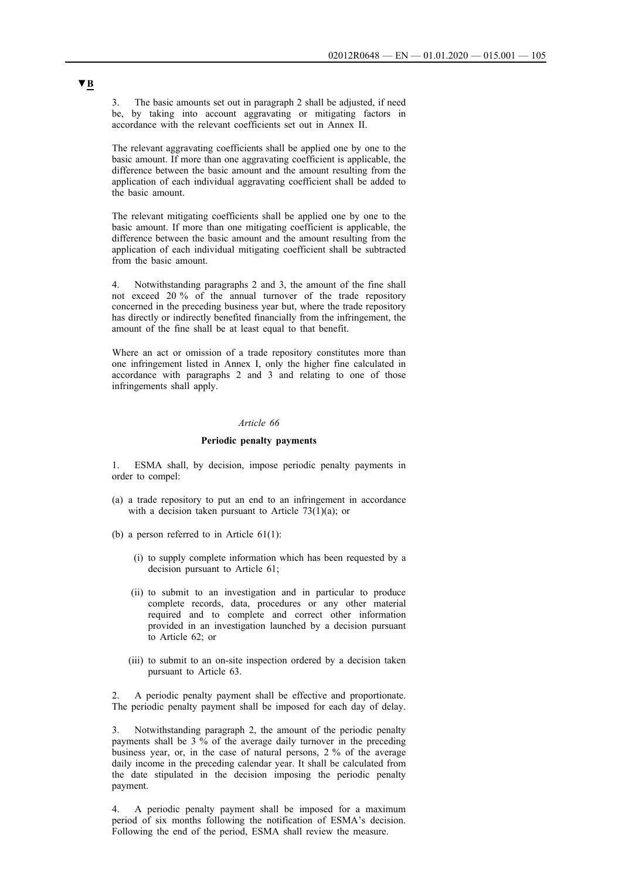3. The basic amounts set out in paragraph 2 shall be adjusted, if need be, by taking into account aggravating or mitigating factors in accordance with the relevant coefficients set out in Annex II.

The relevant aggravating coefficients shall be applied one by one to the basic amount. If more than one aggravating coefficient is applicable, the difference between the basic amount and the amount resulting from the application of each individual aggravating coefficient shall be added to the basic amount.

The relevant mitigating coefficients shall be applied one by one to the basic amount. If more than one mitigating coefficient is applicable, the difference between the basic amount and the amount resulting from the application of each individual mitigating coefficient shall be subtracted from the basic amount.

4. Notwithstanding paragraphs 2 and 3, the amount of the fine shall not exceed 20 % of the annual turnover of the trade repository concerned in the preceding business year but, where the trade repository has directly or indirectly benefited financially from the infringement, the amount of the fine shall be at least equal to that benefit.

Where an act or omission of a trade repository constitutes more than one infringement listed in Annex I, only the higher fine calculated in accordance with paragraphs 2 and 3 and relating to one of those infringements shall apply.

#### *Article 66*

### **Periodic penalty payments**

1. ESMA shall, by decision, impose periodic penalty payments in order to compel:

- (a) a trade repository to put an end to an infringement in accordance with a decision taken pursuant to Article 73(1)(a); or
- (b) a person referred to in Article  $61(1)$ :
	- (i) to supply complete information which has been requested by a decision pursuant to Article 61;
	- (ii) to submit to an investigation and in particular to produce complete records, data, procedures or any other material required and to complete and correct other information provided in an investigation launched by a decision pursuant to Article 62; or
	- (iii) to submit to an on-site inspection ordered by a decision taken pursuant to Article 63.

2. A periodic penalty payment shall be effective and proportionate. The periodic penalty payment shall be imposed for each day of delay.

3. Notwithstanding paragraph 2, the amount of the periodic penalty payments shall be 3 % of the average daily turnover in the preceding business year, or, in the case of natural persons, 2 % of the average daily income in the preceding calendar year. It shall be calculated from the date stipulated in the decision imposing the periodic penalty payment.

4. A periodic penalty payment shall be imposed for a maximum period of six months following the notification of ESMA's decision. Following the end of the period, ESMA shall review the measure.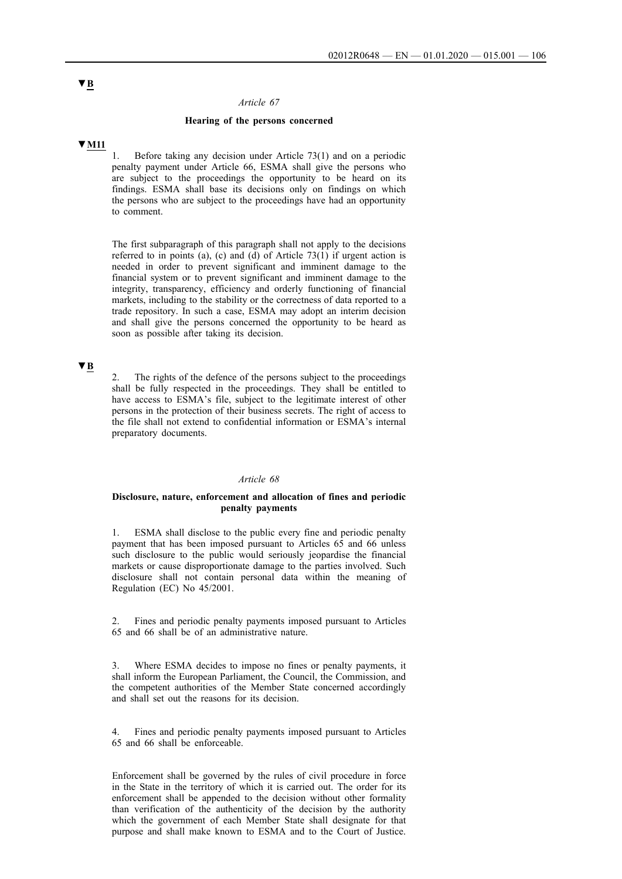#### *Article 67*

### **Hearing of the persons concerned**

### **▼M11**

1. Before taking any decision under Article 73(1) and on a periodic penalty payment under Article 66, ESMA shall give the persons who are subject to the proceedings the opportunity to be heard on its findings. ESMA shall base its decisions only on findings on which the persons who are subject to the proceedings have had an opportunity to comment.

The first subparagraph of this paragraph shall not apply to the decisions referred to in points (a), (c) and (d) of Article  $73(1)$  if urgent action is needed in order to prevent significant and imminent damage to the financial system or to prevent significant and imminent damage to the integrity, transparency, efficiency and orderly functioning of financial markets, including to the stability or the correctness of data reported to a trade repository. In such a case, ESMA may adopt an interim decision and shall give the persons concerned the opportunity to be heard as soon as possible after taking its decision.

## **▼B**

2. The rights of the defence of the persons subject to the proceedings shall be fully respected in the proceedings. They shall be entitled to have access to ESMA's file, subject to the legitimate interest of other persons in the protection of their business secrets. The right of access to the file shall not extend to confidential information or ESMA's internal preparatory documents.

## *Article 68*

### **Disclosure, nature, enforcement and allocation of fines and periodic penalty payments**

ESMA shall disclose to the public every fine and periodic penalty payment that has been imposed pursuant to Articles 65 and 66 unless such disclosure to the public would seriously jeopardise the financial markets or cause disproportionate damage to the parties involved. Such disclosure shall not contain personal data within the meaning of Regulation (EC) No 45/2001.

2. Fines and periodic penalty payments imposed pursuant to Articles 65 and 66 shall be of an administrative nature.

3. Where ESMA decides to impose no fines or penalty payments, it shall inform the European Parliament, the Council, the Commission, and the competent authorities of the Member State concerned accordingly and shall set out the reasons for its decision.

4. Fines and periodic penalty payments imposed pursuant to Articles 65 and 66 shall be enforceable.

Enforcement shall be governed by the rules of civil procedure in force in the State in the territory of which it is carried out. The order for its enforcement shall be appended to the decision without other formality than verification of the authenticity of the decision by the authority which the government of each Member State shall designate for that purpose and shall make known to ESMA and to the Court of Justice.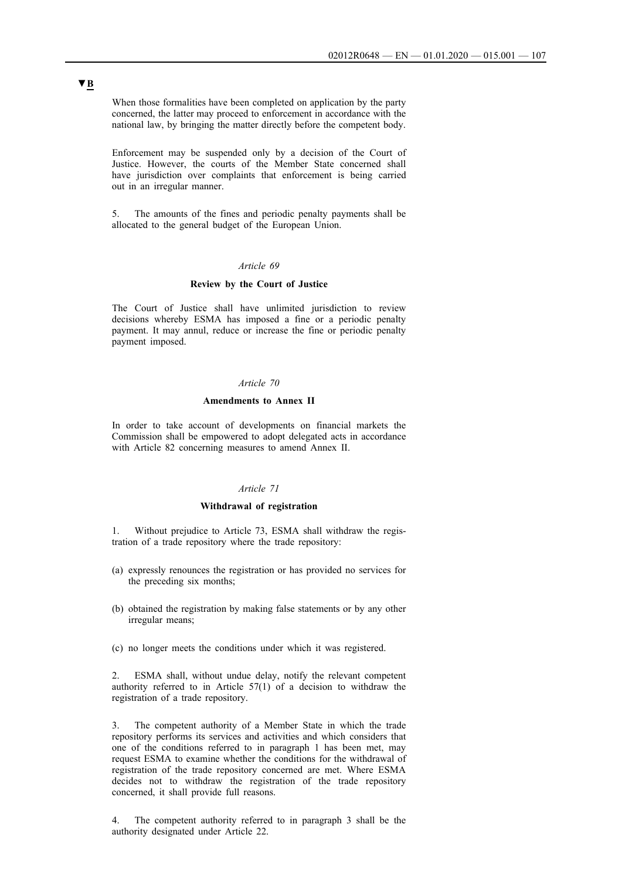When those formalities have been completed on application by the party concerned, the latter may proceed to enforcement in accordance with the national law, by bringing the matter directly before the competent body.

Enforcement may be suspended only by a decision of the Court of Justice. However, the courts of the Member State concerned shall have jurisdiction over complaints that enforcement is being carried out in an irregular manner.

5. The amounts of the fines and periodic penalty payments shall be allocated to the general budget of the European Union.

#### *Article 69*

### **Review by the Court of Justice**

The Court of Justice shall have unlimited jurisdiction to review decisions whereby ESMA has imposed a fine or a periodic penalty payment. It may annul, reduce or increase the fine or periodic penalty payment imposed.

### *Article 70*

#### **Amendments to Annex II**

In order to take account of developments on financial markets the Commission shall be empowered to adopt delegated acts in accordance with Article 82 concerning measures to amend Annex II.

#### *Article 71*

#### **Withdrawal of registration**

1. Without prejudice to Article 73, ESMA shall withdraw the registration of a trade repository where the trade repository:

- (a) expressly renounces the registration or has provided no services for the preceding six months;
- (b) obtained the registration by making false statements or by any other irregular means;
- (c) no longer meets the conditions under which it was registered.

2. ESMA shall, without undue delay, notify the relevant competent authority referred to in Article 57(1) of a decision to withdraw the registration of a trade repository.

3. The competent authority of a Member State in which the trade repository performs its services and activities and which considers that one of the conditions referred to in paragraph 1 has been met, may request ESMA to examine whether the conditions for the withdrawal of registration of the trade repository concerned are met. Where ESMA decides not to withdraw the registration of the trade repository concerned, it shall provide full reasons.

4. The competent authority referred to in paragraph 3 shall be the authority designated under Article 22.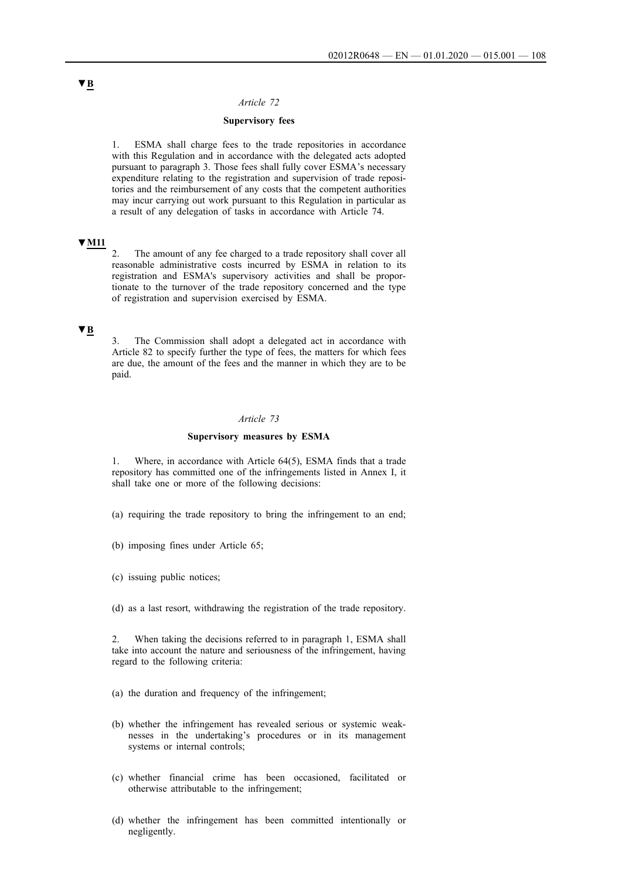### *Article 72*

## **Supervisory fees**

1. ESMA shall charge fees to the trade repositories in accordance with this Regulation and in accordance with the delegated acts adopted pursuant to paragraph 3. Those fees shall fully cover ESMA's necessary expenditure relating to the registration and supervision of trade repositories and the reimbursement of any costs that the competent authorities may incur carrying out work pursuant to this Regulation in particular as a result of any delegation of tasks in accordance with Article 74.

## **▼M11**

2. The amount of any fee charged to a trade repository shall cover all reasonable administrative costs incurred by ESMA in relation to its registration and ESMA's supervisory activities and shall be proportionate to the turnover of the trade repository concerned and the type of registration and supervision exercised by ESMA.

## **▼B**

3. The Commission shall adopt a delegated act in accordance with Article 82 to specify further the type of fees, the matters for which fees are due, the amount of the fees and the manner in which they are to be paid.

#### *Article 73*

#### **Supervisory measures by ESMA**

1. Where, in accordance with Article 64(5), ESMA finds that a trade repository has committed one of the infringements listed in Annex I, it shall take one or more of the following decisions:

- (a) requiring the trade repository to bring the infringement to an end;
- (b) imposing fines under Article 65;
- (c) issuing public notices;

(d) as a last resort, withdrawing the registration of the trade repository.

2. When taking the decisions referred to in paragraph 1, ESMA shall take into account the nature and seriousness of the infringement, having regard to the following criteria:

- (a) the duration and frequency of the infringement;
- (b) whether the infringement has revealed serious or systemic weaknesses in the undertaking's procedures or in its management systems or internal controls;
- (c) whether financial crime has been occasioned, facilitated or otherwise attributable to the infringement;
- (d) whether the infringement has been committed intentionally or negligently.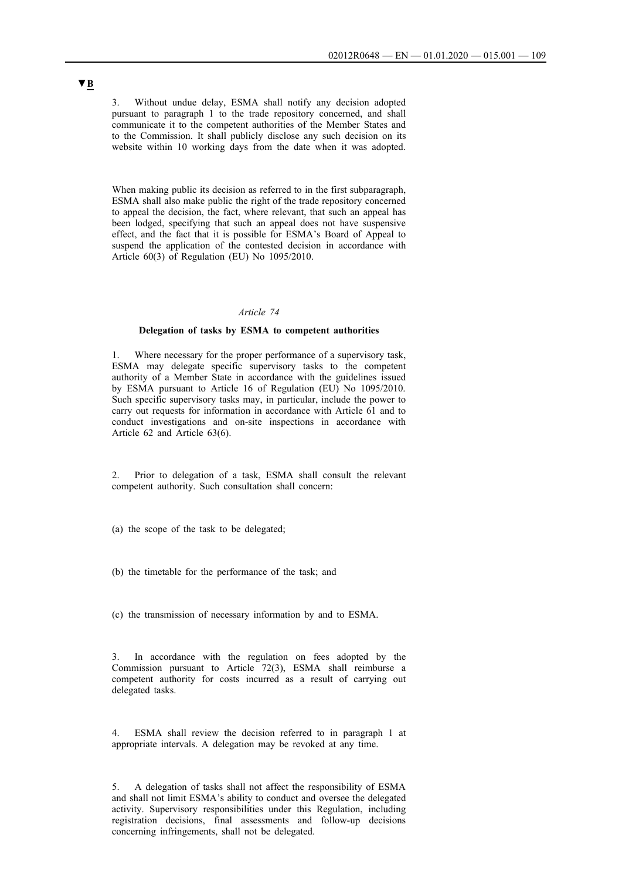3. Without undue delay, ESMA shall notify any decision adopted pursuant to paragraph 1 to the trade repository concerned, and shall communicate it to the competent authorities of the Member States and to the Commission. It shall publicly disclose any such decision on its website within 10 working days from the date when it was adopted.

When making public its decision as referred to in the first subparagraph, ESMA shall also make public the right of the trade repository concerned to appeal the decision, the fact, where relevant, that such an appeal has been lodged, specifying that such an appeal does not have suspensive effect, and the fact that it is possible for ESMA's Board of Appeal to suspend the application of the contested decision in accordance with Article 60(3) of Regulation (EU) No 1095/2010.

## *Article 74*

### **Delegation of tasks by ESMA to competent authorities**

Where necessary for the proper performance of a supervisory task, ESMA may delegate specific supervisory tasks to the competent authority of a Member State in accordance with the guidelines issued by ESMA pursuant to Article 16 of Regulation (EU) No 1095/2010. Such specific supervisory tasks may, in particular, include the power to carry out requests for information in accordance with Article 61 and to conduct investigations and on-site inspections in accordance with Article 62 and Article 63(6).

2. Prior to delegation of a task, ESMA shall consult the relevant competent authority. Such consultation shall concern:

(a) the scope of the task to be delegated;

(b) the timetable for the performance of the task; and

(c) the transmission of necessary information by and to ESMA.

3. In accordance with the regulation on fees adopted by the Commission pursuant to Article 72(3), ESMA shall reimburse a competent authority for costs incurred as a result of carrying out delegated tasks.

4. ESMA shall review the decision referred to in paragraph 1 at appropriate intervals. A delegation may be revoked at any time.

5. A delegation of tasks shall not affect the responsibility of ESMA and shall not limit ESMA's ability to conduct and oversee the delegated activity. Supervisory responsibilities under this Regulation, including registration decisions, final assessments and follow-up decisions concerning infringements, shall not be delegated.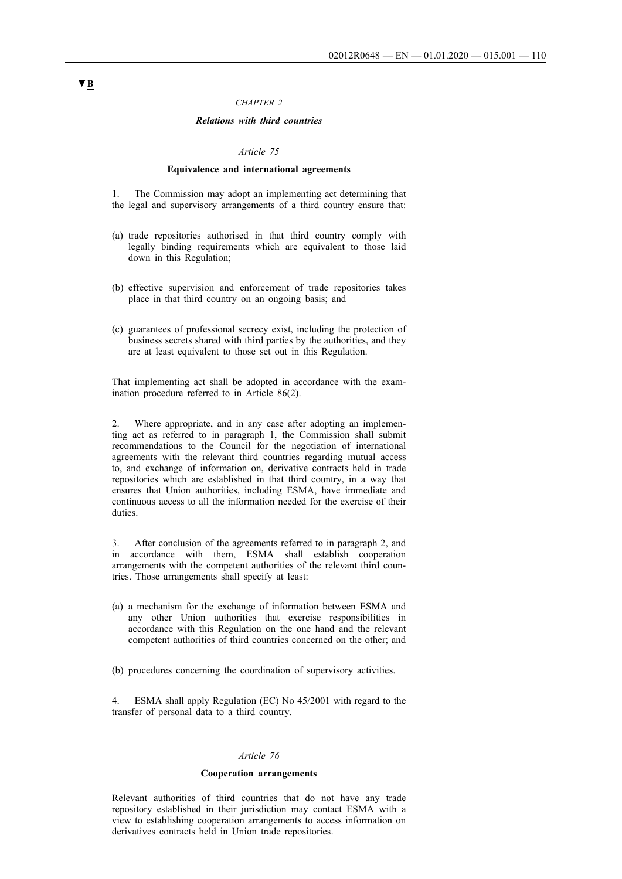### *CHAPTER 2*

### *Relations with third countries*

#### *Article 75*

#### **Equivalence and international agreements**

1. The Commission may adopt an implementing act determining that the legal and supervisory arrangements of a third country ensure that:

- (a) trade repositories authorised in that third country comply with legally binding requirements which are equivalent to those laid down in this Regulation;
- (b) effective supervision and enforcement of trade repositories takes place in that third country on an ongoing basis; and
- (c) guarantees of professional secrecy exist, including the protection of business secrets shared with third parties by the authorities, and they are at least equivalent to those set out in this Regulation.

That implementing act shall be adopted in accordance with the examination procedure referred to in Article 86(2).

2. Where appropriate, and in any case after adopting an implementing act as referred to in paragraph 1, the Commission shall submit recommendations to the Council for the negotiation of international agreements with the relevant third countries regarding mutual access to, and exchange of information on, derivative contracts held in trade repositories which are established in that third country, in a way that ensures that Union authorities, including ESMA, have immediate and continuous access to all the information needed for the exercise of their duties.

3. After conclusion of the agreements referred to in paragraph 2, and in accordance with them, ESMA shall establish cooperation arrangements with the competent authorities of the relevant third countries. Those arrangements shall specify at least:

- (a) a mechanism for the exchange of information between ESMA and any other Union authorities that exercise responsibilities in accordance with this Regulation on the one hand and the relevant competent authorities of third countries concerned on the other; and
- (b) procedures concerning the coordination of supervisory activities.

4. ESMA shall apply Regulation (EC) No 45/2001 with regard to the transfer of personal data to a third country.

#### *Article 76*

#### **Cooperation arrangements**

Relevant authorities of third countries that do not have any trade repository established in their jurisdiction may contact ESMA with a view to establishing cooperation arrangements to access information on derivatives contracts held in Union trade repositories.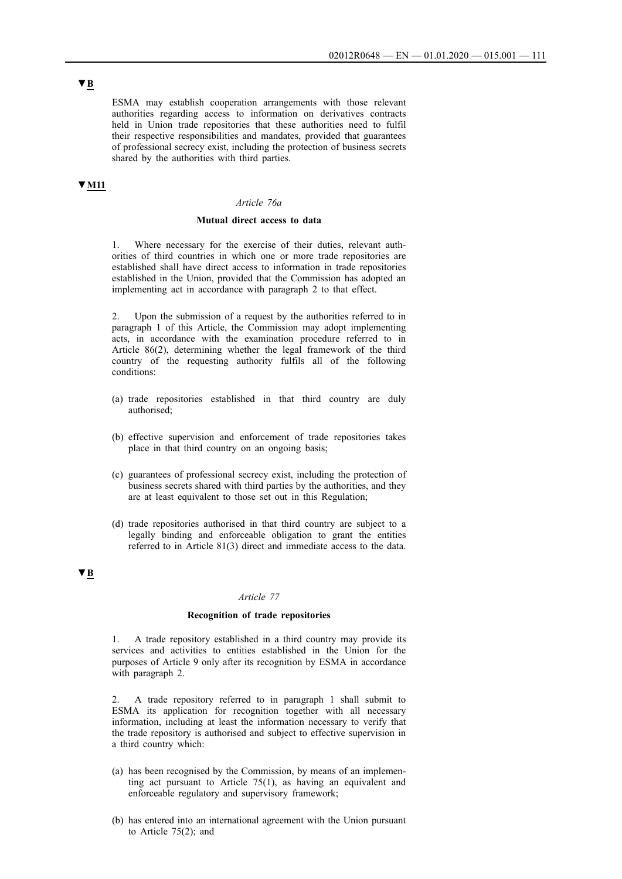ESMA may establish cooperation arrangements with those relevant authorities regarding access to information on derivatives contracts held in Union trade repositories that these authorities need to fulfil their respective responsibilities and mandates, provided that guarantees of professional secrecy exist, including the protection of business secrets shared by the authorities with third parties.

## **▼M11**

## *Article 76a*

### **Mutual direct access to data**

1. Where necessary for the exercise of their duties, relevant authorities of third countries in which one or more trade repositories are established shall have direct access to information in trade repositories established in the Union, provided that the Commission has adopted an implementing act in accordance with paragraph 2 to that effect.

2. Upon the submission of a request by the authorities referred to in paragraph 1 of this Article, the Commission may adopt implementing acts, in accordance with the examination procedure referred to in Article 86(2), determining whether the legal framework of the third country of the requesting authority fulfils all of the following conditions:

- (a) trade repositories established in that third country are duly authorised;
- (b) effective supervision and enforcement of trade repositories takes place in that third country on an ongoing basis;
- (c) guarantees of professional secrecy exist, including the protection of business secrets shared with third parties by the authorities, and they are at least equivalent to those set out in this Regulation;
- (d) trade repositories authorised in that third country are subject to a legally binding and enforceable obligation to grant the entities referred to in Article 81(3) direct and immediate access to the data.

# **▼B**

#### *Article 77*

### **Recognition of trade repositories**

1. A trade repository established in a third country may provide its services and activities to entities established in the Union for the purposes of Article 9 only after its recognition by ESMA in accordance with paragraph 2.

2. A trade repository referred to in paragraph 1 shall submit to ESMA its application for recognition together with all necessary information, including at least the information necessary to verify that the trade repository is authorised and subject to effective supervision in a third country which:

- (a) has been recognised by the Commission, by means of an implementing act pursuant to Article 75(1), as having an equivalent and enforceable regulatory and supervisory framework;
- (b) has entered into an international agreement with the Union pursuant to Article 75(2); and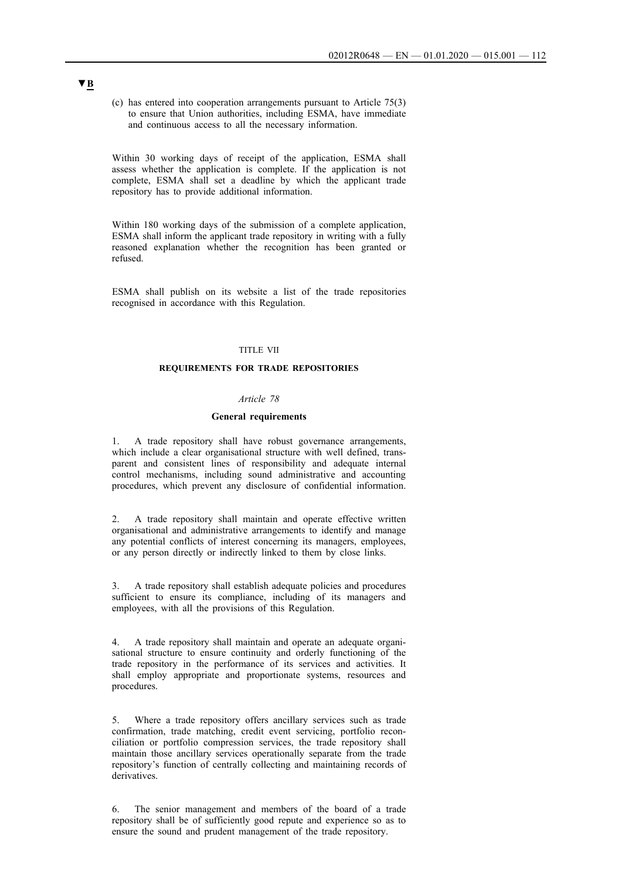(c) has entered into cooperation arrangements pursuant to Article 75(3) to ensure that Union authorities, including ESMA, have immediate and continuous access to all the necessary information.

Within 30 working days of receipt of the application, ESMA shall assess whether the application is complete. If the application is not complete, ESMA shall set a deadline by which the applicant trade repository has to provide additional information.

Within 180 working days of the submission of a complete application, ESMA shall inform the applicant trade repository in writing with a fully reasoned explanation whether the recognition has been granted or refused.

ESMA shall publish on its website a list of the trade repositories recognised in accordance with this Regulation.

## TITLE VII

### **REQUIREMENTS FOR TRADE REPOSITORIES**

### *Article 78*

### **General requirements**

1. A trade repository shall have robust governance arrangements, which include a clear organisational structure with well defined, transparent and consistent lines of responsibility and adequate internal control mechanisms, including sound administrative and accounting procedures, which prevent any disclosure of confidential information.

2. A trade repository shall maintain and operate effective written organisational and administrative arrangements to identify and manage any potential conflicts of interest concerning its managers, employees, or any person directly or indirectly linked to them by close links.

3. A trade repository shall establish adequate policies and procedures sufficient to ensure its compliance, including of its managers and employees, with all the provisions of this Regulation.

4. A trade repository shall maintain and operate an adequate organisational structure to ensure continuity and orderly functioning of the trade repository in the performance of its services and activities. It shall employ appropriate and proportionate systems, resources and procedures.

5. Where a trade repository offers ancillary services such as trade confirmation, trade matching, credit event servicing, portfolio reconciliation or portfolio compression services, the trade repository shall maintain those ancillary services operationally separate from the trade repository's function of centrally collecting and maintaining records of derivatives.

6. The senior management and members of the board of a trade repository shall be of sufficiently good repute and experience so as to ensure the sound and prudent management of the trade repository.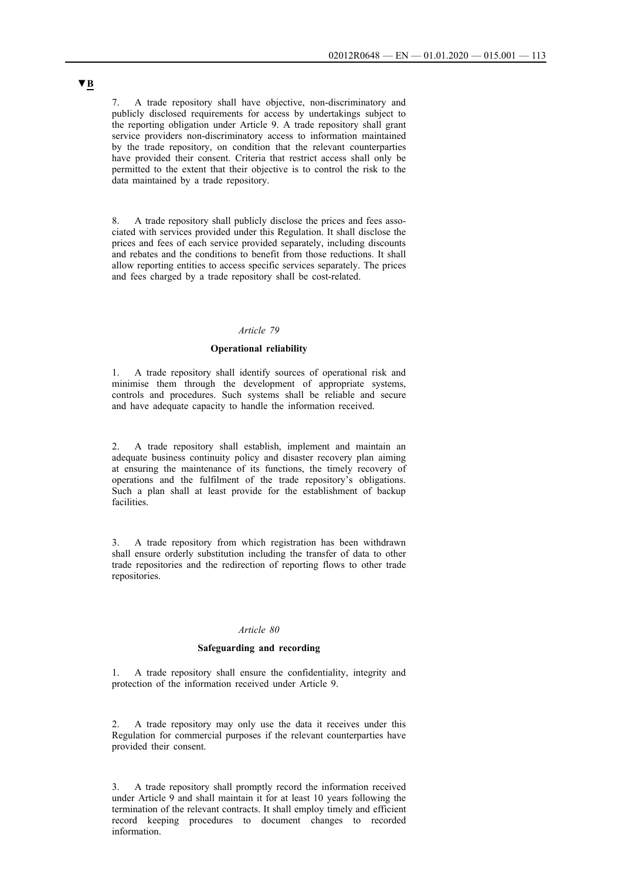7. A trade repository shall have objective, non-discriminatory and publicly disclosed requirements for access by undertakings subject to the reporting obligation under Article 9. A trade repository shall grant service providers non-discriminatory access to information maintained by the trade repository, on condition that the relevant counterparties have provided their consent. Criteria that restrict access shall only be permitted to the extent that their objective is to control the risk to the data maintained by a trade repository.

8. A trade repository shall publicly disclose the prices and fees associated with services provided under this Regulation. It shall disclose the prices and fees of each service provided separately, including discounts and rebates and the conditions to benefit from those reductions. It shall allow reporting entities to access specific services separately. The prices and fees charged by a trade repository shall be cost-related.

### *Article 79*

### **Operational reliability**

1. A trade repository shall identify sources of operational risk and minimise them through the development of appropriate systems, controls and procedures. Such systems shall be reliable and secure and have adequate capacity to handle the information received.

2. A trade repository shall establish, implement and maintain an adequate business continuity policy and disaster recovery plan aiming at ensuring the maintenance of its functions, the timely recovery of operations and the fulfilment of the trade repository's obligations. Such a plan shall at least provide for the establishment of backup facilities.

3. A trade repository from which registration has been withdrawn shall ensure orderly substitution including the transfer of data to other trade repositories and the redirection of reporting flows to other trade repositories.

#### *Article 80*

### **Safeguarding and recording**

1. A trade repository shall ensure the confidentiality, integrity and protection of the information received under Article 9.

2. A trade repository may only use the data it receives under this Regulation for commercial purposes if the relevant counterparties have provided their consent.

3. A trade repository shall promptly record the information received under Article 9 and shall maintain it for at least 10 years following the termination of the relevant contracts. It shall employ timely and efficient record keeping procedures to document changes to recorded information.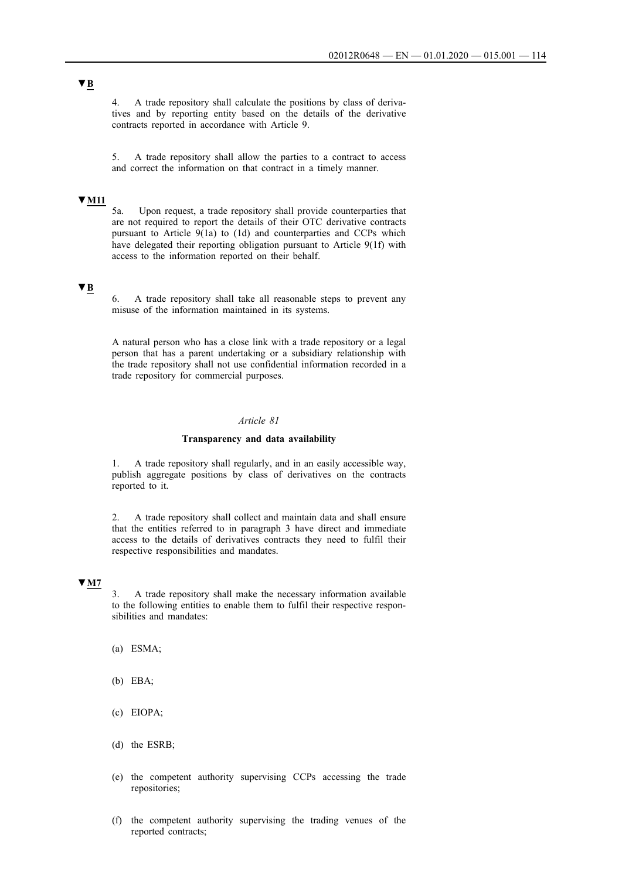4. A trade repository shall calculate the positions by class of derivatives and by reporting entity based on the details of the derivative contracts reported in accordance with Article 9.

5. A trade repository shall allow the parties to a contract to access and correct the information on that contract in a timely manner.

## **▼M11**

5a. Upon request, a trade repository shall provide counterparties that are not required to report the details of their OTC derivative contracts pursuant to Article 9(1a) to (1d) and counterparties and CCPs which have delegated their reporting obligation pursuant to Article 9(1f) with access to the information reported on their behalf.

### **▼B**

6. A trade repository shall take all reasonable steps to prevent any misuse of the information maintained in its systems.

A natural person who has a close link with a trade repository or a legal person that has a parent undertaking or a subsidiary relationship with the trade repository shall not use confidential information recorded in a trade repository for commercial purposes.

### *Article 81*

### **Transparency and data availability**

1. A trade repository shall regularly, and in an easily accessible way, publish aggregate positions by class of derivatives on the contracts reported to it.

2. A trade repository shall collect and maintain data and shall ensure that the entities referred to in paragraph 3 have direct and immediate access to the details of derivatives contracts they need to fulfil their respective responsibilities and mandates.

## **▼M7**

3. A trade repository shall make the necessary information available to the following entities to enable them to fulfil their respective responsibilities and mandates:

- (a) ESMA;
- (b) EBA;
- (c) EIOPA;
- (d) the ESRB;
- (e) the competent authority supervising CCPs accessing the trade repositories;
- (f) the competent authority supervising the trading venues of the reported contracts;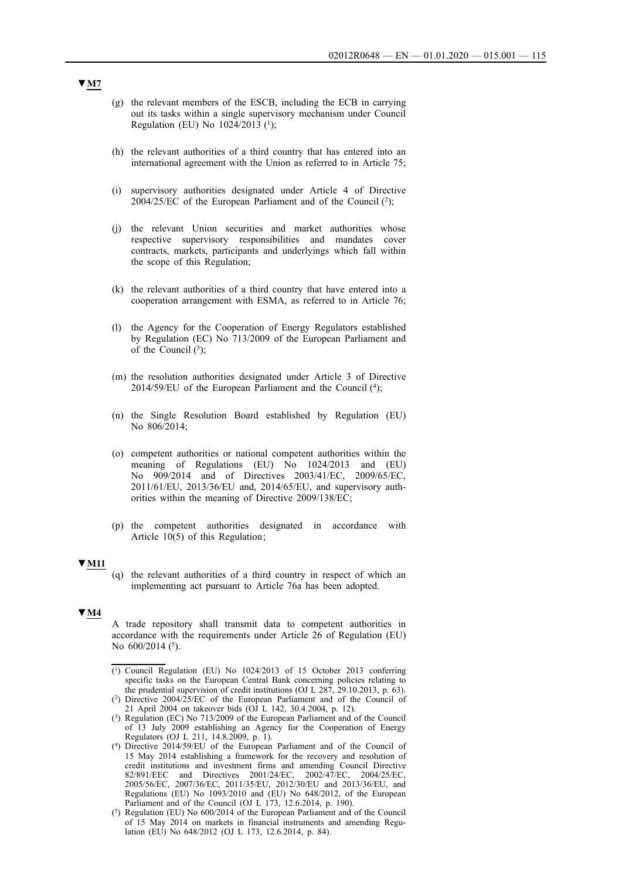- (g) the relevant members of the ESCB, including the ECB in carrying out its tasks within a single supervisory mechanism under Council Regulation (EU) No 1024/2013 (1);
- (h) the relevant authorities of a third country that has entered into an international agreement with the Union as referred to in Article 75;
- (i) supervisory authorities designated under Article 4 of Directive  $2004/25/EC$  of the European Parliament and of the Council  $(2)$ ;
- (j) the relevant Union securities and market authorities whose respective supervisory responsibilities and mandates cover contracts, markets, participants and underlyings which fall within the scope of this Regulation;
- (k) the relevant authorities of a third country that have entered into a cooperation arrangement with ESMA, as referred to in Article 76;
- (l) the Agency for the Cooperation of Energy Regulators established by Regulation (EC) No 713/2009 of the European Parliament and of the Council  $(3)$ ;
- (m) the resolution authorities designated under Article 3 of Directive  $2014/59/EU$  of the European Parliament and the Council  $(4)$ ;
- (n) the Single Resolution Board established by Regulation (EU) No 806/2014;
- (o) competent authorities or national competent authorities within the meaning of Regulations (EU) No 1024/2013 and (EU) No 909/2014 and of Directives 2003/41/EC, 2009/65/EC, 2011/61/EU, 2013/36/EU and, 2014/65/EU, and supervisory authorities within the meaning of Directive 2009/138/EC;
- (p) the competent authorities designated in accordance with Article 10(5) of this Regulation;

(q) the relevant authorities of a third country in respect of which an implementing act pursuant to Article 76a has been adopted.

## **▼M4**

A trade repository shall transmit data to competent authorities in accordance with the requirements under Article 26 of Regulation (EU) No  $600/2014$  (<sup>5</sup>).

<sup>(1)</sup> Council Regulation (EU) No 1024/2013 of 15 October 2013 conferring specific tasks on the European Central Bank concerning policies relating to the prudential supervision of credit institutions (OJ L 287, 29.10.2013, p. 63). (2) Directive 2004/25/EC of the European Parliament and of the Council of

<sup>21</sup> April 2004 on takeover bids (OJ L 142, 30.4.2004, p. 12).

<sup>(3)</sup> Regulation (EC) No 713/2009 of the European Parliament and of the Council of 13 July 2009 establishing an Agency for the Cooperation of Energy Regulators (OJ L 211, 14.8.2009, p. 1).

<sup>(4)</sup> Directive 2014/59/EU of the European Parliament and of the Council of 15 May 2014 establishing a framework for the recovery and resolution of credit institutions and investment firms and amending Council Directive 82/891/EEC and Directives 2001/24/EC, 2002/47/EC, 2004/25/EC, 2005/56/EC, 2007/36/EC, 2011/35/EU, 2012/30/EU and 2013/36/EU, and Regulations (EU) No 1093/2010 and (EU) No 648/2012, of the European Parliament and of the Council (OJ L 173, 12.6.2014, p. 190).

<sup>(5)</sup> Regulation (EU) No 600/2014 of the European Parliament and of the Council of 15 May 2014 on markets in financial instruments and amending Regulation (EU) No 648/2012 (OJ L 173, 12.6.2014, p. 84).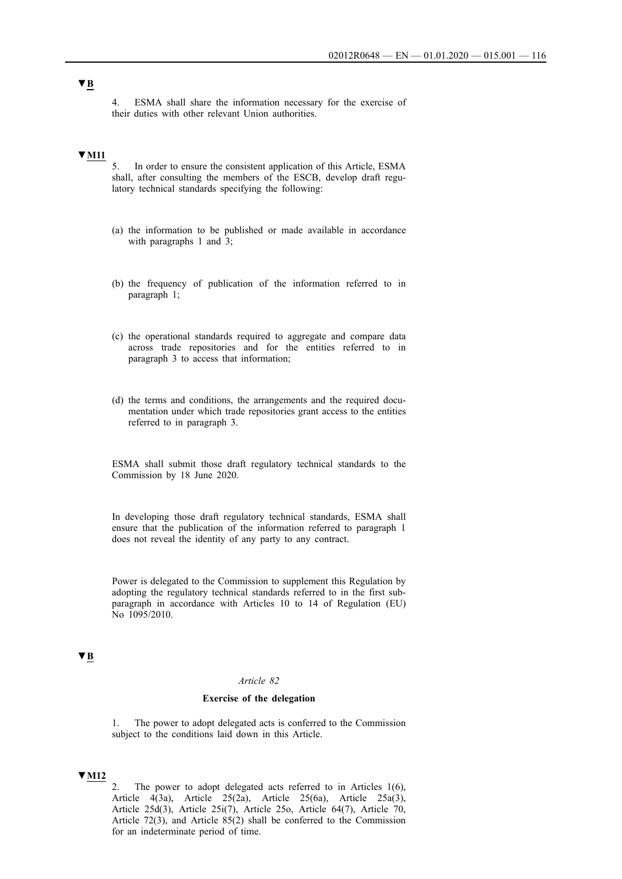4. ESMA shall share the information necessary for the exercise of their duties with other relevant Union authorities.

## **▼M11**

5. In order to ensure the consistent application of this Article, ESMA shall, after consulting the members of the ESCB, develop draft regulatory technical standards specifying the following:

- (a) the information to be published or made available in accordance with paragraphs 1 and 3;
- (b) the frequency of publication of the information referred to in paragraph 1;
- (c) the operational standards required to aggregate and compare data across trade repositories and for the entities referred to in paragraph 3 to access that information;
- (d) the terms and conditions, the arrangements and the required documentation under which trade repositories grant access to the entities referred to in paragraph 3.

ESMA shall submit those draft regulatory technical standards to the Commission by 18 June 2020.

In developing those draft regulatory technical standards, ESMA shall ensure that the publication of the information referred to paragraph 1 does not reveal the identity of any party to any contract.

Power is delegated to the Commission to supplement this Regulation by adopting the regulatory technical standards referred to in the first subparagraph in accordance with Articles 10 to 14 of Regulation (EU) No 1095/2010.

## **▼B**

## *Article 82*

#### **Exercise of the delegation**

1. The power to adopt delegated acts is conferred to the Commission subject to the conditions laid down in this Article.

## **▼M12**

<sup>2.</sup> The power to adopt delegated acts referred to in Articles 1(6), Article  $4(3a)$ , Article  $25(2a)$ , Article  $25(6a)$ , Article  $25a(3)$ , Article 25d(3), Article 25i(7), Article 25o, Article 64(7), Article 70, Article 72(3), and Article 85(2) shall be conferred to the Commission for an indeterminate period of time.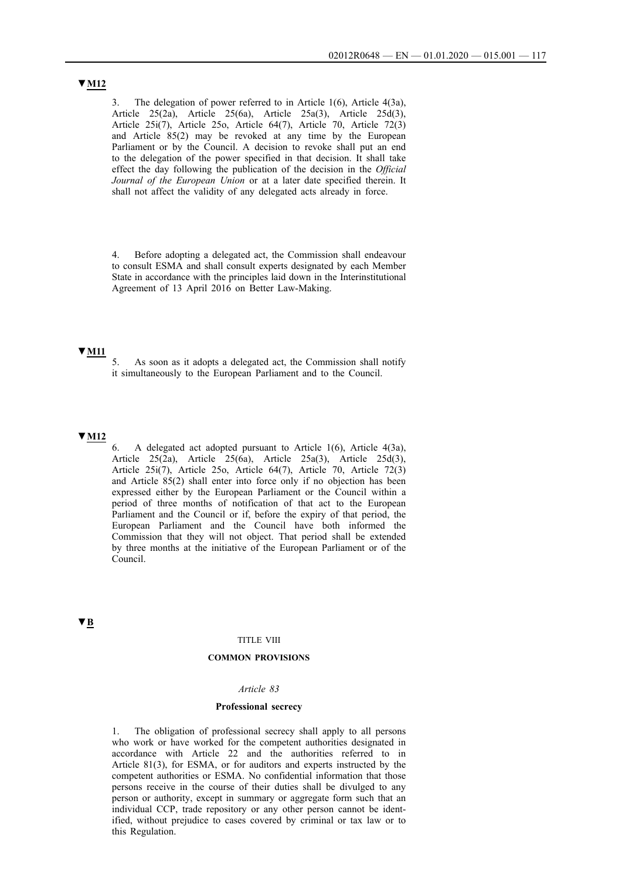3. The delegation of power referred to in Article 1(6), Article 4(3a), Article 25(2a), Article 25(6a), Article 25a(3), Article 25d(3), Article 25i(7), Article 25o, Article 64(7), Article 70, Article 72(3) and Article 85(2) may be revoked at any time by the European Parliament or by the Council. A decision to revoke shall put an end to the delegation of the power specified in that decision. It shall take effect the day following the publication of the decision in the *Official Journal of the European Union* or at a later date specified therein. It shall not affect the validity of any delegated acts already in force.

4. Before adopting a delegated act, the Commission shall endeavour to consult ESMA and shall consult experts designated by each Member State in accordance with the principles laid down in the Interinstitutional Agreement of 13 April 2016 on Better Law-Making.

## **▼M11**

5. As soon as it adopts a delegated act, the Commission shall notify it simultaneously to the European Parliament and to the Council.

## **▼M12**

6. A delegated act adopted pursuant to Article 1(6), Article 4(3a), Article 25(2a), Article 25(6a), Article 25a(3), Article 25d(3), Article 25i(7), Article 25o, Article 64(7), Article 70, Article 72(3) and Article 85(2) shall enter into force only if no objection has been expressed either by the European Parliament or the Council within a period of three months of notification of that act to the European Parliament and the Council or if, before the expiry of that period, the European Parliament and the Council have both informed the Commission that they will not object. That period shall be extended by three months at the initiative of the European Parliament or of the Council.

**▼B**

#### TITLE VIII

### **COMMON PROVISIONS**

### *Article 83*

### **Professional secrecy**

1. The obligation of professional secrecy shall apply to all persons who work or have worked for the competent authorities designated in accordance with Article 22 and the authorities referred to in Article 81(3), for ESMA, or for auditors and experts instructed by the competent authorities or ESMA. No confidential information that those persons receive in the course of their duties shall be divulged to any person or authority, except in summary or aggregate form such that an individual CCP, trade repository or any other person cannot be identified, without prejudice to cases covered by criminal or tax law or to this Regulation.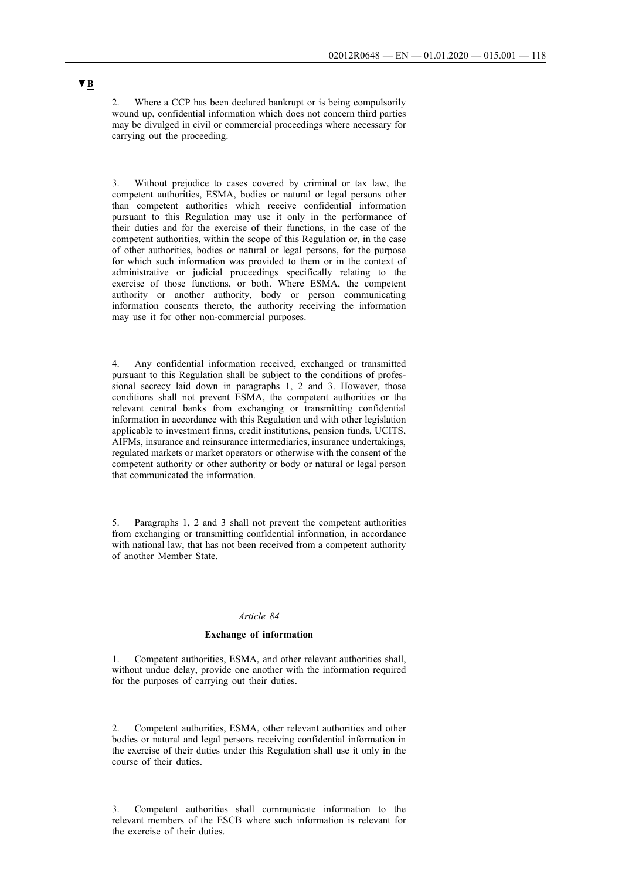2. Where a CCP has been declared bankrupt or is being compulsorily wound up, confidential information which does not concern third parties may be divulged in civil or commercial proceedings where necessary for carrying out the proceeding.

3. Without prejudice to cases covered by criminal or tax law, the competent authorities, ESMA, bodies or natural or legal persons other than competent authorities which receive confidential information pursuant to this Regulation may use it only in the performance of their duties and for the exercise of their functions, in the case of the competent authorities, within the scope of this Regulation or, in the case of other authorities, bodies or natural or legal persons, for the purpose for which such information was provided to them or in the context of administrative or judicial proceedings specifically relating to the exercise of those functions, or both. Where ESMA, the competent authority or another authority, body or person communicating information consents thereto, the authority receiving the information may use it for other non-commercial purposes.

4. Any confidential information received, exchanged or transmitted pursuant to this Regulation shall be subject to the conditions of professional secrecy laid down in paragraphs 1, 2 and 3. However, those conditions shall not prevent ESMA, the competent authorities or the relevant central banks from exchanging or transmitting confidential information in accordance with this Regulation and with other legislation applicable to investment firms, credit institutions, pension funds, UCITS, AIFMs, insurance and reinsurance intermediaries, insurance undertakings, regulated markets or market operators or otherwise with the consent of the competent authority or other authority or body or natural or legal person that communicated the information.

5. Paragraphs 1, 2 and 3 shall not prevent the competent authorities from exchanging or transmitting confidential information, in accordance with national law, that has not been received from a competent authority of another Member State.

### *Article 84*

### **Exchange of information**

Competent authorities, ESMA, and other relevant authorities shall, without undue delay, provide one another with the information required for the purposes of carrying out their duties.

2. Competent authorities, ESMA, other relevant authorities and other bodies or natural and legal persons receiving confidential information in the exercise of their duties under this Regulation shall use it only in the course of their duties.

3. Competent authorities shall communicate information to the relevant members of the ESCB where such information is relevant for the exercise of their duties.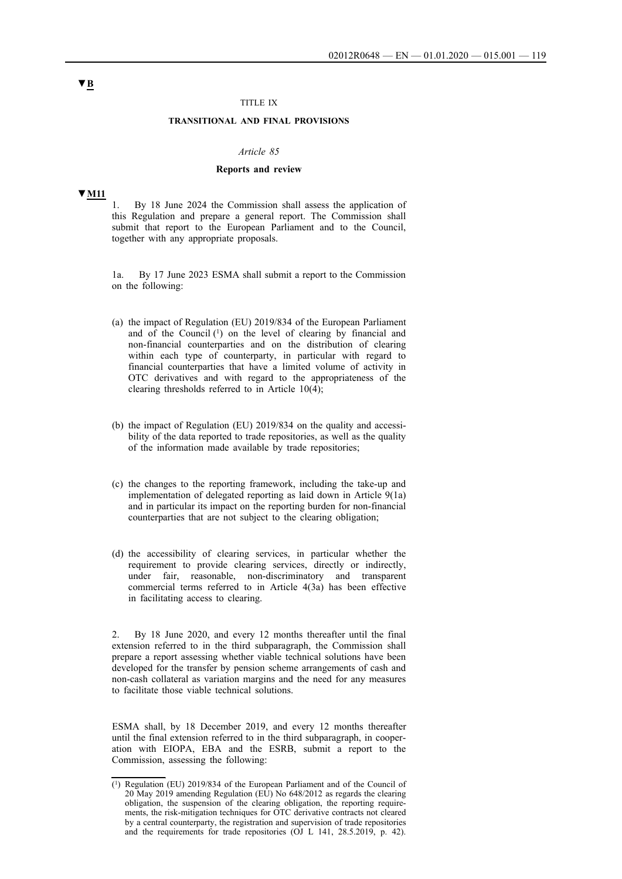### TITLE IX

### **TRANSITIONAL AND FINAL PROVISIONS**

#### *Article 85*

### **Reports and review**

## **▼M11**

1. By 18 June 2024 the Commission shall assess the application of this Regulation and prepare a general report. The Commission shall submit that report to the European Parliament and to the Council, together with any appropriate proposals.

1a. By 17 June 2023 ESMA shall submit a report to the Commission on the following:

- (a) the impact of Regulation (EU) 2019/834 of the European Parliament and of the Council  $(1)$  on the level of clearing by financial and non-financial counterparties and on the distribution of clearing within each type of counterparty, in particular with regard to financial counterparties that have a limited volume of activity in OTC derivatives and with regard to the appropriateness of the clearing thresholds referred to in Article 10(4);
- (b) the impact of Regulation (EU) 2019/834 on the quality and accessibility of the data reported to trade repositories, as well as the quality of the information made available by trade repositories;
- (c) the changes to the reporting framework, including the take-up and implementation of delegated reporting as laid down in Article 9(1a) and in particular its impact on the reporting burden for non-financial counterparties that are not subject to the clearing obligation;
- (d) the accessibility of clearing services, in particular whether the requirement to provide clearing services, directly or indirectly, under fair, reasonable, non-discriminatory and transparent commercial terms referred to in Article 4(3a) has been effective in facilitating access to clearing.

2. By 18 June 2020, and every 12 months thereafter until the final extension referred to in the third subparagraph, the Commission shall prepare a report assessing whether viable technical solutions have been developed for the transfer by pension scheme arrangements of cash and non-cash collateral as variation margins and the need for any measures to facilitate those viable technical solutions.

ESMA shall, by 18 December 2019, and every 12 months thereafter until the final extension referred to in the third subparagraph, in cooperation with EIOPA, EBA and the ESRB, submit a report to the Commission, assessing the following:

<sup>(1)</sup> Regulation (EU) 2019/834 of the European Parliament and of the Council of 20 May 2019 amending Regulation (EU) No 648/2012 as regards the clearing obligation, the suspension of the clearing obligation, the reporting requirements, the risk-mitigation techniques for OTC derivative contracts not cleared by a central counterparty, the registration and supervision of trade repositories and the requirements for trade repositories (OJ L 141, 28.5.2019, p. 42).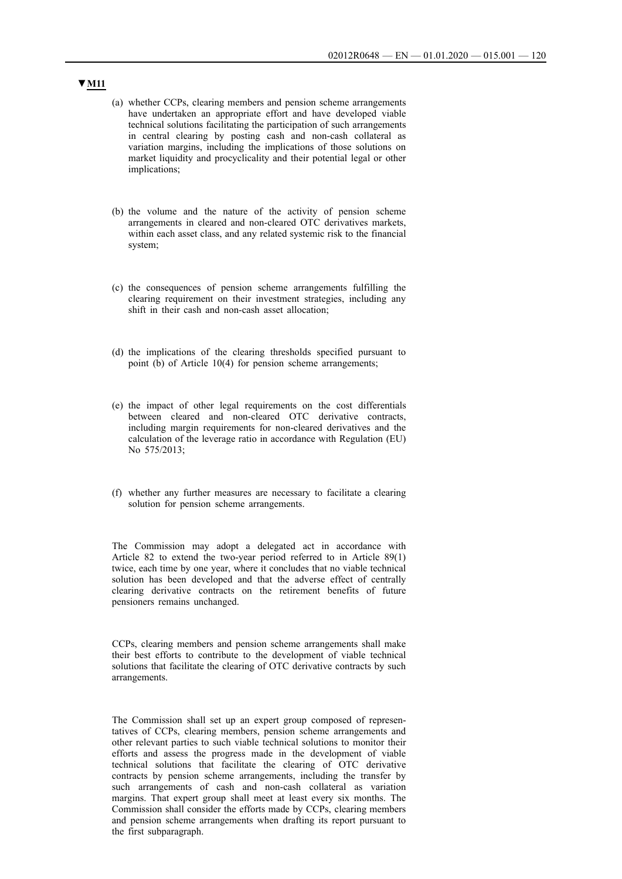- (a) whether CCPs, clearing members and pension scheme arrangements have undertaken an appropriate effort and have developed viable technical solutions facilitating the participation of such arrangements in central clearing by posting cash and non-cash collateral as variation margins, including the implications of those solutions on market liquidity and procyclicality and their potential legal or other implications;
- (b) the volume and the nature of the activity of pension scheme arrangements in cleared and non-cleared OTC derivatives markets, within each asset class, and any related systemic risk to the financial system;
- (c) the consequences of pension scheme arrangements fulfilling the clearing requirement on their investment strategies, including any shift in their cash and non-cash asset allocation;
- (d) the implications of the clearing thresholds specified pursuant to point (b) of Article 10(4) for pension scheme arrangements;
- (e) the impact of other legal requirements on the cost differentials between cleared and non-cleared OTC derivative contracts, including margin requirements for non-cleared derivatives and the calculation of the leverage ratio in accordance with Regulation (EU) No 575/2013;
- (f) whether any further measures are necessary to facilitate a clearing solution for pension scheme arrangements.

The Commission may adopt a delegated act in accordance with Article 82 to extend the two-year period referred to in Article 89(1) twice, each time by one year, where it concludes that no viable technical solution has been developed and that the adverse effect of centrally clearing derivative contracts on the retirement benefits of future pensioners remains unchanged.

CCPs, clearing members and pension scheme arrangements shall make their best efforts to contribute to the development of viable technical solutions that facilitate the clearing of OTC derivative contracts by such arrangements.

The Commission shall set up an expert group composed of representatives of CCPs, clearing members, pension scheme arrangements and other relevant parties to such viable technical solutions to monitor their efforts and assess the progress made in the development of viable technical solutions that facilitate the clearing of OTC derivative contracts by pension scheme arrangements, including the transfer by such arrangements of cash and non-cash collateral as variation margins. That expert group shall meet at least every six months. The Commission shall consider the efforts made by CCPs, clearing members and pension scheme arrangements when drafting its report pursuant to the first subparagraph.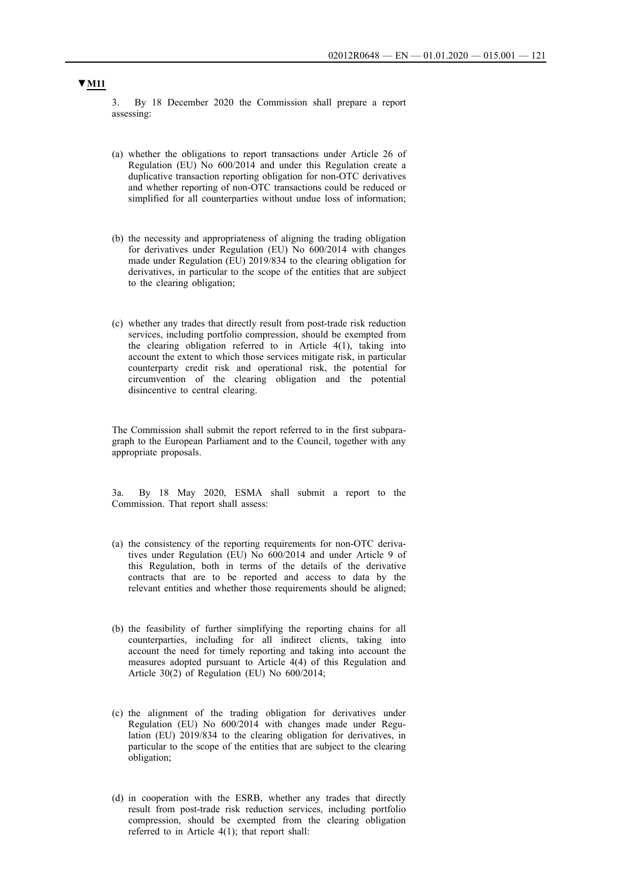3. By 18 December 2020 the Commission shall prepare a report assessing:

- (a) whether the obligations to report transactions under Article 26 of Regulation (EU) No 600/2014 and under this Regulation create a duplicative transaction reporting obligation for non-OTC derivatives and whether reporting of non-OTC transactions could be reduced or simplified for all counterparties without undue loss of information;
- (b) the necessity and appropriateness of aligning the trading obligation for derivatives under Regulation (EU) No 600/2014 with changes made under Regulation (EU) 2019/834 to the clearing obligation for derivatives, in particular to the scope of the entities that are subject to the clearing obligation;
- (c) whether any trades that directly result from post-trade risk reduction services, including portfolio compression, should be exempted from the clearing obligation referred to in Article 4(1), taking into account the extent to which those services mitigate risk, in particular counterparty credit risk and operational risk, the potential for circumvention of the clearing obligation and the potential disincentive to central clearing.

The Commission shall submit the report referred to in the first subparagraph to the European Parliament and to the Council, together with any appropriate proposals.

3a. By 18 May 2020, ESMA shall submit a report to the Commission. That report shall assess:

- (a) the consistency of the reporting requirements for non-OTC derivatives under Regulation (EU) No 600/2014 and under Article 9 of this Regulation, both in terms of the details of the derivative contracts that are to be reported and access to data by the relevant entities and whether those requirements should be aligned;
- (b) the feasibility of further simplifying the reporting chains for all counterparties, including for all indirect clients, taking into account the need for timely reporting and taking into account the measures adopted pursuant to Article 4(4) of this Regulation and Article 30(2) of Regulation (EU) No 600/2014;
- (c) the alignment of the trading obligation for derivatives under Regulation (EU) No 600/2014 with changes made under Regulation (EU) 2019/834 to the clearing obligation for derivatives, in particular to the scope of the entities that are subject to the clearing obligation;
- (d) in cooperation with the ESRB, whether any trades that directly result from post-trade risk reduction services, including portfolio compression, should be exempted from the clearing obligation referred to in Article 4(1); that report shall: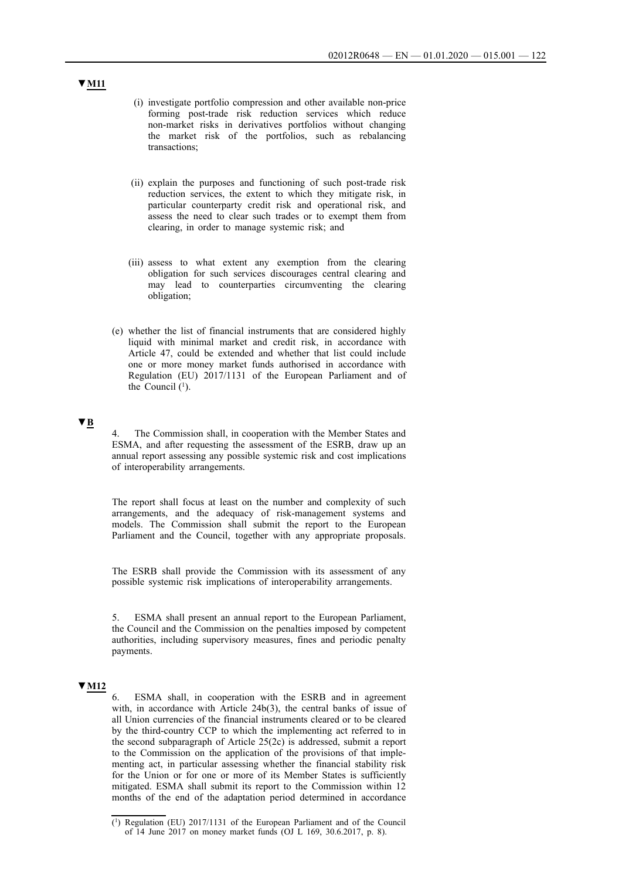- (i) investigate portfolio compression and other available non-price forming post-trade risk reduction services which reduce non-market risks in derivatives portfolios without changing the market risk of the portfolios, such as rebalancing transactions;
- (ii) explain the purposes and functioning of such post-trade risk reduction services, the extent to which they mitigate risk, in particular counterparty credit risk and operational risk, and assess the need to clear such trades or to exempt them from clearing, in order to manage systemic risk; and
- (iii) assess to what extent any exemption from the clearing obligation for such services discourages central clearing and may lead to counterparties circumventing the clearing obligation;
- (e) whether the list of financial instruments that are considered highly liquid with minimal market and credit risk, in accordance with Article 47, could be extended and whether that list could include one or more money market funds authorised in accordance with Regulation (EU) 2017/1131 of the European Parliament and of the Council  $(1)$ .

### **▼B**

The Commission shall, in cooperation with the Member States and ESMA, and after requesting the assessment of the ESRB, draw up an annual report assessing any possible systemic risk and cost implications of interoperability arrangements.

The report shall focus at least on the number and complexity of such arrangements, and the adequacy of risk-management systems and models. The Commission shall submit the report to the European Parliament and the Council, together with any appropriate proposals.

The ESRB shall provide the Commission with its assessment of any possible systemic risk implications of interoperability arrangements.

5. ESMA shall present an annual report to the European Parliament, the Council and the Commission on the penalties imposed by competent authorities, including supervisory measures, fines and periodic penalty payments.

### **▼M12**

ESMA shall, in cooperation with the ESRB and in agreement with, in accordance with Article 24b(3), the central banks of issue of all Union currencies of the financial instruments cleared or to be cleared by the third-country CCP to which the implementing act referred to in the second subparagraph of Article 25(2c) is addressed, submit a report to the Commission on the application of the provisions of that implementing act, in particular assessing whether the financial stability risk for the Union or for one or more of its Member States is sufficiently mitigated. ESMA shall submit its report to the Commission within 12 months of the end of the adaptation period determined in accordance

<sup>(1)</sup> Regulation (EU) 2017/1131 of the European Parliament and of the Council of 14 June 2017 on money market funds (OJ L 169, 30.6.2017, p. 8).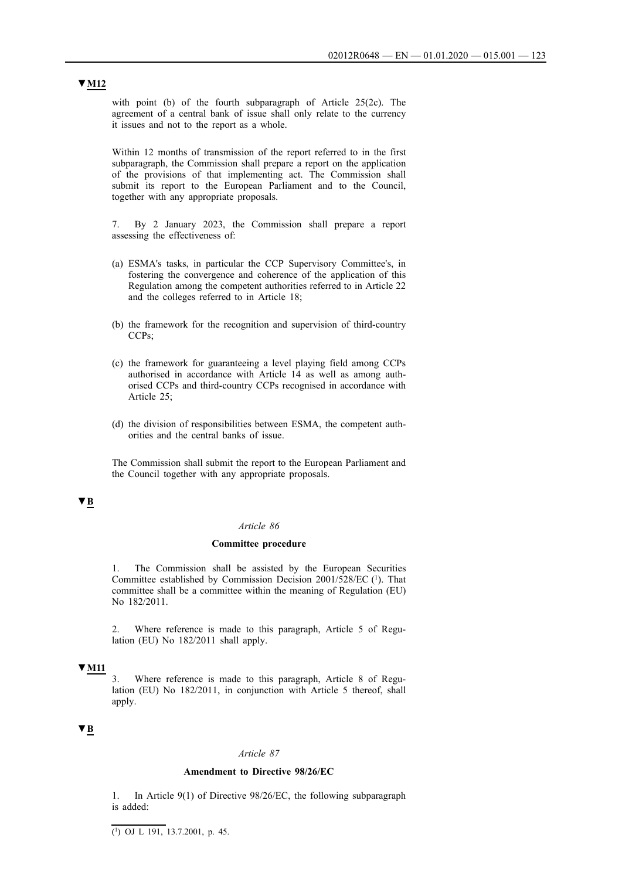with point (b) of the fourth subparagraph of Article 25(2c). The agreement of a central bank of issue shall only relate to the currency it issues and not to the report as a whole.

Within 12 months of transmission of the report referred to in the first subparagraph, the Commission shall prepare a report on the application of the provisions of that implementing act. The Commission shall submit its report to the European Parliament and to the Council, together with any appropriate proposals.

7. By 2 January 2023, the Commission shall prepare a report assessing the effectiveness of:

- (a) ESMA's tasks, in particular the CCP Supervisory Committee's, in fostering the convergence and coherence of the application of this Regulation among the competent authorities referred to in Article 22 and the colleges referred to in Article 18;
- (b) the framework for the recognition and supervision of third-country CCPs;
- (c) the framework for guaranteeing a level playing field among CCPs authorised in accordance with Article 14 as well as among authorised CCPs and third-country CCPs recognised in accordance with Article 25;
- (d) the division of responsibilities between ESMA, the competent authorities and the central banks of issue.

The Commission shall submit the report to the European Parliament and the Council together with any appropriate proposals.

# **▼B**

### *Article 86*

#### **Committee procedure**

1. The Commission shall be assisted by the European Securities Committee established by Commission Decision 2001/528/EC (1). That committee shall be a committee within the meaning of Regulation (EU) No 182/2011.

2. Where reference is made to this paragraph, Article 5 of Regulation (EU) No 182/2011 shall apply.

## **▼M11**

3. Where reference is made to this paragraph, Article 8 of Regulation (EU) No 182/2011, in conjunction with Article 5 thereof, shall apply.

## **▼B**

### *Article 87*

### **Amendment to Directive 98/26/EC**

1. In Article 9(1) of Directive 98/26/EC, the following subparagraph is added:

 $\overline{(^1)}$  OJ L 191, 13.7.2001, p. 45.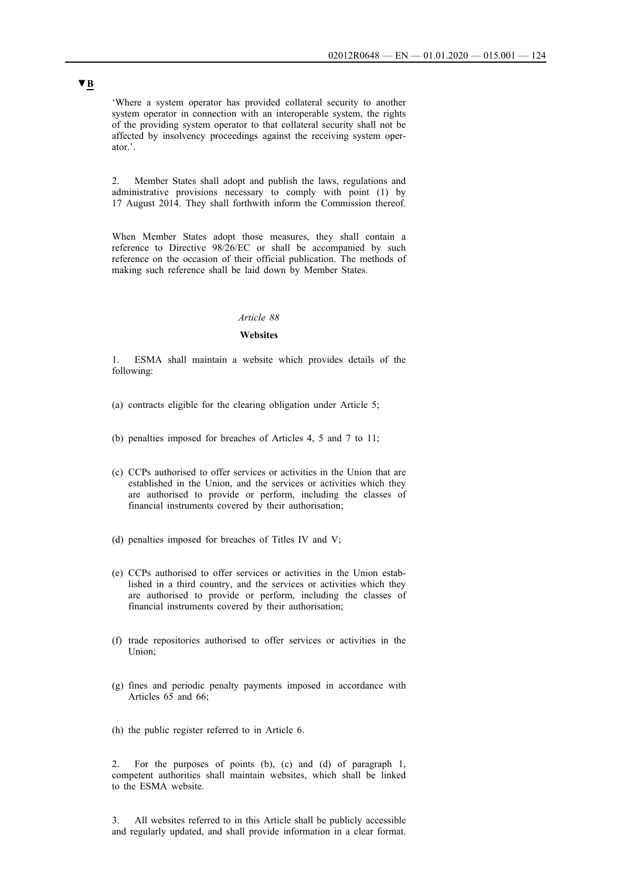'Where a system operator has provided collateral security to another system operator in connection with an interoperable system, the rights of the providing system operator to that collateral security shall not be affected by insolvency proceedings against the receiving system operator.'.

2. Member States shall adopt and publish the laws, regulations and administrative provisions necessary to comply with point (1) by 17 August 2014. They shall forthwith inform the Commission thereof.

When Member States adopt those measures, they shall contain a reference to Directive 98/26/EC or shall be accompanied by such reference on the occasion of their official publication. The methods of making such reference shall be laid down by Member States.

## *Article 88*

### **Websites**

1. ESMA shall maintain a website which provides details of the following:

- (a) contracts eligible for the clearing obligation under Article 5;
- (b) penalties imposed for breaches of Articles 4, 5 and 7 to 11;
- (c) CCPs authorised to offer services or activities in the Union that are established in the Union, and the services or activities which they are authorised to provide or perform, including the classes of financial instruments covered by their authorisation;
- (d) penalties imposed for breaches of Titles IV and V;
- (e) CCPs authorised to offer services or activities in the Union established in a third country, and the services or activities which they are authorised to provide or perform, including the classes of financial instruments covered by their authorisation;
- (f) trade repositories authorised to offer services or activities in the Union;
- (g) fines and periodic penalty payments imposed in accordance with Articles 65 and 66;
- (h) the public register referred to in Article 6.

2. For the purposes of points (b), (c) and (d) of paragraph 1, competent authorities shall maintain websites, which shall be linked to the ESMA website.

3. All websites referred to in this Article shall be publicly accessible and regularly updated, and shall provide information in a clear format.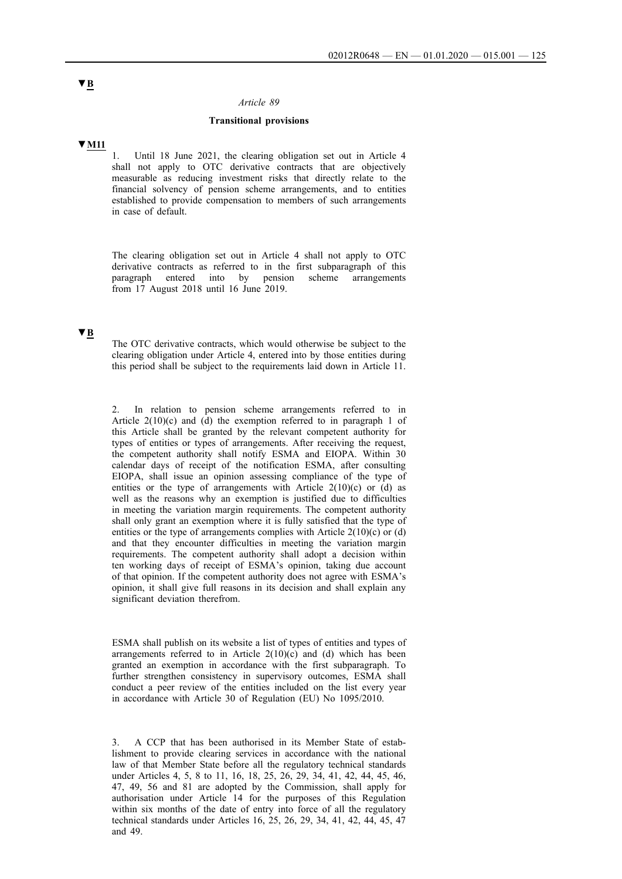#### *Article 89*

### **Transitional provisions**

### **▼M11**

1. Until 18 June 2021, the clearing obligation set out in Article 4 shall not apply to OTC derivative contracts that are objectively measurable as reducing investment risks that directly relate to the financial solvency of pension scheme arrangements, and to entities established to provide compensation to members of such arrangements in case of default.

The clearing obligation set out in Article 4 shall not apply to OTC derivative contracts as referred to in the first subparagraph of this paragraph entered into by pension scheme arrangements from 17 August 2018 until 16 June 2019.

### **▼B**

The OTC derivative contracts, which would otherwise be subject to the clearing obligation under Article 4, entered into by those entities during this period shall be subject to the requirements laid down in Article 11.

In relation to pension scheme arrangements referred to in Article 2(10)(c) and (d) the exemption referred to in paragraph 1 of this Article shall be granted by the relevant competent authority for types of entities or types of arrangements. After receiving the request, the competent authority shall notify ESMA and EIOPA. Within 30 calendar days of receipt of the notification ESMA, after consulting EIOPA, shall issue an opinion assessing compliance of the type of entities or the type of arrangements with Article  $2(10)(c)$  or  $\dot{d}$ ) as well as the reasons why an exemption is justified due to difficulties in meeting the variation margin requirements. The competent authority shall only grant an exemption where it is fully satisfied that the type of entities or the type of arrangements complies with Article  $2(10)(c)$  or (d) and that they encounter difficulties in meeting the variation margin requirements. The competent authority shall adopt a decision within ten working days of receipt of ESMA's opinion, taking due account of that opinion. If the competent authority does not agree with ESMA's opinion, it shall give full reasons in its decision and shall explain any significant deviation therefrom.

ESMA shall publish on its website a list of types of entities and types of arrangements referred to in Article  $2(10)(c)$  and (d) which has been granted an exemption in accordance with the first subparagraph. To further strengthen consistency in supervisory outcomes, ESMA shall conduct a peer review of the entities included on the list every year in accordance with Article 30 of Regulation (EU) No 1095/2010.

3. A CCP that has been authorised in its Member State of establishment to provide clearing services in accordance with the national law of that Member State before all the regulatory technical standards under Articles 4, 5, 8 to 11, 16, 18, 25, 26, 29, 34, 41, 42, 44, 45, 46, 47, 49, 56 and 81 are adopted by the Commission, shall apply for authorisation under Article 14 for the purposes of this Regulation within six months of the date of entry into force of all the regulatory technical standards under Articles 16, 25, 26, 29, 34, 41, 42, 44, 45, 47 and 49.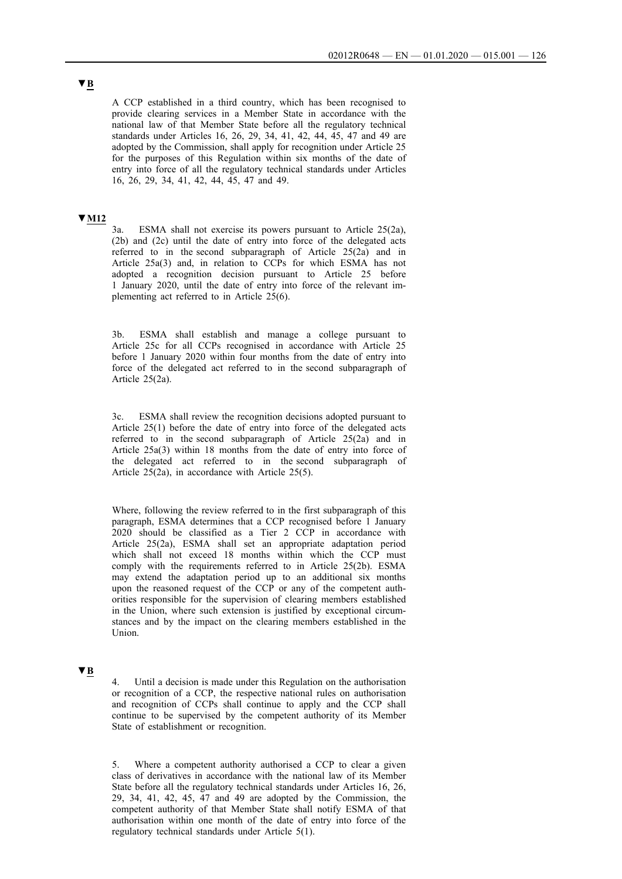A CCP established in a third country, which has been recognised to provide clearing services in a Member State in accordance with the national law of that Member State before all the regulatory technical standards under Articles 16, 26, 29, 34, 41, 42, 44, 45, 47 and 49 are adopted by the Commission, shall apply for recognition under Article 25 for the purposes of this Regulation within six months of the date of entry into force of all the regulatory technical standards under Articles 16, 26, 29, 34, 41, 42, 44, 45, 47 and 49.

## **▼M12**

3a. ESMA shall not exercise its powers pursuant to Article 25(2a), (2b) and (2c) until the date of entry into force of the delegated acts referred to in the second subparagraph of Article 25(2a) and in Article 25a(3) and, in relation to CCPs for which ESMA has not adopted a recognition decision pursuant to Article 25 before 1 January 2020, until the date of entry into force of the relevant implementing act referred to in Article 25(6).

3b. ESMA shall establish and manage a college pursuant to Article 25c for all CCPs recognised in accordance with Article 25 before 1 January 2020 within four months from the date of entry into force of the delegated act referred to in the second subparagraph of Article 25(2a).

3c. ESMA shall review the recognition decisions adopted pursuant to Article 25(1) before the date of entry into force of the delegated acts referred to in the second subparagraph of Article 25(2a) and in Article 25a(3) within 18 months from the date of entry into force of the delegated act referred to in the second subparagraph of Article 25(2a), in accordance with Article 25(5).

Where, following the review referred to in the first subparagraph of this paragraph, ESMA determines that a CCP recognised before 1 January 2020 should be classified as a Tier 2 CCP in accordance with Article 25(2a), ESMA shall set an appropriate adaptation period which shall not exceed 18 months within which the CCP must comply with the requirements referred to in Article 25(2b). ESMA may extend the adaptation period up to an additional six months upon the reasoned request of the CCP or any of the competent authorities responsible for the supervision of clearing members established in the Union, where such extension is justified by exceptional circumstances and by the impact on the clearing members established in the Union.

## **▼B**

4. Until a decision is made under this Regulation on the authorisation or recognition of a CCP, the respective national rules on authorisation and recognition of CCPs shall continue to apply and the CCP shall continue to be supervised by the competent authority of its Member State of establishment or recognition.

Where a competent authority authorised a CCP to clear a given class of derivatives in accordance with the national law of its Member State before all the regulatory technical standards under Articles 16, 26, 29, 34, 41, 42, 45, 47 and 49 are adopted by the Commission, the competent authority of that Member State shall notify ESMA of that authorisation within one month of the date of entry into force of the regulatory technical standards under Article 5(1).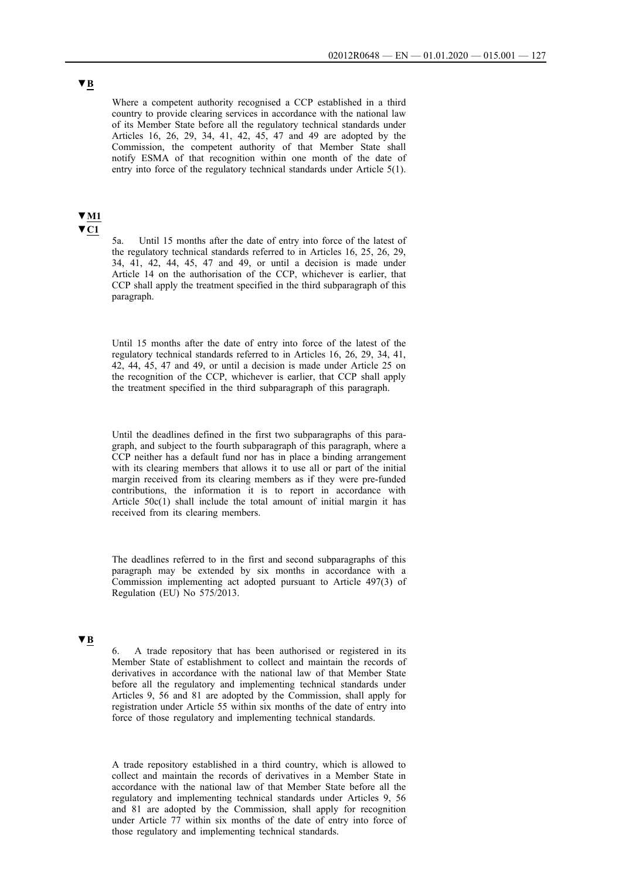**▼B**

Where a competent authority recognised a CCP established in a third country to provide clearing services in accordance with the national law of its Member State before all the regulatory technical standards under Articles 16, 26, 29, 34, 41, 42, 45, 47 and 49 are adopted by the Commission, the competent authority of that Member State shall notify ESMA of that recognition within one month of the date of entry into force of the regulatory technical standards under Article 5(1).

## **▼M1 ▼C1**

5a. Until 15 months after the date of entry into force of the latest of the regulatory technical standards referred to in Articles 16, 25, 26, 29, 34, 41, 42, 44, 45, 47 and 49, or until a decision is made under Article 14 on the authorisation of the CCP, whichever is earlier, that CCP shall apply the treatment specified in the third subparagraph of this paragraph.

Until 15 months after the date of entry into force of the latest of the regulatory technical standards referred to in Articles 16, 26, 29, 34, 41, 42, 44, 45, 47 and 49, or until a decision is made under Article 25 on the recognition of the CCP, whichever is earlier, that CCP shall apply the treatment specified in the third subparagraph of this paragraph.

Until the deadlines defined in the first two subparagraphs of this paragraph, and subject to the fourth subparagraph of this paragraph, where a CCP neither has a default fund nor has in place a binding arrangement with its clearing members that allows it to use all or part of the initial margin received from its clearing members as if they were pre-funded contributions, the information it is to report in accordance with Article 50c(1) shall include the total amount of initial margin it has received from its clearing members.

The deadlines referred to in the first and second subparagraphs of this paragraph may be extended by six months in accordance with a Commission implementing act adopted pursuant to Article 497(3) of Regulation (EU) No 575/2013.

# **▼B**

6. A trade repository that has been authorised or registered in its Member State of establishment to collect and maintain the records of derivatives in accordance with the national law of that Member State before all the regulatory and implementing technical standards under Articles 9, 56 and 81 are adopted by the Commission, shall apply for registration under Article 55 within six months of the date of entry into force of those regulatory and implementing technical standards.

A trade repository established in a third country, which is allowed to collect and maintain the records of derivatives in a Member State in accordance with the national law of that Member State before all the regulatory and implementing technical standards under Articles 9, 56 and 81 are adopted by the Commission, shall apply for recognition under Article 77 within six months of the date of entry into force of those regulatory and implementing technical standards.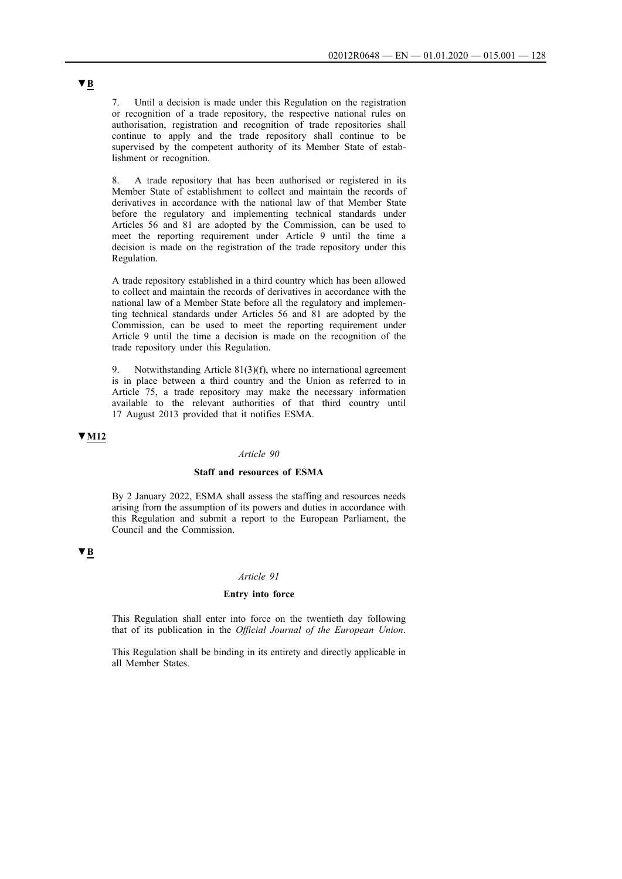7. Until a decision is made under this Regulation on the registration or recognition of a trade repository, the respective national rules on authorisation, registration and recognition of trade repositories shall continue to apply and the trade repository shall continue to be supervised by the competent authority of its Member State of establishment or recognition.

8. A trade repository that has been authorised or registered in its Member State of establishment to collect and maintain the records of derivatives in accordance with the national law of that Member State before the regulatory and implementing technical standards under Articles 56 and 81 are adopted by the Commission, can be used to meet the reporting requirement under Article 9 until the time a decision is made on the registration of the trade repository under this Regulation.

A trade repository established in a third country which has been allowed to collect and maintain the records of derivatives in accordance with the national law of a Member State before all the regulatory and implementing technical standards under Articles 56 and 81 are adopted by the Commission, can be used to meet the reporting requirement under Article 9 until the time a decision is made on the recognition of the trade repository under this Regulation.

9. Notwithstanding Article 81(3)(f), where no international agreement is in place between a third country and the Union as referred to in Article 75, a trade repository may make the necessary information available to the relevant authorities of that third country until 17 August 2013 provided that it notifies ESMA.

### **▼M12**

### *Article 90*

### **Staff and resources of ESMA**

By 2 January 2022, ESMA shall assess the staffing and resources needs arising from the assumption of its powers and duties in accordance with this Regulation and submit a report to the European Parliament, the Council and the Commission.

## **▼B**

### *Article 91*

### **Entry into force**

This Regulation shall enter into force on the twentieth day following that of its publication in the *Official Journal of the European Union*.

This Regulation shall be binding in its entirety and directly applicable in all Member States.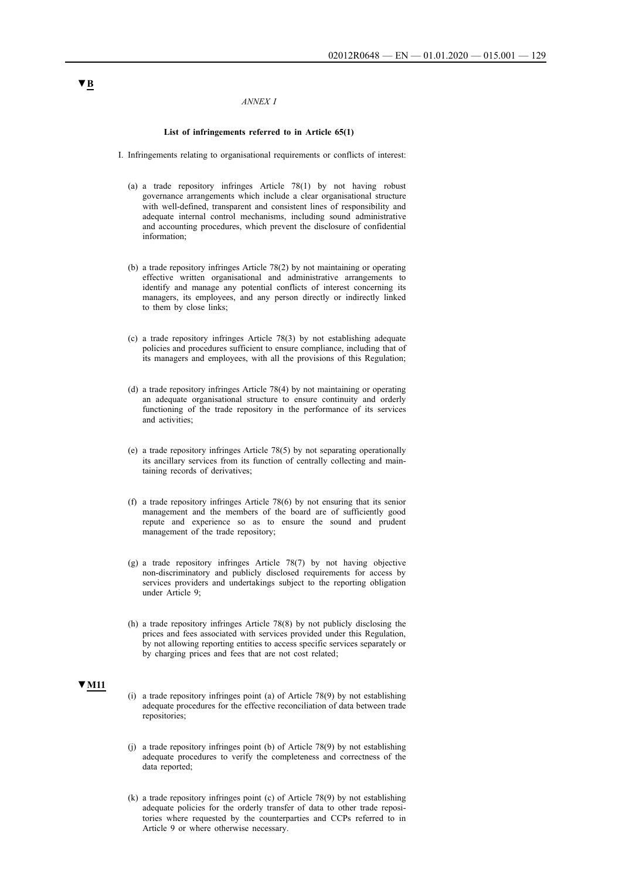#### *ANNEX I*

### **List of infringements referred to in Article 65(1)**

- I. Infringements relating to organisational requirements or conflicts of interest:
	- (a) a trade repository infringes Article 78(1) by not having robust governance arrangements which include a clear organisational structure with well-defined, transparent and consistent lines of responsibility and adequate internal control mechanisms, including sound administrative and accounting procedures, which prevent the disclosure of confidential information;
	- (b) a trade repository infringes Article 78(2) by not maintaining or operating effective written organisational and administrative arrangements to identify and manage any potential conflicts of interest concerning its managers, its employees, and any person directly or indirectly linked to them by close links;
	- (c) a trade repository infringes Article 78(3) by not establishing adequate policies and procedures sufficient to ensure compliance, including that of its managers and employees, with all the provisions of this Regulation;
	- (d) a trade repository infringes Article 78(4) by not maintaining or operating an adequate organisational structure to ensure continuity and orderly functioning of the trade repository in the performance of its services and activities;
	- (e) a trade repository infringes Article 78(5) by not separating operationally its ancillary services from its function of centrally collecting and maintaining records of derivatives;
	- (f) a trade repository infringes Article 78(6) by not ensuring that its senior management and the members of the board are of sufficiently good repute and experience so as to ensure the sound and prudent management of the trade repository;
	- (g) a trade repository infringes Article 78(7) by not having objective non-discriminatory and publicly disclosed requirements for access by services providers and undertakings subject to the reporting obligation under Article 9;
	- (h) a trade repository infringes Article 78(8) by not publicly disclosing the prices and fees associated with services provided under this Regulation, by not allowing reporting entities to access specific services separately or by charging prices and fees that are not cost related;

### **▼M11**

- (i) a trade repository infringes point (a) of Article 78(9) by not establishing adequate procedures for the effective reconciliation of data between trade repositories;
- (j) a trade repository infringes point (b) of Article 78(9) by not establishing adequate procedures to verify the completeness and correctness of the data reported;
- (k) a trade repository infringes point (c) of Article 78(9) by not establishing adequate policies for the orderly transfer of data to other trade repositories where requested by the counterparties and CCPs referred to in Article 9 or where otherwise necessary.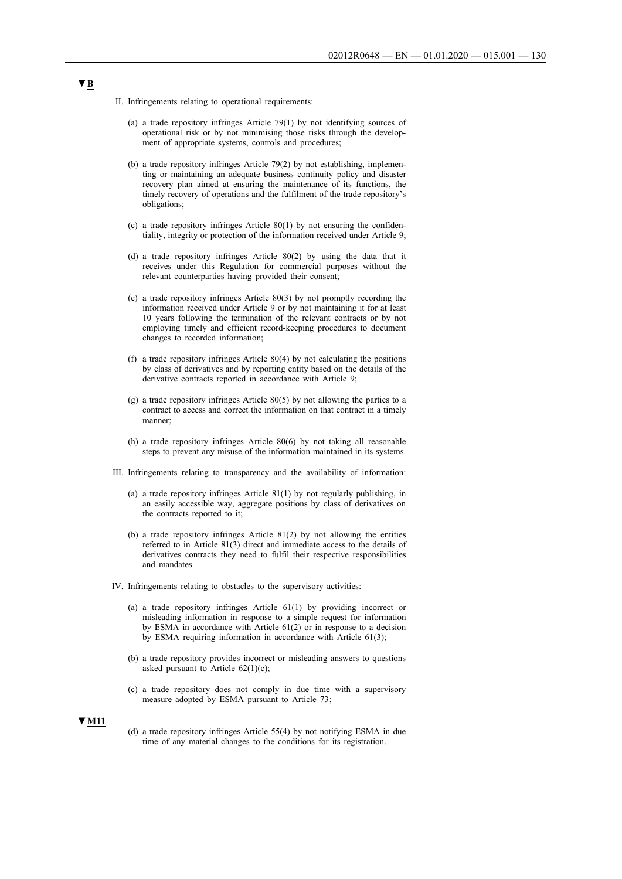- II. Infringements relating to operational requirements:
	- (a) a trade repository infringes Article 79(1) by not identifying sources of operational risk or by not minimising those risks through the development of appropriate systems, controls and procedures;
	- (b) a trade repository infringes Article 79(2) by not establishing, implementing or maintaining an adequate business continuity policy and disaster recovery plan aimed at ensuring the maintenance of its functions, the timely recovery of operations and the fulfilment of the trade repository's obligations;
	- (c) a trade repository infringes Article 80(1) by not ensuring the confidentiality, integrity or protection of the information received under Article 9;
	- (d) a trade repository infringes Article 80(2) by using the data that it receives under this Regulation for commercial purposes without the relevant counterparties having provided their consent;
	- (e) a trade repository infringes Article 80(3) by not promptly recording the information received under Article 9 or by not maintaining it for at least 10 years following the termination of the relevant contracts or by not employing timely and efficient record-keeping procedures to document changes to recorded information;
	- (f) a trade repository infringes Article 80(4) by not calculating the positions by class of derivatives and by reporting entity based on the details of the derivative contracts reported in accordance with Article 9;
	- (g) a trade repository infringes Article 80(5) by not allowing the parties to a contract to access and correct the information on that contract in a timely manner;
	- (h) a trade repository infringes Article 80(6) by not taking all reasonable steps to prevent any misuse of the information maintained in its systems.
- III. Infringements relating to transparency and the availability of information:
	- (a) a trade repository infringes Article 81(1) by not regularly publishing, in an easily accessible way, aggregate positions by class of derivatives on the contracts reported to it;
	- (b) a trade repository infringes Article 81(2) by not allowing the entities referred to in Article 81(3) direct and immediate access to the details of derivatives contracts they need to fulfil their respective responsibilities and mandates.
- IV. Infringements relating to obstacles to the supervisory activities:
	- (a) a trade repository infringes Article 61(1) by providing incorrect or misleading information in response to a simple request for information by ESMA in accordance with Article 61(2) or in response to a decision by ESMA requiring information in accordance with Article 61(3);
	- (b) a trade repository provides incorrect or misleading answers to questions asked pursuant to Article  $62(1)(c)$ ;
	- (c) a trade repository does not comply in due time with a supervisory measure adopted by ESMA pursuant to Article 73 ;

(d) a trade repository infringes Article 55(4) by not notifying ESMA in due time of any material changes to the conditions for its registration.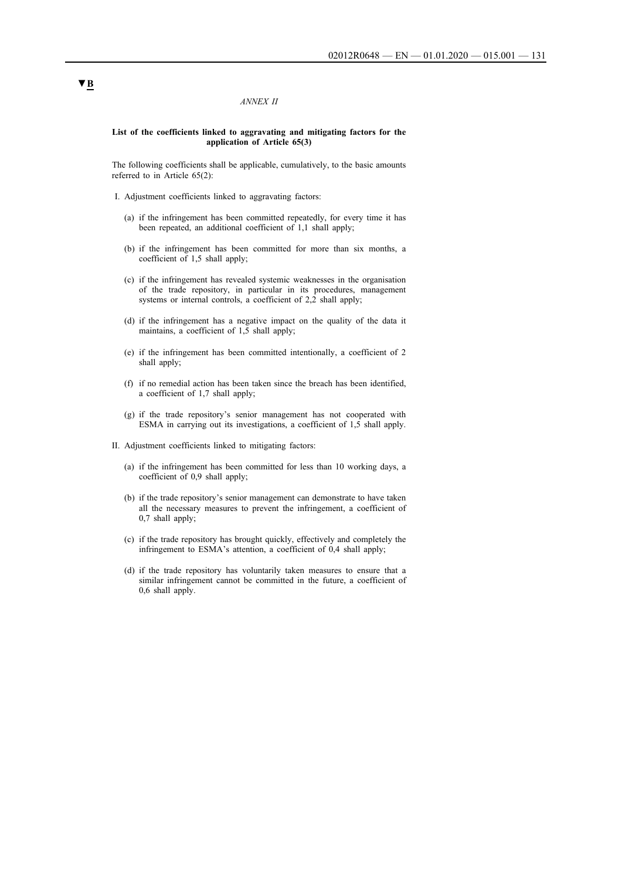#### *ANNEX II*

### **List of the coefficients linked to aggravating and mitigating factors for the application of Article 65(3)**

The following coefficients shall be applicable, cumulatively, to the basic amounts referred to in Article 65(2):

- I. Adjustment coefficients linked to aggravating factors:
	- (a) if the infringement has been committed repeatedly, for every time it has been repeated, an additional coefficient of 1,1 shall apply;
	- (b) if the infringement has been committed for more than six months, a coefficient of 1,5 shall apply;
	- (c) if the infringement has revealed systemic weaknesses in the organisation of the trade repository, in particular in its procedures, management systems or internal controls, a coefficient of 2,2 shall apply;
	- (d) if the infringement has a negative impact on the quality of the data it maintains, a coefficient of 1,5 shall apply;
	- (e) if the infringement has been committed intentionally, a coefficient of 2 shall apply;
	- (f) if no remedial action has been taken since the breach has been identified, a coefficient of 1,7 shall apply;
	- (g) if the trade repository's senior management has not cooperated with ESMA in carrying out its investigations, a coefficient of 1,5 shall apply.
- II. Adjustment coefficients linked to mitigating factors:
	- (a) if the infringement has been committed for less than 10 working days, a coefficient of 0,9 shall apply;
	- (b) if the trade repository's senior management can demonstrate to have taken all the necessary measures to prevent the infringement, a coefficient of 0,7 shall apply;
	- (c) if the trade repository has brought quickly, effectively and completely the infringement to ESMA's attention, a coefficient of 0,4 shall apply;
	- (d) if the trade repository has voluntarily taken measures to ensure that a similar infringement cannot be committed in the future, a coefficient of 0,6 shall apply.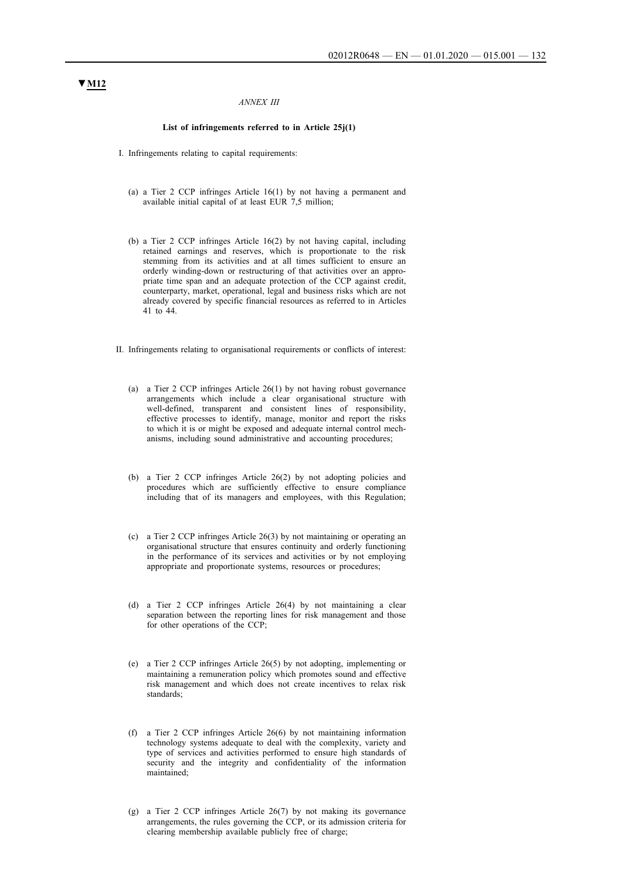#### *ANNEX III*

#### **List of infringements referred to in Article 25j(1)**

- I. Infringements relating to capital requirements:
	- (a) a Tier 2 CCP infringes Article 16(1) by not having a permanent and available initial capital of at least EUR 7,5 million;
	- (b) a Tier 2 CCP infringes Article 16(2) by not having capital, including retained earnings and reserves, which is proportionate to the risk stemming from its activities and at all times sufficient to ensure an orderly winding-down or restructuring of that activities over an appropriate time span and an adequate protection of the CCP against credit, counterparty, market, operational, legal and business risks which are not already covered by specific financial resources as referred to in Articles 41 to 44.
- II. Infringements relating to organisational requirements or conflicts of interest:
	- (a) a Tier 2 CCP infringes Article 26(1) by not having robust governance arrangements which include a clear organisational structure with well-defined, transparent and consistent lines of responsibility, effective processes to identify, manage, monitor and report the risks to which it is or might be exposed and adequate internal control mechanisms, including sound administrative and accounting procedures;
	- (b) a Tier 2 CCP infringes Article 26(2) by not adopting policies and procedures which are sufficiently effective to ensure compliance including that of its managers and employees, with this Regulation;
	- (c) a Tier 2 CCP infringes Article 26(3) by not maintaining or operating an organisational structure that ensures continuity and orderly functioning in the performance of its services and activities or by not employing appropriate and proportionate systems, resources or procedures;
	- (d) a Tier 2 CCP infringes Article 26(4) by not maintaining a clear separation between the reporting lines for risk management and those for other operations of the CCP;
	- (e) a Tier 2 CCP infringes Article 26(5) by not adopting, implementing or maintaining a remuneration policy which promotes sound and effective risk management and which does not create incentives to relax risk standards;
	- (f) a Tier 2 CCP infringes Article 26(6) by not maintaining information technology systems adequate to deal with the complexity, variety and type of services and activities performed to ensure high standards of security and the integrity and confidentiality of the information maintained;
	- (g) a Tier 2 CCP infringes Article 26(7) by not making its governance arrangements, the rules governing the CCP, or its admission criteria for clearing membership available publicly free of charge;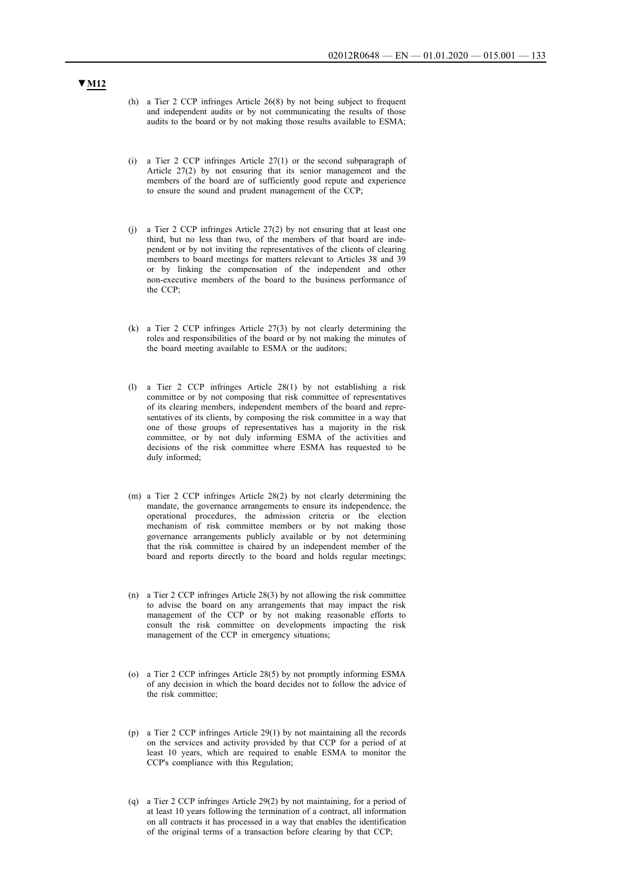- (h) a Tier 2 CCP infringes Article 26(8) by not being subject to frequent and independent audits or by not communicating the results of those audits to the board or by not making those results available to ESMA;
- (i) a Tier 2 CCP infringes Article 27(1) or the second subparagraph of Article 27(2) by not ensuring that its senior management and the members of the board are of sufficiently good repute and experience to ensure the sound and prudent management of the CCP;
- (j) a Tier 2 CCP infringes Article 27(2) by not ensuring that at least one third, but no less than two, of the members of that board are independent or by not inviting the representatives of the clients of clearing members to board meetings for matters relevant to Articles 38 and 39 or by linking the compensation of the independent and other non-executive members of the board to the business performance of the CCP;
- (k) a Tier 2 CCP infringes Article 27(3) by not clearly determining the roles and responsibilities of the board or by not making the minutes of the board meeting available to ESMA or the auditors;
- (l) a Tier 2 CCP infringes Article 28(1) by not establishing a risk committee or by not composing that risk committee of representatives of its clearing members, independent members of the board and representatives of its clients, by composing the risk committee in a way that one of those groups of representatives has a majority in the risk committee, or by not duly informing ESMA of the activities and decisions of the risk committee where ESMA has requested to be duly informed;
- (m) a Tier 2 CCP infringes Article 28(2) by not clearly determining the mandate, the governance arrangements to ensure its independence, the operational procedures, the admission criteria or the election mechanism of risk committee members or by not making those governance arrangements publicly available or by not determining that the risk committee is chaired by an independent member of the board and reports directly to the board and holds regular meetings;
- (n) a Tier 2 CCP infringes Article 28(3) by not allowing the risk committee to advise the board on any arrangements that may impact the risk management of the CCP or by not making reasonable efforts to consult the risk committee on developments impacting the risk management of the CCP in emergency situations;
- (o) a Tier 2 CCP infringes Article 28(5) by not promptly informing ESMA of any decision in which the board decides not to follow the advice of the risk committee;
- (p) a Tier 2 CCP infringes Article 29(1) by not maintaining all the records on the services and activity provided by that CCP for a period of at least 10 years, which are required to enable ESMA to monitor the CCP's compliance with this Regulation;
- (q) a Tier 2 CCP infringes Article 29(2) by not maintaining, for a period of at least 10 years following the termination of a contract, all information on all contracts it has processed in a way that enables the identification of the original terms of a transaction before clearing by that CCP;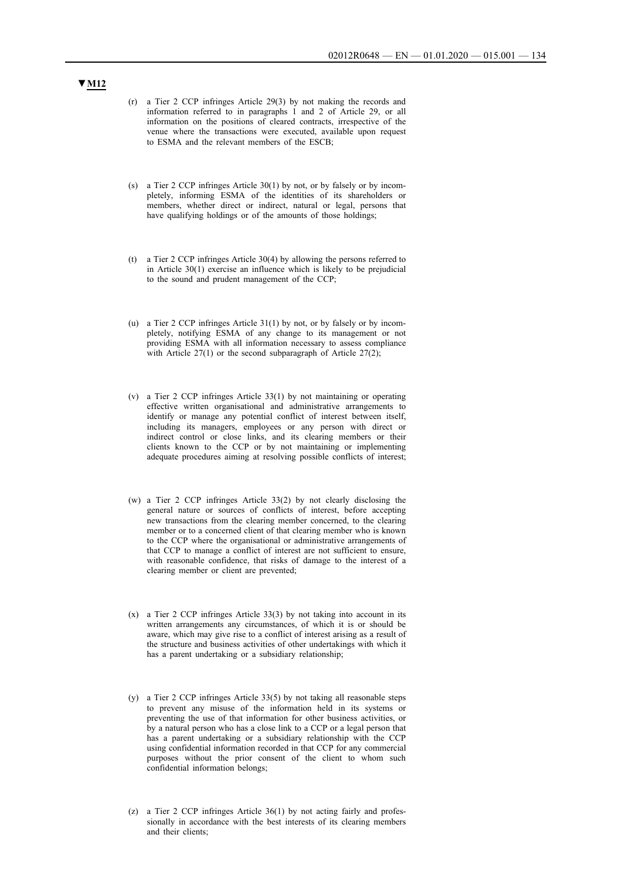- (r) a Tier 2 CCP infringes Article 29(3) by not making the records and information referred to in paragraphs 1 and 2 of Article 29, or all information on the positions of cleared contracts, irrespective of the venue where the transactions were executed, available upon request to ESMA and the relevant members of the ESCB;
- (s) a Tier 2 CCP infringes Article 30(1) by not, or by falsely or by incompletely, informing ESMA of the identities of its shareholders or members, whether direct or indirect, natural or legal, persons that have qualifying holdings or of the amounts of those holdings;
- (t) a Tier 2 CCP infringes Article 30(4) by allowing the persons referred to in Article 30(1) exercise an influence which is likely to be prejudicial to the sound and prudent management of the CCP;
- (u) a Tier 2 CCP infringes Article 31(1) by not, or by falsely or by incompletely, notifying ESMA of any change to its management or not providing ESMA with all information necessary to assess compliance with Article 27(1) or the second subparagraph of Article 27(2);
- (v) a Tier 2 CCP infringes Article 33(1) by not maintaining or operating effective written organisational and administrative arrangements to identify or manage any potential conflict of interest between itself, including its managers, employees or any person with direct or indirect control or close links, and its clearing members or their clients known to the CCP or by not maintaining or implementing adequate procedures aiming at resolving possible conflicts of interest;
- (w) a Tier 2 CCP infringes Article 33(2) by not clearly disclosing the general nature or sources of conflicts of interest, before accepting new transactions from the clearing member concerned, to the clearing member or to a concerned client of that clearing member who is known to the CCP where the organisational or administrative arrangements of that CCP to manage a conflict of interest are not sufficient to ensure, with reasonable confidence, that risks of damage to the interest of a clearing member or client are prevented;
- (x) a Tier 2 CCP infringes Article 33(3) by not taking into account in its written arrangements any circumstances, of which it is or should be aware, which may give rise to a conflict of interest arising as a result of the structure and business activities of other undertakings with which it has a parent undertaking or a subsidiary relationship;
- (y) a Tier 2 CCP infringes Article 33(5) by not taking all reasonable steps to prevent any misuse of the information held in its systems or preventing the use of that information for other business activities, or by a natural person who has a close link to a CCP or a legal person that has a parent undertaking or a subsidiary relationship with the CCP using confidential information recorded in that CCP for any commercial purposes without the prior consent of the client to whom such confidential information belongs;
- (z) a Tier 2 CCP infringes Article 36(1) by not acting fairly and professionally in accordance with the best interests of its clearing members and their clients;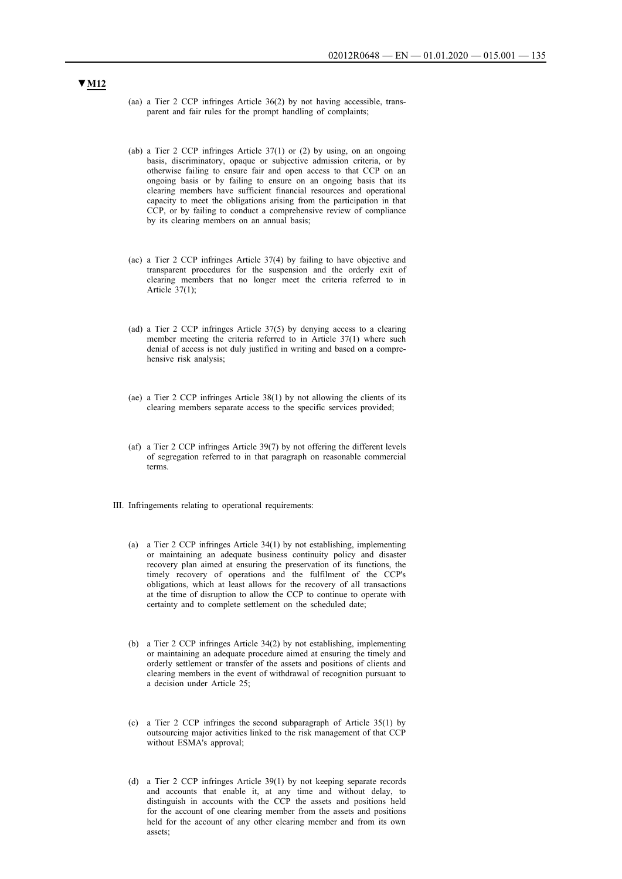- (aa) a Tier 2 CCP infringes Article 36(2) by not having accessible, transparent and fair rules for the prompt handling of complaints;
- (ab) a Tier 2 CCP infringes Article 37(1) or (2) by using, on an ongoing basis, discriminatory, opaque or subjective admission criteria, or by otherwise failing to ensure fair and open access to that CCP on an ongoing basis or by failing to ensure on an ongoing basis that its clearing members have sufficient financial resources and operational capacity to meet the obligations arising from the participation in that CCP, or by failing to conduct a comprehensive review of compliance by its clearing members on an annual basis;
- (ac) a Tier 2 CCP infringes Article 37(4) by failing to have objective and transparent procedures for the suspension and the orderly exit of clearing members that no longer meet the criteria referred to in Article  $37(1)$ ;
- (ad) a Tier 2 CCP infringes Article 37(5) by denying access to a clearing member meeting the criteria referred to in Article 37(1) where such denial of access is not duly justified in writing and based on a comprehensive risk analysis;
- (ae) a Tier 2 CCP infringes Article 38(1) by not allowing the clients of its clearing members separate access to the specific services provided;
- (af) a Tier 2 CCP infringes Article 39(7) by not offering the different levels of segregation referred to in that paragraph on reasonable commercial terms.
- III. Infringements relating to operational requirements:
	- (a) a Tier 2 CCP infringes Article 34(1) by not establishing, implementing or maintaining an adequate business continuity policy and disaster recovery plan aimed at ensuring the preservation of its functions, the timely recovery of operations and the fulfilment of the CCP's obligations, which at least allows for the recovery of all transactions at the time of disruption to allow the CCP to continue to operate with certainty and to complete settlement on the scheduled date;
	- (b) a Tier 2 CCP infringes Article 34(2) by not establishing, implementing or maintaining an adequate procedure aimed at ensuring the timely and orderly settlement or transfer of the assets and positions of clients and clearing members in the event of withdrawal of recognition pursuant to a decision under Article 25;
	- (c) a Tier 2 CCP infringes the second subparagraph of Article 35(1) by outsourcing major activities linked to the risk management of that CCP without ESMA's approval;
	- (d) a Tier 2 CCP infringes Article 39(1) by not keeping separate records and accounts that enable it, at any time and without delay, to distinguish in accounts with the CCP the assets and positions held for the account of one clearing member from the assets and positions held for the account of any other clearing member and from its own assets;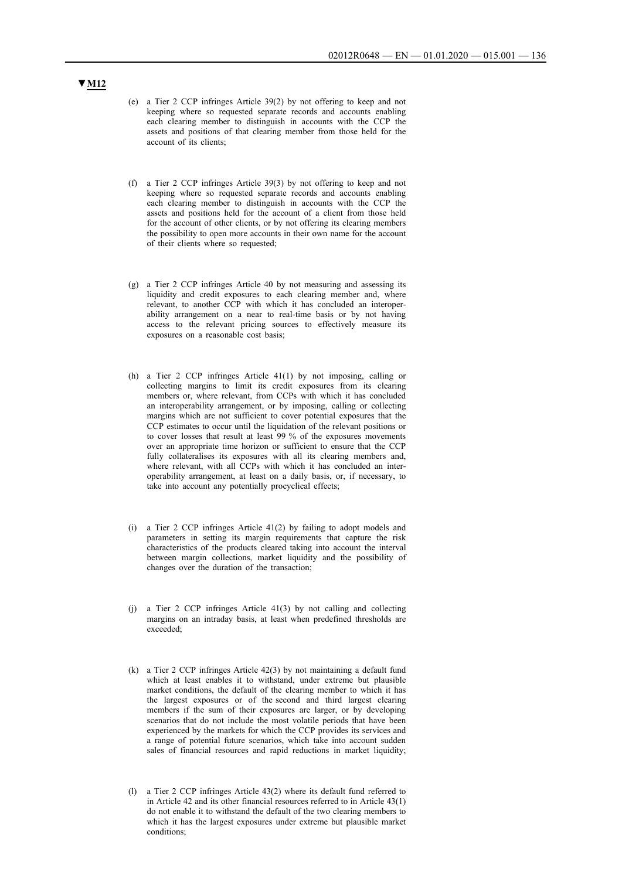- (e) a Tier 2 CCP infringes Article 39(2) by not offering to keep and not keeping where so requested separate records and accounts enabling each clearing member to distinguish in accounts with the CCP the assets and positions of that clearing member from those held for the account of its clients;
- (f) a Tier 2 CCP infringes Article 39(3) by not offering to keep and not keeping where so requested separate records and accounts enabling each clearing member to distinguish in accounts with the CCP the assets and positions held for the account of a client from those held for the account of other clients, or by not offering its clearing members the possibility to open more accounts in their own name for the account of their clients where so requested;
- (g) a Tier 2 CCP infringes Article 40 by not measuring and assessing its liquidity and credit exposures to each clearing member and, where relevant, to another CCP with which it has concluded an interoperability arrangement on a near to real-time basis or by not having access to the relevant pricing sources to effectively measure its exposures on a reasonable cost basis;
- (h) a Tier 2 CCP infringes Article 41(1) by not imposing, calling or collecting margins to limit its credit exposures from its clearing members or, where relevant, from CCPs with which it has concluded an interoperability arrangement, or by imposing, calling or collecting margins which are not sufficient to cover potential exposures that the CCP estimates to occur until the liquidation of the relevant positions or to cover losses that result at least 99 % of the exposures movements over an appropriate time horizon or sufficient to ensure that the CCP fully collateralises its exposures with all its clearing members and, where relevant, with all CCPs with which it has concluded an interoperability arrangement, at least on a daily basis, or, if necessary, to take into account any potentially procyclical effects;
- (i) a Tier 2 CCP infringes Article 41(2) by failing to adopt models and parameters in setting its margin requirements that capture the risk characteristics of the products cleared taking into account the interval between margin collections, market liquidity and the possibility of changes over the duration of the transaction;
- (j) a Tier 2 CCP infringes Article 41(3) by not calling and collecting margins on an intraday basis, at least when predefined thresholds are exceeded;
- (k) a Tier 2 CCP infringes Article 42(3) by not maintaining a default fund which at least enables it to withstand, under extreme but plausible market conditions, the default of the clearing member to which it has the largest exposures or of the second and third largest clearing members if the sum of their exposures are larger, or by developing scenarios that do not include the most volatile periods that have been experienced by the markets for which the CCP provides its services and a range of potential future scenarios, which take into account sudden sales of financial resources and rapid reductions in market liquidity;
- (l) a Tier 2 CCP infringes Article 43(2) where its default fund referred to in Article 42 and its other financial resources referred to in Article 43(1) do not enable it to withstand the default of the two clearing members to which it has the largest exposures under extreme but plausible market conditions;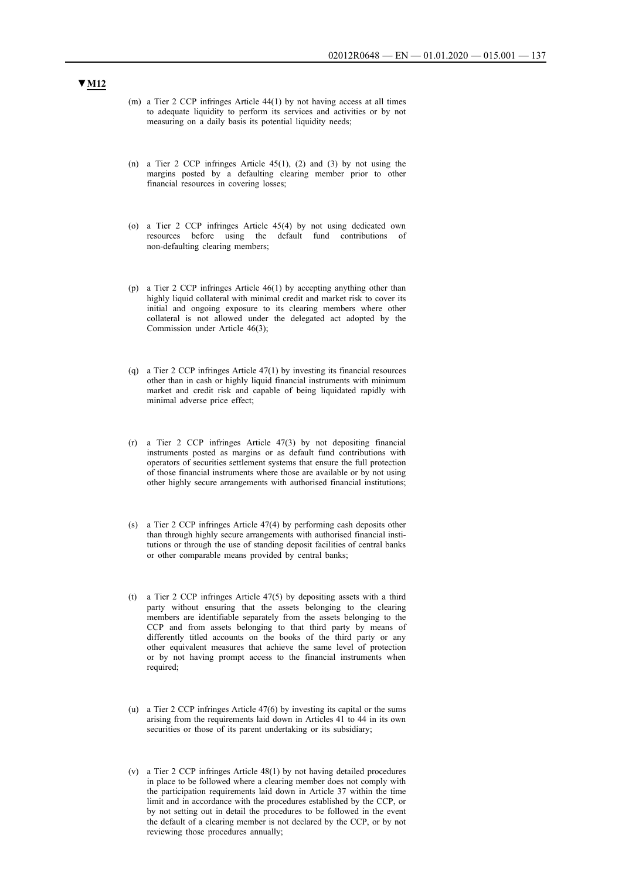- (m) a Tier 2 CCP infringes Article 44(1) by not having access at all times to adequate liquidity to perform its services and activities or by not measuring on a daily basis its potential liquidity needs;
- (n) a Tier 2 CCP infringes Article  $45(1)$ , (2) and (3) by not using the margins posted by a defaulting clearing member prior to other financial resources in covering losses;
- (o) a Tier 2 CCP infringes Article 45(4) by not using dedicated own resources before using the default fund contributions of non-defaulting clearing members;
- (p) a Tier 2 CCP infringes Article 46(1) by accepting anything other than highly liquid collateral with minimal credit and market risk to cover its initial and ongoing exposure to its clearing members where other collateral is not allowed under the delegated act adopted by the Commission under Article 46(3);
- (q) a Tier 2 CCP infringes Article 47(1) by investing its financial resources other than in cash or highly liquid financial instruments with minimum market and credit risk and capable of being liquidated rapidly with minimal adverse price effect;
- (r) a Tier 2 CCP infringes Article 47(3) by not depositing financial instruments posted as margins or as default fund contributions with operators of securities settlement systems that ensure the full protection of those financial instruments where those are available or by not using other highly secure arrangements with authorised financial institutions;
- (s) a Tier 2 CCP infringes Article 47(4) by performing cash deposits other than through highly secure arrangements with authorised financial institutions or through the use of standing deposit facilities of central banks or other comparable means provided by central banks;
- (t) a Tier 2 CCP infringes Article 47(5) by depositing assets with a third party without ensuring that the assets belonging to the clearing members are identifiable separately from the assets belonging to the CCP and from assets belonging to that third party by means of differently titled accounts on the books of the third party or any other equivalent measures that achieve the same level of protection or by not having prompt access to the financial instruments when required;
- (u) a Tier 2 CCP infringes Article 47(6) by investing its capital or the sums arising from the requirements laid down in Articles 41 to 44 in its own securities or those of its parent undertaking or its subsidiary;
- (v) a Tier 2 CCP infringes Article 48(1) by not having detailed procedures in place to be followed where a clearing member does not comply with the participation requirements laid down in Article 37 within the time limit and in accordance with the procedures established by the CCP, or by not setting out in detail the procedures to be followed in the event the default of a clearing member is not declared by the CCP, or by not reviewing those procedures annually;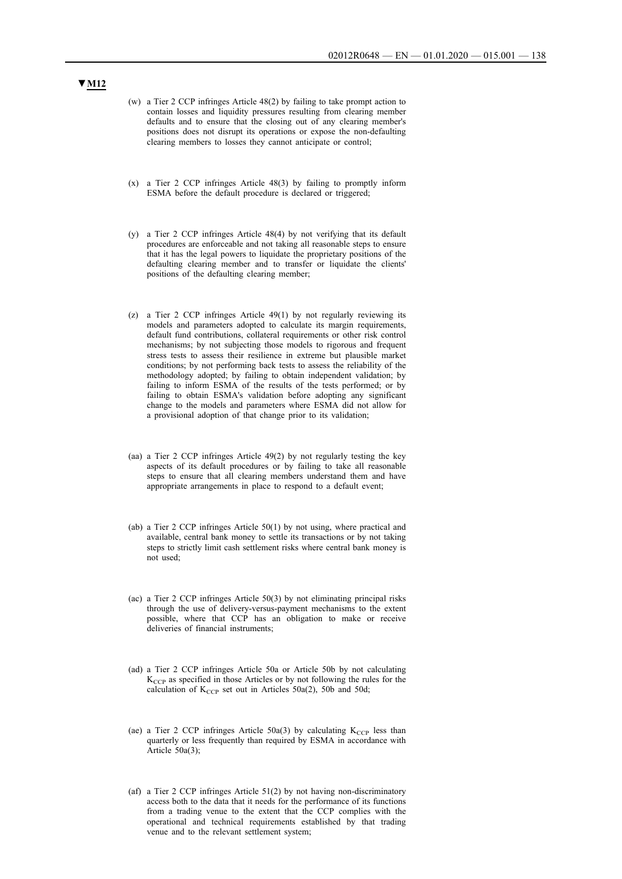- (w) a Tier 2 CCP infringes Article 48(2) by failing to take prompt action to contain losses and liquidity pressures resulting from clearing member defaults and to ensure that the closing out of any clearing member's positions does not disrupt its operations or expose the non-defaulting clearing members to losses they cannot anticipate or control;
- (x) a Tier 2 CCP infringes Article 48(3) by failing to promptly inform ESMA before the default procedure is declared or triggered;
- (y) a Tier 2 CCP infringes Article 48(4) by not verifying that its default procedures are enforceable and not taking all reasonable steps to ensure that it has the legal powers to liquidate the proprietary positions of the defaulting clearing member and to transfer or liquidate the clients' positions of the defaulting clearing member;
- (z) a Tier 2 CCP infringes Article 49(1) by not regularly reviewing its models and parameters adopted to calculate its margin requirements, default fund contributions, collateral requirements or other risk control mechanisms; by not subjecting those models to rigorous and frequent stress tests to assess their resilience in extreme but plausible market conditions; by not performing back tests to assess the reliability of the methodology adopted; by failing to obtain independent validation; by failing to inform ESMA of the results of the tests performed; or by failing to obtain ESMA's validation before adopting any significant change to the models and parameters where ESMA did not allow for a provisional adoption of that change prior to its validation;
- (aa) a Tier 2 CCP infringes Article 49(2) by not regularly testing the key aspects of its default procedures or by failing to take all reasonable steps to ensure that all clearing members understand them and have appropriate arrangements in place to respond to a default event;
- (ab) a Tier 2 CCP infringes Article 50(1) by not using, where practical and available, central bank money to settle its transactions or by not taking steps to strictly limit cash settlement risks where central bank money is not used;
- (ac) a Tier 2 CCP infringes Article 50(3) by not eliminating principal risks through the use of delivery-versus-payment mechanisms to the extent possible, where that CCP has an obligation to make or receive deliveries of financial instruments;
- (ad) a Tier 2 CCP infringes Article 50a or Article 50b by not calculating K<sub>CCP</sub> as specified in those Articles or by not following the rules for the calculation of  $K_{CCP}$  set out in Articles 50a(2), 50b and 50d;
- (ae) a Tier 2 CCP infringes Article 50a(3) by calculating  $K_{CCP}$  less than quarterly or less frequently than required by ESMA in accordance with Article 50a(3);
- (af) a Tier 2 CCP infringes Article 51(2) by not having non-discriminatory access both to the data that it needs for the performance of its functions from a trading venue to the extent that the CCP complies with the operational and technical requirements established by that trading venue and to the relevant settlement system;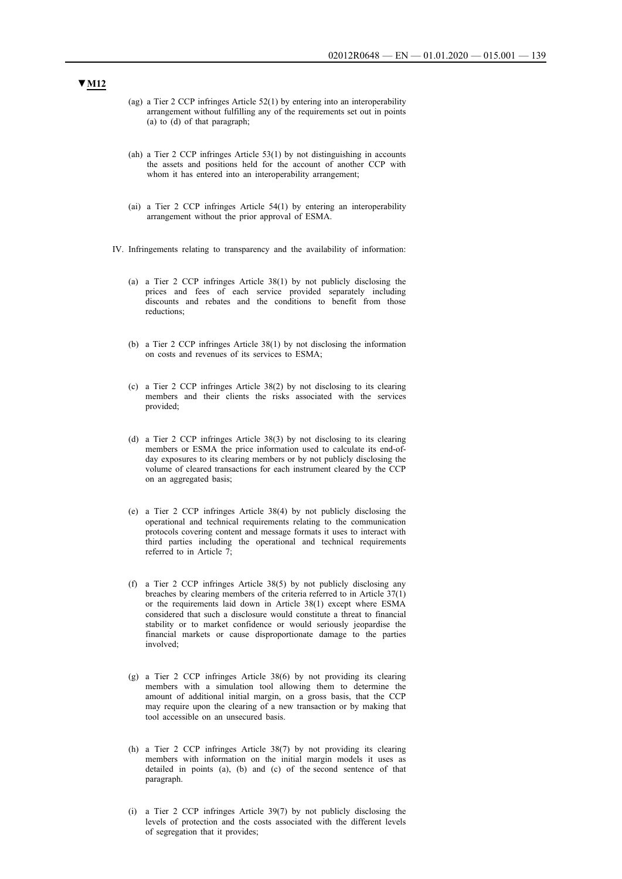- (ag) a Tier 2 CCP infringes Article 52(1) by entering into an interoperability arrangement without fulfilling any of the requirements set out in points (a) to (d) of that paragraph;
- (ah) a Tier 2 CCP infringes Article 53(1) by not distinguishing in accounts the assets and positions held for the account of another CCP with whom it has entered into an interoperability arrangement;
- (ai) a Tier 2 CCP infringes Article 54(1) by entering an interoperability arrangement without the prior approval of ESMA.
- IV. Infringements relating to transparency and the availability of information:
	- (a) a Tier 2 CCP infringes Article 38(1) by not publicly disclosing the prices and fees of each service provided separately including discounts and rebates and the conditions to benefit from those reductions;
	- (b) a Tier 2 CCP infringes Article 38(1) by not disclosing the information on costs and revenues of its services to ESMA;
	- (c) a Tier 2 CCP infringes Article 38(2) by not disclosing to its clearing members and their clients the risks associated with the services provided;
	- (d) a Tier 2 CCP infringes Article 38(3) by not disclosing to its clearing members or ESMA the price information used to calculate its end-ofday exposures to its clearing members or by not publicly disclosing the volume of cleared transactions for each instrument cleared by the CCP on an aggregated basis;
	- (e) a Tier 2 CCP infringes Article 38(4) by not publicly disclosing the operational and technical requirements relating to the communication protocols covering content and message formats it uses to interact with third parties including the operational and technical requirements referred to in Article 7;
	- (f) a Tier 2 CCP infringes Article 38(5) by not publicly disclosing any breaches by clearing members of the criteria referred to in Article 37(1) or the requirements laid down in Article 38(1) except where ESMA considered that such a disclosure would constitute a threat to financial stability or to market confidence or would seriously jeopardise the financial markets or cause disproportionate damage to the parties involved;
	- (g) a Tier 2 CCP infringes Article 38(6) by not providing its clearing members with a simulation tool allowing them to determine the amount of additional initial margin, on a gross basis, that the CCP may require upon the clearing of a new transaction or by making that tool accessible on an unsecured basis.
	- (h) a Tier 2 CCP infringes Article 38(7) by not providing its clearing members with information on the initial margin models it uses as detailed in points (a), (b) and (c) of the second sentence of that paragraph.
	- (i) a Tier 2 CCP infringes Article 39(7) by not publicly disclosing the levels of protection and the costs associated with the different levels of segregation that it provides;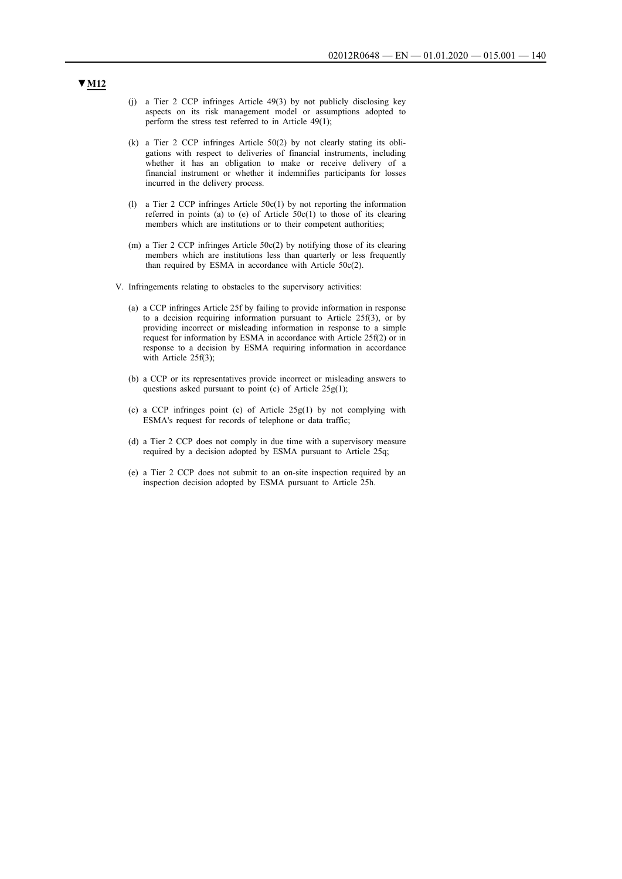- (j) a Tier 2 CCP infringes Article 49(3) by not publicly disclosing key aspects on its risk management model or assumptions adopted to perform the stress test referred to in Article 49(1);
- (k) a Tier 2 CCP infringes Article 50(2) by not clearly stating its obligations with respect to deliveries of financial instruments, including whether it has an obligation to make or receive delivery of a financial instrument or whether it indemnifies participants for losses incurred in the delivery process.
- (l) a Tier 2 CCP infringes Article 50c(1) by not reporting the information referred in points (a) to (e) of Article  $50c(1)$  to those of its clearing members which are institutions or to their competent authorities;
- (m) a Tier 2 CCP infringes Article 50c(2) by notifying those of its clearing members which are institutions less than quarterly or less frequently than required by ESMA in accordance with Article 50c(2).
- V. Infringements relating to obstacles to the supervisory activities:
	- (a) a CCP infringes Article 25f by failing to provide information in response to a decision requiring information pursuant to Article 25f(3), or by providing incorrect or misleading information in response to a simple request for information by ESMA in accordance with Article 25f(2) or in response to a decision by ESMA requiring information in accordance with Article 25f(3);
	- (b) a CCP or its representatives provide incorrect or misleading answers to questions asked pursuant to point (c) of Article 25g(1);
	- (c) a CCP infringes point (e) of Article  $25g(1)$  by not complying with ESMA's request for records of telephone or data traffic;
	- (d) a Tier 2 CCP does not comply in due time with a supervisory measure required by a decision adopted by ESMA pursuant to Article 25q;
	- (e) a Tier 2 CCP does not submit to an on-site inspection required by an inspection decision adopted by ESMA pursuant to Article 25h.